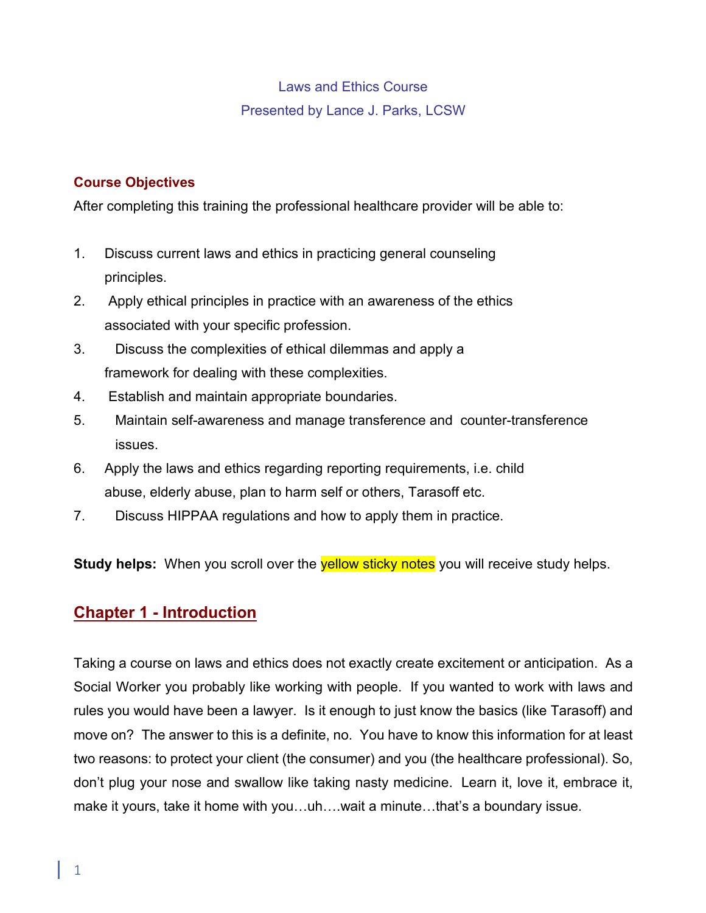# Laws and Ethics Course Presented by Lance J. Parks, LCSW

## **Course Objectives**

After completing this training the professional healthcare provider will be able to:

- 1. Discuss current laws and ethics in practicing general counseling principles.
- 2. Apply ethical principles in practice with an awareness of the ethics associated with your specific profession.
- 3. Discuss the complexities of ethical dilemmas and apply a framework for dealing with these complexities.
- 4. Establish and maintain appropriate boundaries.
- 5. Maintain self-awareness and manage transference and counter-transference issues.
- 6. Apply the laws and ethics regarding reporting requirements, i.e. child abuse, elderly abuse, plan to harm self or others, Tarasoff etc.
- 7. Discuss HIPPAA regulations and how to apply them in practice.

**Study helps:** When you scroll over the **yellow sticky notes** you will receive study helps.

## **Chapter 1 - Introduction**

Taking a course on laws and ethics does not exactly create excitement or anticipation. As a Social Worker you probably like working with people. If you wanted to work with laws and rules you would have been a lawyer. Is it enough to just know the basics (like Tarasoff) and move on? The answer to this is a definite, no. You have to know this information for at least two reasons: to protect your client (the consumer) and you (the healthcare professional). So, don't plug your nose and swallow like taking nasty medicine. Learn it, love it, embrace it, make it yours, take it home with you…uh….wait a minute…that's a boundary issue.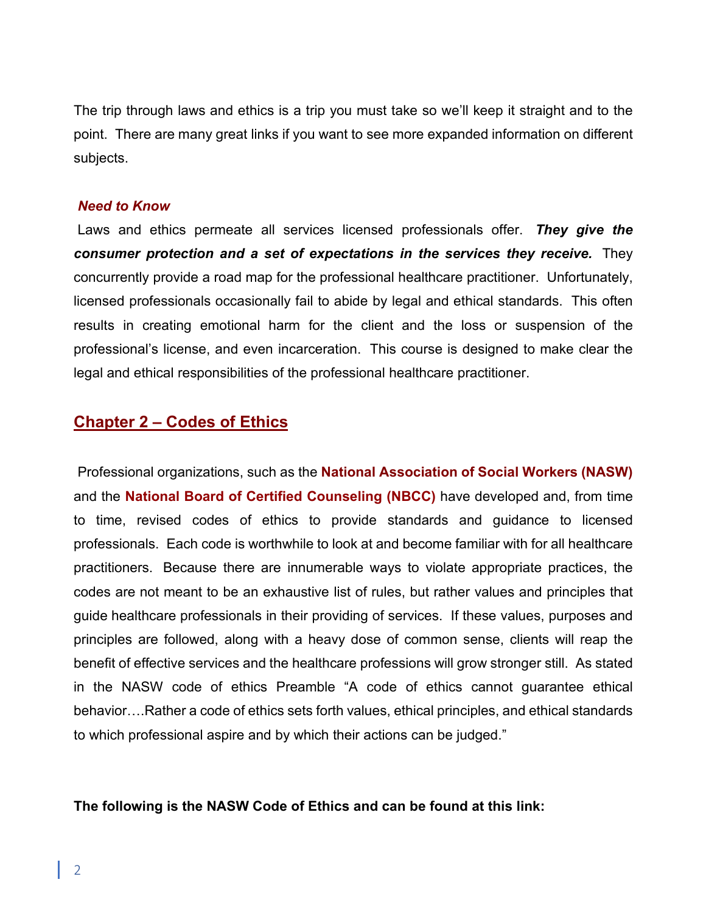The trip through laws and ethics is a trip you must take so we'll keep it straight and to the point. There are many great links if you want to see more expanded information on different subjects.

#### *Need to Know*

Laws and ethics permeate all services licensed professionals offer. *They give the consumer protection and a set of expectations in the services they receive.* They concurrently provide a road map for the professional healthcare practitioner. Unfortunately, licensed professionals occasionally fail to abide by legal and ethical standards. This often results in creating emotional harm for the client and the loss or suspension of the professional's license, and even incarceration. This course is designed to make clear the legal and ethical responsibilities of the professional healthcare practitioner.

## **Chapter 2 – Codes of Ethics**

Professional organizations, such as the **National Association of Social Workers (NASW)** and the **National Board of Certified Counseling (NBCC)** have developed and, from time to time, revised codes of ethics to provide standards and guidance to licensed professionals. Each code is worthwhile to look at and become familiar with for all healthcare practitioners. Because there are innumerable ways to violate appropriate practices, the codes are not meant to be an exhaustive list of rules, but rather values and principles that guide healthcare professionals in their providing of services. If these values, purposes and principles are followed, along with a heavy dose of common sense, clients will reap the benefit of effective services and the healthcare professions will grow stronger still. As stated in the NASW code of ethics Preamble "A code of ethics cannot guarantee ethical behavior….Rather a code of ethics sets forth values, ethical principles, and ethical standards to which professional aspire and by which their actions can be judged."

#### **The following is the NASW Code of Ethics and can be found at this link:**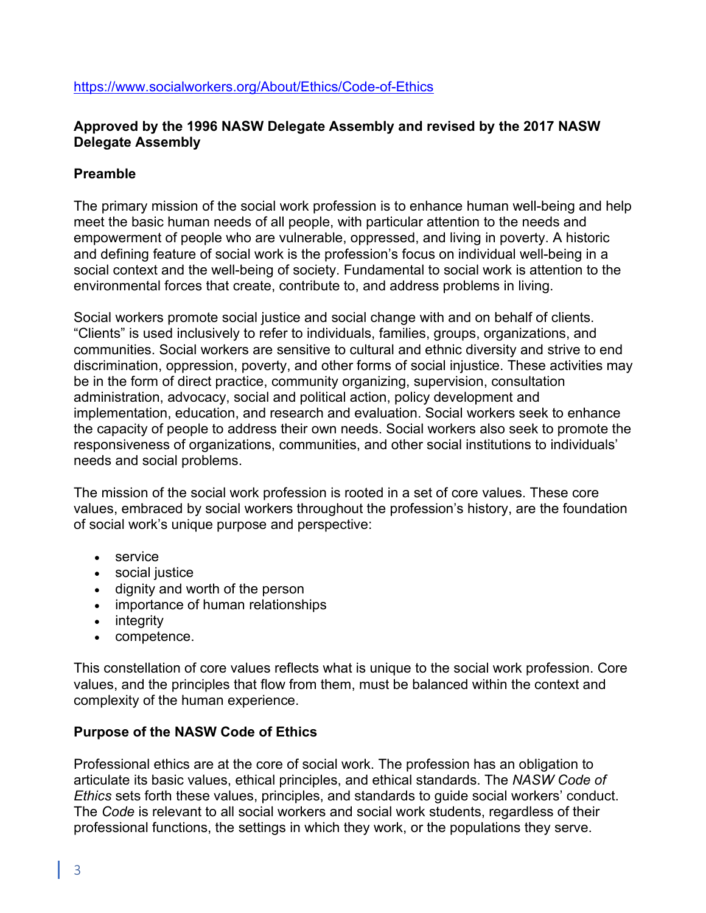#### **Approved by the 1996 NASW Delegate Assembly and revised by the 2017 NASW Delegate Assembly**

#### **Preamble**

The primary mission of the social work profession is to enhance human well-being and help meet the basic human needs of all people, with particular attention to the needs and empowerment of people who are vulnerable, oppressed, and living in poverty. A historic and defining feature of social work is the profession's focus on individual well-being in a social context and the well-being of society. Fundamental to social work is attention to the environmental forces that create, contribute to, and address problems in living.

Social workers promote social justice and social change with and on behalf of clients. "Clients" is used inclusively to refer to individuals, families, groups, organizations, and communities. Social workers are sensitive to cultural and ethnic diversity and strive to end discrimination, oppression, poverty, and other forms of social injustice. These activities may be in the form of direct practice, community organizing, supervision, consultation administration, advocacy, social and political action, policy development and implementation, education, and research and evaluation. Social workers seek to enhance the capacity of people to address their own needs. Social workers also seek to promote the responsiveness of organizations, communities, and other social institutions to individuals' needs and social problems.

The mission of the social work profession is rooted in a set of core values. These core values, embraced by social workers throughout the profession's history, are the foundation of social work's unique purpose and perspective:

- service
- social justice
- dignity and worth of the person
- importance of human relationships
- integrity
- competence.

This constellation of core values reflects what is unique to the social work profession. Core values, and the principles that flow from them, must be balanced within the context and complexity of the human experience.

#### **Purpose of the NASW Code of Ethics**

Professional ethics are at the core of social work. The profession has an obligation to articulate its basic values, ethical principles, and ethical standards. The *NASW Code of Ethics* sets forth these values, principles, and standards to guide social workers' conduct. The *Code* is relevant to all social workers and social work students, regardless of their professional functions, the settings in which they work, or the populations they serve.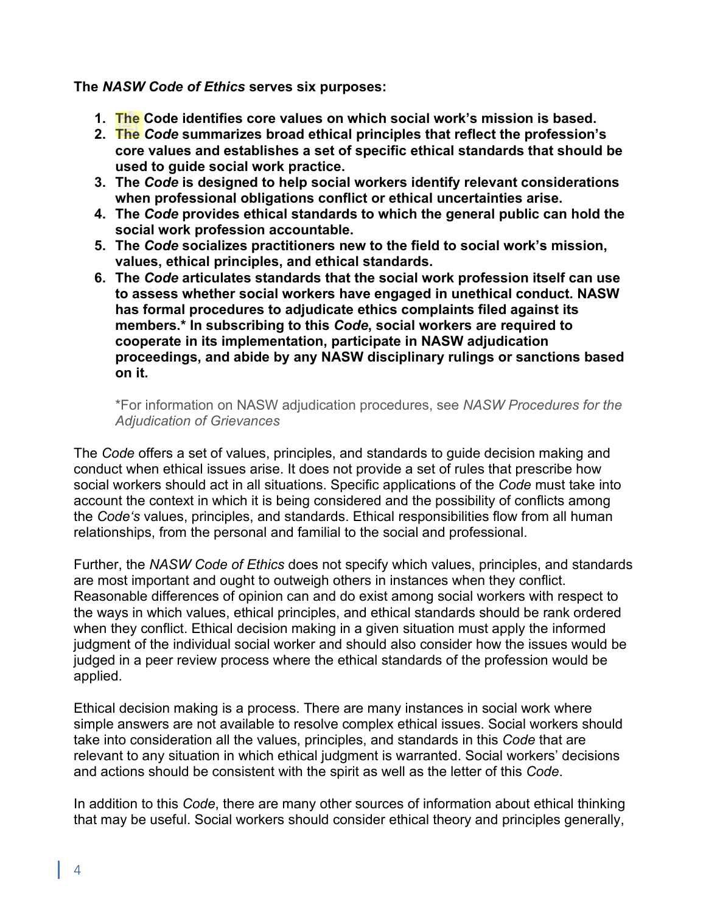**The** *NASW Code of Ethics* **serves six purposes:**

- **1. The Code identifies core values on which social work's mission is based.**
- **2. The** *Code* **summarizes broad ethical principles that reflect the profession's core values and establishes a set of specific ethical standards that should be used to guide social work practice.**
- **3. The** *Code* **is designed to help social workers identify relevant considerations when professional obligations conflict or ethical uncertainties arise.**
- **4. The** *Code* **provides ethical standards to which the general public can hold the social work profession accountable.**
- **5. The** *Code* **socializes practitioners new to the field to social work's mission, values, ethical principles, and ethical standards.**
- **6. The** *Code* **articulates standards that the social work profession itself can use to assess whether social workers have engaged in unethical conduct. NASW has formal procedures to adjudicate ethics complaints filed against its members.\* In subscribing to this** *Code***, social workers are required to cooperate in its implementation, participate in NASW adjudication proceedings, and abide by any NASW disciplinary rulings or sanctions based on it.**

\*For information on NASW adjudication procedures, see *NASW Procedures for the Adjudication of Grievances*

The *Code* offers a set of values, principles, and standards to guide decision making and conduct when ethical issues arise. It does not provide a set of rules that prescribe how social workers should act in all situations. Specific applications of the *Code* must take into account the context in which it is being considered and the possibility of conflicts among the *Code's* values, principles, and standards. Ethical responsibilities flow from all human relationships, from the personal and familial to the social and professional.

Further, the *NASW Code of Ethics* does not specify which values, principles, and standards are most important and ought to outweigh others in instances when they conflict. Reasonable differences of opinion can and do exist among social workers with respect to the ways in which values, ethical principles, and ethical standards should be rank ordered when they conflict. Ethical decision making in a given situation must apply the informed judgment of the individual social worker and should also consider how the issues would be judged in a peer review process where the ethical standards of the profession would be applied.

Ethical decision making is a process. There are many instances in social work where simple answers are not available to resolve complex ethical issues. Social workers should take into consideration all the values, principles, and standards in this *Code* that are relevant to any situation in which ethical judgment is warranted. Social workers' decisions and actions should be consistent with the spirit as well as the letter of this *Code*.

In addition to this *Code*, there are many other sources of information about ethical thinking that may be useful. Social workers should consider ethical theory and principles generally,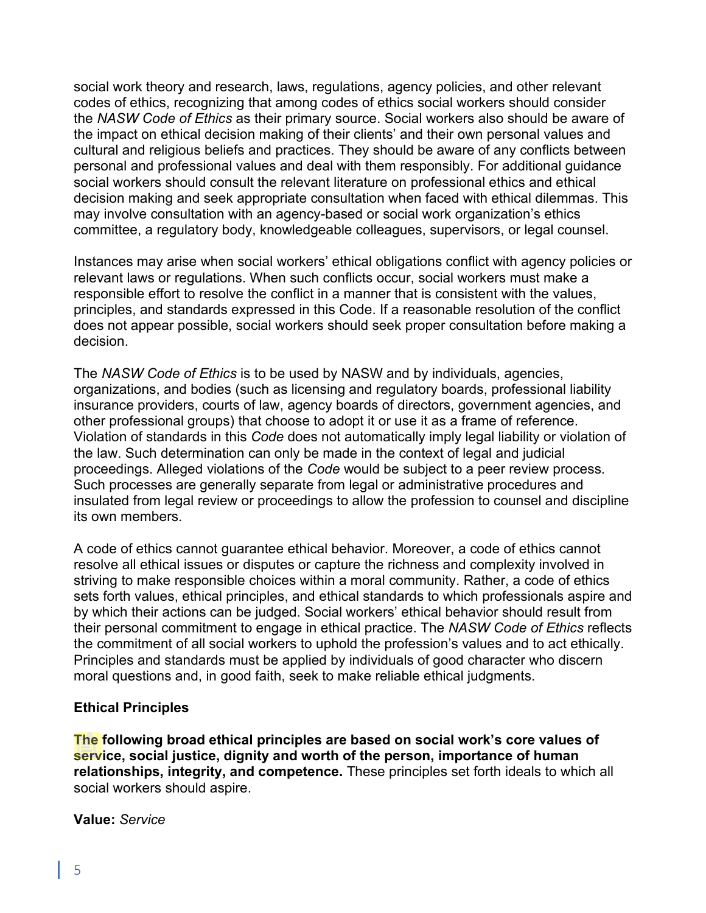social work theory and research, laws, regulations, agency policies, and other relevant codes of ethics, recognizing that among codes of ethics social workers should consider the *NASW Code of Ethics* as their primary source. Social workers also should be aware of the impact on ethical decision making of their clients' and their own personal values and cultural and religious beliefs and practices. They should be aware of any conflicts between personal and professional values and deal with them responsibly. For additional guidance social workers should consult the relevant literature on professional ethics and ethical decision making and seek appropriate consultation when faced with ethical dilemmas. This may involve consultation with an agency-based or social work organization's ethics committee, a regulatory body, knowledgeable colleagues, supervisors, or legal counsel.

Instances may arise when social workers' ethical obligations conflict with agency policies or relevant laws or regulations. When such conflicts occur, social workers must make a responsible effort to resolve the conflict in a manner that is consistent with the values, principles, and standards expressed in this Code. If a reasonable resolution of the conflict does not appear possible, social workers should seek proper consultation before making a decision.

The *NASW Code of Ethics* is to be used by NASW and by individuals, agencies, organizations, and bodies (such as licensing and regulatory boards, professional liability insurance providers, courts of law, agency boards of directors, government agencies, and other professional groups) that choose to adopt it or use it as a frame of reference. Violation of standards in this *Code* does not automatically imply legal liability or violation of the law. Such determination can only be made in the context of legal and judicial proceedings. Alleged violations of the *Code* would be subject to a peer review process. Such processes are generally separate from legal or administrative procedures and insulated from legal review or proceedings to allow the profession to counsel and discipline its own members.

A code of ethics cannot guarantee ethical behavior. Moreover, a code of ethics cannot resolve all ethical issues or disputes or capture the richness and complexity involved in striving to make responsible choices within a moral community. Rather, a code of ethics sets forth values, ethical principles, and ethical standards to which professionals aspire and by which their actions can be judged. Social workers' ethical behavior should result from their personal commitment to engage in ethical practice. The *NASW Code of Ethics* reflects the commitment of all social workers to uphold the profession's values and to act ethically. Principles and standards must be applied by individuals of good character who discern moral questions and, in good faith, seek to make reliable ethical judgments.

#### **Ethical Principles**

**The following broad ethical principles are based on social work's core values of service, social justice, dignity and worth of the person, importance of human relationships, integrity, and competence.** These principles set forth ideals to which all social workers should aspire.

**Value:** *Service*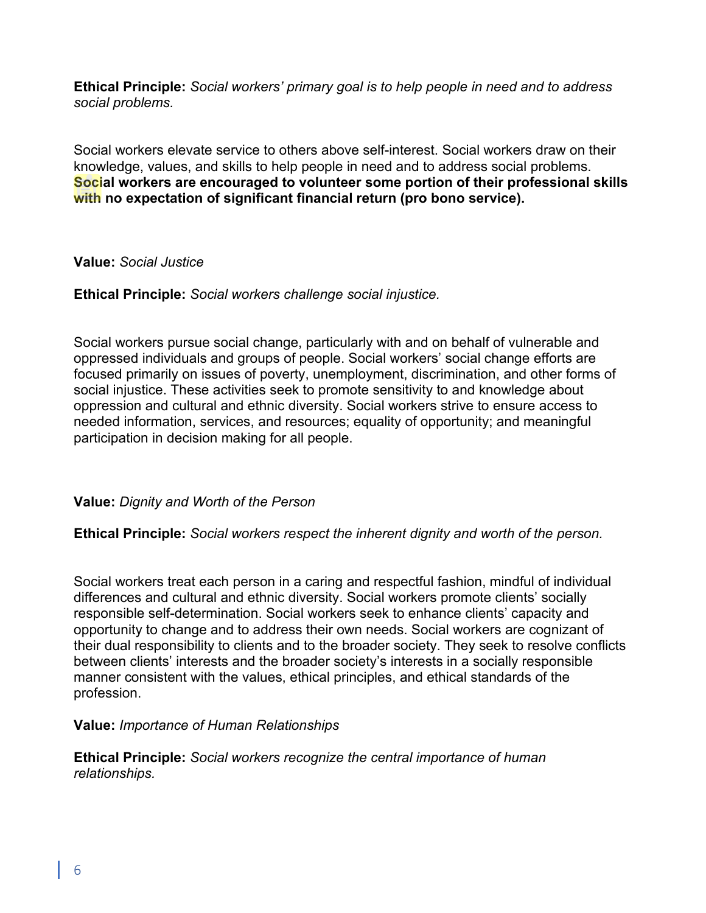**Ethical Principle:** *Social workers' primary goal is to help people in need and to address social problems.*

Social workers elevate service to others above self-interest. Social workers draw on their knowledge, values, and skills to help people in need and to address social problems. **Social workers are encouraged to volunteer some portion of their professional skills with no expectation of significant financial return (pro bono service).**

**Value:** *Social Justice*

**Ethical Principle:** *Social workers challenge social injustice.*

Social workers pursue social change, particularly with and on behalf of vulnerable and oppressed individuals and groups of people. Social workers' social change efforts are focused primarily on issues of poverty, unemployment, discrimination, and other forms of social injustice. These activities seek to promote sensitivity to and knowledge about oppression and cultural and ethnic diversity. Social workers strive to ensure access to needed information, services, and resources; equality of opportunity; and meaningful participation in decision making for all people.

**Value:** *Dignity and Worth of the Person*

**Ethical Principle:** *Social workers respect the inherent dignity and worth of the person.*

Social workers treat each person in a caring and respectful fashion, mindful of individual differences and cultural and ethnic diversity. Social workers promote clients' socially responsible self-determination. Social workers seek to enhance clients' capacity and opportunity to change and to address their own needs. Social workers are cognizant of their dual responsibility to clients and to the broader society. They seek to resolve conflicts between clients' interests and the broader society's interests in a socially responsible manner consistent with the values, ethical principles, and ethical standards of the profession.

**Value:** *Importance of Human Relationships*

**Ethical Principle:** *Social workers recognize the central importance of human relationships.*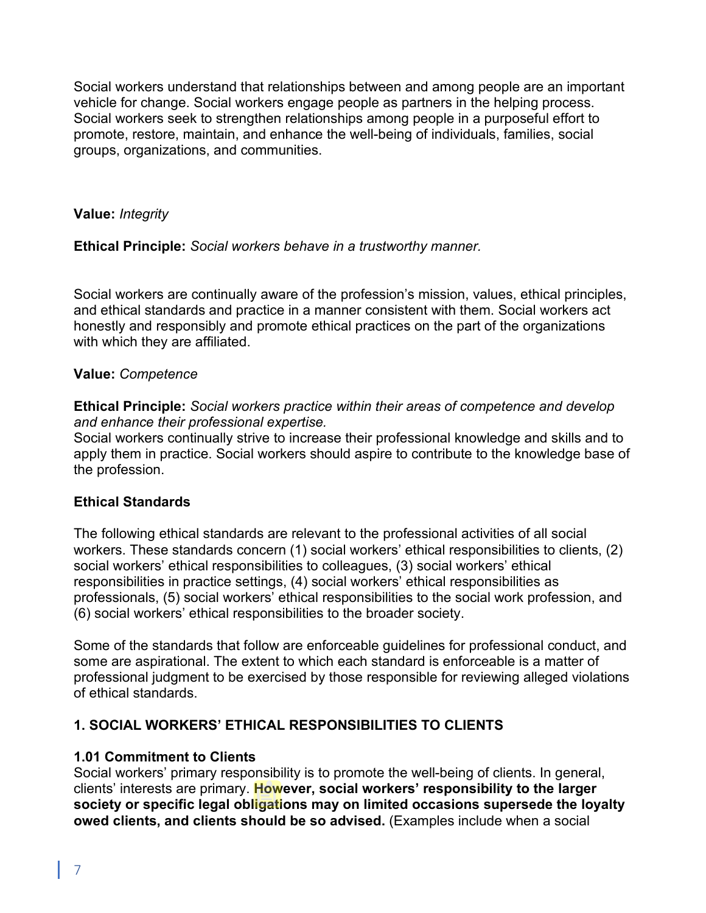Social workers understand that relationships between and among people are an important vehicle for change. Social workers engage people as partners in the helping process. Social workers seek to strengthen relationships among people in a purposeful effort to promote, restore, maintain, and enhance the well-being of individuals, families, social groups, organizations, and communities.

**Value:** *Integrity*

**Ethical Principle:** *Social workers behave in a trustworthy manner.*

Social workers are continually aware of the profession's mission, values, ethical principles, and ethical standards and practice in a manner consistent with them. Social workers act honestly and responsibly and promote ethical practices on the part of the organizations with which they are affiliated.

## **Value:** *Competence*

**Ethical Principle:** *Social workers practice within their areas of competence and develop and enhance their professional expertise.*

Social workers continually strive to increase their professional knowledge and skills and to apply them in practice. Social workers should aspire to contribute to the knowledge base of the profession.

## **Ethical Standards**

The following ethical standards are relevant to the professional activities of all social workers. These standards concern (1) social workers' ethical responsibilities to clients, (2) social workers' ethical responsibilities to colleagues, (3) social workers' ethical responsibilities in practice settings, (4) social workers' ethical responsibilities as professionals, (5) social workers' ethical responsibilities to the social work profession, and (6) social workers' ethical responsibilities to the broader society.

Some of the standards that follow are enforceable guidelines for professional conduct, and some are aspirational. The extent to which each standard is enforceable is a matter of professional judgment to be exercised by those responsible for reviewing alleged violations of ethical standards.

## **1. SOCIAL WORKERS' ETHICAL RESPONSIBILITIES TO CLIENTS**

#### **1.01 Commitment to Clients**

Social workers' primary responsibility is to promote the well-being of clients. In general, clients' interests are primary. **However, social workers' responsibility to the larger society or specific legal obligations may on limited occasions supersede the loyalty owed clients, and clients should be so advised.** (Examples include when a social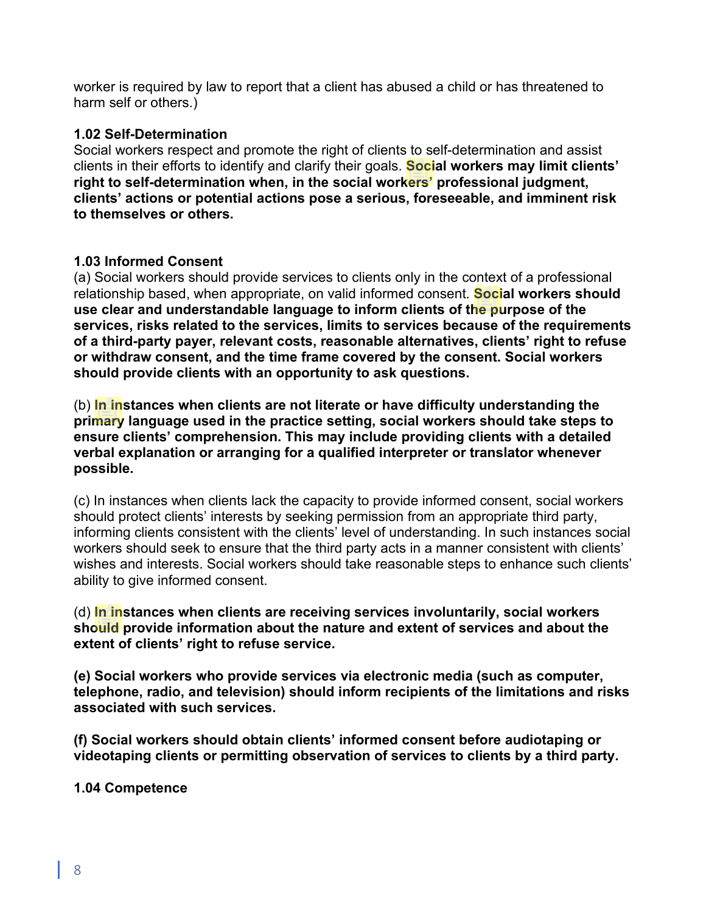worker is required by law to report that a client has abused a child or has threatened to harm self or others.)

#### **1.02 Self-Determination**

Social workers respect and promote the right of clients to self-determination and assist clients in their efforts to identify and clarify their goals. **Social workers may limit clients' right to self-determination when, in the social workers' professional judgment, clients' actions or potential actions pose a serious, foreseeable, and imminent risk to themselves or others.**

#### **1.03 Informed Consent**

(a) Social workers should provide services to clients only in the context of a professional relationship based, when appropriate, on valid informed consent. **Social workers should use clear and understandable language to inform clients of the purpose of the services, risks related to the services, limits to services because of the requirements of a third-party payer, relevant costs, reasonable alternatives, clients' right to refuse or withdraw consent, and the time frame covered by the consent. Social workers should provide clients with an opportunity to ask questions.**

(b) **In instances when clients are not literate or have difficulty understanding the primary language used in the practice setting, social workers should take steps to ensure clients' comprehension. This may include providing clients with a detailed verbal explanation or arranging for a qualified interpreter or translator whenever possible.**

(c) In instances when clients lack the capacity to provide informed consent, social workers should protect clients' interests by seeking permission from an appropriate third party, informing clients consistent with the clients' level of understanding. In such instances social workers should seek to ensure that the third party acts in a manner consistent with clients' wishes and interests. Social workers should take reasonable steps to enhance such clients' ability to give informed consent.

(d) **In instances when clients are receiving services involuntarily, social workers should provide information about the nature and extent of services and about the extent of clients' right to refuse service.**

**(e) Social workers who provide services via electronic media (such as computer, telephone, radio, and television) should inform recipients of the limitations and risks associated with such services.**

**(f) Social workers should obtain clients' informed consent before audiotaping or videotaping clients or permitting observation of services to clients by a third party.**

**1.04 Competence**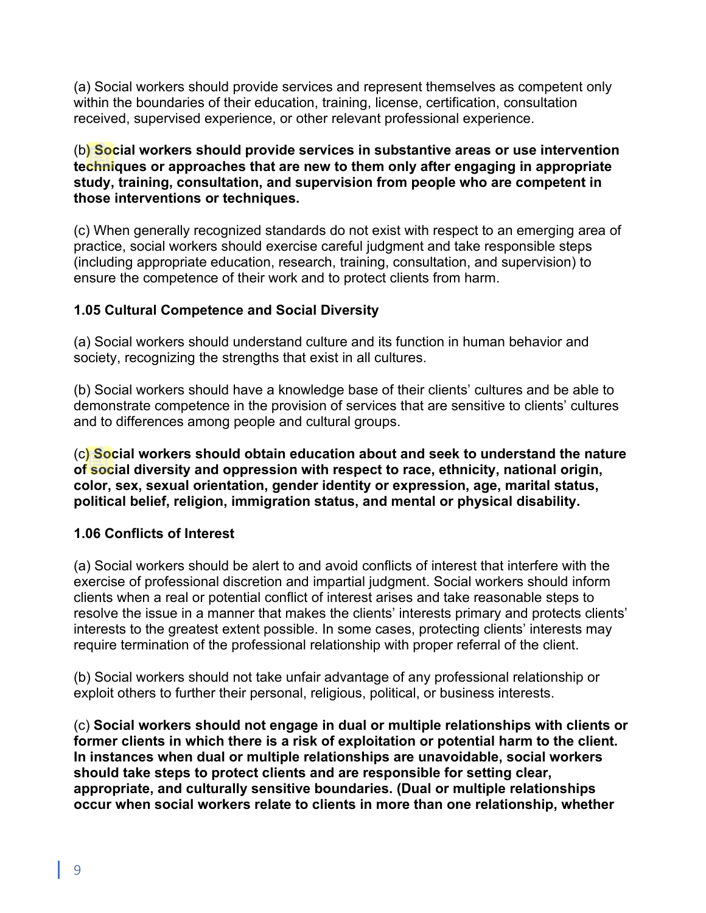(a) Social workers should provide services and represent themselves as competent only within the boundaries of their education, training, license, certification, consultation received, supervised experience, or other relevant professional experience.

#### (b**) Social workers should provide services in substantive areas or use intervention techniques or approaches that are new to them only after engaging in appropriate study, training, consultation, and supervision from people who are competent in those interventions or techniques.**

(c) When generally recognized standards do not exist with respect to an emerging area of practice, social workers should exercise careful judgment and take responsible steps (including appropriate education, research, training, consultation, and supervision) to ensure the competence of their work and to protect clients from harm.

## **1.05 Cultural Competence and Social Diversity**

(a) Social workers should understand culture and its function in human behavior and society, recognizing the strengths that exist in all cultures.

(b) Social workers should have a knowledge base of their clients' cultures and be able to demonstrate competence in the provision of services that are sensitive to clients' cultures and to differences among people and cultural groups.

(c**) Social workers should obtain education about and seek to understand the nature of social diversity and oppression with respect to race, ethnicity, national origin, color, sex, sexual orientation, gender identity or expression, age, marital status, political belief, religion, immigration status, and mental or physical disability.**

## **1.06 Conflicts of Interest**

(a) Social workers should be alert to and avoid conflicts of interest that interfere with the exercise of professional discretion and impartial judgment. Social workers should inform clients when a real or potential conflict of interest arises and take reasonable steps to resolve the issue in a manner that makes the clients' interests primary and protects clients' interests to the greatest extent possible. In some cases, protecting clients' interests may require termination of the professional relationship with proper referral of the client.

(b) Social workers should not take unfair advantage of any professional relationship or exploit others to further their personal, religious, political, or business interests.

(c) **Social workers should not engage in dual or multiple relationships with clients or former clients in which there is a risk of exploitation or potential harm to the client. In instances when dual or multiple relationships are unavoidable, social workers should take steps to protect clients and are responsible for setting clear, appropriate, and culturally sensitive boundaries. (Dual or multiple relationships occur when social workers relate to clients in more than one relationship, whether**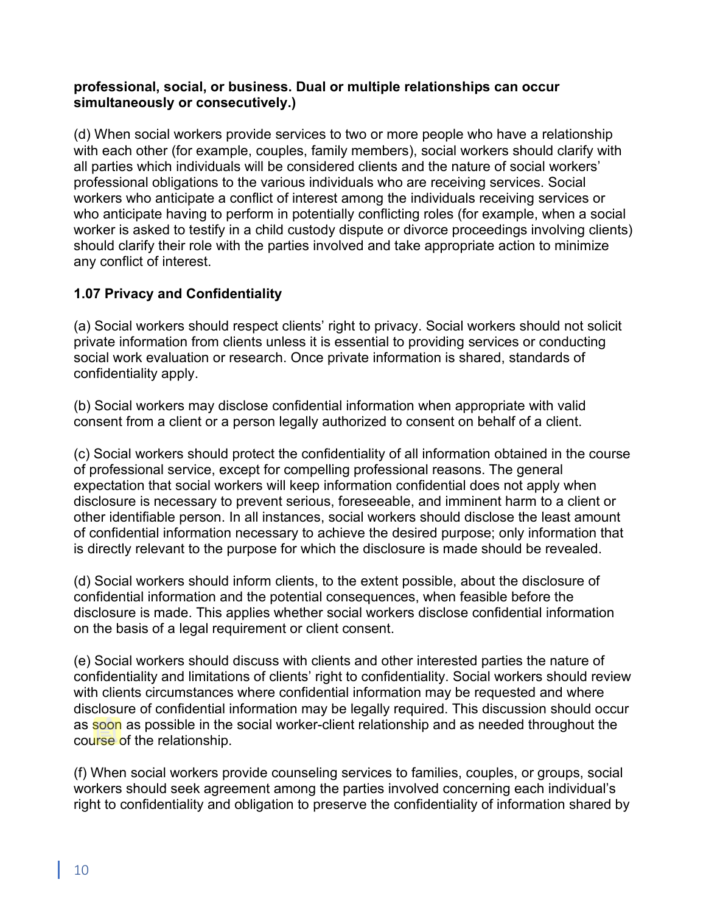#### **professional, social, or business. Dual or multiple relationships can occur simultaneously or consecutively.)**

(d) When social workers provide services to two or more people who have a relationship with each other (for example, couples, family members), social workers should clarify with all parties which individuals will be considered clients and the nature of social workers' professional obligations to the various individuals who are receiving services. Social workers who anticipate a conflict of interest among the individuals receiving services or who anticipate having to perform in potentially conflicting roles (for example, when a social worker is asked to testify in a child custody dispute or divorce proceedings involving clients) should clarify their role with the parties involved and take appropriate action to minimize any conflict of interest.

## **1.07 Privacy and Confidentiality**

(a) Social workers should respect clients' right to privacy. Social workers should not solicit private information from clients unless it is essential to providing services or conducting social work evaluation or research. Once private information is shared, standards of confidentiality apply.

(b) Social workers may disclose confidential information when appropriate with valid consent from a client or a person legally authorized to consent on behalf of a client.

(c) Social workers should protect the confidentiality of all information obtained in the course of professional service, except for compelling professional reasons. The general expectation that social workers will keep information confidential does not apply when disclosure is necessary to prevent serious, foreseeable, and imminent harm to a client or other identifiable person. In all instances, social workers should disclose the least amount of confidential information necessary to achieve the desired purpose; only information that is directly relevant to the purpose for which the disclosure is made should be revealed.

(d) Social workers should inform clients, to the extent possible, about the disclosure of confidential information and the potential consequences, when feasible before the disclosure is made. This applies whether social workers disclose confidential information on the basis of a legal requirement or client consent.

(e) Social workers should discuss with clients and other interested parties the nature of confidentiality and limitations of clients' right to confidentiality. Social workers should review with clients circumstances where confidential information may be requested and where disclosure of confidential information may be legally required. This discussion should occur as soon as possible in the social worker-client relationship and as needed throughout the course of the relationship.

(f) When social workers provide counseling services to families, couples, or groups, social workers should seek agreement among the parties involved concerning each individual's right to confidentiality and obligation to preserve the confidentiality of information shared by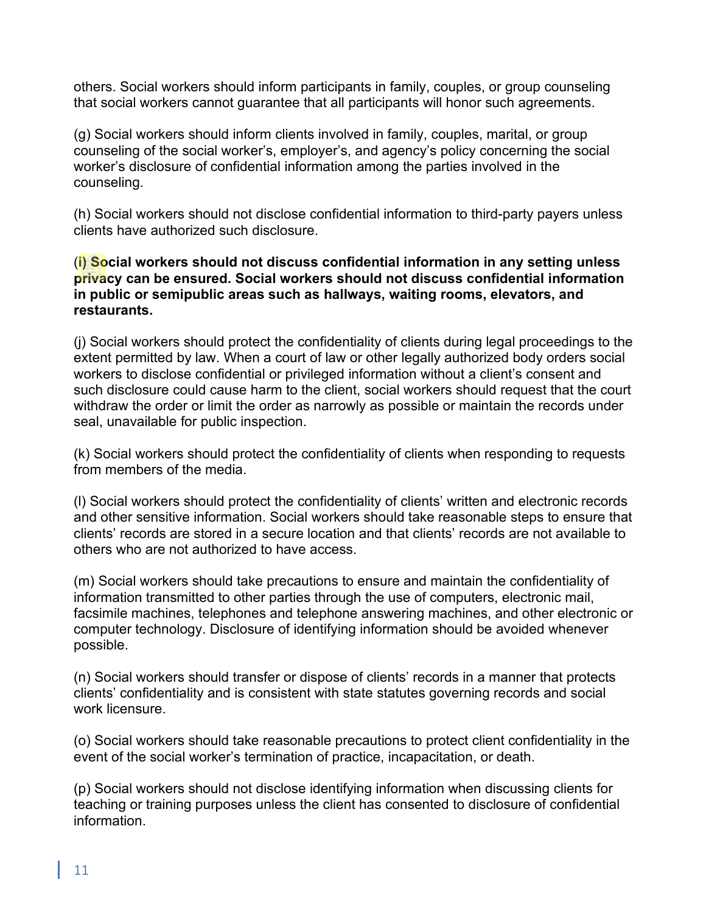others. Social workers should inform participants in family, couples, or group counseling that social workers cannot guarantee that all participants will honor such agreements.

(g) Social workers should inform clients involved in family, couples, marital, or group counseling of the social worker's, employer's, and agency's policy concerning the social worker's disclosure of confidential information among the parties involved in the counseling.

(h) Social workers should not disclose confidential information to third-party payers unless clients have authorized such disclosure.

#### (**i) Social workers should not discuss confidential information in any setting unless privacy can be ensured. Social workers should not discuss confidential information in public or semipublic areas such as hallways, waiting rooms, elevators, and restaurants.**

(j) Social workers should protect the confidentiality of clients during legal proceedings to the extent permitted by law. When a court of law or other legally authorized body orders social workers to disclose confidential or privileged information without a client's consent and such disclosure could cause harm to the client, social workers should request that the court withdraw the order or limit the order as narrowly as possible or maintain the records under seal, unavailable for public inspection.

(k) Social workers should protect the confidentiality of clients when responding to requests from members of the media.

(l) Social workers should protect the confidentiality of clients' written and electronic records and other sensitive information. Social workers should take reasonable steps to ensure that clients' records are stored in a secure location and that clients' records are not available to others who are not authorized to have access.

(m) Social workers should take precautions to ensure and maintain the confidentiality of information transmitted to other parties through the use of computers, electronic mail, facsimile machines, telephones and telephone answering machines, and other electronic or computer technology. Disclosure of identifying information should be avoided whenever possible.

(n) Social workers should transfer or dispose of clients' records in a manner that protects clients' confidentiality and is consistent with state statutes governing records and social work licensure.

(o) Social workers should take reasonable precautions to protect client confidentiality in the event of the social worker's termination of practice, incapacitation, or death.

(p) Social workers should not disclose identifying information when discussing clients for teaching or training purposes unless the client has consented to disclosure of confidential information.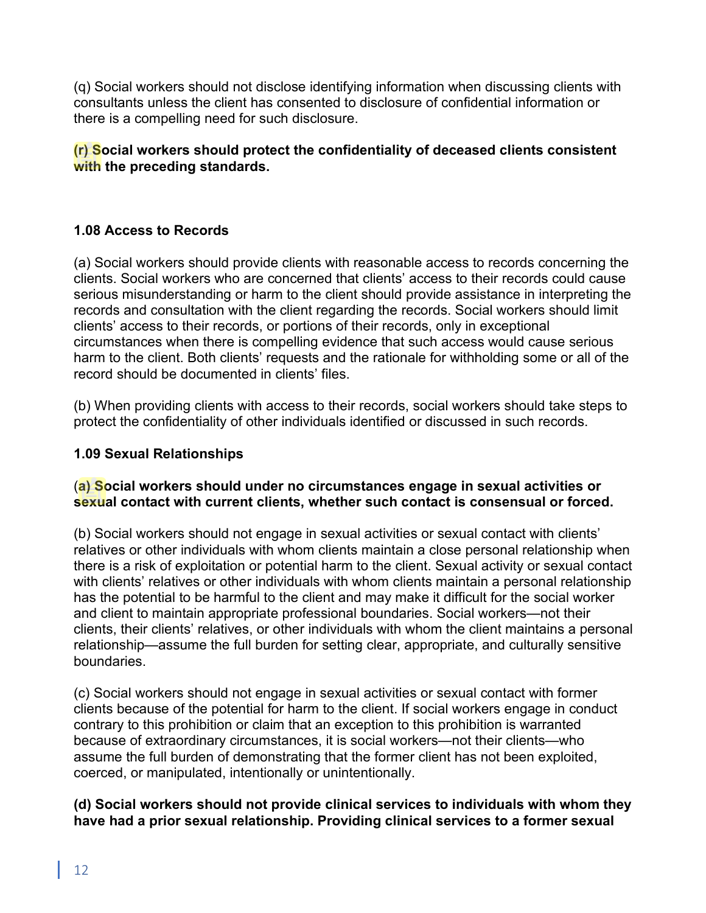(q) Social workers should not disclose identifying information when discussing clients with consultants unless the client has consented to disclosure of confidential information or there is a compelling need for such disclosure.

#### **(r) Social workers should protect the confidentiality of deceased clients consistent with the preceding standards.**

## **1.08 Access to Records**

(a) Social workers should provide clients with reasonable access to records concerning the clients. Social workers who are concerned that clients' access to their records could cause serious misunderstanding or harm to the client should provide assistance in interpreting the records and consultation with the client regarding the records. Social workers should limit clients' access to their records, or portions of their records, only in exceptional circumstances when there is compelling evidence that such access would cause serious harm to the client. Both clients' requests and the rationale for withholding some or all of the record should be documented in clients' files.

(b) When providing clients with access to their records, social workers should take steps to protect the confidentiality of other individuals identified or discussed in such records.

#### **1.09 Sexual Relationships**

#### (**a) Social workers should under no circumstances engage in sexual activities or sexual contact with current clients, whether such contact is consensual or forced.**

(b) Social workers should not engage in sexual activities or sexual contact with clients' relatives or other individuals with whom clients maintain a close personal relationship when there is a risk of exploitation or potential harm to the client. Sexual activity or sexual contact with clients' relatives or other individuals with whom clients maintain a personal relationship has the potential to be harmful to the client and may make it difficult for the social worker and client to maintain appropriate professional boundaries. Social workers—not their clients, their clients' relatives, or other individuals with whom the client maintains a personal relationship—assume the full burden for setting clear, appropriate, and culturally sensitive boundaries.

(c) Social workers should not engage in sexual activities or sexual contact with former clients because of the potential for harm to the client. If social workers engage in conduct contrary to this prohibition or claim that an exception to this prohibition is warranted because of extraordinary circumstances, it is social workers—not their clients—who assume the full burden of demonstrating that the former client has not been exploited, coerced, or manipulated, intentionally or unintentionally.

#### **(d) Social workers should not provide clinical services to individuals with whom they have had a prior sexual relationship. Providing clinical services to a former sexual**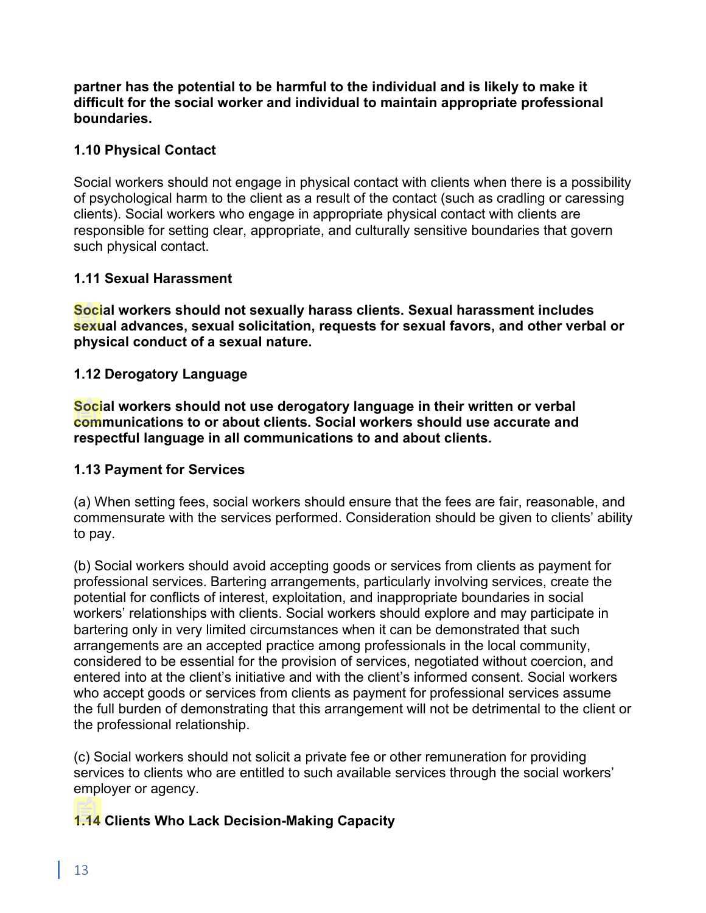**partner has the potential to be harmful to the individual and is likely to make it difficult for the social worker and individual to maintain appropriate professional boundaries.**

## **1.10 Physical Contact**

Social workers should not engage in physical contact with clients when there is a possibility of psychological harm to the client as a result of the contact (such as cradling or caressing clients). Social workers who engage in appropriate physical contact with clients are responsible for setting clear, appropriate, and culturally sensitive boundaries that govern such physical contact.

#### **1.11 Sexual Harassment**

**Social workers should not sexually harass clients. Sexual harassment includes sexual advances, sexual solicitation, requests for sexual favors, and other verbal or physical conduct of a sexual nature.**

#### **1.12 Derogatory Language**

**Social workers should not use derogatory language in their written or verbal communications to or about clients. Social workers should use accurate and respectful language in all communications to and about clients.**

#### **1.13 Payment for Services**

(a) When setting fees, social workers should ensure that the fees are fair, reasonable, and commensurate with the services performed. Consideration should be given to clients' ability to pay.

(b) Social workers should avoid accepting goods or services from clients as payment for professional services. Bartering arrangements, particularly involving services, create the potential for conflicts of interest, exploitation, and inappropriate boundaries in social workers' relationships with clients. Social workers should explore and may participate in bartering only in very limited circumstances when it can be demonstrated that such arrangements are an accepted practice among professionals in the local community, considered to be essential for the provision of services, negotiated without coercion, and entered into at the client's initiative and with the client's informed consent. Social workers who accept goods or services from clients as payment for professional services assume the full burden of demonstrating that this arrangement will not be detrimental to the client or the professional relationship.

(c) Social workers should not solicit a private fee or other remuneration for providing services to clients who are entitled to such available services through the social workers' employer or agency.

## **1.14 Clients Who Lack Decision-Making Capacity**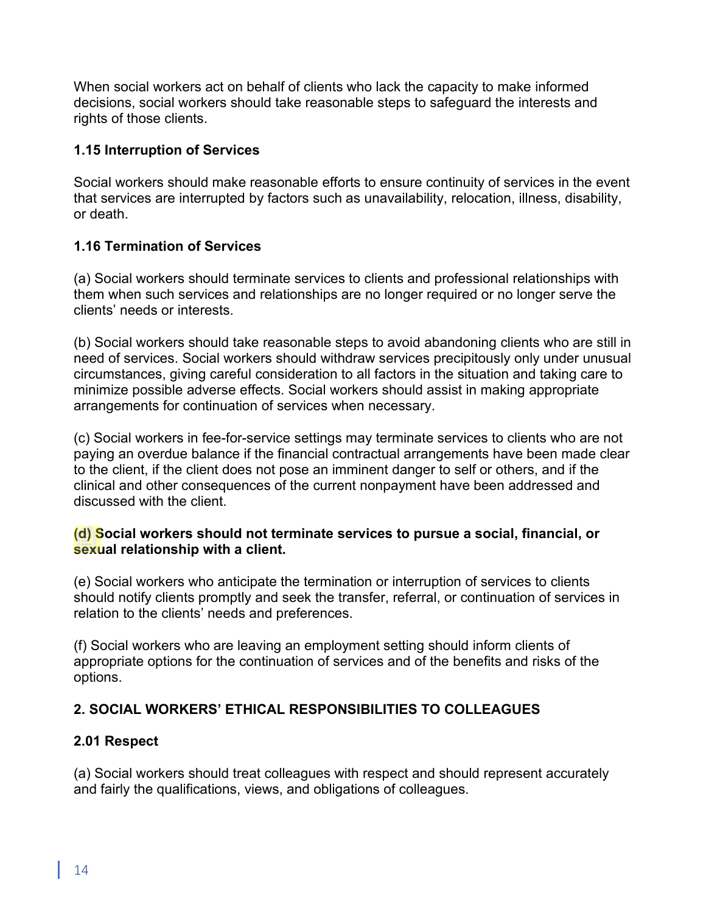When social workers act on behalf of clients who lack the capacity to make informed decisions, social workers should take reasonable steps to safeguard the interests and rights of those clients.

## **1.15 Interruption of Services**

Social workers should make reasonable efforts to ensure continuity of services in the event that services are interrupted by factors such as unavailability, relocation, illness, disability, or death.

## **1.16 Termination of Services**

(a) Social workers should terminate services to clients and professional relationships with them when such services and relationships are no longer required or no longer serve the clients' needs or interests.

(b) Social workers should take reasonable steps to avoid abandoning clients who are still in need of services. Social workers should withdraw services precipitously only under unusual circumstances, giving careful consideration to all factors in the situation and taking care to minimize possible adverse effects. Social workers should assist in making appropriate arrangements for continuation of services when necessary.

(c) Social workers in fee-for-service settings may terminate services to clients who are not paying an overdue balance if the financial contractual arrangements have been made clear to the client, if the client does not pose an imminent danger to self or others, and if the clinical and other consequences of the current nonpayment have been addressed and discussed with the client.

#### **(d) Social workers should not terminate services to pursue a social, financial, or sexual relationship with a client.**

(e) Social workers who anticipate the termination or interruption of services to clients should notify clients promptly and seek the transfer, referral, or continuation of services in relation to the clients' needs and preferences.

(f) Social workers who are leaving an employment setting should inform clients of appropriate options for the continuation of services and of the benefits and risks of the options.

## **2. SOCIAL WORKERS' ETHICAL RESPONSIBILITIES TO COLLEAGUES**

## **2.01 Respect**

(a) Social workers should treat colleagues with respect and should represent accurately and fairly the qualifications, views, and obligations of colleagues.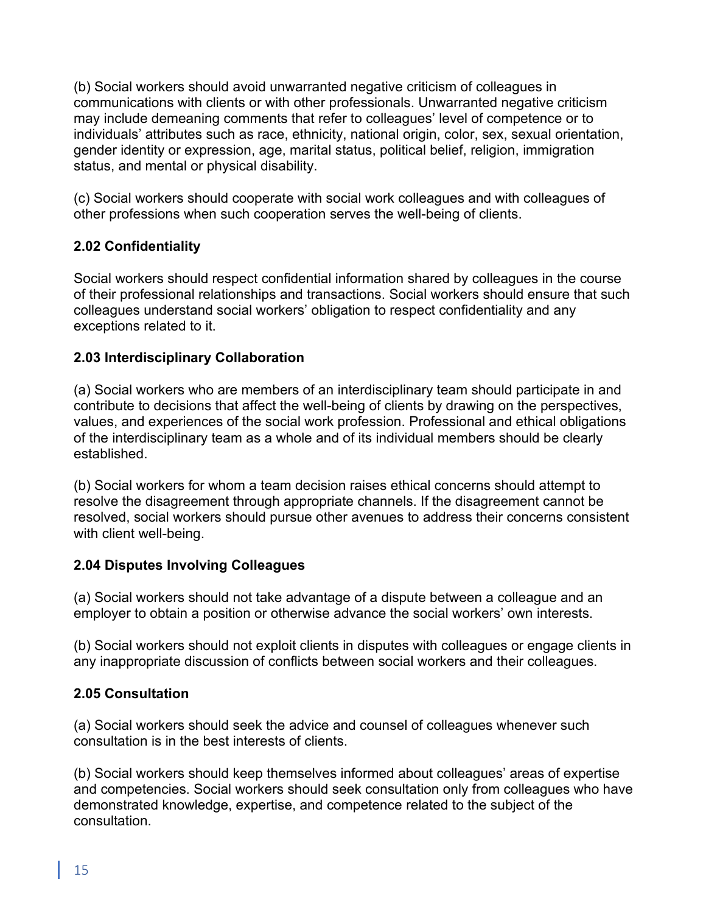(b) Social workers should avoid unwarranted negative criticism of colleagues in communications with clients or with other professionals. Unwarranted negative criticism may include demeaning comments that refer to colleagues' level of competence or to individuals' attributes such as race, ethnicity, national origin, color, sex, sexual orientation, gender identity or expression, age, marital status, political belief, religion, immigration status, and mental or physical disability.

(c) Social workers should cooperate with social work colleagues and with colleagues of other professions when such cooperation serves the well-being of clients.

## **2.02 Confidentiality**

Social workers should respect confidential information shared by colleagues in the course of their professional relationships and transactions. Social workers should ensure that such colleagues understand social workers' obligation to respect confidentiality and any exceptions related to it.

## **2.03 Interdisciplinary Collaboration**

(a) Social workers who are members of an interdisciplinary team should participate in and contribute to decisions that affect the well-being of clients by drawing on the perspectives, values, and experiences of the social work profession. Professional and ethical obligations of the interdisciplinary team as a whole and of its individual members should be clearly established.

(b) Social workers for whom a team decision raises ethical concerns should attempt to resolve the disagreement through appropriate channels. If the disagreement cannot be resolved, social workers should pursue other avenues to address their concerns consistent with client well-being.

## **2.04 Disputes Involving Colleagues**

(a) Social workers should not take advantage of a dispute between a colleague and an employer to obtain a position or otherwise advance the social workers' own interests.

(b) Social workers should not exploit clients in disputes with colleagues or engage clients in any inappropriate discussion of conflicts between social workers and their colleagues.

## **2.05 Consultation**

(a) Social workers should seek the advice and counsel of colleagues whenever such consultation is in the best interests of clients.

(b) Social workers should keep themselves informed about colleagues' areas of expertise and competencies. Social workers should seek consultation only from colleagues who have demonstrated knowledge, expertise, and competence related to the subject of the consultation.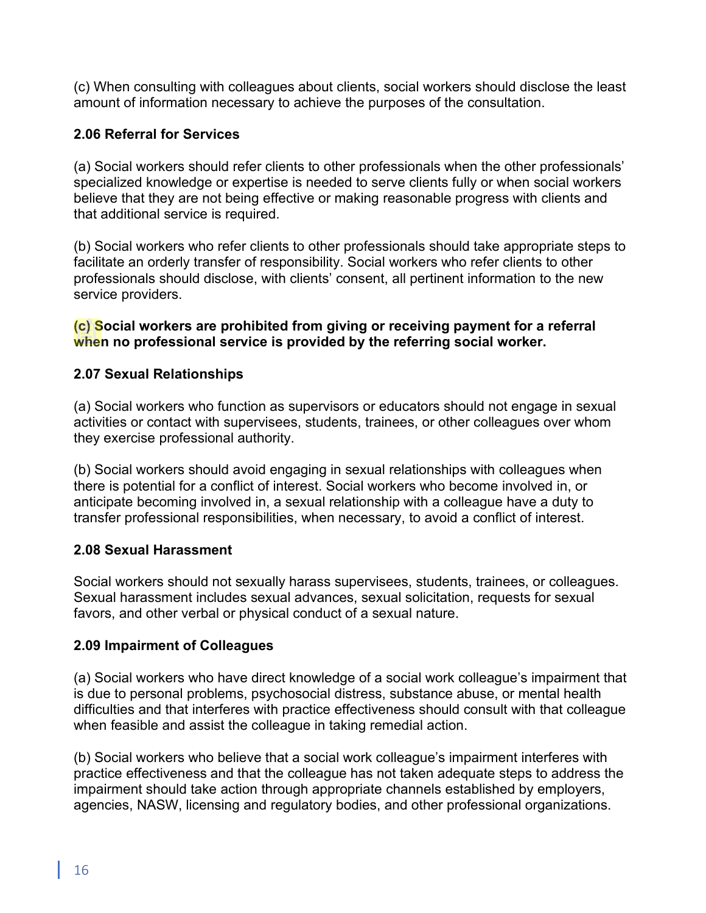(c) When consulting with colleagues about clients, social workers should disclose the least amount of information necessary to achieve the purposes of the consultation.

## **2.06 Referral for Services**

(a) Social workers should refer clients to other professionals when the other professionals' specialized knowledge or expertise is needed to serve clients fully or when social workers believe that they are not being effective or making reasonable progress with clients and that additional service is required.

(b) Social workers who refer clients to other professionals should take appropriate steps to facilitate an orderly transfer of responsibility. Social workers who refer clients to other professionals should disclose, with clients' consent, all pertinent information to the new service providers.

**(c) Social workers are prohibited from giving or receiving payment for a referral when no professional service is provided by the referring social worker.**

#### **2.07 Sexual Relationships**

(a) Social workers who function as supervisors or educators should not engage in sexual activities or contact with supervisees, students, trainees, or other colleagues over whom they exercise professional authority.

(b) Social workers should avoid engaging in sexual relationships with colleagues when there is potential for a conflict of interest. Social workers who become involved in, or anticipate becoming involved in, a sexual relationship with a colleague have a duty to transfer professional responsibilities, when necessary, to avoid a conflict of interest.

#### **2.08 Sexual Harassment**

Social workers should not sexually harass supervisees, students, trainees, or colleagues. Sexual harassment includes sexual advances, sexual solicitation, requests for sexual favors, and other verbal or physical conduct of a sexual nature.

#### **2.09 Impairment of Colleagues**

(a) Social workers who have direct knowledge of a social work colleague's impairment that is due to personal problems, psychosocial distress, substance abuse, or mental health difficulties and that interferes with practice effectiveness should consult with that colleague when feasible and assist the colleague in taking remedial action.

(b) Social workers who believe that a social work colleague's impairment interferes with practice effectiveness and that the colleague has not taken adequate steps to address the impairment should take action through appropriate channels established by employers, agencies, NASW, licensing and regulatory bodies, and other professional organizations.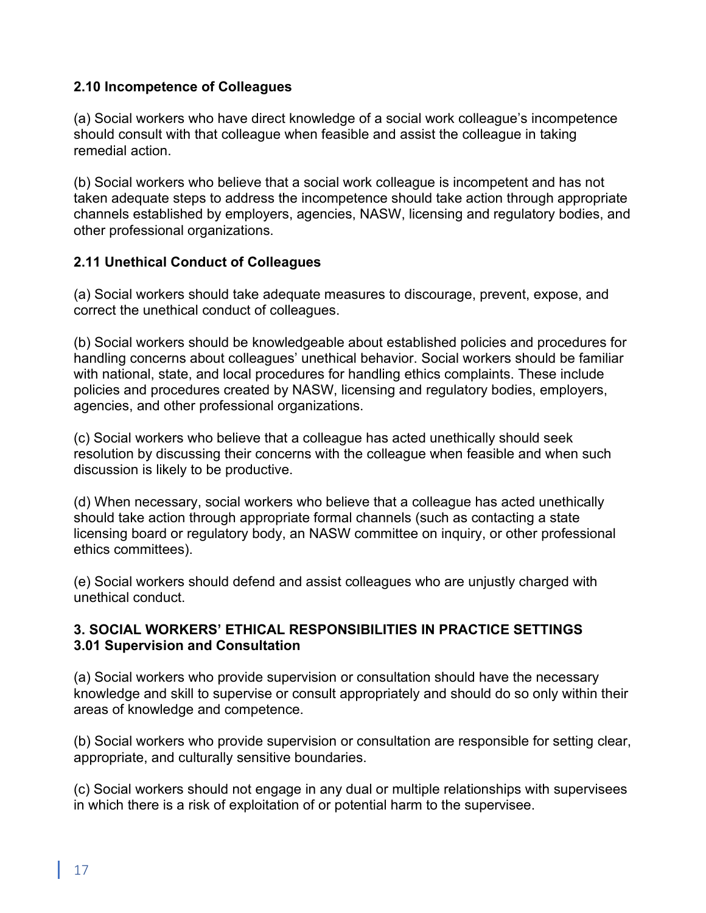## **2.10 Incompetence of Colleagues**

(a) Social workers who have direct knowledge of a social work colleague's incompetence should consult with that colleague when feasible and assist the colleague in taking remedial action.

(b) Social workers who believe that a social work colleague is incompetent and has not taken adequate steps to address the incompetence should take action through appropriate channels established by employers, agencies, NASW, licensing and regulatory bodies, and other professional organizations.

## **2.11 Unethical Conduct of Colleagues**

(a) Social workers should take adequate measures to discourage, prevent, expose, and correct the unethical conduct of colleagues.

(b) Social workers should be knowledgeable about established policies and procedures for handling concerns about colleagues' unethical behavior. Social workers should be familiar with national, state, and local procedures for handling ethics complaints. These include policies and procedures created by NASW, licensing and regulatory bodies, employers, agencies, and other professional organizations.

(c) Social workers who believe that a colleague has acted unethically should seek resolution by discussing their concerns with the colleague when feasible and when such discussion is likely to be productive.

(d) When necessary, social workers who believe that a colleague has acted unethically should take action through appropriate formal channels (such as contacting a state licensing board or regulatory body, an NASW committee on inquiry, or other professional ethics committees).

(e) Social workers should defend and assist colleagues who are unjustly charged with unethical conduct.

#### **3. SOCIAL WORKERS' ETHICAL RESPONSIBILITIES IN PRACTICE SETTINGS 3.01 Supervision and Consultation**

(a) Social workers who provide supervision or consultation should have the necessary knowledge and skill to supervise or consult appropriately and should do so only within their areas of knowledge and competence.

(b) Social workers who provide supervision or consultation are responsible for setting clear, appropriate, and culturally sensitive boundaries.

(c) Social workers should not engage in any dual or multiple relationships with supervisees in which there is a risk of exploitation of or potential harm to the supervisee.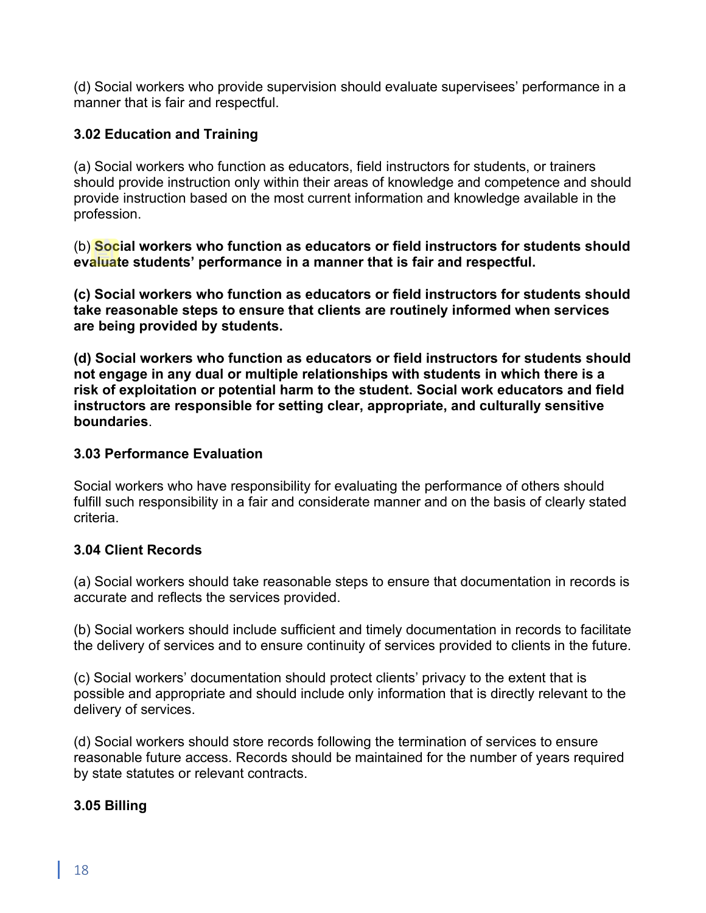(d) Social workers who provide supervision should evaluate supervisees' performance in a manner that is fair and respectful.

## **3.02 Education and Training**

(a) Social workers who function as educators, field instructors for students, or trainers should provide instruction only within their areas of knowledge and competence and should provide instruction based on the most current information and knowledge available in the profession.

(b) **Social workers who function as educators or field instructors for students should evaluate students' performance in a manner that is fair and respectful.**

**(c) Social workers who function as educators or field instructors for students should take reasonable steps to ensure that clients are routinely informed when services are being provided by students.**

**(d) Social workers who function as educators or field instructors for students should not engage in any dual or multiple relationships with students in which there is a risk of exploitation or potential harm to the student. Social work educators and field instructors are responsible for setting clear, appropriate, and culturally sensitive boundaries**.

#### **3.03 Performance Evaluation**

Social workers who have responsibility for evaluating the performance of others should fulfill such responsibility in a fair and considerate manner and on the basis of clearly stated criteria.

## **3.04 Client Records**

(a) Social workers should take reasonable steps to ensure that documentation in records is accurate and reflects the services provided.

(b) Social workers should include sufficient and timely documentation in records to facilitate the delivery of services and to ensure continuity of services provided to clients in the future.

(c) Social workers' documentation should protect clients' privacy to the extent that is possible and appropriate and should include only information that is directly relevant to the delivery of services.

(d) Social workers should store records following the termination of services to ensure reasonable future access. Records should be maintained for the number of years required by state statutes or relevant contracts.

## **3.05 Billing**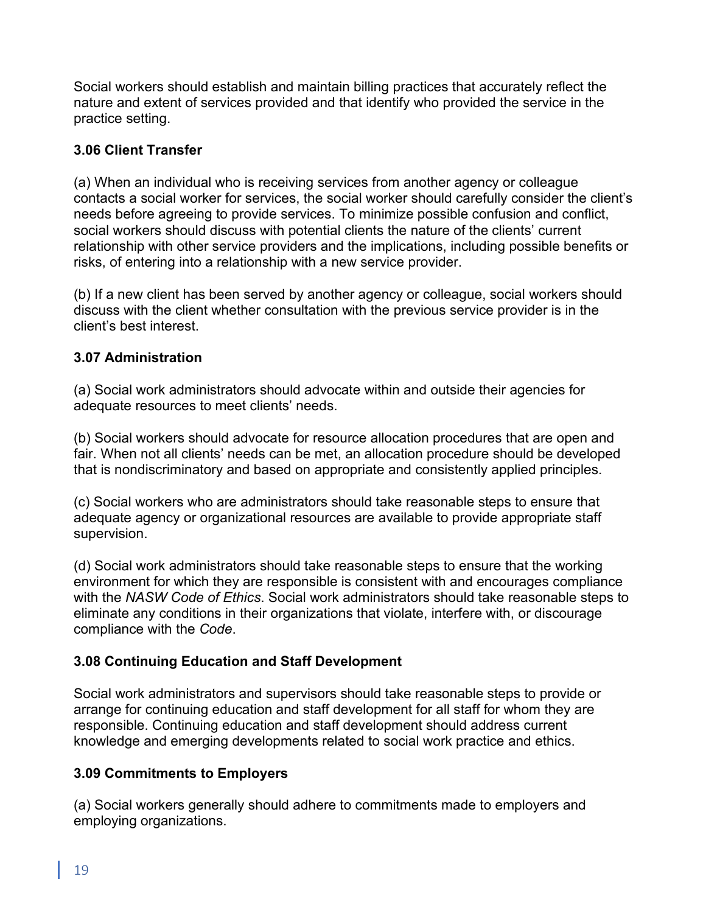Social workers should establish and maintain billing practices that accurately reflect the nature and extent of services provided and that identify who provided the service in the practice setting.

## **3.06 Client Transfer**

(a) When an individual who is receiving services from another agency or colleague contacts a social worker for services, the social worker should carefully consider the client's needs before agreeing to provide services. To minimize possible confusion and conflict, social workers should discuss with potential clients the nature of the clients' current relationship with other service providers and the implications, including possible benefits or risks, of entering into a relationship with a new service provider.

(b) If a new client has been served by another agency or colleague, social workers should discuss with the client whether consultation with the previous service provider is in the client's best interest.

#### **3.07 Administration**

(a) Social work administrators should advocate within and outside their agencies for adequate resources to meet clients' needs.

(b) Social workers should advocate for resource allocation procedures that are open and fair. When not all clients' needs can be met, an allocation procedure should be developed that is nondiscriminatory and based on appropriate and consistently applied principles.

(c) Social workers who are administrators should take reasonable steps to ensure that adequate agency or organizational resources are available to provide appropriate staff supervision.

(d) Social work administrators should take reasonable steps to ensure that the working environment for which they are responsible is consistent with and encourages compliance with the *NASW Code of Ethics*. Social work administrators should take reasonable steps to eliminate any conditions in their organizations that violate, interfere with, or discourage compliance with the *Code*.

## **3.08 Continuing Education and Staff Development**

Social work administrators and supervisors should take reasonable steps to provide or arrange for continuing education and staff development for all staff for whom they are responsible. Continuing education and staff development should address current knowledge and emerging developments related to social work practice and ethics.

## **3.09 Commitments to Employers**

(a) Social workers generally should adhere to commitments made to employers and employing organizations.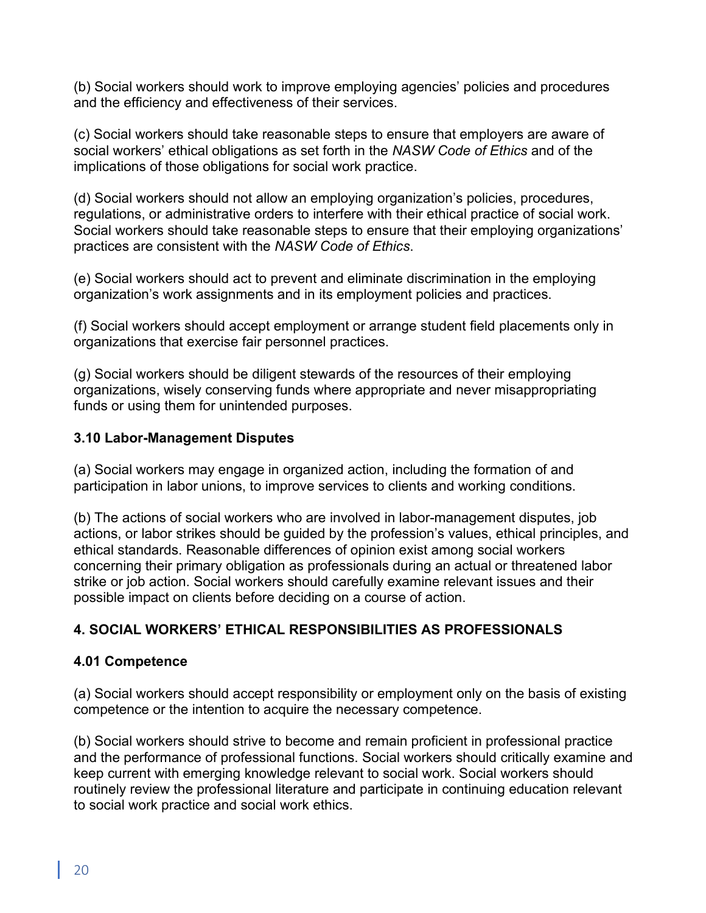(b) Social workers should work to improve employing agencies' policies and procedures and the efficiency and effectiveness of their services.

(c) Social workers should take reasonable steps to ensure that employers are aware of social workers' ethical obligations as set forth in the *NASW Code of Ethics* and of the implications of those obligations for social work practice.

(d) Social workers should not allow an employing organization's policies, procedures, regulations, or administrative orders to interfere with their ethical practice of social work. Social workers should take reasonable steps to ensure that their employing organizations' practices are consistent with the *NASW Code of Ethics*.

(e) Social workers should act to prevent and eliminate discrimination in the employing organization's work assignments and in its employment policies and practices.

(f) Social workers should accept employment or arrange student field placements only in organizations that exercise fair personnel practices.

(g) Social workers should be diligent stewards of the resources of their employing organizations, wisely conserving funds where appropriate and never misappropriating funds or using them for unintended purposes.

## **3.10 Labor-Management Disputes**

(a) Social workers may engage in organized action, including the formation of and participation in labor unions, to improve services to clients and working conditions.

(b) The actions of social workers who are involved in labor-management disputes, job actions, or labor strikes should be guided by the profession's values, ethical principles, and ethical standards. Reasonable differences of opinion exist among social workers concerning their primary obligation as professionals during an actual or threatened labor strike or job action. Social workers should carefully examine relevant issues and their possible impact on clients before deciding on a course of action.

## **4. SOCIAL WORKERS' ETHICAL RESPONSIBILITIES AS PROFESSIONALS**

## **4.01 Competence**

(a) Social workers should accept responsibility or employment only on the basis of existing competence or the intention to acquire the necessary competence.

(b) Social workers should strive to become and remain proficient in professional practice and the performance of professional functions. Social workers should critically examine and keep current with emerging knowledge relevant to social work. Social workers should routinely review the professional literature and participate in continuing education relevant to social work practice and social work ethics.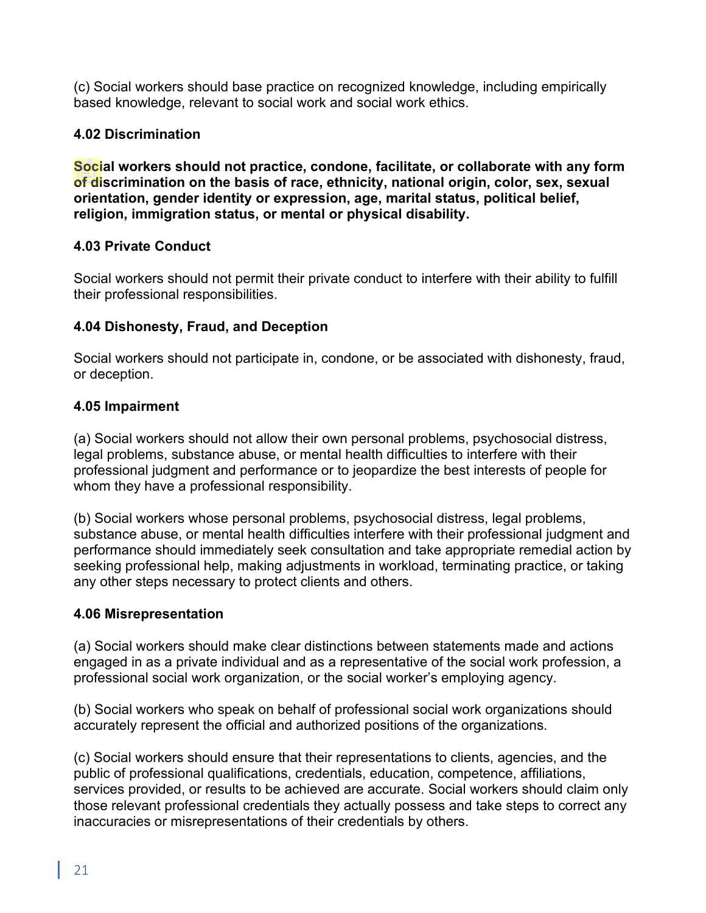(c) Social workers should base practice on recognized knowledge, including empirically based knowledge, relevant to social work and social work ethics.

## **4.02 Discrimination**

**Social workers should not practice, condone, facilitate, or collaborate with any form of discrimination on the basis of race, ethnicity, national origin, color, sex, sexual orientation, gender identity or expression, age, marital status, political belief, religion, immigration status, or mental or physical disability.**

## **4.03 Private Conduct**

Social workers should not permit their private conduct to interfere with their ability to fulfill their professional responsibilities.

## **4.04 Dishonesty, Fraud, and Deception**

Social workers should not participate in, condone, or be associated with dishonesty, fraud, or deception.

## **4.05 Impairment**

(a) Social workers should not allow their own personal problems, psychosocial distress, legal problems, substance abuse, or mental health difficulties to interfere with their professional judgment and performance or to jeopardize the best interests of people for whom they have a professional responsibility.

(b) Social workers whose personal problems, psychosocial distress, legal problems, substance abuse, or mental health difficulties interfere with their professional judgment and performance should immediately seek consultation and take appropriate remedial action by seeking professional help, making adjustments in workload, terminating practice, or taking any other steps necessary to protect clients and others.

## **4.06 Misrepresentation**

(a) Social workers should make clear distinctions between statements made and actions engaged in as a private individual and as a representative of the social work profession, a professional social work organization, or the social worker's employing agency.

(b) Social workers who speak on behalf of professional social work organizations should accurately represent the official and authorized positions of the organizations.

(c) Social workers should ensure that their representations to clients, agencies, and the public of professional qualifications, credentials, education, competence, affiliations, services provided, or results to be achieved are accurate. Social workers should claim only those relevant professional credentials they actually possess and take steps to correct any inaccuracies or misrepresentations of their credentials by others.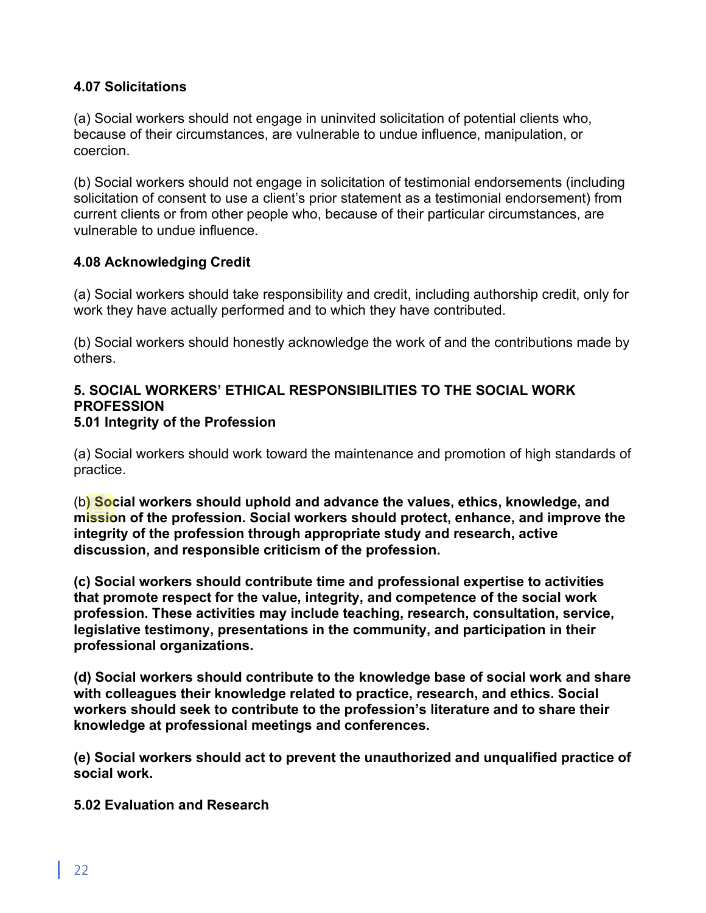## **4.07 Solicitations**

(a) Social workers should not engage in uninvited solicitation of potential clients who, because of their circumstances, are vulnerable to undue influence, manipulation, or coercion.

(b) Social workers should not engage in solicitation of testimonial endorsements (including solicitation of consent to use a client's prior statement as a testimonial endorsement) from current clients or from other people who, because of their particular circumstances, are vulnerable to undue influence.

#### **4.08 Acknowledging Credit**

(a) Social workers should take responsibility and credit, including authorship credit, only for work they have actually performed and to which they have contributed.

(b) Social workers should honestly acknowledge the work of and the contributions made by others.

# **5. SOCIAL WORKERS' ETHICAL RESPONSIBILITIES TO THE SOCIAL WORK PROFESSION**

#### **5.01 Integrity of the Profession**

(a) Social workers should work toward the maintenance and promotion of high standards of practice.

(b**) Social workers should uphold and advance the values, ethics, knowledge, and mission of the profession. Social workers should protect, enhance, and improve the integrity of the profession through appropriate study and research, active discussion, and responsible criticism of the profession.**

**(c) Social workers should contribute time and professional expertise to activities that promote respect for the value, integrity, and competence of the social work profession. These activities may include teaching, research, consultation, service, legislative testimony, presentations in the community, and participation in their professional organizations.**

**(d) Social workers should contribute to the knowledge base of social work and share with colleagues their knowledge related to practice, research, and ethics. Social workers should seek to contribute to the profession's literature and to share their knowledge at professional meetings and conferences.**

**(e) Social workers should act to prevent the unauthorized and unqualified practice of social work.**

#### **5.02 Evaluation and Research**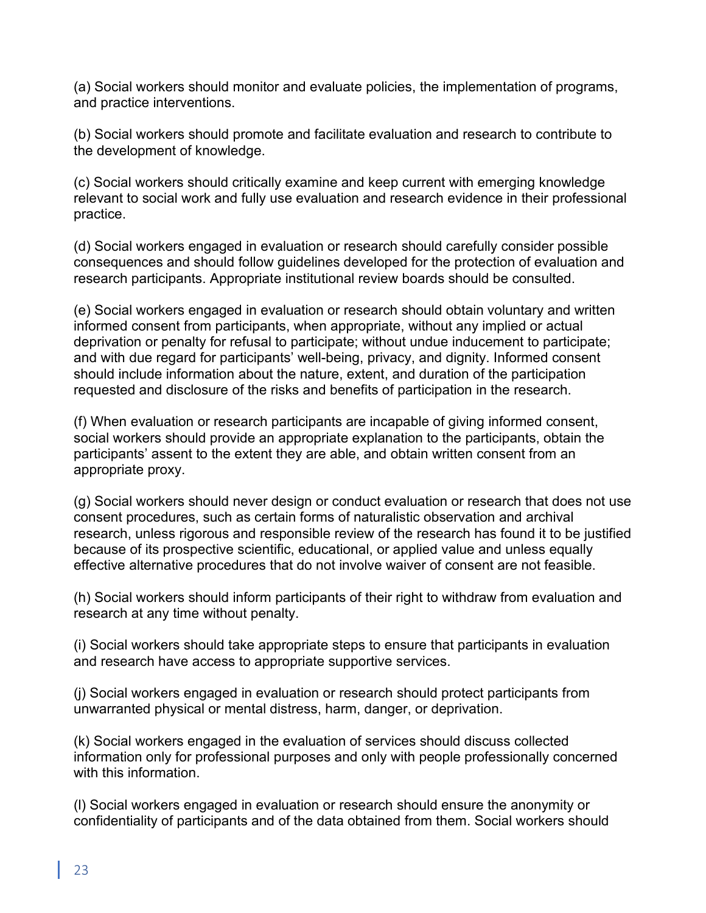(a) Social workers should monitor and evaluate policies, the implementation of programs, and practice interventions.

(b) Social workers should promote and facilitate evaluation and research to contribute to the development of knowledge.

(c) Social workers should critically examine and keep current with emerging knowledge relevant to social work and fully use evaluation and research evidence in their professional practice.

(d) Social workers engaged in evaluation or research should carefully consider possible consequences and should follow guidelines developed for the protection of evaluation and research participants. Appropriate institutional review boards should be consulted.

(e) Social workers engaged in evaluation or research should obtain voluntary and written informed consent from participants, when appropriate, without any implied or actual deprivation or penalty for refusal to participate; without undue inducement to participate; and with due regard for participants' well-being, privacy, and dignity. Informed consent should include information about the nature, extent, and duration of the participation requested and disclosure of the risks and benefits of participation in the research.

(f) When evaluation or research participants are incapable of giving informed consent, social workers should provide an appropriate explanation to the participants, obtain the participants' assent to the extent they are able, and obtain written consent from an appropriate proxy.

(g) Social workers should never design or conduct evaluation or research that does not use consent procedures, such as certain forms of naturalistic observation and archival research, unless rigorous and responsible review of the research has found it to be justified because of its prospective scientific, educational, or applied value and unless equally effective alternative procedures that do not involve waiver of consent are not feasible.

(h) Social workers should inform participants of their right to withdraw from evaluation and research at any time without penalty.

(i) Social workers should take appropriate steps to ensure that participants in evaluation and research have access to appropriate supportive services.

(j) Social workers engaged in evaluation or research should protect participants from unwarranted physical or mental distress, harm, danger, or deprivation.

(k) Social workers engaged in the evaluation of services should discuss collected information only for professional purposes and only with people professionally concerned with this information.

(l) Social workers engaged in evaluation or research should ensure the anonymity or confidentiality of participants and of the data obtained from them. Social workers should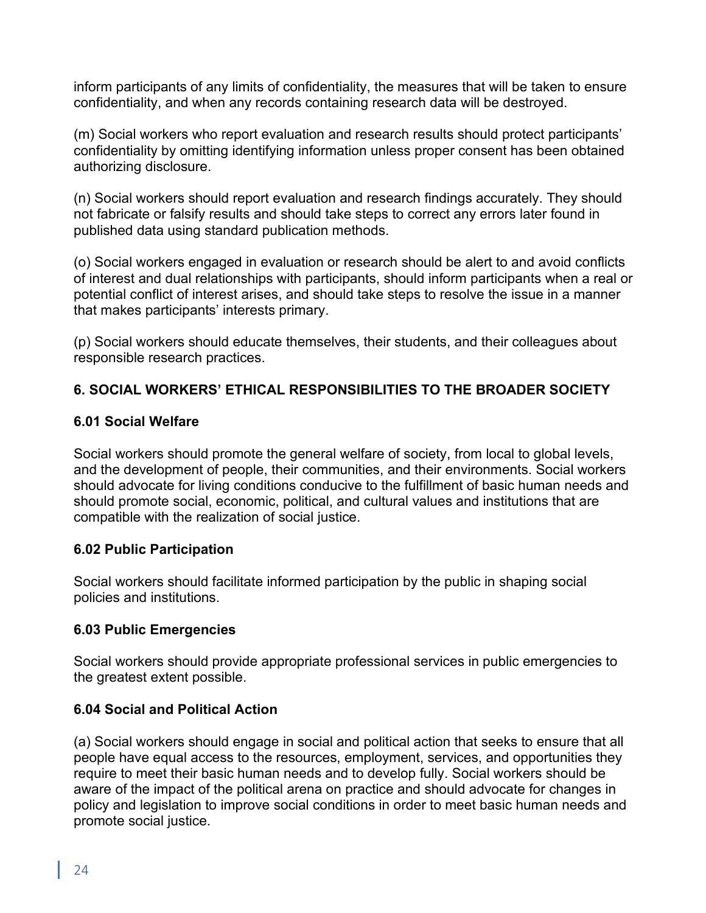inform participants of any limits of confidentiality, the measures that will be taken to ensure confidentiality, and when any records containing research data will be destroyed.

(m) Social workers who report evaluation and research results should protect participants' confidentiality by omitting identifying information unless proper consent has been obtained authorizing disclosure.

(n) Social workers should report evaluation and research findings accurately. They should not fabricate or falsify results and should take steps to correct any errors later found in published data using standard publication methods.

(o) Social workers engaged in evaluation or research should be alert to and avoid conflicts of interest and dual relationships with participants, should inform participants when a real or potential conflict of interest arises, and should take steps to resolve the issue in a manner that makes participants' interests primary.

(p) Social workers should educate themselves, their students, and their colleagues about responsible research practices.

## **6. SOCIAL WORKERS' ETHICAL RESPONSIBILITIES TO THE BROADER SOCIETY**

## **6.01 Social Welfare**

Social workers should promote the general welfare of society, from local to global levels, and the development of people, their communities, and their environments. Social workers should advocate for living conditions conducive to the fulfillment of basic human needs and should promote social, economic, political, and cultural values and institutions that are compatible with the realization of social justice.

## **6.02 Public Participation**

Social workers should facilitate informed participation by the public in shaping social policies and institutions.

## **6.03 Public Emergencies**

Social workers should provide appropriate professional services in public emergencies to the greatest extent possible.

## **6.04 Social and Political Action**

(a) Social workers should engage in social and political action that seeks to ensure that all people have equal access to the resources, employment, services, and opportunities they require to meet their basic human needs and to develop fully. Social workers should be aware of the impact of the political arena on practice and should advocate for changes in policy and legislation to improve social conditions in order to meet basic human needs and promote social justice.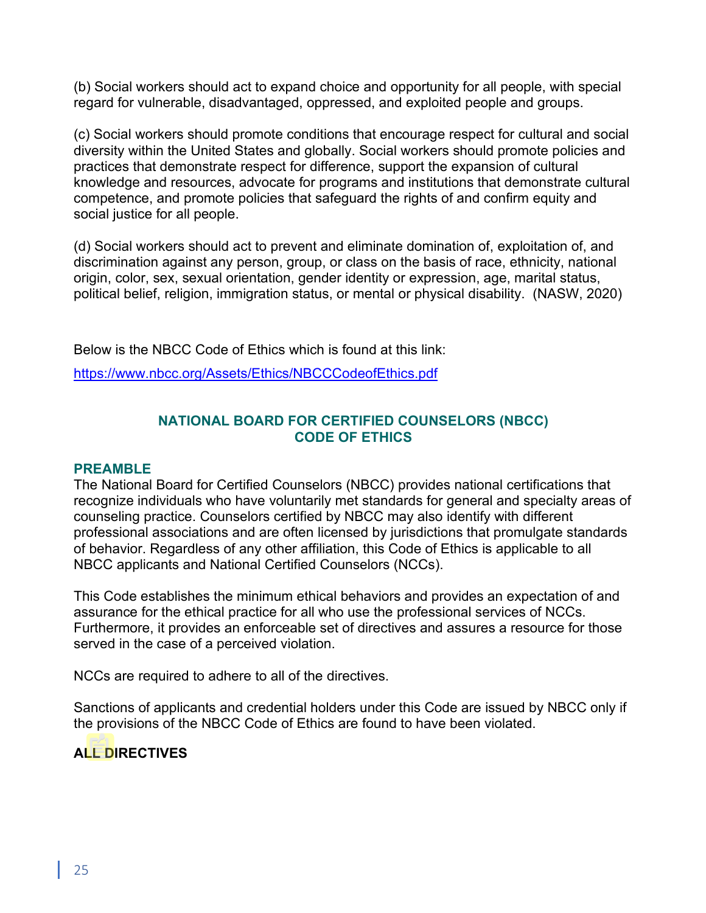(b) Social workers should act to expand choice and opportunity for all people, with special regard for vulnerable, disadvantaged, oppressed, and exploited people and groups.

(c) Social workers should promote conditions that encourage respect for cultural and social diversity within the United States and globally. Social workers should promote policies and practices that demonstrate respect for difference, support the expansion of cultural knowledge and resources, advocate for programs and institutions that demonstrate cultural competence, and promote policies that safeguard the rights of and confirm equity and social justice for all people.

(d) Social workers should act to prevent and eliminate domination of, exploitation of, and discrimination against any person, group, or class on the basis of race, ethnicity, national origin, color, sex, sexual orientation, gender identity or expression, age, marital status, political belief, religion, immigration status, or mental or physical disability. (NASW, 2020)

Below is the NBCC Code of Ethics which is found at this link:

<https://www.nbcc.org/Assets/Ethics/NBCCCodeofEthics.pdf>

## **NATIONAL BOARD FOR CERTIFIED COUNSELORS (NBCC) CODE OF ETHICS**

#### **PREAMBLE**

The National Board for Certified Counselors (NBCC) provides national certifications that recognize individuals who have voluntarily met standards for general and specialty areas of counseling practice. Counselors certified by NBCC may also identify with different professional associations and are often licensed by jurisdictions that promulgate standards of behavior. Regardless of any other affiliation, this Code of Ethics is applicable to all NBCC applicants and National Certified Counselors (NCCs).

This Code establishes the minimum ethical behaviors and provides an expectation of and assurance for the ethical practice for all who use the professional services of NCCs. Furthermore, it provides an enforceable set of directives and assures a resource for those served in the case of a perceived violation.

NCCs are required to adhere to all of the directives.

Sanctions of applicants and credential holders under this Code are issued by NBCC only if the provisions of the NBCC Code of Ethics are found to have been violated.

## **ALL DIRECTIVES**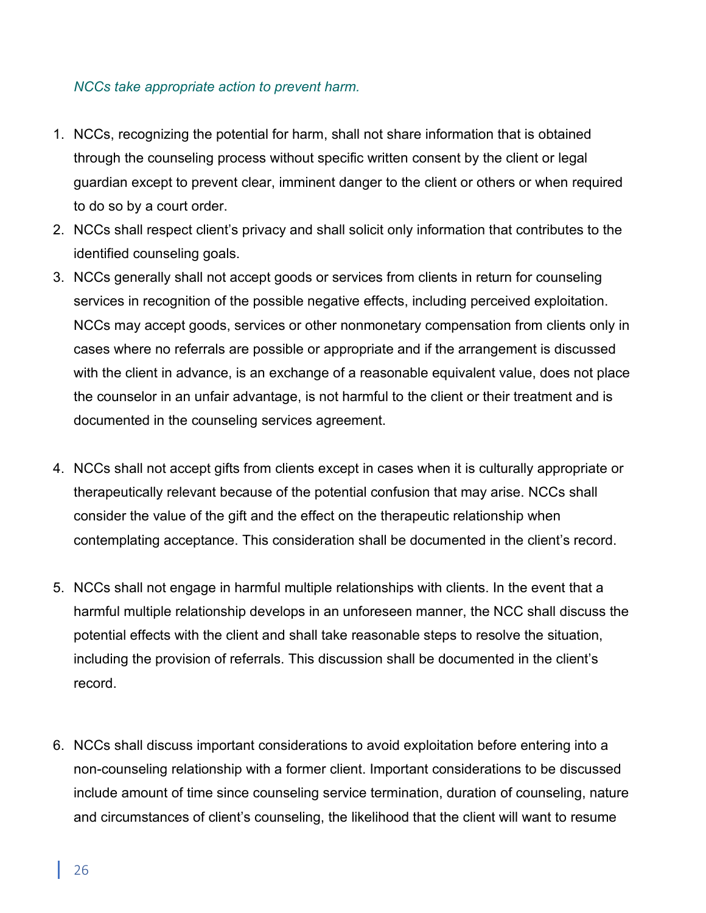#### *NCCs take appropriate action to prevent harm.*

- 1. NCCs, recognizing the potential for harm, shall not share information that is obtained through the counseling process without specific written consent by the client or legal guardian except to prevent clear, imminent danger to the client or others or when required to do so by a court order.
- 2. NCCs shall respect client's privacy and shall solicit only information that contributes to the identified counseling goals.
- 3. NCCs generally shall not accept goods or services from clients in return for counseling services in recognition of the possible negative effects, including perceived exploitation. NCCs may accept goods, services or other nonmonetary compensation from clients only in cases where no referrals are possible or appropriate and if the arrangement is discussed with the client in advance, is an exchange of a reasonable equivalent value, does not place the counselor in an unfair advantage, is not harmful to the client or their treatment and is documented in the counseling services agreement.
- 4. NCCs shall not accept gifts from clients except in cases when it is culturally appropriate or therapeutically relevant because of the potential confusion that may arise. NCCs shall consider the value of the gift and the effect on the therapeutic relationship when contemplating acceptance. This consideration shall be documented in the client's record.
- 5. NCCs shall not engage in harmful multiple relationships with clients. In the event that a harmful multiple relationship develops in an unforeseen manner, the NCC shall discuss the potential effects with the client and shall take reasonable steps to resolve the situation, including the provision of referrals. This discussion shall be documented in the client's record.
- 6. NCCs shall discuss important considerations to avoid exploitation before entering into a non-counseling relationship with a former client. Important considerations to be discussed include amount of time since counseling service termination, duration of counseling, nature and circumstances of client's counseling, the likelihood that the client will want to resume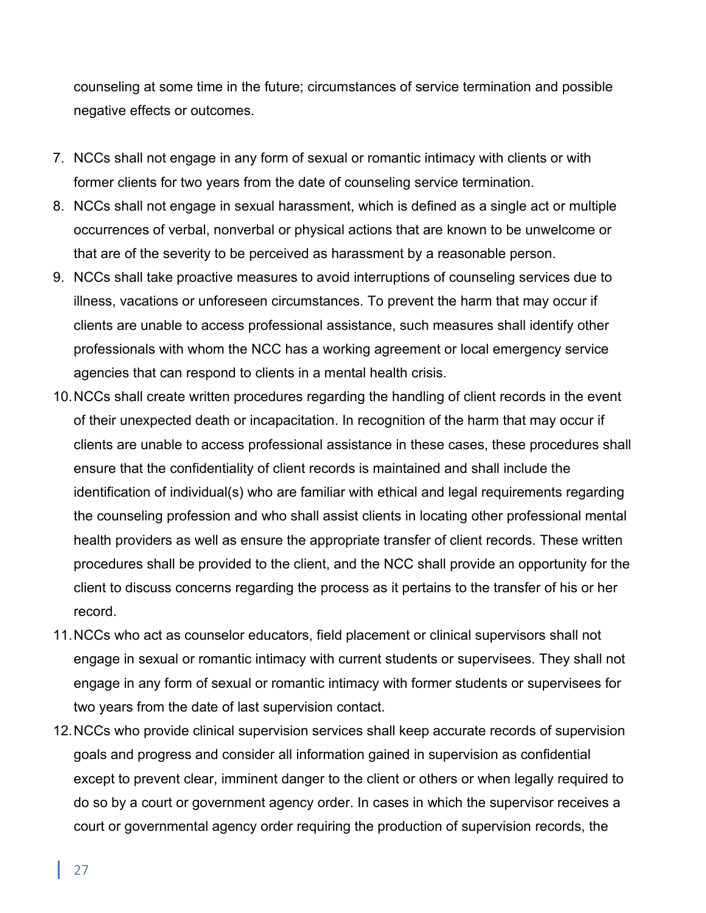counseling at some time in the future; circumstances of service termination and possible negative effects or outcomes.

- 7. NCCs shall not engage in any form of sexual or romantic intimacy with clients or with former clients for two years from the date of counseling service termination.
- 8. NCCs shall not engage in sexual harassment, which is defined as a single act or multiple occurrences of verbal, nonverbal or physical actions that are known to be unwelcome or that are of the severity to be perceived as harassment by a reasonable person.
- 9. NCCs shall take proactive measures to avoid interruptions of counseling services due to illness, vacations or unforeseen circumstances. To prevent the harm that may occur if clients are unable to access professional assistance, such measures shall identify other professionals with whom the NCC has a working agreement or local emergency service agencies that can respond to clients in a mental health crisis.
- 10.NCCs shall create written procedures regarding the handling of client records in the event of their unexpected death or incapacitation. In recognition of the harm that may occur if clients are unable to access professional assistance in these cases, these procedures shall ensure that the confidentiality of client records is maintained and shall include the identification of individual(s) who are familiar with ethical and legal requirements regarding the counseling profession and who shall assist clients in locating other professional mental health providers as well as ensure the appropriate transfer of client records. These written procedures shall be provided to the client, and the NCC shall provide an opportunity for the client to discuss concerns regarding the process as it pertains to the transfer of his or her record.
- 11.NCCs who act as counselor educators, field placement or clinical supervisors shall not engage in sexual or romantic intimacy with current students or supervisees. They shall not engage in any form of sexual or romantic intimacy with former students or supervisees for two years from the date of last supervision contact.
- 12.NCCs who provide clinical supervision services shall keep accurate records of supervision goals and progress and consider all information gained in supervision as confidential except to prevent clear, imminent danger to the client or others or when legally required to do so by a court or government agency order. In cases in which the supervisor receives a court or governmental agency order requiring the production of supervision records, the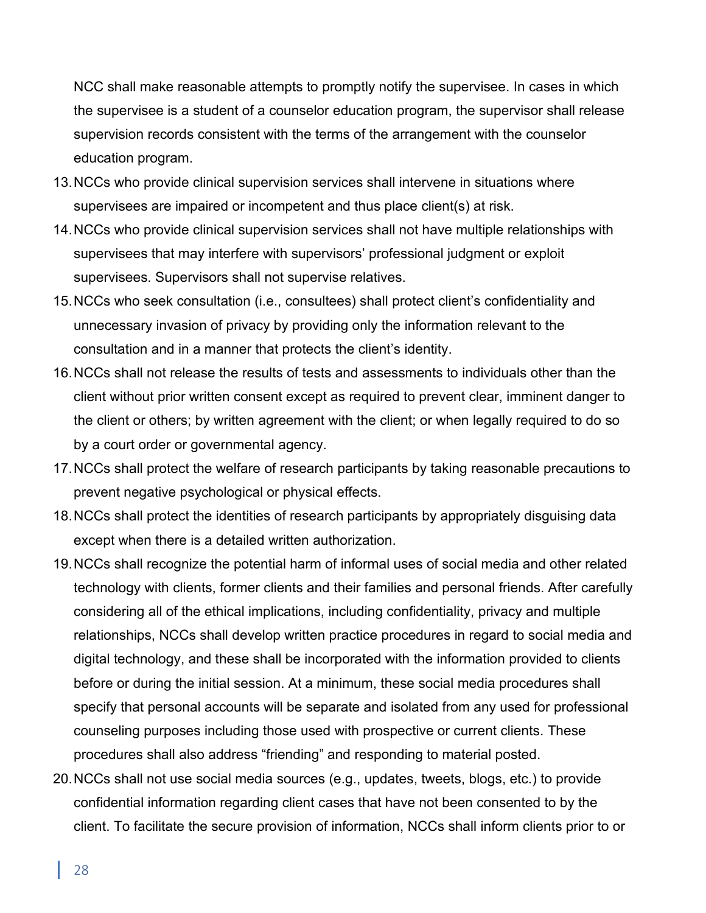NCC shall make reasonable attempts to promptly notify the supervisee. In cases in which the supervisee is a student of a counselor education program, the supervisor shall release supervision records consistent with the terms of the arrangement with the counselor education program.

- 13.NCCs who provide clinical supervision services shall intervene in situations where supervisees are impaired or incompetent and thus place client(s) at risk.
- 14.NCCs who provide clinical supervision services shall not have multiple relationships with supervisees that may interfere with supervisors' professional judgment or exploit supervisees. Supervisors shall not supervise relatives.
- 15.NCCs who seek consultation (i.e., consultees) shall protect client's confidentiality and unnecessary invasion of privacy by providing only the information relevant to the consultation and in a manner that protects the client's identity.
- 16.NCCs shall not release the results of tests and assessments to individuals other than the client without prior written consent except as required to prevent clear, imminent danger to the client or others; by written agreement with the client; or when legally required to do so by a court order or governmental agency.
- 17.NCCs shall protect the welfare of research participants by taking reasonable precautions to prevent negative psychological or physical effects.
- 18.NCCs shall protect the identities of research participants by appropriately disguising data except when there is a detailed written authorization.
- 19.NCCs shall recognize the potential harm of informal uses of social media and other related technology with clients, former clients and their families and personal friends. After carefully considering all of the ethical implications, including confidentiality, privacy and multiple relationships, NCCs shall develop written practice procedures in regard to social media and digital technology, and these shall be incorporated with the information provided to clients before or during the initial session. At a minimum, these social media procedures shall specify that personal accounts will be separate and isolated from any used for professional counseling purposes including those used with prospective or current clients. These procedures shall also address "friending" and responding to material posted.
- 20.NCCs shall not use social media sources (e.g., updates, tweets, blogs, etc.) to provide confidential information regarding client cases that have not been consented to by the client. To facilitate the secure provision of information, NCCs shall inform clients prior to or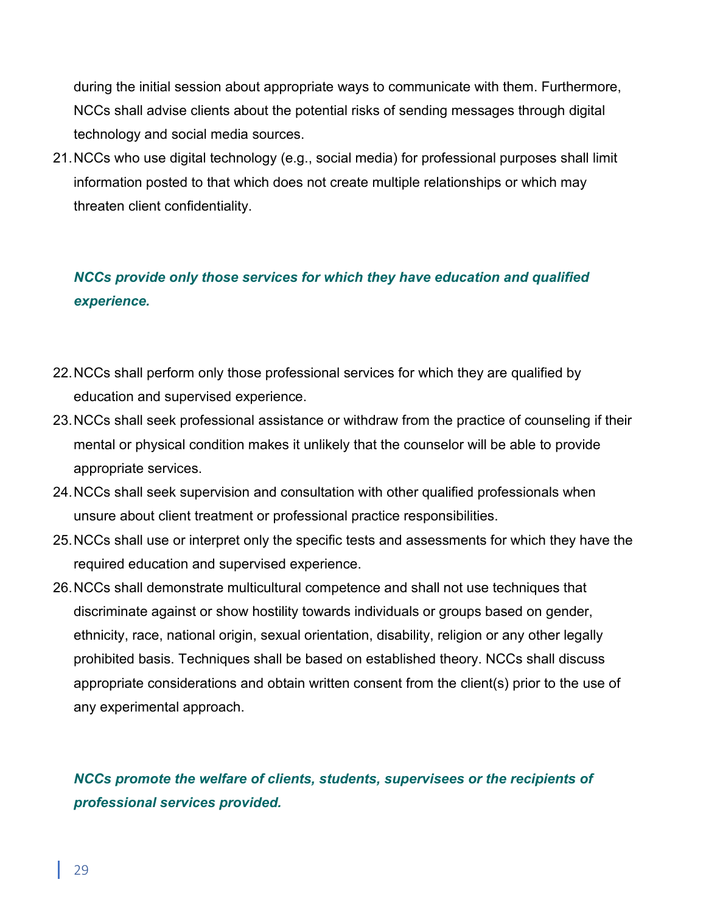during the initial session about appropriate ways to communicate with them. Furthermore, NCCs shall advise clients about the potential risks of sending messages through digital technology and social media sources.

21.NCCs who use digital technology (e.g., social media) for professional purposes shall limit information posted to that which does not create multiple relationships or which may threaten client confidentiality.

# *NCCs provide only those services for which they have education and qualified experience.*

- 22.NCCs shall perform only those professional services for which they are qualified by education and supervised experience.
- 23.NCCs shall seek professional assistance or withdraw from the practice of counseling if their mental or physical condition makes it unlikely that the counselor will be able to provide appropriate services.
- 24.NCCs shall seek supervision and consultation with other qualified professionals when unsure about client treatment or professional practice responsibilities.
- 25.NCCs shall use or interpret only the specific tests and assessments for which they have the required education and supervised experience.
- 26.NCCs shall demonstrate multicultural competence and shall not use techniques that discriminate against or show hostility towards individuals or groups based on gender, ethnicity, race, national origin, sexual orientation, disability, religion or any other legally prohibited basis. Techniques shall be based on established theory. NCCs shall discuss appropriate considerations and obtain written consent from the client(s) prior to the use of any experimental approach.

*NCCs promote the welfare of clients, students, supervisees or the recipients of professional services provided.*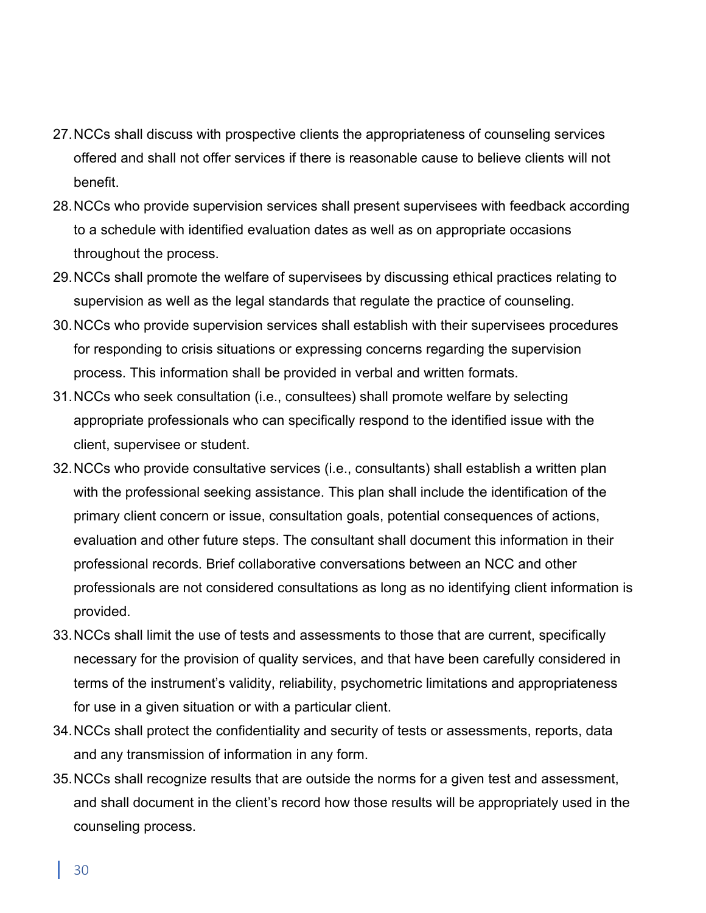- 27.NCCs shall discuss with prospective clients the appropriateness of counseling services offered and shall not offer services if there is reasonable cause to believe clients will not benefit.
- 28.NCCs who provide supervision services shall present supervisees with feedback according to a schedule with identified evaluation dates as well as on appropriate occasions throughout the process.
- 29.NCCs shall promote the welfare of supervisees by discussing ethical practices relating to supervision as well as the legal standards that regulate the practice of counseling.
- 30.NCCs who provide supervision services shall establish with their supervisees procedures for responding to crisis situations or expressing concerns regarding the supervision process. This information shall be provided in verbal and written formats.
- 31.NCCs who seek consultation (i.e., consultees) shall promote welfare by selecting appropriate professionals who can specifically respond to the identified issue with the client, supervisee or student.
- 32.NCCs who provide consultative services (i.e., consultants) shall establish a written plan with the professional seeking assistance. This plan shall include the identification of the primary client concern or issue, consultation goals, potential consequences of actions, evaluation and other future steps. The consultant shall document this information in their professional records. Brief collaborative conversations between an NCC and other professionals are not considered consultations as long as no identifying client information is provided.
- 33.NCCs shall limit the use of tests and assessments to those that are current, specifically necessary for the provision of quality services, and that have been carefully considered in terms of the instrument's validity, reliability, psychometric limitations and appropriateness for use in a given situation or with a particular client.
- 34.NCCs shall protect the confidentiality and security of tests or assessments, reports, data and any transmission of information in any form.
- 35.NCCs shall recognize results that are outside the norms for a given test and assessment, and shall document in the client's record how those results will be appropriately used in the counseling process.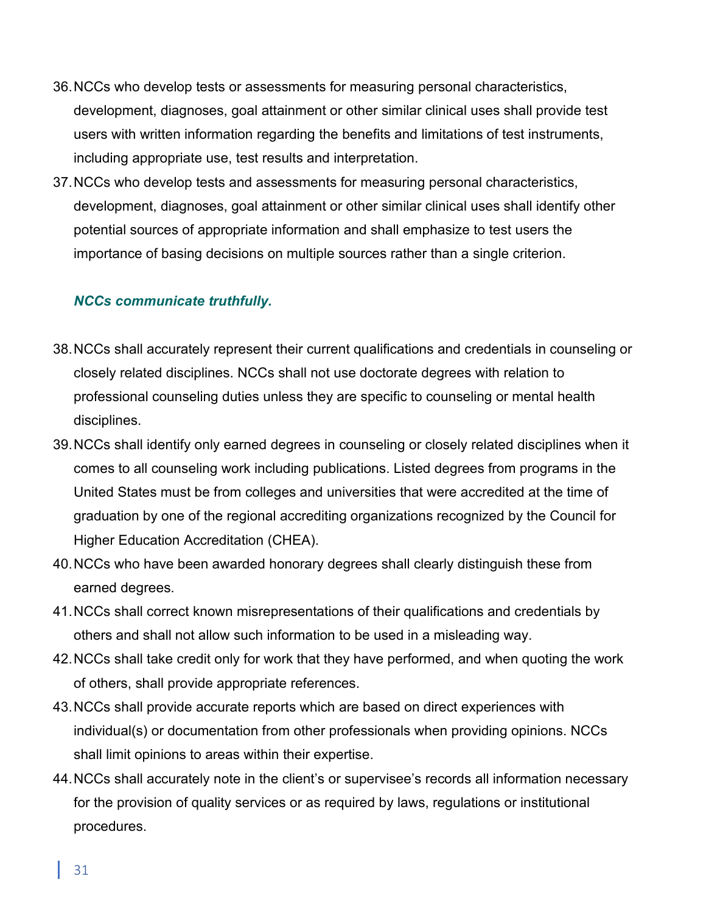- 36.NCCs who develop tests or assessments for measuring personal characteristics, development, diagnoses, goal attainment or other similar clinical uses shall provide test users with written information regarding the benefits and limitations of test instruments, including appropriate use, test results and interpretation.
- 37.NCCs who develop tests and assessments for measuring personal characteristics, development, diagnoses, goal attainment or other similar clinical uses shall identify other potential sources of appropriate information and shall emphasize to test users the importance of basing decisions on multiple sources rather than a single criterion.

#### *NCCs communicate truthfully.*

- 38.NCCs shall accurately represent their current qualifications and credentials in counseling or closely related disciplines. NCCs shall not use doctorate degrees with relation to professional counseling duties unless they are specific to counseling or mental health disciplines.
- 39.NCCs shall identify only earned degrees in counseling or closely related disciplines when it comes to all counseling work including publications. Listed degrees from programs in the United States must be from colleges and universities that were accredited at the time of graduation by one of the regional accrediting organizations recognized by the Council for Higher Education Accreditation (CHEA).
- 40.NCCs who have been awarded honorary degrees shall clearly distinguish these from earned degrees.
- 41.NCCs shall correct known misrepresentations of their qualifications and credentials by others and shall not allow such information to be used in a misleading way.
- 42.NCCs shall take credit only for work that they have performed, and when quoting the work of others, shall provide appropriate references.
- 43.NCCs shall provide accurate reports which are based on direct experiences with individual(s) or documentation from other professionals when providing opinions. NCCs shall limit opinions to areas within their expertise.
- 44.NCCs shall accurately note in the client's or supervisee's records all information necessary for the provision of quality services or as required by laws, regulations or institutional procedures.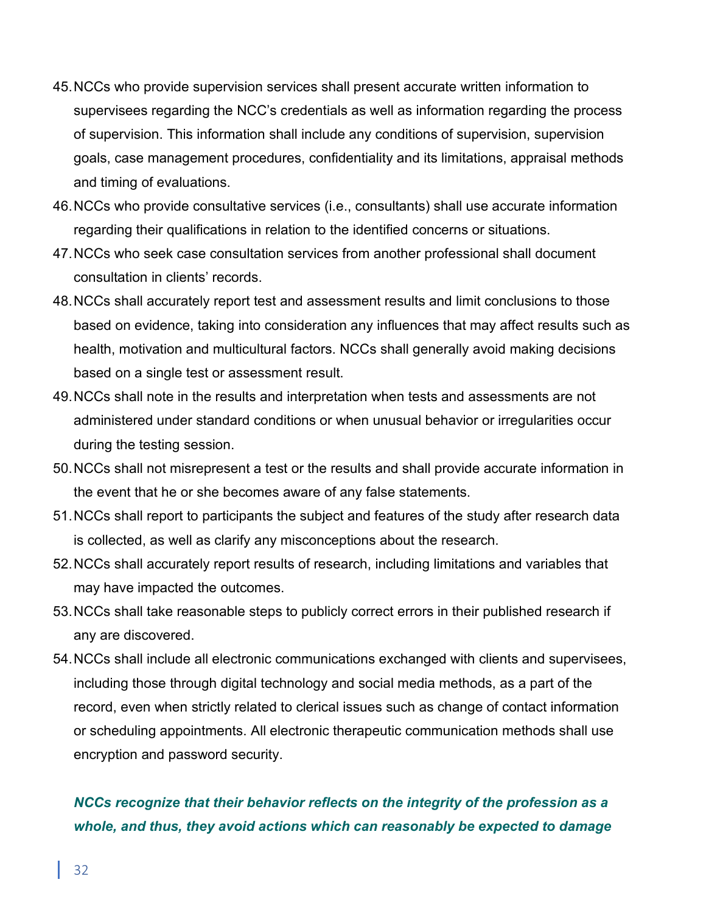- 45.NCCs who provide supervision services shall present accurate written information to supervisees regarding the NCC's credentials as well as information regarding the process of supervision. This information shall include any conditions of supervision, supervision goals, case management procedures, confidentiality and its limitations, appraisal methods and timing of evaluations.
- 46.NCCs who provide consultative services (i.e., consultants) shall use accurate information regarding their qualifications in relation to the identified concerns or situations.
- 47.NCCs who seek case consultation services from another professional shall document consultation in clients' records.
- 48.NCCs shall accurately report test and assessment results and limit conclusions to those based on evidence, taking into consideration any influences that may affect results such as health, motivation and multicultural factors. NCCs shall generally avoid making decisions based on a single test or assessment result.
- 49.NCCs shall note in the results and interpretation when tests and assessments are not administered under standard conditions or when unusual behavior or irregularities occur during the testing session.
- 50.NCCs shall not misrepresent a test or the results and shall provide accurate information in the event that he or she becomes aware of any false statements.
- 51.NCCs shall report to participants the subject and features of the study after research data is collected, as well as clarify any misconceptions about the research.
- 52.NCCs shall accurately report results of research, including limitations and variables that may have impacted the outcomes.
- 53.NCCs shall take reasonable steps to publicly correct errors in their published research if any are discovered.
- 54.NCCs shall include all electronic communications exchanged with clients and supervisees, including those through digital technology and social media methods, as a part of the record, even when strictly related to clerical issues such as change of contact information or scheduling appointments. All electronic therapeutic communication methods shall use encryption and password security.

# *NCCs recognize that their behavior reflects on the integrity of the profession as a whole, and thus, they avoid actions which can reasonably be expected to damage*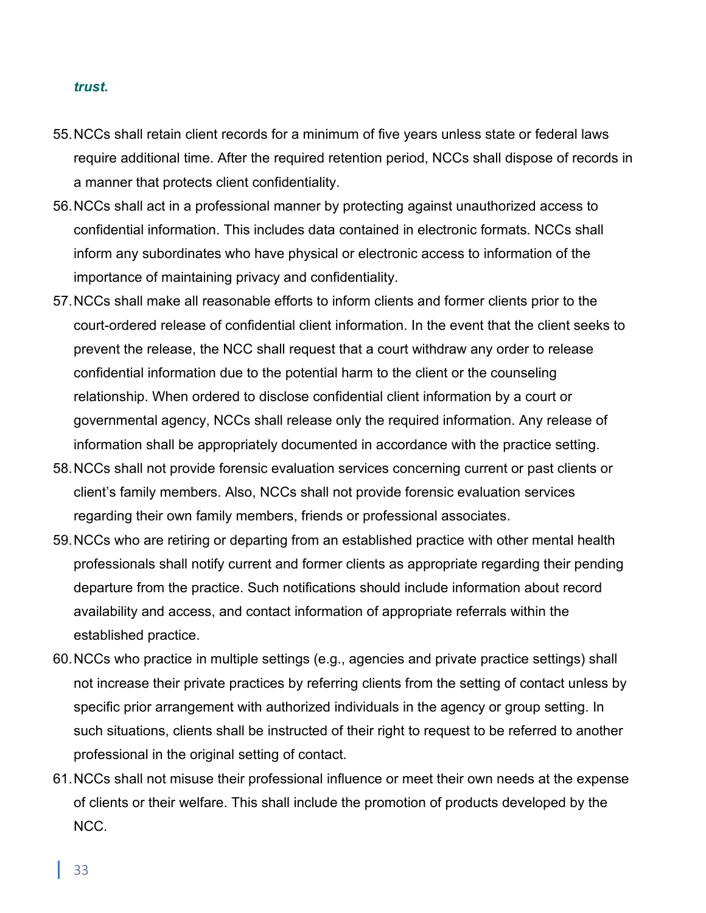#### *trust.*

- 55.NCCs shall retain client records for a minimum of five years unless state or federal laws require additional time. After the required retention period, NCCs shall dispose of records in a manner that protects client confidentiality.
- 56.NCCs shall act in a professional manner by protecting against unauthorized access to confidential information. This includes data contained in electronic formats. NCCs shall inform any subordinates who have physical or electronic access to information of the importance of maintaining privacy and confidentiality.
- 57.NCCs shall make all reasonable efforts to inform clients and former clients prior to the court-ordered release of confidential client information. In the event that the client seeks to prevent the release, the NCC shall request that a court withdraw any order to release confidential information due to the potential harm to the client or the counseling relationship. When ordered to disclose confidential client information by a court or governmental agency, NCCs shall release only the required information. Any release of information shall be appropriately documented in accordance with the practice setting.
- 58.NCCs shall not provide forensic evaluation services concerning current or past clients or client's family members. Also, NCCs shall not provide forensic evaluation services regarding their own family members, friends or professional associates.
- 59.NCCs who are retiring or departing from an established practice with other mental health professionals shall notify current and former clients as appropriate regarding their pending departure from the practice. Such notifications should include information about record availability and access, and contact information of appropriate referrals within the established practice.
- 60.NCCs who practice in multiple settings (e.g., agencies and private practice settings) shall not increase their private practices by referring clients from the setting of contact unless by specific prior arrangement with authorized individuals in the agency or group setting. In such situations, clients shall be instructed of their right to request to be referred to another professional in the original setting of contact.
- 61.NCCs shall not misuse their professional influence or meet their own needs at the expense of clients or their welfare. This shall include the promotion of products developed by the NCC.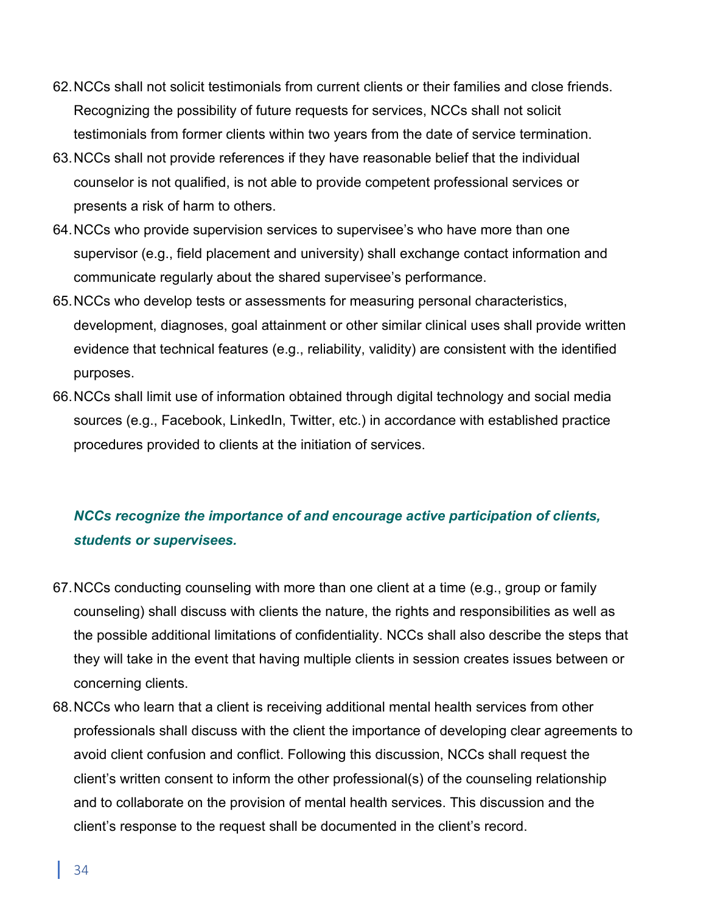- 62.NCCs shall not solicit testimonials from current clients or their families and close friends. Recognizing the possibility of future requests for services, NCCs shall not solicit testimonials from former clients within two years from the date of service termination.
- 63.NCCs shall not provide references if they have reasonable belief that the individual counselor is not qualified, is not able to provide competent professional services or presents a risk of harm to others.
- 64.NCCs who provide supervision services to supervisee's who have more than one supervisor (e.g., field placement and university) shall exchange contact information and communicate regularly about the shared supervisee's performance.
- 65.NCCs who develop tests or assessments for measuring personal characteristics, development, diagnoses, goal attainment or other similar clinical uses shall provide written evidence that technical features (e.g., reliability, validity) are consistent with the identified purposes.
- 66.NCCs shall limit use of information obtained through digital technology and social media sources (e.g., Facebook, LinkedIn, Twitter, etc.) in accordance with established practice procedures provided to clients at the initiation of services.

# *NCCs recognize the importance of and encourage active participation of clients, students or supervisees.*

- 67.NCCs conducting counseling with more than one client at a time (e.g., group or family counseling) shall discuss with clients the nature, the rights and responsibilities as well as the possible additional limitations of confidentiality. NCCs shall also describe the steps that they will take in the event that having multiple clients in session creates issues between or concerning clients.
- 68.NCCs who learn that a client is receiving additional mental health services from other professionals shall discuss with the client the importance of developing clear agreements to avoid client confusion and conflict. Following this discussion, NCCs shall request the client's written consent to inform the other professional(s) of the counseling relationship and to collaborate on the provision of mental health services. This discussion and the client's response to the request shall be documented in the client's record.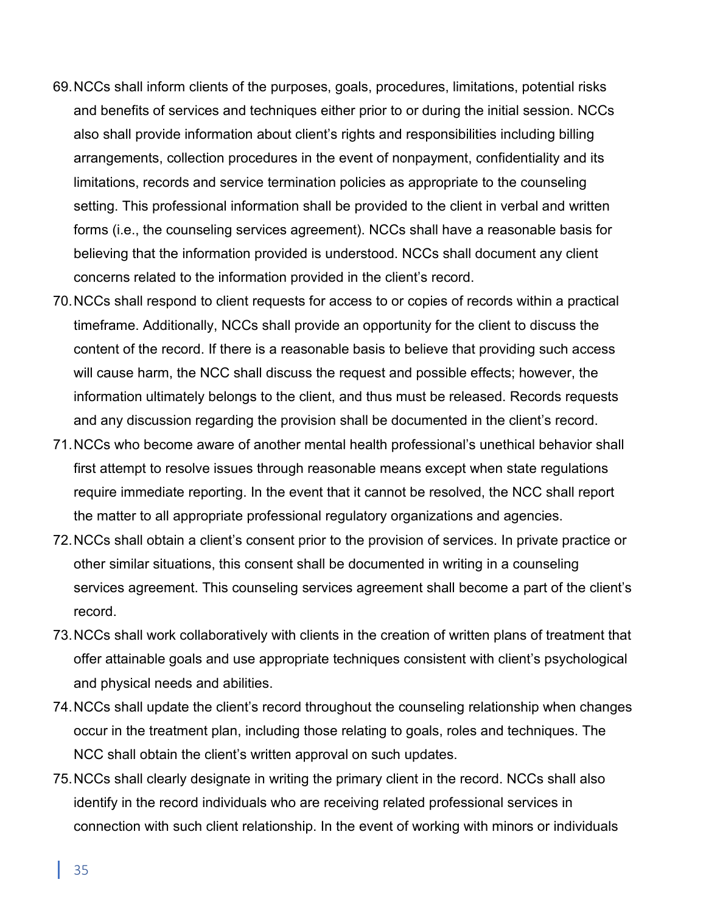- 69.NCCs shall inform clients of the purposes, goals, procedures, limitations, potential risks and benefits of services and techniques either prior to or during the initial session. NCCs also shall provide information about client's rights and responsibilities including billing arrangements, collection procedures in the event of nonpayment, confidentiality and its limitations, records and service termination policies as appropriate to the counseling setting. This professional information shall be provided to the client in verbal and written forms (i.e., the counseling services agreement). NCCs shall have a reasonable basis for believing that the information provided is understood. NCCs shall document any client concerns related to the information provided in the client's record.
- 70.NCCs shall respond to client requests for access to or copies of records within a practical timeframe. Additionally, NCCs shall provide an opportunity for the client to discuss the content of the record. If there is a reasonable basis to believe that providing such access will cause harm, the NCC shall discuss the request and possible effects; however, the information ultimately belongs to the client, and thus must be released. Records requests and any discussion regarding the provision shall be documented in the client's record.
- 71.NCCs who become aware of another mental health professional's unethical behavior shall first attempt to resolve issues through reasonable means except when state regulations require immediate reporting. In the event that it cannot be resolved, the NCC shall report the matter to all appropriate professional regulatory organizations and agencies.
- 72.NCCs shall obtain a client's consent prior to the provision of services. In private practice or other similar situations, this consent shall be documented in writing in a counseling services agreement. This counseling services agreement shall become a part of the client's record.
- 73.NCCs shall work collaboratively with clients in the creation of written plans of treatment that offer attainable goals and use appropriate techniques consistent with client's psychological and physical needs and abilities.
- 74.NCCs shall update the client's record throughout the counseling relationship when changes occur in the treatment plan, including those relating to goals, roles and techniques. The NCC shall obtain the client's written approval on such updates.
- 75.NCCs shall clearly designate in writing the primary client in the record. NCCs shall also identify in the record individuals who are receiving related professional services in connection with such client relationship. In the event of working with minors or individuals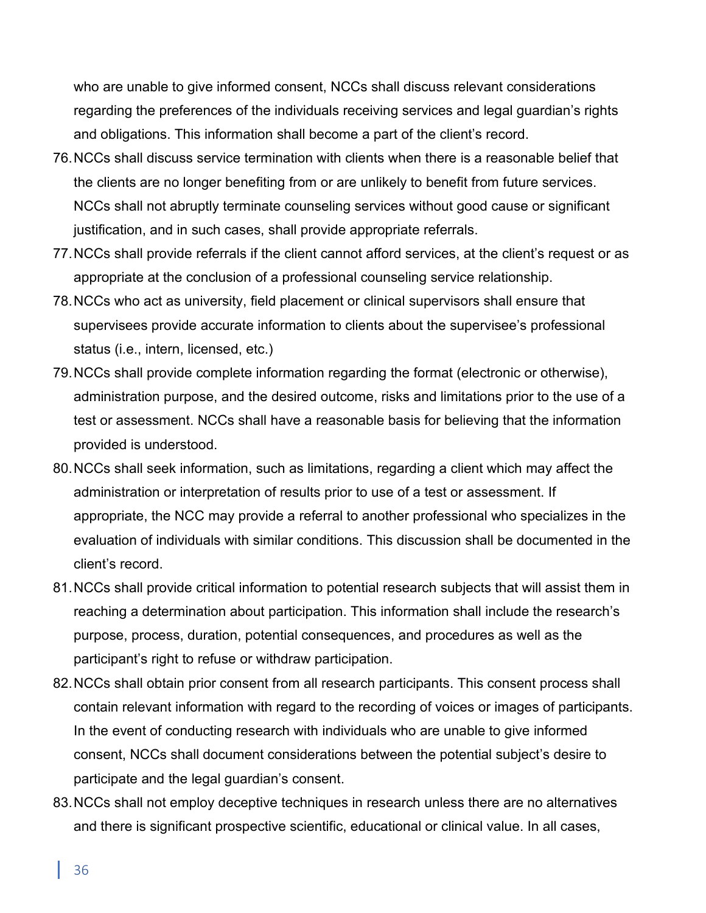who are unable to give informed consent, NCCs shall discuss relevant considerations regarding the preferences of the individuals receiving services and legal guardian's rights and obligations. This information shall become a part of the client's record.

- 76.NCCs shall discuss service termination with clients when there is a reasonable belief that the clients are no longer benefiting from or are unlikely to benefit from future services. NCCs shall not abruptly terminate counseling services without good cause or significant justification, and in such cases, shall provide appropriate referrals.
- 77.NCCs shall provide referrals if the client cannot afford services, at the client's request or as appropriate at the conclusion of a professional counseling service relationship.
- 78.NCCs who act as university, field placement or clinical supervisors shall ensure that supervisees provide accurate information to clients about the supervisee's professional status (i.e., intern, licensed, etc.)
- 79.NCCs shall provide complete information regarding the format (electronic or otherwise), administration purpose, and the desired outcome, risks and limitations prior to the use of a test or assessment. NCCs shall have a reasonable basis for believing that the information provided is understood.
- 80.NCCs shall seek information, such as limitations, regarding a client which may affect the administration or interpretation of results prior to use of a test or assessment. If appropriate, the NCC may provide a referral to another professional who specializes in the evaluation of individuals with similar conditions. This discussion shall be documented in the client's record.
- 81.NCCs shall provide critical information to potential research subjects that will assist them in reaching a determination about participation. This information shall include the research's purpose, process, duration, potential consequences, and procedures as well as the participant's right to refuse or withdraw participation.
- 82.NCCs shall obtain prior consent from all research participants. This consent process shall contain relevant information with regard to the recording of voices or images of participants. In the event of conducting research with individuals who are unable to give informed consent, NCCs shall document considerations between the potential subject's desire to participate and the legal guardian's consent.
- 83.NCCs shall not employ deceptive techniques in research unless there are no alternatives and there is significant prospective scientific, educational or clinical value. In all cases,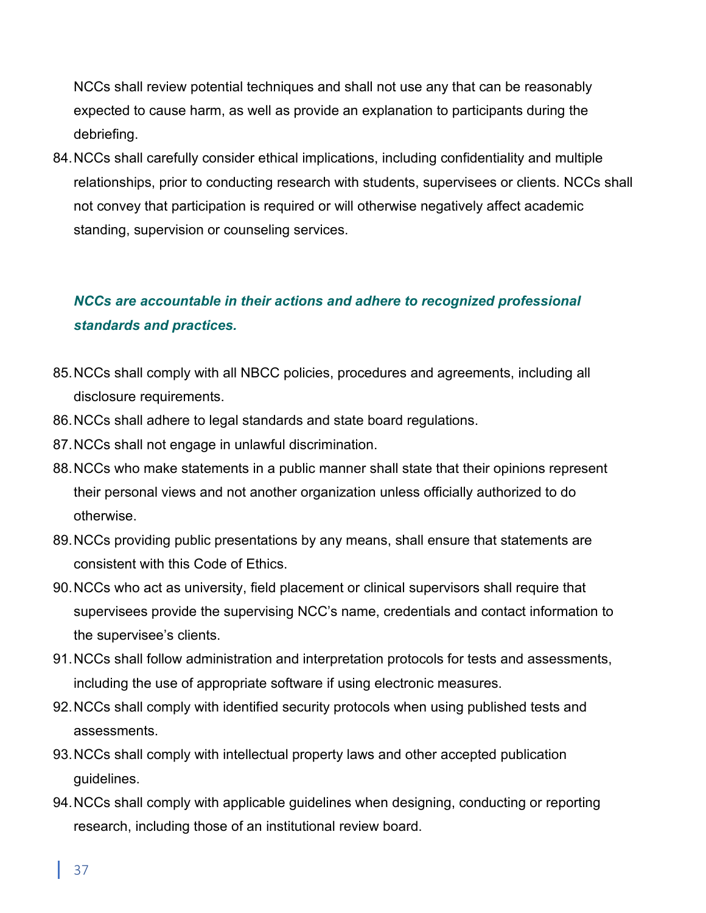NCCs shall review potential techniques and shall not use any that can be reasonably expected to cause harm, as well as provide an explanation to participants during the debriefing.

84.NCCs shall carefully consider ethical implications, including confidentiality and multiple relationships, prior to conducting research with students, supervisees or clients. NCCs shall not convey that participation is required or will otherwise negatively affect academic standing, supervision or counseling services.

# *NCCs are accountable in their actions and adhere to recognized professional standards and practices.*

- 85.NCCs shall comply with all NBCC policies, procedures and agreements, including all disclosure requirements.
- 86.NCCs shall adhere to legal standards and state board regulations.
- 87.NCCs shall not engage in unlawful discrimination.
- 88.NCCs who make statements in a public manner shall state that their opinions represent their personal views and not another organization unless officially authorized to do otherwise.
- 89.NCCs providing public presentations by any means, shall ensure that statements are consistent with this Code of Ethics.
- 90.NCCs who act as university, field placement or clinical supervisors shall require that supervisees provide the supervising NCC's name, credentials and contact information to the supervisee's clients.
- 91.NCCs shall follow administration and interpretation protocols for tests and assessments, including the use of appropriate software if using electronic measures.
- 92.NCCs shall comply with identified security protocols when using published tests and assessments.
- 93.NCCs shall comply with intellectual property laws and other accepted publication guidelines.
- 94.NCCs shall comply with applicable guidelines when designing, conducting or reporting research, including those of an institutional review board.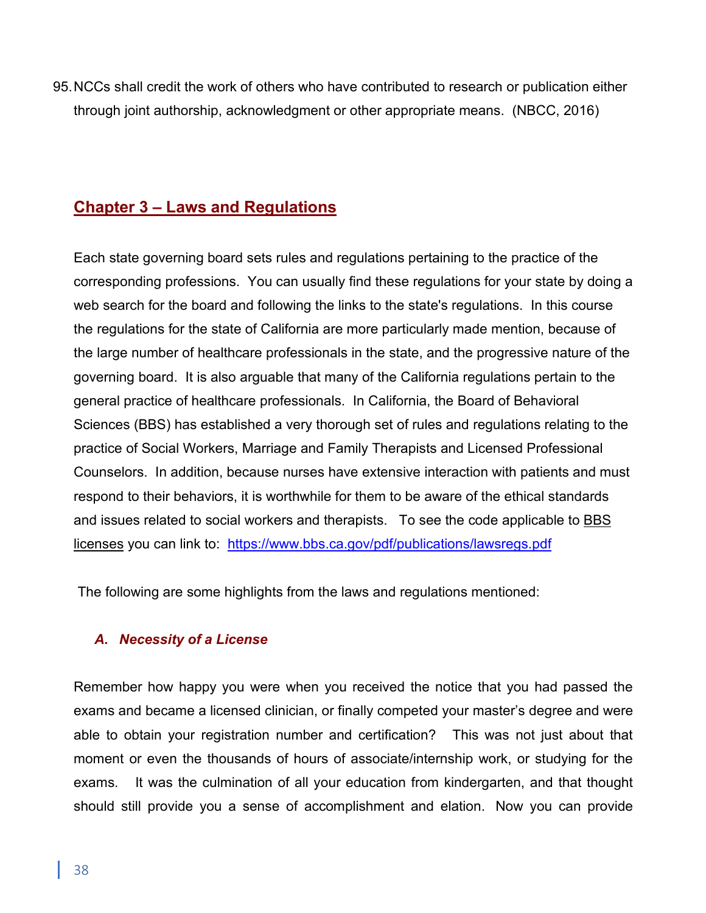95.NCCs shall credit the work of others who have contributed to research or publication either through joint authorship, acknowledgment or other appropriate means. (NBCC, 2016)

# **Chapter 3 – Laws and Regulations**

Each state governing board sets rules and regulations pertaining to the practice of the corresponding professions. You can usually find these regulations for your state by doing a web search for the board and following the links to the state's regulations. In this course the regulations for the state of California are more particularly made mention, because of the large number of healthcare professionals in the state, and the progressive nature of the governing board. It is also arguable that many of the California regulations pertain to the general practice of healthcare professionals. In California, the Board of Behavioral Sciences (BBS) has established a very thorough set of rules and regulations relating to the practice of Social Workers, Marriage and Family Therapists and Licensed Professional Counselors. In addition, because nurses have extensive interaction with patients and must respond to their behaviors, it is worthwhile for them to be aware of the ethical standards and issues related to social workers and therapists. To see the code applicable to BBS licenses you can link to: <https://www.bbs.ca.gov/pdf/publications/lawsregs.pdf>

The following are some highlights from the laws and regulations mentioned:

## *A. Necessity of a License*

Remember how happy you were when you received the notice that you had passed the exams and became a licensed clinician, or finally competed your master's degree and were able to obtain your registration number and certification? This was not just about that moment or even the thousands of hours of associate/internship work, or studying for the exams. It was the culmination of all your education from kindergarten, and that thought should still provide you a sense of accomplishment and elation. Now you can provide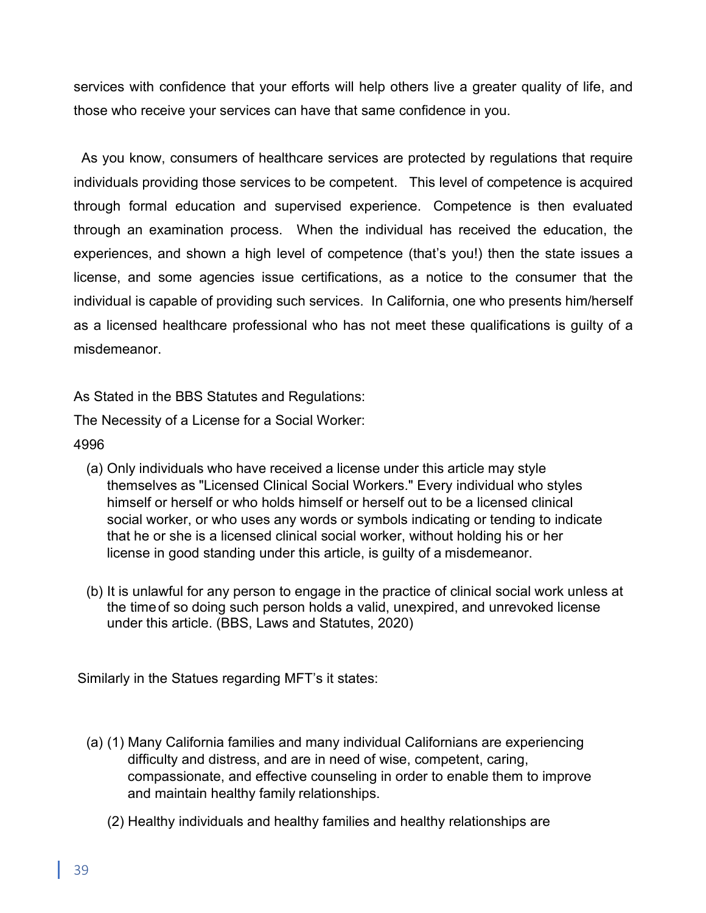services with confidence that your efforts will help others live a greater quality of life, and those who receive your services can have that same confidence in you.

 As you know, consumers of healthcare services are protected by regulations that require individuals providing those services to be competent. This level of competence is acquired through formal education and supervised experience. Competence is then evaluated through an examination process. When the individual has received the education, the experiences, and shown a high level of competence (that's you!) then the state issues a license, and some agencies issue certifications, as a notice to the consumer that the individual is capable of providing such services. In California, one who presents him/herself as a licensed healthcare professional who has not meet these qualifications is guilty of a misdemeanor.

As Stated in the BBS Statutes and Regulations:

The Necessity of a License for a Social Worker:

4996

- (a) Only individuals who have received a license under this article may style themselves as "Licensed Clinical Social Workers." Every individual who styles himself or herself or who holds himself or herself out to be a licensed clinical social worker, or who uses any words or symbols indicating or tending to indicate that he or she is a licensed clinical social worker, without holding his or her license in good standing under this article, is guilty of a misdemeanor.
- (b) It is unlawful for any person to engage in the practice of clinical social work unless at the timeof so doing such person holds a valid, unexpired, and unrevoked license under this article. (BBS, Laws and Statutes, 2020)

Similarly in the Statues regarding MFT's it states:

- (a) (1) Many California families and many individual Californians are experiencing difficulty and distress, and are in need of wise, competent, caring, compassionate, and effective counseling in order to enable them to improve and maintain healthy family relationships.
	- (2) Healthy individuals and healthy families and healthy relationships are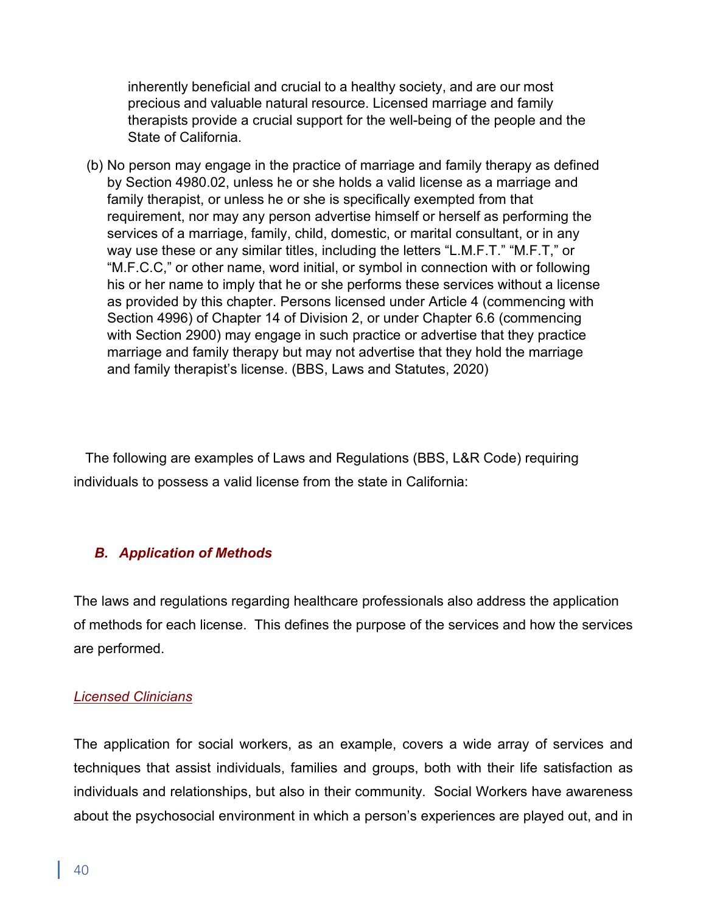inherently beneficial and crucial to a healthy society, and are our most precious and valuable natural resource. Licensed marriage and family therapists provide a crucial support for the well-being of the people and the State of California.

(b) No person may engage in the practice of marriage and family therapy as defined by Section 4980.02, unless he or she holds a valid license as a marriage and family therapist, or unless he or she is specifically exempted from that requirement, nor may any person advertise himself or herself as performing the services of a marriage, family, child, domestic, or marital consultant, or in any way use these or any similar titles, including the letters "L.M.F.T." "M.F.T," or "M.F.C.C," or other name, word initial, or symbol in connection with or following his or her name to imply that he or she performs these services without a license as provided by this chapter. Persons licensed under Article 4 (commencing with Section 4996) of Chapter 14 of Division 2, or under Chapter 6.6 (commencing with Section 2900) may engage in such practice or advertise that they practice marriage and family therapy but may not advertise that they hold the marriage and family therapist's license. (BBS, Laws and Statutes, 2020)

 The following are examples of Laws and Regulations (BBS, L&R Code) requiring individuals to possess a valid license from the state in California:

### *B. Application of Methods*

The laws and regulations regarding healthcare professionals also address the application of methods for each license. This defines the purpose of the services and how the services are performed.

### *Licensed Clinicians*

The application for social workers, as an example, covers a wide array of services and techniques that assist individuals, families and groups, both with their life satisfaction as individuals and relationships, but also in their community. Social Workers have awareness about the psychosocial environment in which a person's experiences are played out, and in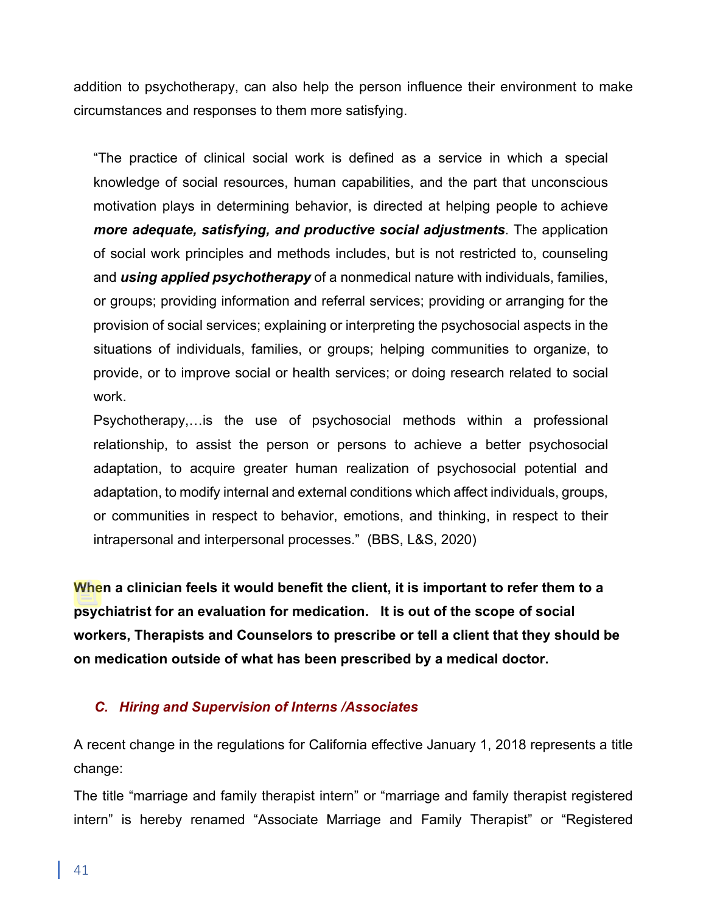addition to psychotherapy, can also help the person influence their environment to make circumstances and responses to them more satisfying.

"The practice of clinical social work is defined as a service in which a special knowledge of social resources, human capabilities, and the part that unconscious motivation plays in determining behavior, is directed at helping people to achieve *more adequate, satisfying, and productive social adjustments*. The application of social work principles and methods includes, but is not restricted to, counseling and *using applied psychotherapy* of a nonmedical nature with individuals, families, or groups; providing information and referral services; providing or arranging for the provision of social services; explaining or interpreting the psychosocial aspects in the situations of individuals, families, or groups; helping communities to organize, to provide, or to improve social or health services; or doing research related to social work.

Psychotherapy,…is the use of psychosocial methods within a professional relationship, to assist the person or persons to achieve a better psychosocial adaptation, to acquire greater human realization of psychosocial potential and adaptation, to modify internal and external conditions which affect individuals, groups, or communities in respect to behavior, emotions, and thinking, in respect to their intrapersonal and interpersonal processes." (BBS, L&S, 2020)

**When a clinician feels it would benefit the client, it is important to refer them to a psychiatrist for an evaluation for medication. It is out of the scope of social workers, Therapists and Counselors to prescribe or tell a client that they should be on medication outside of what has been prescribed by a medical doctor.**

### *C. Hiring and Supervision of Interns /Associates*

A recent change in the regulations for California effective January 1, 2018 represents a title change:

The title "marriage and family therapist intern" or "marriage and family therapist registered intern" is hereby renamed "Associate Marriage and Family Therapist" or "Registered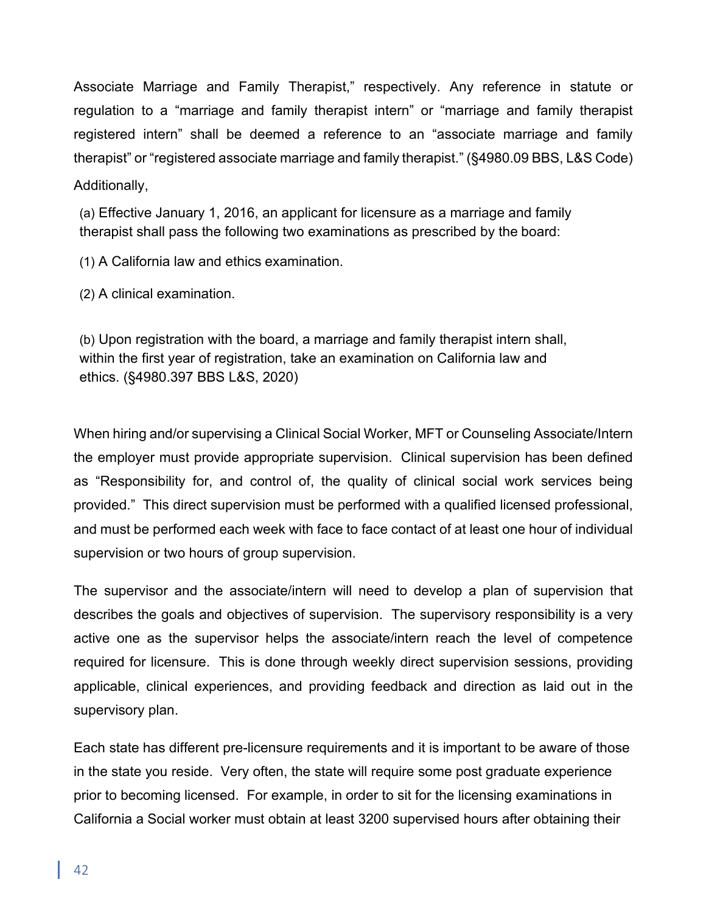Associate Marriage and Family Therapist," respectively. Any reference in statute or regulation to a "marriage and family therapist intern" or "marriage and family therapist registered intern" shall be deemed a reference to an "associate marriage and family therapist" or "registered associate marriage and family therapist." (§4980.09 BBS, L&S Code) Additionally,

(a) Effective January 1, 2016, an applicant for licensure as a marriage and family therapist shall pass the following two examinations as prescribed by the board:

(1) A California law and ethics examination.

(2) A clinical examination.

(b) Upon registration with the board, a marriage and family therapist intern shall, within the first year of registration, take an examination on California law and ethics. (§4980.397 BBS L&S, 2020)

When hiring and/or supervising a Clinical Social Worker, MFT or Counseling Associate/Intern the employer must provide appropriate supervision. Clinical supervision has been defined as "Responsibility for, and control of, the quality of clinical social work services being provided." This direct supervision must be performed with a qualified licensed professional, and must be performed each week with face to face contact of at least one hour of individual supervision or two hours of group supervision.

The supervisor and the associate/intern will need to develop a plan of supervision that describes the goals and objectives of supervision. The supervisory responsibility is a very active one as the supervisor helps the associate/intern reach the level of competence required for licensure. This is done through weekly direct supervision sessions, providing applicable, clinical experiences, and providing feedback and direction as laid out in the supervisory plan.

Each state has different pre-licensure requirements and it is important to be aware of those in the state you reside. Very often, the state will require some post graduate experience prior to becoming licensed. For example, in order to sit for the licensing examinations in California a Social worker must obtain at least 3200 supervised hours after obtaining their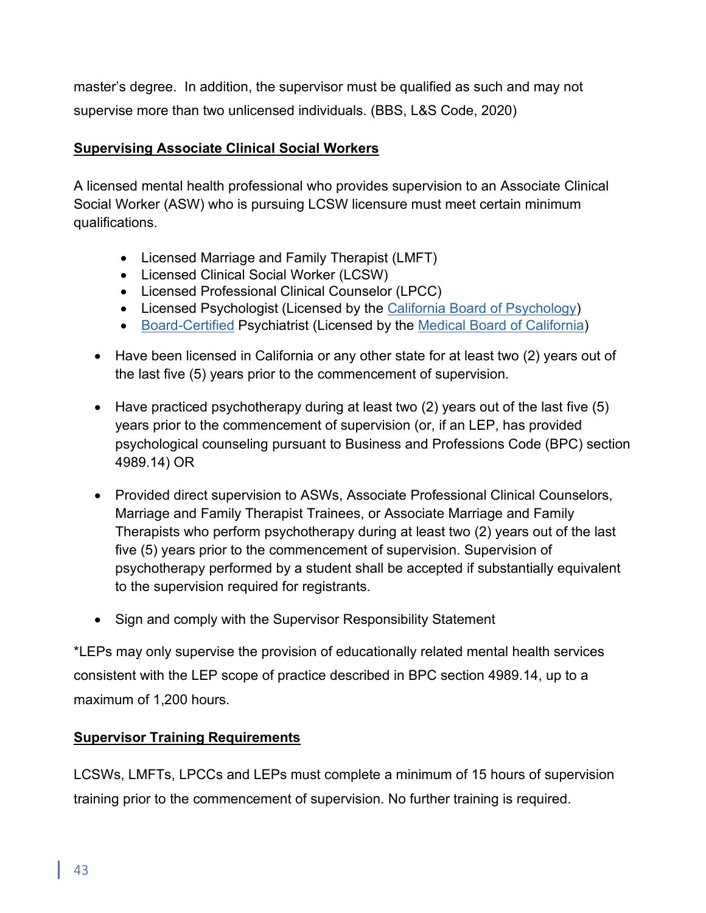master's degree. In addition, the supervisor must be qualified as such and may not supervise more than two unlicensed individuals. (BBS, L&S Code, 2020)

# **Supervising Associate Clinical Social Workers**

A licensed mental health professional who provides supervision to an Associate Clinical Social Worker (ASW) who is pursuing LCSW licensure must meet certain minimum qualifications.

- Licensed Marriage and Family Therapist (LMFT)
- Licensed Clinical Social Worker (LCSW)
- Licensed Professional Clinical Counselor (LPCC)
- Licensed Psychologist (Licensed by the [California Board of Psychology\)](http://www.psychology.ca.gov/)
- [Board-Certified](http://www.abpn.com/) Psychiatrist (Licensed by the [Medical Board of California\)](http://www.mbc.ca.gov/)
- Have been licensed in California or any other state for at least two (2) years out of the last five (5) years prior to the commencement of supervision.
- Have practiced psychotherapy during at least two (2) years out of the last five (5) years prior to the commencement of supervision (or, if an LEP, has provided psychological counseling pursuant to Business and Professions Code (BPC) section 4989.14) OR
- Provided direct supervision to ASWs, Associate Professional Clinical Counselors, Marriage and Family Therapist Trainees, or Associate Marriage and Family Therapists who perform psychotherapy during at least two (2) years out of the last five (5) years prior to the commencement of supervision. Supervision of psychotherapy performed by a student shall be accepted if substantially equivalent to the supervision required for registrants.
- Sign and comply with the Supervisor Responsibility Statement

\*LEPs may only supervise the provision of educationally related mental health services consistent with the LEP scope of practice described in BPC section 4989.14, up to a maximum of 1,200 hours.

# **Supervisor Training Requirements**

LCSWs, LMFTs, LPCCs and LEPs must complete a minimum of 15 hours of supervision training prior to the commencement of supervision. No further training is required.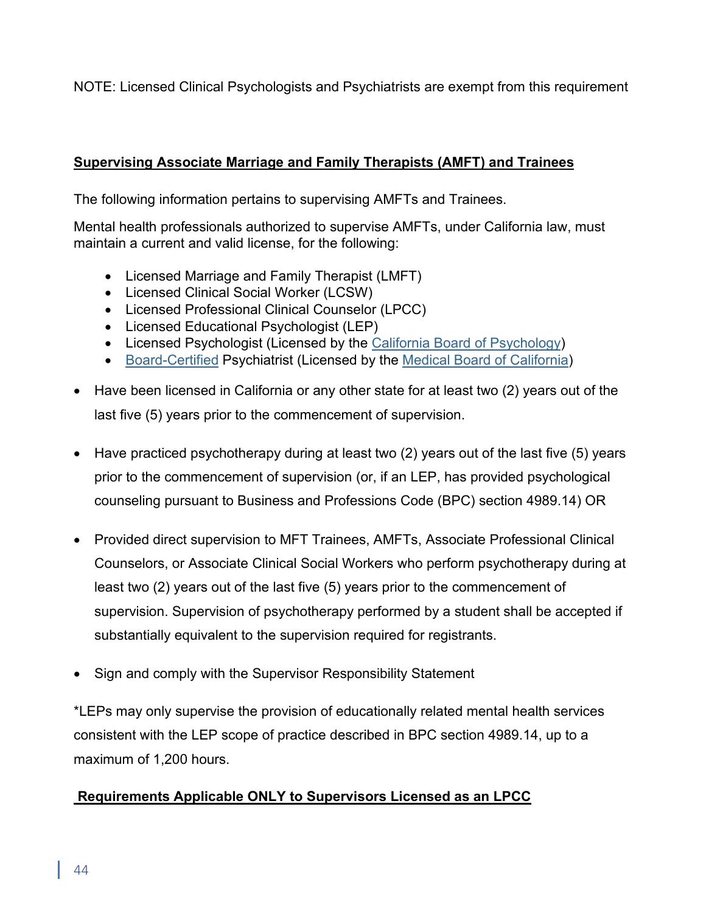NOTE: Licensed Clinical Psychologists and Psychiatrists are exempt from this requirement

## **Supervising Associate Marriage and Family Therapists (AMFT) and Trainees**

The following information pertains to supervising AMFTs and Trainees.

Mental health professionals authorized to supervise AMFTs, under California law, must maintain a current and valid license, for the following:

- Licensed Marriage and Family Therapist (LMFT)
- Licensed Clinical Social Worker (LCSW)
- Licensed Professional Clinical Counselor (LPCC)
- Licensed Educational Psychologist (LEP)
- Licensed Psychologist (Licensed by the [California Board of Psychology\)](http://www.psychology.ca.gov/)
- [Board-Certified](http://www.abpn.com/) Psychiatrist (Licensed by the [Medical Board of California\)](http://www.mbc.ca.gov/)
- Have been licensed in California or any other state for at least two (2) years out of the last five (5) years prior to the commencement of supervision.
- Have practiced psychotherapy during at least two (2) years out of the last five (5) years prior to the commencement of supervision (or, if an LEP, has provided psychological counseling pursuant to Business and Professions Code (BPC) section 4989.14) OR
- Provided direct supervision to MFT Trainees, AMFTs, Associate Professional Clinical Counselors, or Associate Clinical Social Workers who perform psychotherapy during at least two (2) years out of the last five (5) years prior to the commencement of supervision. Supervision of psychotherapy performed by a student shall be accepted if substantially equivalent to the supervision required for registrants.
- Sign and comply with the Supervisor Responsibility Statement

\*LEPs may only supervise the provision of educationally related mental health services consistent with the LEP scope of practice described in BPC section 4989.14, up to a maximum of 1,200 hours.

# **Requirements Applicable ONLY to Supervisors Licensed as an LPCC**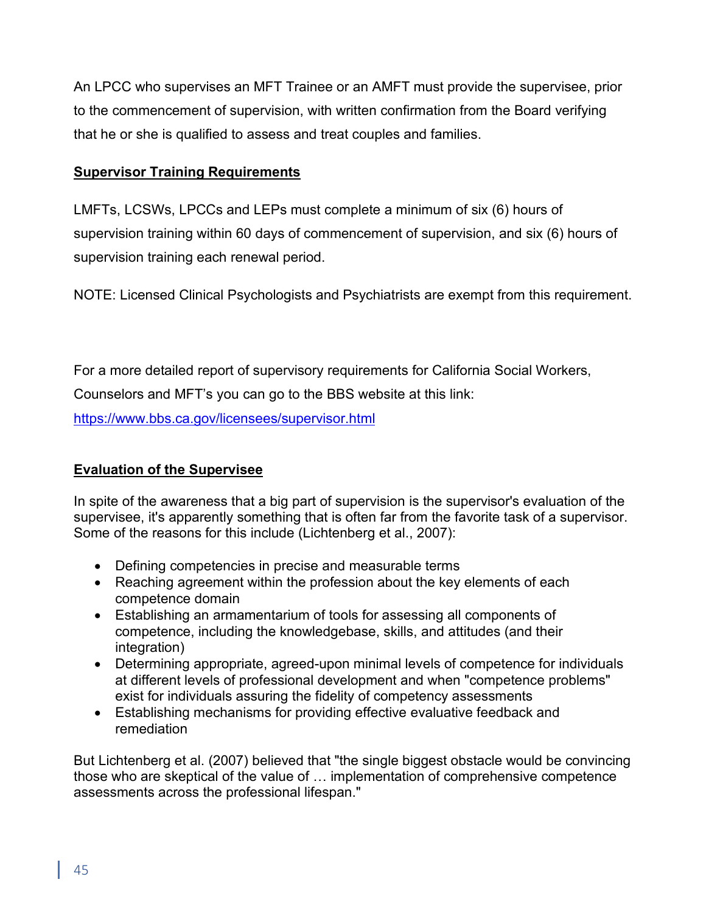An LPCC who supervises an MFT Trainee or an AMFT must provide the supervisee, prior to the commencement of supervision, with written confirmation from the Board verifying that he or she is qualified to assess and treat couples and families.

## **Supervisor Training Requirements**

LMFTs, LCSWs, LPCCs and LEPs must complete a minimum of six (6) hours of supervision training within 60 days of commencement of supervision, and six (6) hours of supervision training each renewal period.

NOTE: Licensed Clinical Psychologists and Psychiatrists are exempt from this requirement.

For a more detailed report of supervisory requirements for California Social Workers, Counselors and MFT's you can go to the BBS website at this link: <https://www.bbs.ca.gov/licensees/supervisor.html>

# **Evaluation of the Supervisee**

In spite of the awareness that a big part of supervision is the supervisor's evaluation of the supervisee, it's apparently something that is often far from the favorite task of a supervisor. Some of the reasons for this include (Lichtenberg et al., 2007):

- Defining competencies in precise and measurable terms
- Reaching agreement within the profession about the key elements of each competence domain
- Establishing an armamentarium of tools for assessing all components of competence, including the knowledgebase, skills, and attitudes (and their integration)
- Determining appropriate, agreed-upon minimal levels of competence for individuals at different levels of professional development and when "competence problems" exist for individuals assuring the fidelity of competency assessments
- Establishing mechanisms for providing effective evaluative feedback and remediation

But Lichtenberg et al. (2007) believed that "the single biggest obstacle would be convincing those who are skeptical of the value of … implementation of comprehensive competence assessments across the professional lifespan."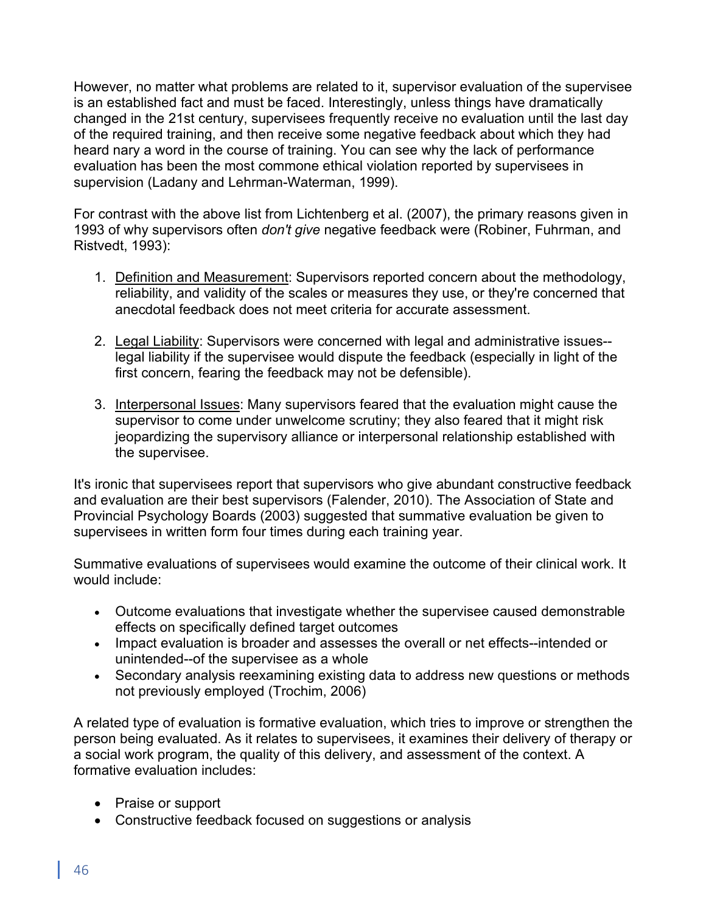However, no matter what problems are related to it, supervisor evaluation of the supervisee is an established fact and must be faced. Interestingly, unless things have dramatically changed in the 21st century, supervisees frequently receive no evaluation until the last day of the required training, and then receive some negative feedback about which they had heard nary a word in the course of training. You can see why the lack of performance evaluation has been the most commone ethical violation reported by supervisees in supervision (Ladany and Lehrman-Waterman, 1999).

For contrast with the above list from Lichtenberg et al. (2007), the primary reasons given in 1993 of why supervisors often *don't give* negative feedback were (Robiner, Fuhrman, and Ristvedt, 1993):

- 1. Definition and Measurement: Supervisors reported concern about the methodology, reliability, and validity of the scales or measures they use, or they're concerned that anecdotal feedback does not meet criteria for accurate assessment.
- 2. Legal Liability: Supervisors were concerned with legal and administrative issues-legal liability if the supervisee would dispute the feedback (especially in light of the first concern, fearing the feedback may not be defensible).
- 3. Interpersonal Issues: Many supervisors feared that the evaluation might cause the supervisor to come under unwelcome scrutiny; they also feared that it might risk jeopardizing the supervisory alliance or interpersonal relationship established with the supervisee.

It's ironic that supervisees report that supervisors who give abundant constructive feedback and evaluation are their best supervisors (Falender, 2010). The Association of State and Provincial Psychology Boards (2003) suggested that summative evaluation be given to supervisees in written form four times during each training year.

Summative evaluations of supervisees would examine the outcome of their clinical work. It would include:

- Outcome evaluations that investigate whether the supervisee caused demonstrable effects on specifically defined target outcomes
- Impact evaluation is broader and assesses the overall or net effects--intended or unintended--of the supervisee as a whole
- Secondary analysis reexamining existing data to address new questions or methods not previously employed (Trochim, 2006)

A related type of evaluation is formative evaluation, which tries to improve or strengthen the person being evaluated. As it relates to supervisees, it examines their delivery of therapy or a social work program, the quality of this delivery, and assessment of the context. A formative evaluation includes:

- Praise or support
- Constructive feedback focused on suggestions or analysis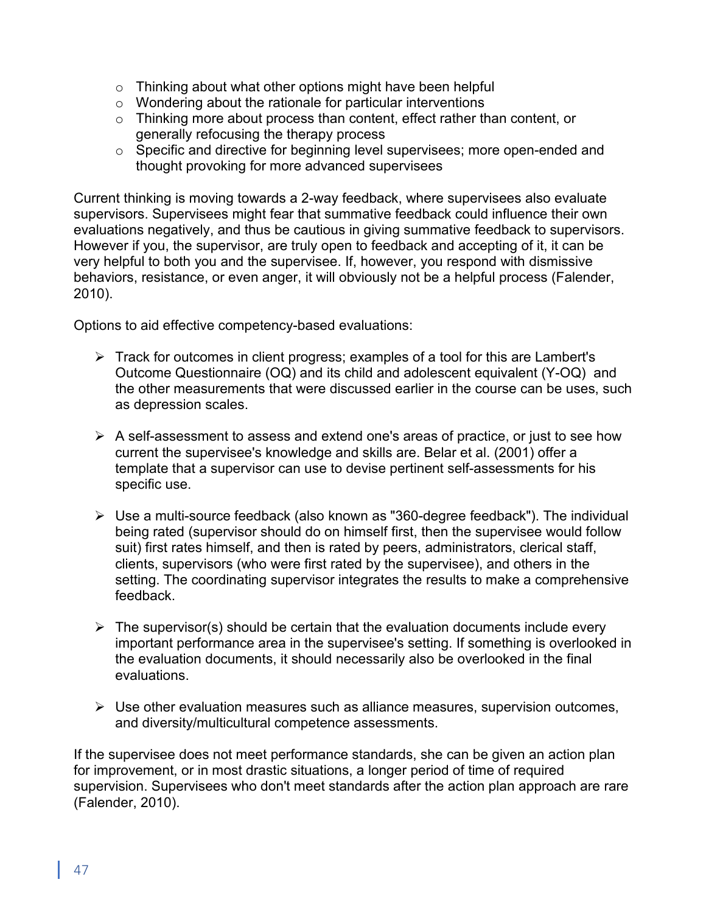- $\circ$  Thinking about what other options might have been helpful
- o Wondering about the rationale for particular interventions
- o Thinking more about process than content, effect rather than content, or generally refocusing the therapy process
- o Specific and directive for beginning level supervisees; more open-ended and thought provoking for more advanced supervisees

Current thinking is moving towards a 2-way feedback, where supervisees also evaluate supervisors. Supervisees might fear that summative feedback could influence their own evaluations negatively, and thus be cautious in giving summative feedback to supervisors. However if you, the supervisor, are truly open to feedback and accepting of it, it can be very helpful to both you and the supervisee. If, however, you respond with dismissive behaviors, resistance, or even anger, it will obviously not be a helpful process (Falender, 2010).

Options to aid effective competency-based evaluations:

- $\triangleright$  Track for outcomes in client progress; examples of a tool for this are Lambert's Outcome Questionnaire (OQ) and its child and adolescent equivalent (Y-OQ) and the other measurements that were discussed earlier in the course can be uses, such as depression scales.
- $\triangleright$  A self-assessment to assess and extend one's areas of practice, or just to see how current the supervisee's knowledge and skills are. Belar et al. (2001) offer a template that a supervisor can use to devise pertinent self-assessments for his specific use.
- Use a multi-source feedback (also known as "360-degree feedback"). The individual being rated (supervisor should do on himself first, then the supervisee would follow suit) first rates himself, and then is rated by peers, administrators, clerical staff, clients, supervisors (who were first rated by the supervisee), and others in the setting. The coordinating supervisor integrates the results to make a comprehensive feedback.
- $\triangleright$  The supervisor(s) should be certain that the evaluation documents include every important performance area in the supervisee's setting. If something is overlooked in the evaluation documents, it should necessarily also be overlooked in the final evaluations.
- $\triangleright$  Use other evaluation measures such as alliance measures, supervision outcomes, and diversity/multicultural competence assessments.

If the supervisee does not meet performance standards, she can be given an action plan for improvement, or in most drastic situations, a longer period of time of required supervision. Supervisees who don't meet standards after the action plan approach are rare (Falender, 2010).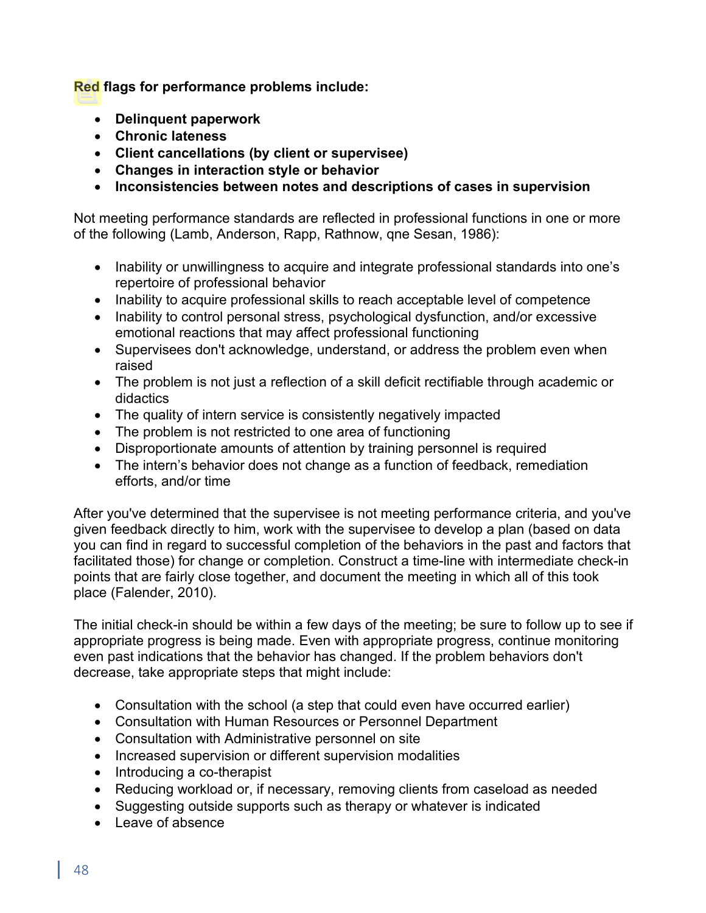**Red flags for performance problems include:**

- **Delinquent paperwork**
- **Chronic lateness**
- **Client cancellations (by client or supervisee)**
- **Changes in interaction style or behavior**
- **Inconsistencies between notes and descriptions of cases in supervision**

Not meeting performance standards are reflected in professional functions in one or more of the following (Lamb, Anderson, Rapp, Rathnow, qne Sesan, 1986):

- Inability or unwillingness to acquire and integrate professional standards into one's repertoire of professional behavior
- Inability to acquire professional skills to reach acceptable level of competence
- Inability to control personal stress, psychological dysfunction, and/or excessive emotional reactions that may affect professional functioning
- Supervisees don't acknowledge, understand, or address the problem even when raised
- The problem is not just a reflection of a skill deficit rectifiable through academic or didactics
- The quality of intern service is consistently negatively impacted
- The problem is not restricted to one area of functioning
- Disproportionate amounts of attention by training personnel is required
- The intern's behavior does not change as a function of feedback, remediation efforts, and/or time

After you've determined that the supervisee is not meeting performance criteria, and you've given feedback directly to him, work with the supervisee to develop a plan (based on data you can find in regard to successful completion of the behaviors in the past and factors that facilitated those) for change or completion. Construct a time-line with intermediate check-in points that are fairly close together, and document the meeting in which all of this took place (Falender, 2010).

The initial check-in should be within a few days of the meeting; be sure to follow up to see if appropriate progress is being made. Even with appropriate progress, continue monitoring even past indications that the behavior has changed. If the problem behaviors don't decrease, take appropriate steps that might include:

- Consultation with the school (a step that could even have occurred earlier)
- Consultation with Human Resources or Personnel Department
- Consultation with Administrative personnel on site
- Increased supervision or different supervision modalities
- Introducing a co-therapist
- Reducing workload or, if necessary, removing clients from caseload as needed
- Suggesting outside supports such as therapy or whatever is indicated
- Leave of absence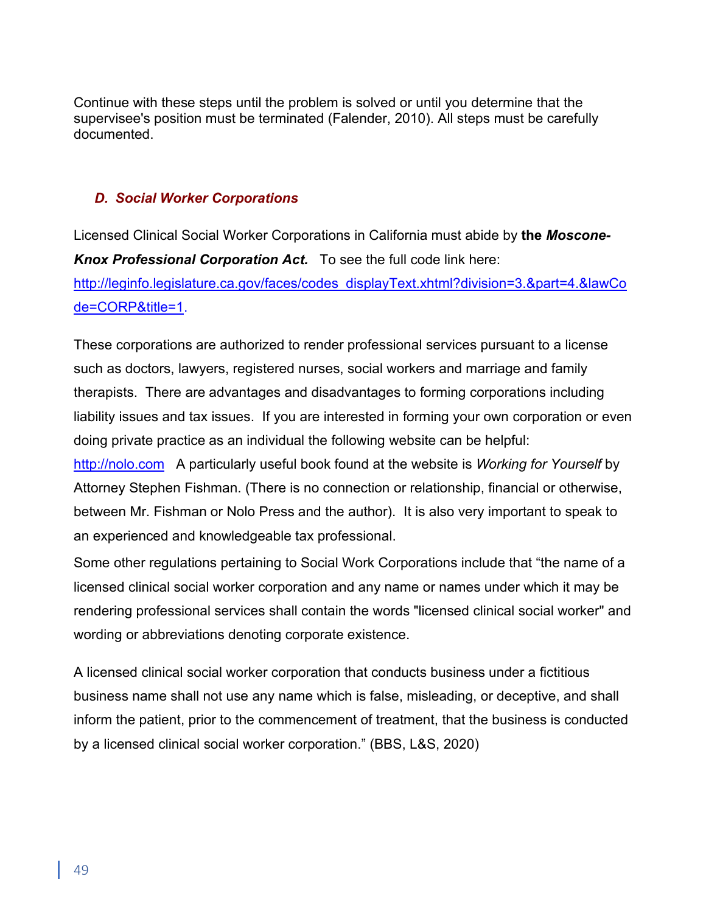Continue with these steps until the problem is solved or until you determine that the supervisee's position must be terminated (Falender, 2010). All steps must be carefully documented.

## *D. Social Worker Corporations*

Licensed Clinical Social Worker Corporations in California must abide by **the** *Moscone-Knox Professional Corporation Act.* To see the full code link here: [http://leginfo.legislature.ca.gov/faces/codes\\_displayText.xhtml?division=3.&part=4.&lawCo](http://leginfo.legislature.ca.gov/faces/codes_displayText.xhtml?division=3.&part=4.&lawCode=CORP&title=1) [de=CORP&title=1.](http://leginfo.legislature.ca.gov/faces/codes_displayText.xhtml?division=3.&part=4.&lawCode=CORP&title=1)

These corporations are authorized to render professional services pursuant to a license such as doctors, lawyers, registered nurses, social workers and marriage and family therapists. There are advantages and disadvantages to forming corporations including liability issues and tax issues. If you are interested in forming your own corporation or even doing private practice as an individual the following website can be helpful:

[http://nolo.com](http://nolo.com/) A particularly useful book found at the website is *Working for Yourself* by Attorney Stephen Fishman. (There is no connection or relationship, financial or otherwise, between Mr. Fishman or Nolo Press and the author). It is also very important to speak to an experienced and knowledgeable tax professional.

Some other regulations pertaining to Social Work Corporations include that "the name of a licensed clinical social worker corporation and any name or names under which it may be rendering professional services shall contain the words "licensed clinical social worker" and wording or abbreviations denoting corporate existence.

A licensed clinical social worker corporation that conducts business under a fictitious business name shall not use any name which is false, misleading, or deceptive, and shall inform the patient, prior to the commencement of treatment, that the business is conducted by a licensed clinical social worker corporation." (BBS, L&S, 2020)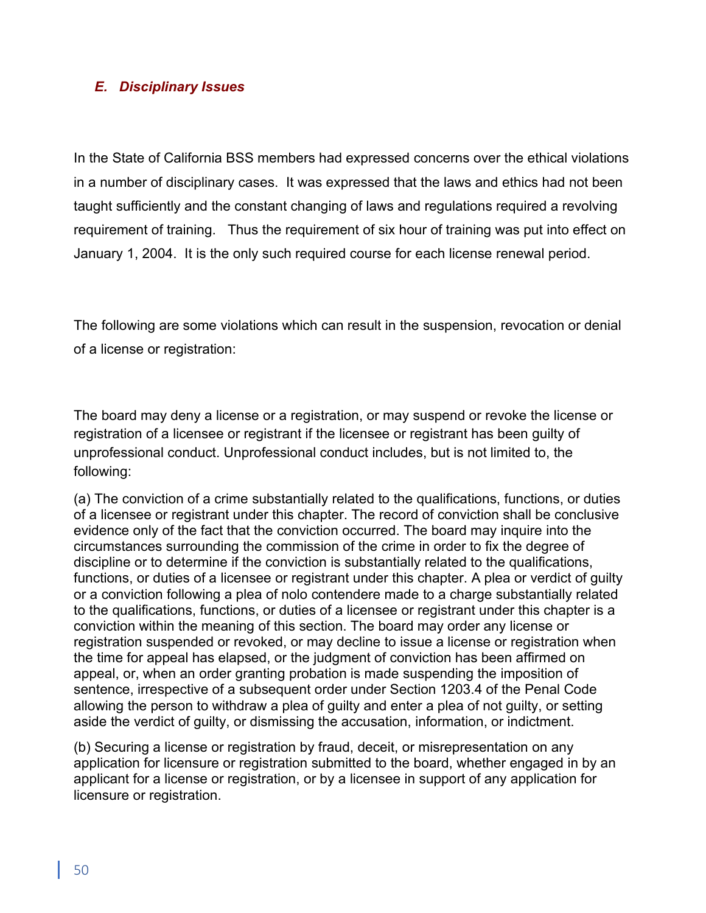### *E. Disciplinary Issues*

In the State of California BSS members had expressed concerns over the ethical violations in a number of disciplinary cases. It was expressed that the laws and ethics had not been taught sufficiently and the constant changing of laws and regulations required a revolving requirement of training. Thus the requirement of six hour of training was put into effect on January 1, 2004. It is the only such required course for each license renewal period.

The following are some violations which can result in the suspension, revocation or denial of a license or registration:

The board may deny a license or a registration, or may suspend or revoke the license or registration of a licensee or registrant if the licensee or registrant has been guilty of unprofessional conduct. Unprofessional conduct includes, but is not limited to, the following:

(a) The conviction of a crime substantially related to the qualifications, functions, or duties of a licensee or registrant under this chapter. The record of conviction shall be conclusive evidence only of the fact that the conviction occurred. The board may inquire into the circumstances surrounding the commission of the crime in order to fix the degree of discipline or to determine if the conviction is substantially related to the qualifications, functions, or duties of a licensee or registrant under this chapter. A plea or verdict of guilty or a conviction following a plea of nolo contendere made to a charge substantially related to the qualifications, functions, or duties of a licensee or registrant under this chapter is a conviction within the meaning of this section. The board may order any license or registration suspended or revoked, or may decline to issue a license or registration when the time for appeal has elapsed, or the judgment of conviction has been affirmed on appeal, or, when an order granting probation is made suspending the imposition of sentence, irrespective of a subsequent order under Section 1203.4 of the Penal Code allowing the person to withdraw a plea of guilty and enter a plea of not guilty, or setting aside the verdict of guilty, or dismissing the accusation, information, or indictment.

(b) Securing a license or registration by fraud, deceit, or misrepresentation on any application for licensure or registration submitted to the board, whether engaged in by an applicant for a license or registration, or by a licensee in support of any application for licensure or registration.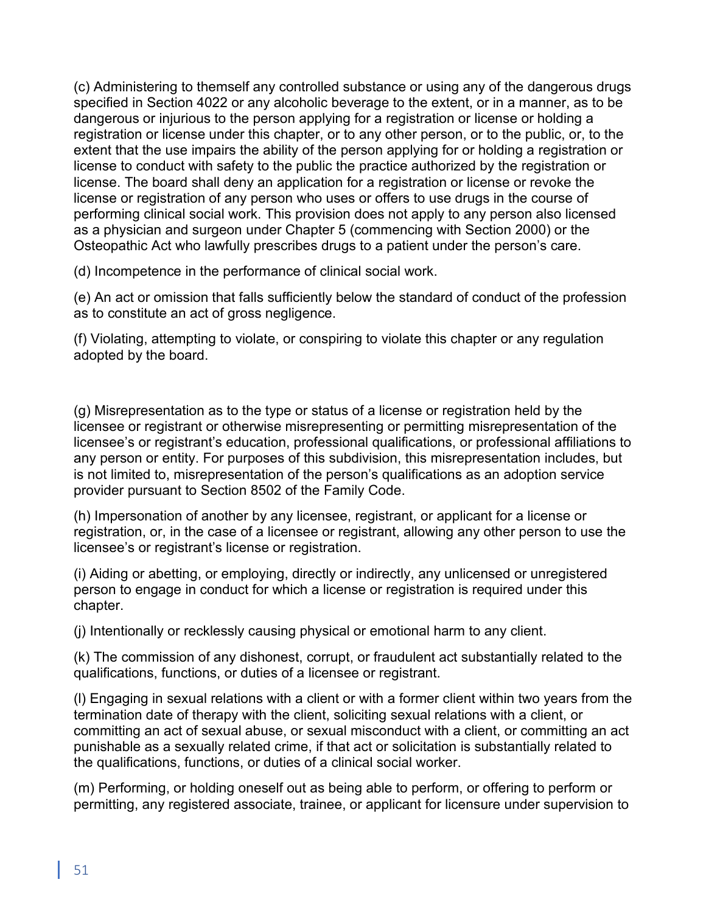(c) Administering to themself any controlled substance or using any of the dangerous drugs specified in Section 4022 or any alcoholic beverage to the extent, or in a manner, as to be dangerous or injurious to the person applying for a registration or license or holding a registration or license under this chapter, or to any other person, or to the public, or, to the extent that the use impairs the ability of the person applying for or holding a registration or license to conduct with safety to the public the practice authorized by the registration or license. The board shall deny an application for a registration or license or revoke the license or registration of any person who uses or offers to use drugs in the course of performing clinical social work. This provision does not apply to any person also licensed as a physician and surgeon under Chapter 5 (commencing with Section 2000) or the Osteopathic Act who lawfully prescribes drugs to a patient under the person's care.

(d) Incompetence in the performance of clinical social work.

(e) An act or omission that falls sufficiently below the standard of conduct of the profession as to constitute an act of gross negligence.

(f) Violating, attempting to violate, or conspiring to violate this chapter or any regulation adopted by the board.

(g) Misrepresentation as to the type or status of a license or registration held by the licensee or registrant or otherwise misrepresenting or permitting misrepresentation of the licensee's or registrant's education, professional qualifications, or professional affiliations to any person or entity. For purposes of this subdivision, this misrepresentation includes, but is not limited to, misrepresentation of the person's qualifications as an adoption service provider pursuant to Section 8502 of the Family Code.

(h) Impersonation of another by any licensee, registrant, or applicant for a license or registration, or, in the case of a licensee or registrant, allowing any other person to use the licensee's or registrant's license or registration.

(i) Aiding or abetting, or employing, directly or indirectly, any unlicensed or unregistered person to engage in conduct for which a license or registration is required under this chapter.

(j) Intentionally or recklessly causing physical or emotional harm to any client.

(k) The commission of any dishonest, corrupt, or fraudulent act substantially related to the qualifications, functions, or duties of a licensee or registrant.

(l) Engaging in sexual relations with a client or with a former client within two years from the termination date of therapy with the client, soliciting sexual relations with a client, or committing an act of sexual abuse, or sexual misconduct with a client, or committing an act punishable as a sexually related crime, if that act or solicitation is substantially related to the qualifications, functions, or duties of a clinical social worker.

(m) Performing, or holding oneself out as being able to perform, or offering to perform or permitting, any registered associate, trainee, or applicant for licensure under supervision to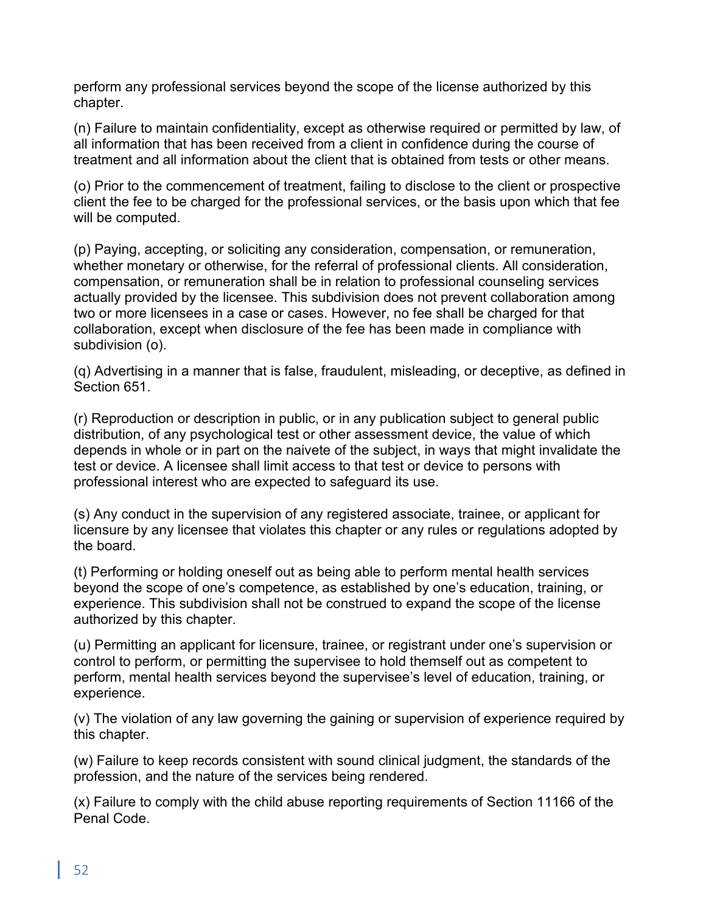perform any professional services beyond the scope of the license authorized by this chapter.

(n) Failure to maintain confidentiality, except as otherwise required or permitted by law, of all information that has been received from a client in confidence during the course of treatment and all information about the client that is obtained from tests or other means.

(o) Prior to the commencement of treatment, failing to disclose to the client or prospective client the fee to be charged for the professional services, or the basis upon which that fee will be computed.

(p) Paying, accepting, or soliciting any consideration, compensation, or remuneration, whether monetary or otherwise, for the referral of professional clients. All consideration, compensation, or remuneration shall be in relation to professional counseling services actually provided by the licensee. This subdivision does not prevent collaboration among two or more licensees in a case or cases. However, no fee shall be charged for that collaboration, except when disclosure of the fee has been made in compliance with subdivision (o).

(q) Advertising in a manner that is false, fraudulent, misleading, or deceptive, as defined in Section 651.

(r) Reproduction or description in public, or in any publication subject to general public distribution, of any psychological test or other assessment device, the value of which depends in whole or in part on the naivete of the subject, in ways that might invalidate the test or device. A licensee shall limit access to that test or device to persons with professional interest who are expected to safeguard its use.

(s) Any conduct in the supervision of any registered associate, trainee, or applicant for licensure by any licensee that violates this chapter or any rules or regulations adopted by the board.

(t) Performing or holding oneself out as being able to perform mental health services beyond the scope of one's competence, as established by one's education, training, or experience. This subdivision shall not be construed to expand the scope of the license authorized by this chapter.

(u) Permitting an applicant for licensure, trainee, or registrant under one's supervision or control to perform, or permitting the supervisee to hold themself out as competent to perform, mental health services beyond the supervisee's level of education, training, or experience.

(v) The violation of any law governing the gaining or supervision of experience required by this chapter.

(w) Failure to keep records consistent with sound clinical judgment, the standards of the profession, and the nature of the services being rendered.

(x) Failure to comply with the child abuse reporting requirements of Section 11166 of the Penal Code.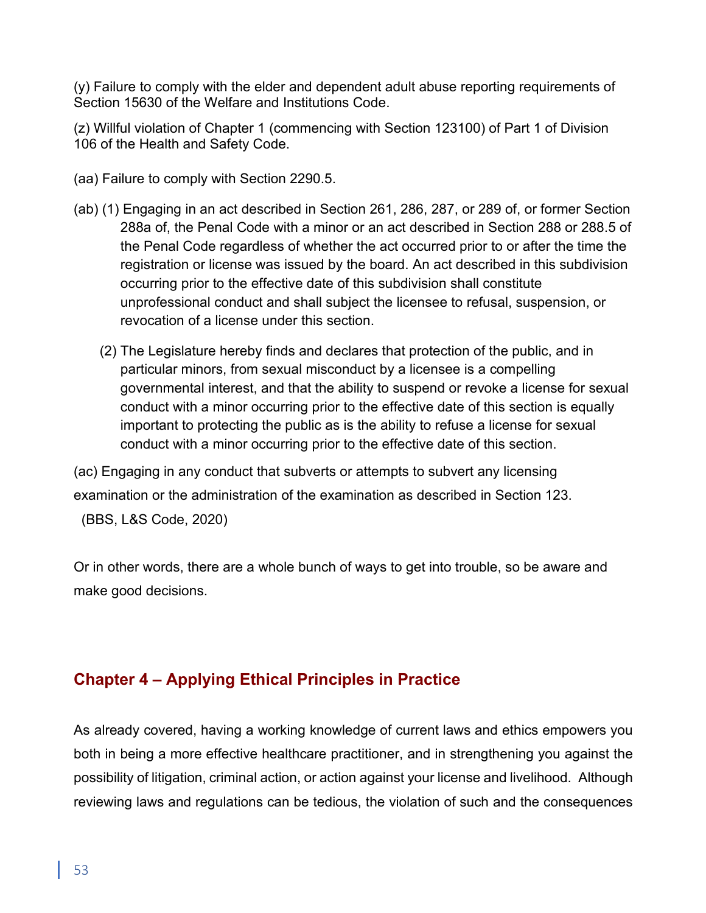(y) Failure to comply with the elder and dependent adult abuse reporting requirements of Section 15630 of the Welfare and Institutions Code.

(z) Willful violation of Chapter 1 (commencing with Section 123100) of Part 1 of Division 106 of the Health and Safety Code.

- (aa) Failure to comply with Section 2290.5.
- (ab) (1) Engaging in an act described in Section 261, 286, 287, or 289 of, or former Section 288a of, the Penal Code with a minor or an act described in Section 288 or 288.5 of the Penal Code regardless of whether the act occurred prior to or after the time the registration or license was issued by the board. An act described in this subdivision occurring prior to the effective date of this subdivision shall constitute unprofessional conduct and shall subject the licensee to refusal, suspension, or revocation of a license under this section.
	- (2) The Legislature hereby finds and declares that protection of the public, and in particular minors, from sexual misconduct by a licensee is a compelling governmental interest, and that the ability to suspend or revoke a license for sexual conduct with a minor occurring prior to the effective date of this section is equally important to protecting the public as is the ability to refuse a license for sexual conduct with a minor occurring prior to the effective date of this section.

(ac) Engaging in any conduct that subverts or attempts to subvert any licensing

examination or the administration of the examination as described in Section 123.

(BBS, L&S Code, 2020)

Or in other words, there are a whole bunch of ways to get into trouble, so be aware and make good decisions.

# **Chapter 4 – Applying Ethical Principles in Practice**

As already covered, having a working knowledge of current laws and ethics empowers you both in being a more effective healthcare practitioner, and in strengthening you against the possibility of litigation, criminal action, or action against your license and livelihood. Although reviewing laws and regulations can be tedious, the violation of such and the consequences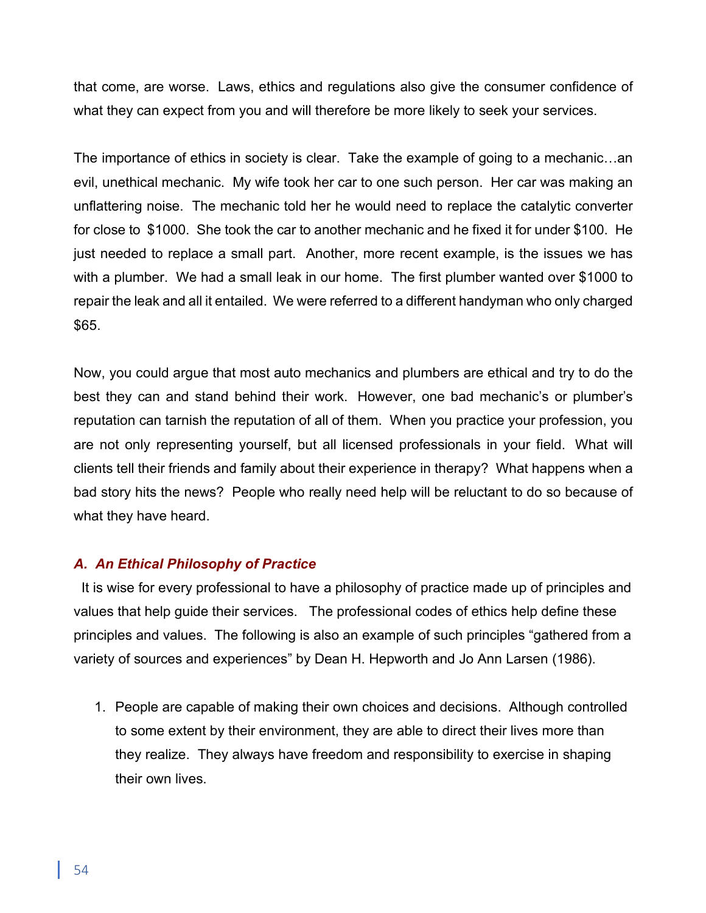that come, are worse. Laws, ethics and regulations also give the consumer confidence of what they can expect from you and will therefore be more likely to seek your services.

The importance of ethics in society is clear. Take the example of going to a mechanic…an evil, unethical mechanic. My wife took her car to one such person. Her car was making an unflattering noise. The mechanic told her he would need to replace the catalytic converter for close to \$1000. She took the car to another mechanic and he fixed it for under \$100. He just needed to replace a small part. Another, more recent example, is the issues we has with a plumber. We had a small leak in our home. The first plumber wanted over \$1000 to repair the leak and all it entailed. We were referred to a different handyman who only charged \$65.

Now, you could argue that most auto mechanics and plumbers are ethical and try to do the best they can and stand behind their work. However, one bad mechanic's or plumber's reputation can tarnish the reputation of all of them. When you practice your profession, you are not only representing yourself, but all licensed professionals in your field. What will clients tell their friends and family about their experience in therapy? What happens when a bad story hits the news? People who really need help will be reluctant to do so because of what they have heard.

### *A. An Ethical Philosophy of Practice*

 It is wise for every professional to have a philosophy of practice made up of principles and values that help guide their services. The professional codes of ethics help define these principles and values. The following is also an example of such principles "gathered from a variety of sources and experiences" by Dean H. Hepworth and Jo Ann Larsen (1986).

1. People are capable of making their own choices and decisions. Although controlled to some extent by their environment, they are able to direct their lives more than they realize. They always have freedom and responsibility to exercise in shaping their own lives.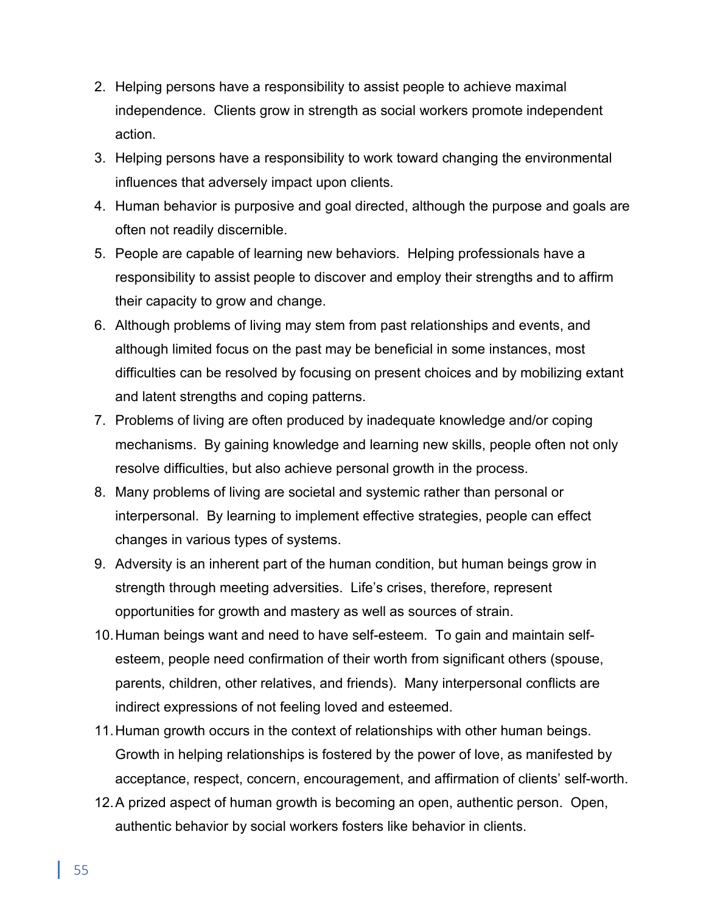- 2. Helping persons have a responsibility to assist people to achieve maximal independence. Clients grow in strength as social workers promote independent action.
- 3. Helping persons have a responsibility to work toward changing the environmental influences that adversely impact upon clients.
- 4. Human behavior is purposive and goal directed, although the purpose and goals are often not readily discernible.
- 5. People are capable of learning new behaviors. Helping professionals have a responsibility to assist people to discover and employ their strengths and to affirm their capacity to grow and change.
- 6. Although problems of living may stem from past relationships and events, and although limited focus on the past may be beneficial in some instances, most difficulties can be resolved by focusing on present choices and by mobilizing extant and latent strengths and coping patterns.
- 7. Problems of living are often produced by inadequate knowledge and/or coping mechanisms. By gaining knowledge and learning new skills, people often not only resolve difficulties, but also achieve personal growth in the process.
- 8. Many problems of living are societal and systemic rather than personal or interpersonal. By learning to implement effective strategies, people can effect changes in various types of systems.
- 9. Adversity is an inherent part of the human condition, but human beings grow in strength through meeting adversities. Life's crises, therefore, represent opportunities for growth and mastery as well as sources of strain.
- 10.Human beings want and need to have self-esteem. To gain and maintain selfesteem, people need confirmation of their worth from significant others (spouse, parents, children, other relatives, and friends). Many interpersonal conflicts are indirect expressions of not feeling loved and esteemed.
- 11.Human growth occurs in the context of relationships with other human beings. Growth in helping relationships is fostered by the power of love, as manifested by acceptance, respect, concern, encouragement, and affirmation of clients' self-worth.
- 12.A prized aspect of human growth is becoming an open, authentic person. Open, authentic behavior by social workers fosters like behavior in clients.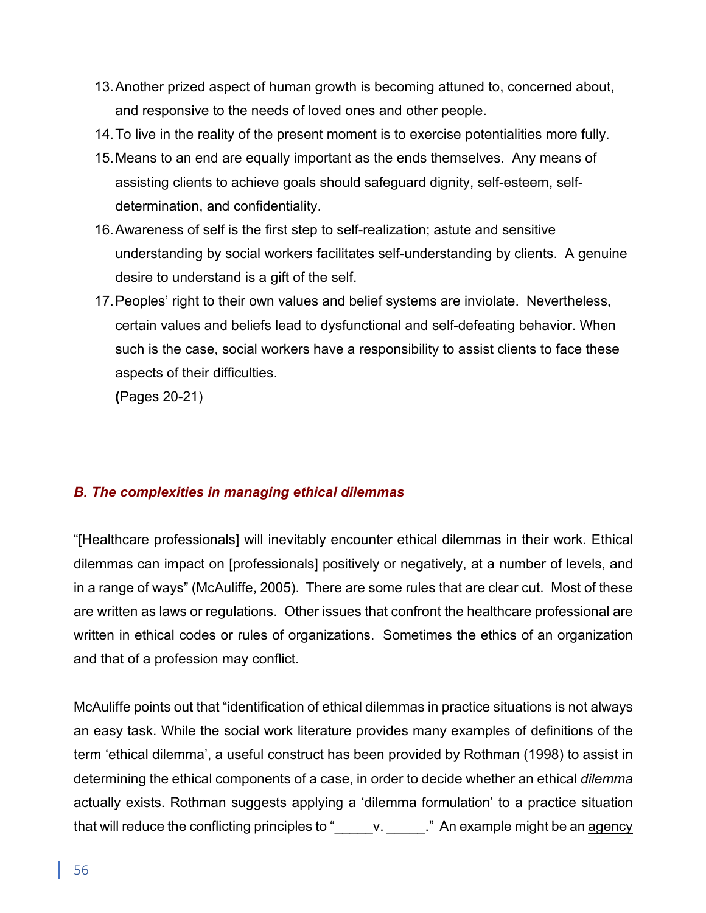- 13.Another prized aspect of human growth is becoming attuned to, concerned about, and responsive to the needs of loved ones and other people.
- 14.To live in the reality of the present moment is to exercise potentialities more fully.
- 15.Means to an end are equally important as the ends themselves. Any means of assisting clients to achieve goals should safeguard dignity, self-esteem, selfdetermination, and confidentiality.
- 16.Awareness of self is the first step to self-realization; astute and sensitive understanding by social workers facilitates self-understanding by clients. A genuine desire to understand is a gift of the self.
- 17.Peoples' right to their own values and belief systems are inviolate. Nevertheless, certain values and beliefs lead to dysfunctional and self-defeating behavior. When such is the case, social workers have a responsibility to assist clients to face these aspects of their difficulties.

**(**Pages 20-21)

## *B. The complexities in managing ethical dilemmas*

"[Healthcare professionals] will inevitably encounter ethical dilemmas in their work. Ethical dilemmas can impact on [professionals] positively or negatively, at a number of levels, and in a range of ways" (McAuliffe, 2005). There are some rules that are clear cut. Most of these are written as laws or regulations. Other issues that confront the healthcare professional are written in ethical codes or rules of organizations. Sometimes the ethics of an organization and that of a profession may conflict.

McAuliffe points out that "identification of ethical dilemmas in practice situations is not always an easy task. While the social work literature provides many examples of definitions of the term 'ethical dilemma', a useful construct has been provided by Rothman (1998) to assist in determining the ethical components of a case, in order to decide whether an ethical *dilemma* actually exists. Rothman suggests applying a 'dilemma formulation' to a practice situation that will reduce the conflicting principles to "\_\_\_\_\_\_v. \_\_\_\_\_." An example might be an agency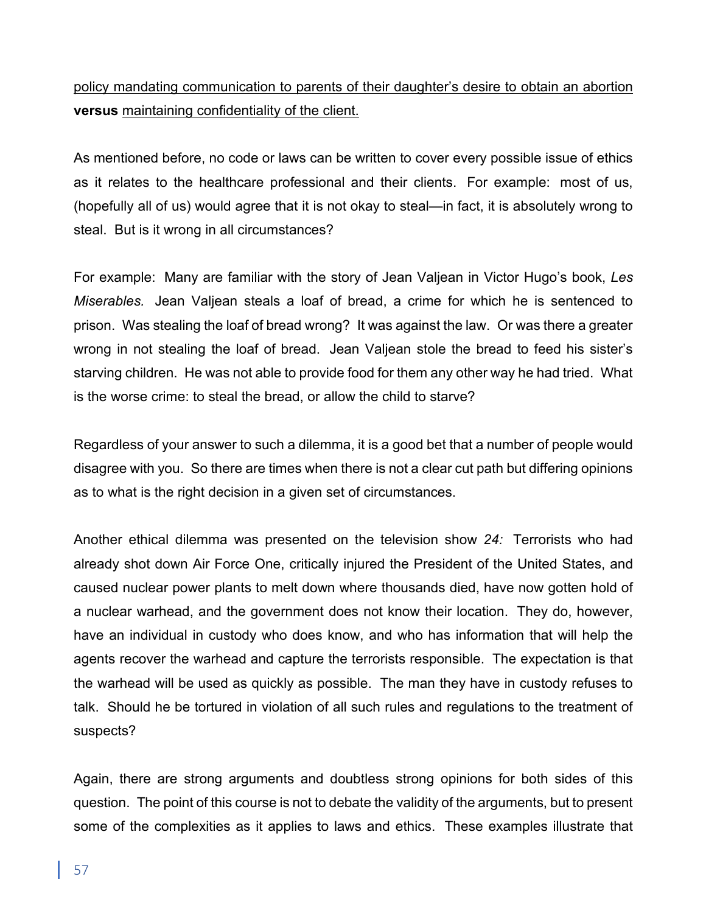# policy mandating communication to parents of their daughter's desire to obtain an abortion **versus** maintaining confidentiality of the client.

As mentioned before, no code or laws can be written to cover every possible issue of ethics as it relates to the healthcare professional and their clients. For example: most of us, (hopefully all of us) would agree that it is not okay to steal—in fact, it is absolutely wrong to steal. But is it wrong in all circumstances?

For example: Many are familiar with the story of Jean Valjean in Victor Hugo's book, *Les Miserables.* Jean Valjean steals a loaf of bread, a crime for which he is sentenced to prison. Was stealing the loaf of bread wrong? It was against the law. Or was there a greater wrong in not stealing the loaf of bread. Jean Valjean stole the bread to feed his sister's starving children. He was not able to provide food for them any other way he had tried. What is the worse crime: to steal the bread, or allow the child to starve?

Regardless of your answer to such a dilemma, it is a good bet that a number of people would disagree with you. So there are times when there is not a clear cut path but differing opinions as to what is the right decision in a given set of circumstances.

Another ethical dilemma was presented on the television show *24:* Terrorists who had already shot down Air Force One, critically injured the President of the United States, and caused nuclear power plants to melt down where thousands died, have now gotten hold of a nuclear warhead, and the government does not know their location. They do, however, have an individual in custody who does know, and who has information that will help the agents recover the warhead and capture the terrorists responsible. The expectation is that the warhead will be used as quickly as possible. The man they have in custody refuses to talk. Should he be tortured in violation of all such rules and regulations to the treatment of suspects?

Again, there are strong arguments and doubtless strong opinions for both sides of this question. The point of this course is not to debate the validity of the arguments, but to present some of the complexities as it applies to laws and ethics. These examples illustrate that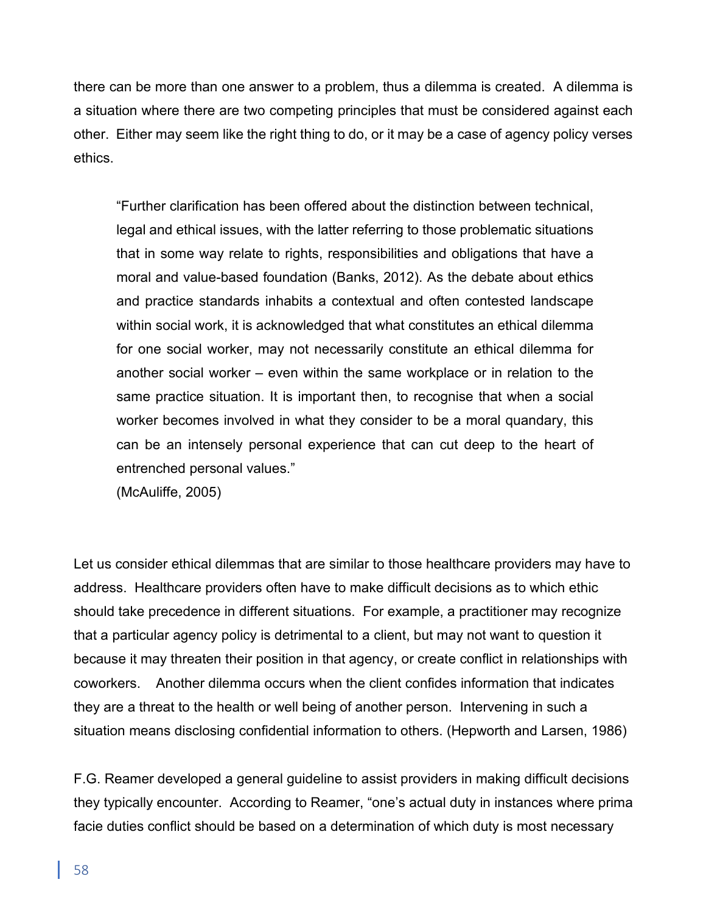there can be more than one answer to a problem, thus a dilemma is created. A dilemma is a situation where there are two competing principles that must be considered against each other. Either may seem like the right thing to do, or it may be a case of agency policy verses ethics.

"Further clarification has been offered about the distinction between technical, legal and ethical issues, with the latter referring to those problematic situations that in some way relate to rights, responsibilities and obligations that have a moral and value-based foundation (Banks, 2012). As the debate about ethics and practice standards inhabits a contextual and often contested landscape within social work, it is acknowledged that what constitutes an ethical dilemma for one social worker, may not necessarily constitute an ethical dilemma for another social worker – even within the same workplace or in relation to the same practice situation. It is important then, to recognise that when a social worker becomes involved in what they consider to be a moral quandary, this can be an intensely personal experience that can cut deep to the heart of entrenched personal values."

(McAuliffe, 2005)

Let us consider ethical dilemmas that are similar to those healthcare providers may have to address. Healthcare providers often have to make difficult decisions as to which ethic should take precedence in different situations. For example, a practitioner may recognize that a particular agency policy is detrimental to a client, but may not want to question it because it may threaten their position in that agency, or create conflict in relationships with coworkers. Another dilemma occurs when the client confides information that indicates they are a threat to the health or well being of another person. Intervening in such a situation means disclosing confidential information to others. (Hepworth and Larsen, 1986)

F.G. Reamer developed a general guideline to assist providers in making difficult decisions they typically encounter. According to Reamer, "one's actual duty in instances where prima facie duties conflict should be based on a determination of which duty is most necessary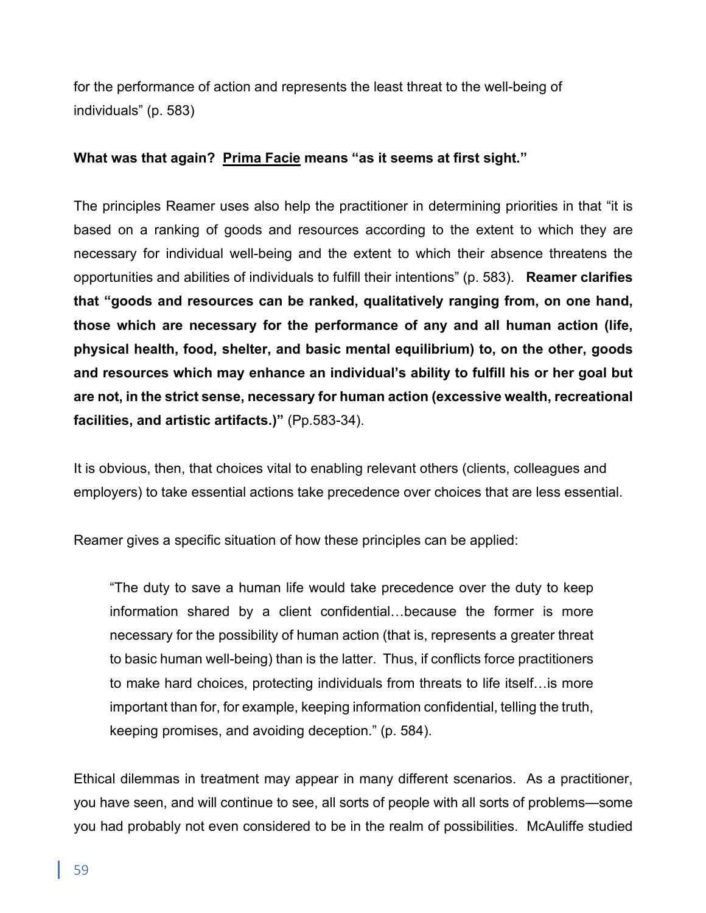for the performance of action and represents the least threat to the well-being of individuals" (p. 583)

### **What was that again? Prima Facie means "as it seems at first sight."**

The principles Reamer uses also help the practitioner in determining priorities in that "it is based on a ranking of goods and resources according to the extent to which they are necessary for individual well-being and the extent to which their absence threatens the opportunities and abilities of individuals to fulfill their intentions" (p. 583). **Reamer clarifies that "goods and resources can be ranked, qualitatively ranging from, on one hand, those which are necessary for the performance of any and all human action (life, physical health, food, shelter, and basic mental equilibrium) to, on the other, goods and resources which may enhance an individual's ability to fulfill his or her goal but are not, in the strict sense, necessary for human action (excessive wealth, recreational facilities, and artistic artifacts.)"** (Pp.583-34).

It is obvious, then, that choices vital to enabling relevant others (clients, colleagues and employers) to take essential actions take precedence over choices that are less essential.

Reamer gives a specific situation of how these principles can be applied:

"The duty to save a human life would take precedence over the duty to keep information shared by a client confidential…because the former is more necessary for the possibility of human action (that is, represents a greater threat to basic human well-being) than is the latter. Thus, if conflicts force practitioners to make hard choices, protecting individuals from threats to life itself…is more important than for, for example, keeping information confidential, telling the truth, keeping promises, and avoiding deception." (p. 584).

Ethical dilemmas in treatment may appear in many different scenarios. As a practitioner, you have seen, and will continue to see, all sorts of people with all sorts of problems—some you had probably not even considered to be in the realm of possibilities. McAuliffe studied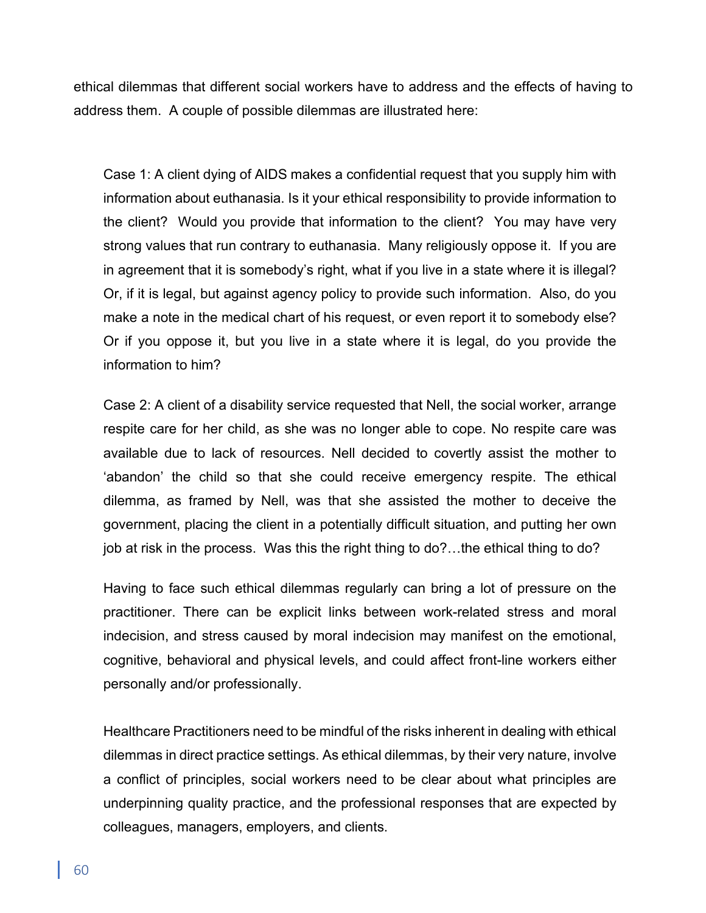ethical dilemmas that different social workers have to address and the effects of having to address them. A couple of possible dilemmas are illustrated here:

Case 1: A client dying of AIDS makes a confidential request that you supply him with information about euthanasia. Is it your ethical responsibility to provide information to the client? Would you provide that information to the client? You may have very strong values that run contrary to euthanasia. Many religiously oppose it. If you are in agreement that it is somebody's right, what if you live in a state where it is illegal? Or, if it is legal, but against agency policy to provide such information. Also, do you make a note in the medical chart of his request, or even report it to somebody else? Or if you oppose it, but you live in a state where it is legal, do you provide the information to him?

Case 2: A client of a disability service requested that Nell, the social worker, arrange respite care for her child, as she was no longer able to cope. No respite care was available due to lack of resources. Nell decided to covertly assist the mother to 'abandon' the child so that she could receive emergency respite. The ethical dilemma, as framed by Nell, was that she assisted the mother to deceive the government, placing the client in a potentially difficult situation, and putting her own job at risk in the process. Was this the right thing to do?…the ethical thing to do?

Having to face such ethical dilemmas regularly can bring a lot of pressure on the practitioner. There can be explicit links between work-related stress and moral indecision, and stress caused by moral indecision may manifest on the emotional, cognitive, behavioral and physical levels, and could affect front-line workers either personally and/or professionally.

Healthcare Practitioners need to be mindful of the risks inherent in dealing with ethical dilemmas in direct practice settings. As ethical dilemmas, by their very nature, involve a conflict of principles, social workers need to be clear about what principles are underpinning quality practice, and the professional responses that are expected by colleagues, managers, employers, and clients.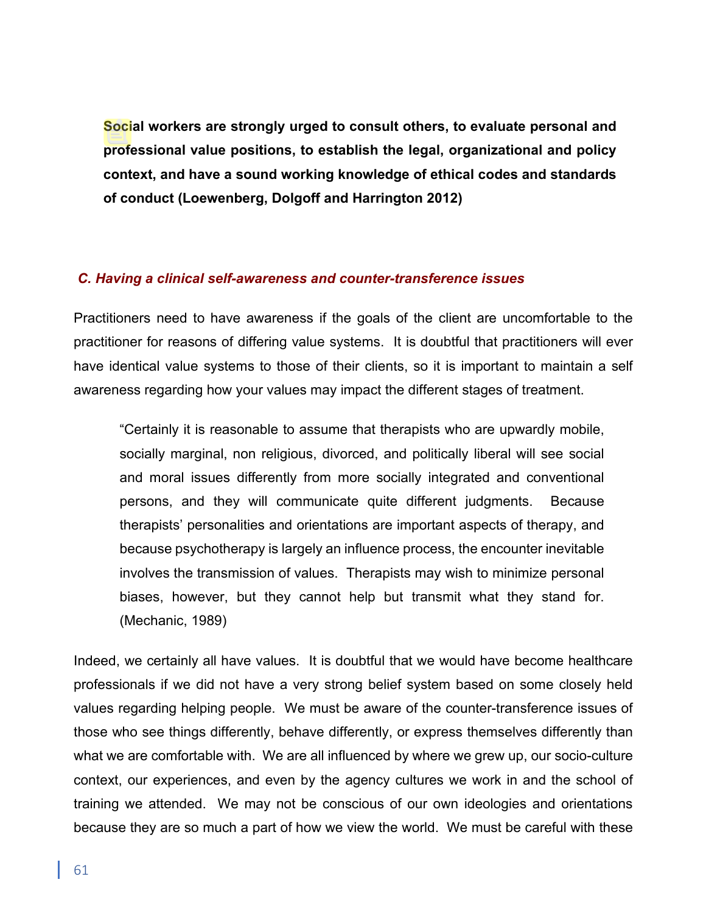**Social workers are strongly urged to consult others, to evaluate personal and professional value positions, to establish the legal, organizational and policy context, and have a sound working knowledge of ethical codes and standards of conduct (Loewenberg, Dolgoff and Harrington 2012)** 

### *C. Having a clinical self-awareness and counter-transference issues*

Practitioners need to have awareness if the goals of the client are uncomfortable to the practitioner for reasons of differing value systems. It is doubtful that practitioners will ever have identical value systems to those of their clients, so it is important to maintain a self awareness regarding how your values may impact the different stages of treatment.

"Certainly it is reasonable to assume that therapists who are upwardly mobile, socially marginal, non religious, divorced, and politically liberal will see social and moral issues differently from more socially integrated and conventional persons, and they will communicate quite different judgments. Because therapists' personalities and orientations are important aspects of therapy, and because psychotherapy is largely an influence process, the encounter inevitable involves the transmission of values. Therapists may wish to minimize personal biases, however, but they cannot help but transmit what they stand for. (Mechanic, 1989)

Indeed, we certainly all have values. It is doubtful that we would have become healthcare professionals if we did not have a very strong belief system based on some closely held values regarding helping people. We must be aware of the counter-transference issues of those who see things differently, behave differently, or express themselves differently than what we are comfortable with. We are all influenced by where we grew up, our socio-culture context, our experiences, and even by the agency cultures we work in and the school of training we attended. We may not be conscious of our own ideologies and orientations because they are so much a part of how we view the world. We must be careful with these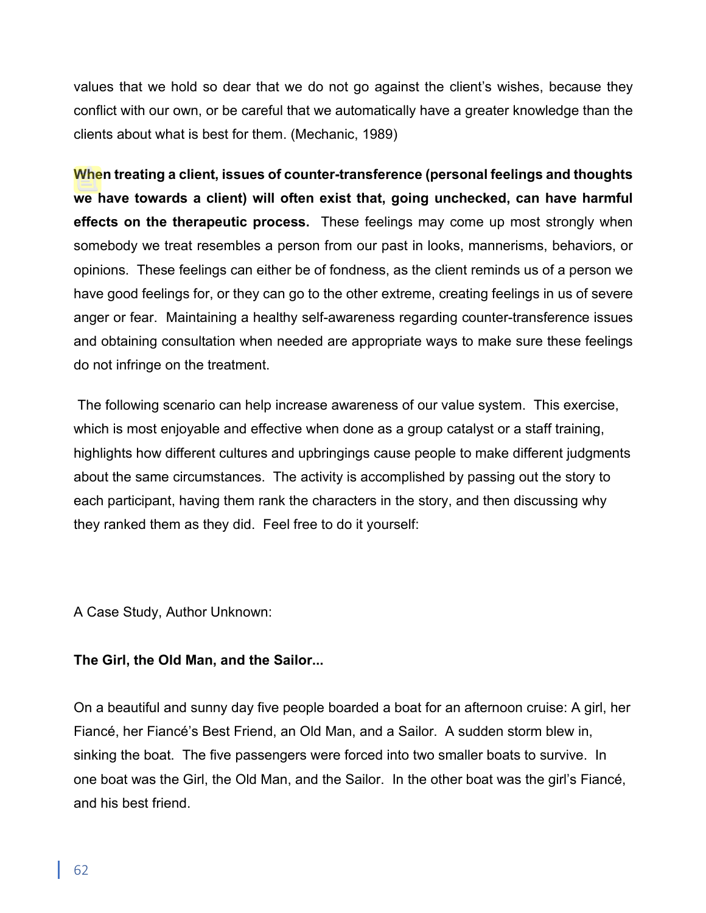values that we hold so dear that we do not go against the client's wishes, because they conflict with our own, or be careful that we automatically have a greater knowledge than the clients about what is best for them. (Mechanic, 1989)

**When treating a client, issues of counter-transference (personal feelings and thoughts we have towards a client) will often exist that, going unchecked, can have harmful effects on the therapeutic process.** These feelings may come up most strongly when somebody we treat resembles a person from our past in looks, mannerisms, behaviors, or opinions. These feelings can either be of fondness, as the client reminds us of a person we have good feelings for, or they can go to the other extreme, creating feelings in us of severe anger or fear. Maintaining a healthy self-awareness regarding counter-transference issues and obtaining consultation when needed are appropriate ways to make sure these feelings do not infringe on the treatment.

The following scenario can help increase awareness of our value system. This exercise, which is most enjoyable and effective when done as a group catalyst or a staff training, highlights how different cultures and upbringings cause people to make different judgments about the same circumstances. The activity is accomplished by passing out the story to each participant, having them rank the characters in the story, and then discussing why they ranked them as they did. Feel free to do it yourself:

A Case Study, Author Unknown:

### **The Girl, the Old Man, and the Sailor...**

On a beautiful and sunny day five people boarded a boat for an afternoon cruise: A girl, her Fiancé, her Fiancé's Best Friend, an Old Man, and a Sailor. A sudden storm blew in, sinking the boat. The five passengers were forced into two smaller boats to survive. In one boat was the Girl, the Old Man, and the Sailor. In the other boat was the girl's Fiancé, and his best friend.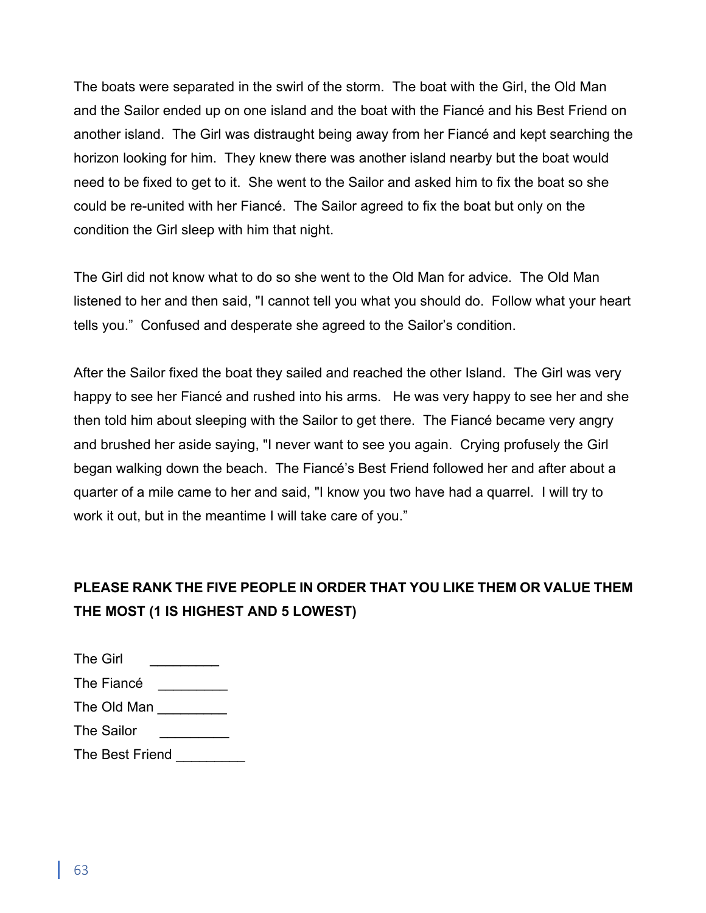The boats were separated in the swirl of the storm. The boat with the Girl, the Old Man and the Sailor ended up on one island and the boat with the Fiancé and his Best Friend on another island. The Girl was distraught being away from her Fiancé and kept searching the horizon looking for him. They knew there was another island nearby but the boat would need to be fixed to get to it. She went to the Sailor and asked him to fix the boat so she could be re-united with her Fiancé. The Sailor agreed to fix the boat but only on the condition the Girl sleep with him that night.

The Girl did not know what to do so she went to the Old Man for advice. The Old Man listened to her and then said, "I cannot tell you what you should do. Follow what your heart tells you." Confused and desperate she agreed to the Sailor's condition.

After the Sailor fixed the boat they sailed and reached the other Island. The Girl was very happy to see her Fiancé and rushed into his arms. He was very happy to see her and she then told him about sleeping with the Sailor to get there. The Fiancé became very angry and brushed her aside saying, "I never want to see you again. Crying profusely the Girl began walking down the beach. The Fiancé's Best Friend followed her and after about a quarter of a mile came to her and said, "I know you two have had a quarrel. I will try to work it out, but in the meantime I will take care of you."

# **PLEASE RANK THE FIVE PEOPLE IN ORDER THAT YOU LIKE THEM OR VALUE THEM THE MOST (1 IS HIGHEST AND 5 LOWEST)**

| The Girl          |  |
|-------------------|--|
| The Fiancé        |  |
| The Old Man       |  |
| <b>The Sailor</b> |  |
| The Best Friend   |  |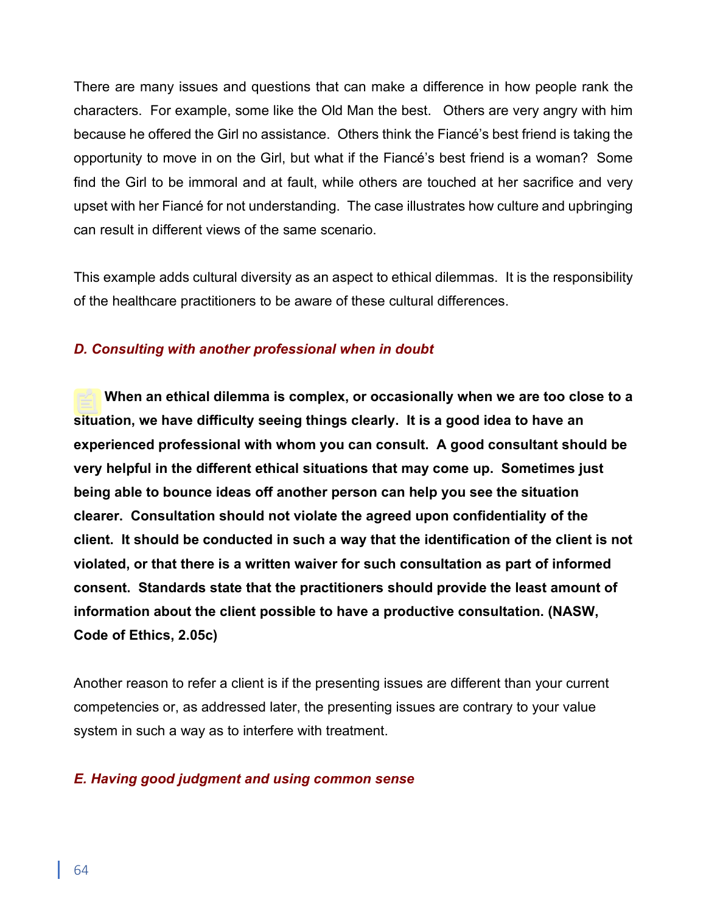There are many issues and questions that can make a difference in how people rank the characters. For example, some like the Old Man the best. Others are very angry with him because he offered the Girl no assistance. Others think the Fiancé's best friend is taking the opportunity to move in on the Girl, but what if the Fiancé's best friend is a woman? Some find the Girl to be immoral and at fault, while others are touched at her sacrifice and very upset with her Fiancé for not understanding. The case illustrates how culture and upbringing can result in different views of the same scenario.

This example adds cultural diversity as an aspect to ethical dilemmas. It is the responsibility of the healthcare practitioners to be aware of these cultural differences.

### *D. Consulting with another professional when in doubt*

 **When an ethical dilemma is complex, or occasionally when we are too close to a situation, we have difficulty seeing things clearly. It is a good idea to have an experienced professional with whom you can consult. A good consultant should be very helpful in the different ethical situations that may come up. Sometimes just being able to bounce ideas off another person can help you see the situation clearer. Consultation should not violate the agreed upon confidentiality of the client. It should be conducted in such a way that the identification of the client is not violated, or that there is a written waiver for such consultation as part of informed consent. Standards state that the practitioners should provide the least amount of information about the client possible to have a productive consultation. (NASW, Code of Ethics, 2.05c)**

Another reason to refer a client is if the presenting issues are different than your current competencies or, as addressed later, the presenting issues are contrary to your value system in such a way as to interfere with treatment.

#### *E. Having good judgment and using common sense*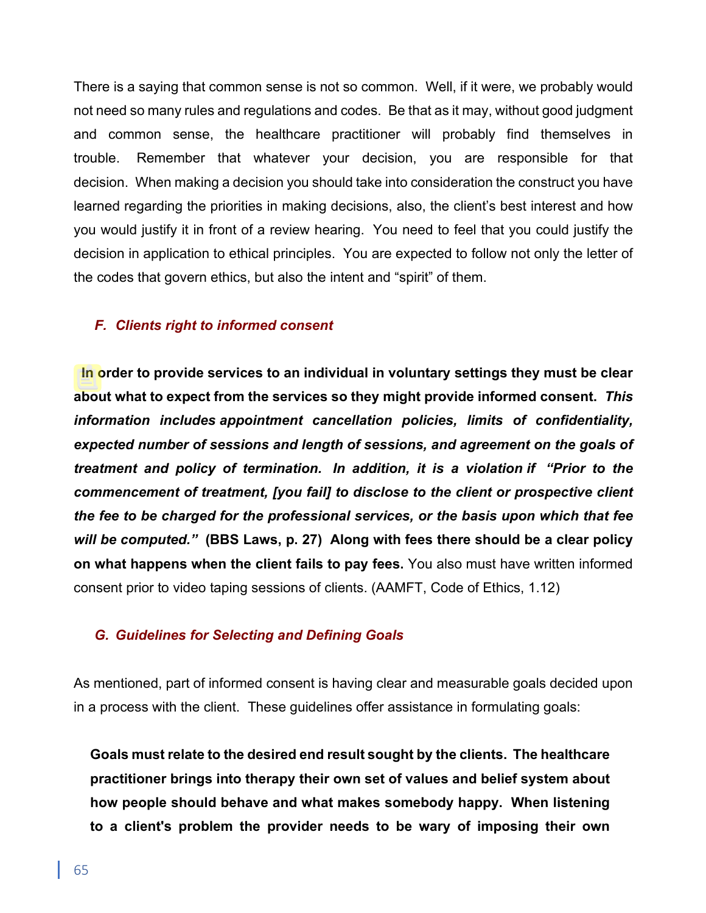There is a saying that common sense is not so common. Well, if it were, we probably would not need so many rules and regulations and codes. Be that as it may, without good judgment and common sense, the healthcare practitioner will probably find themselves in trouble. Remember that whatever your decision, you are responsible for that decision. When making a decision you should take into consideration the construct you have learned regarding the priorities in making decisions, also, the client's best interest and how you would justify it in front of a review hearing. You need to feel that you could justify the decision in application to ethical principles. You are expected to follow not only the letter of the codes that govern ethics, but also the intent and "spirit" of them.

### *F. Clients right to informed consent*

**In order to provide services to an individual in voluntary settings they must be clear about what to expect from the services so they might provide informed consent.** *This information includes appointment cancellation policies, limits of confidentiality, expected number of sessions and length of sessions, and agreement on the goals of treatment and policy of termination. In addition, it is a violation if "Prior to the commencement of treatment, [you fail] to disclose to the client or prospective client the fee to be charged for the professional services, or the basis upon which that fee will be computed."* **(BBS Laws, p. 27) Along with fees there should be a clear policy on what happens when the client fails to pay fees.** You also must have written informed consent prior to video taping sessions of clients. (AAMFT, Code of Ethics, 1.12)

### *G. Guidelines for Selecting and Defining Goals*

As mentioned, part of informed consent is having clear and measurable goals decided upon in a process with the client. These guidelines offer assistance in formulating goals:

**Goals must relate to the desired end result sought by the clients. The healthcare practitioner brings into therapy their own set of values and belief system about how people should behave and what makes somebody happy. When listening to a client's problem the provider needs to be wary of imposing their own**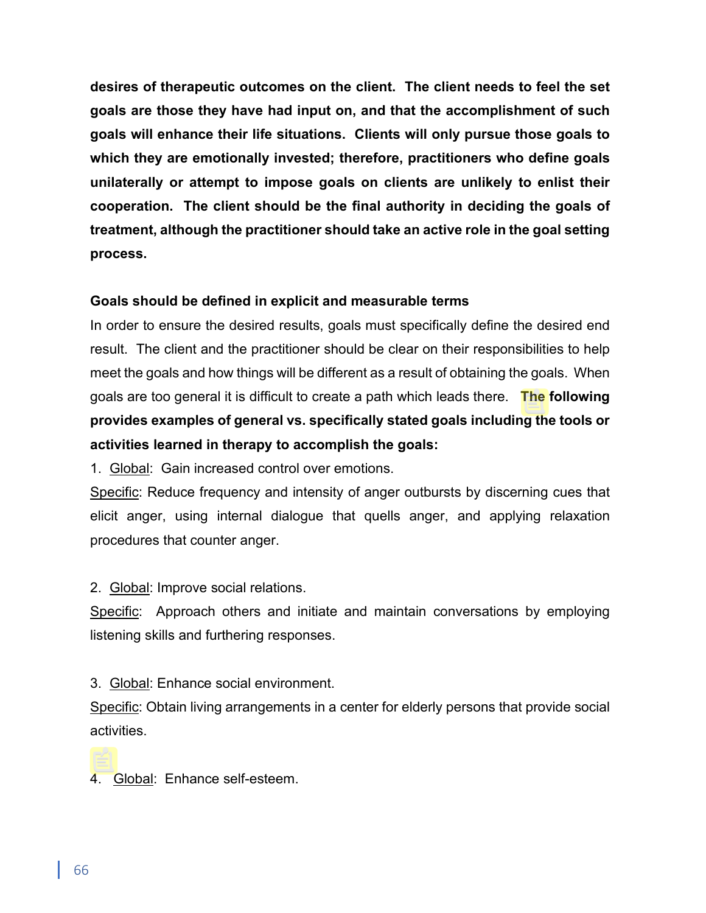**desires of therapeutic outcomes on the client. The client needs to feel the set goals are those they have had input on, and that the accomplishment of such goals will enhance their life situations. Clients will only pursue those goals to which they are emotionally invested; therefore, practitioners who define goals unilaterally or attempt to impose goals on clients are unlikely to enlist their cooperation. The client should be the final authority in deciding the goals of treatment, although the practitioner should take an active role in the goal setting process.** 

### **Goals should be defined in explicit and measurable terms**

In order to ensure the desired results, goals must specifically define the desired end result. The client and the practitioner should be clear on their responsibilities to help meet the goals and how things will be different as a result of obtaining the goals. When goals are too general it is difficult to create a path which leads there. **The following provides examples of general vs. specifically stated goals including the tools or activities learned in therapy to accomplish the goals:**

1. Global: Gain increased control over emotions.

Specific: Reduce frequency and intensity of anger outbursts by discerning cues that elicit anger, using internal dialogue that quells anger, and applying relaxation procedures that counter anger.

2. Global: Improve social relations.

Specific: Approach others and initiate and maintain conversations by employing listening skills and furthering responses.

3. Global: Enhance social environment.

Specific: Obtain living arrangements in a center for elderly persons that provide social activities.

4. Global: Enhance self-esteem.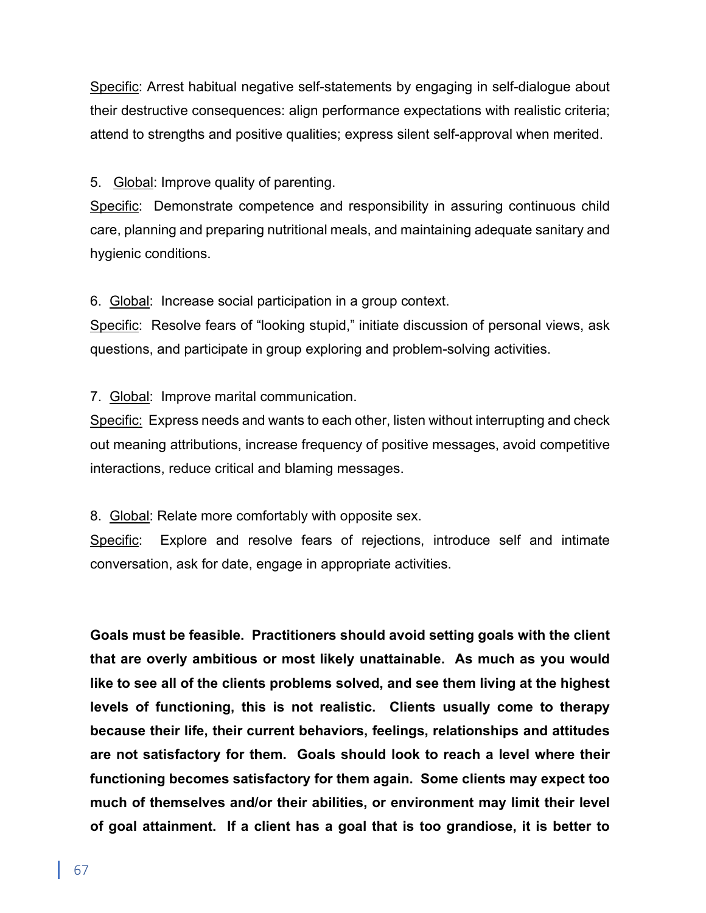Specific: Arrest habitual negative self-statements by engaging in self-dialogue about their destructive consequences: align performance expectations with realistic criteria; attend to strengths and positive qualities; express silent self-approval when merited.

### 5. Global: Improve quality of parenting.

Specific: Demonstrate competence and responsibility in assuring continuous child care, planning and preparing nutritional meals, and maintaining adequate sanitary and hygienic conditions.

### 6. Global: Increase social participation in a group context.

Specific: Resolve fears of "looking stupid," initiate discussion of personal views, ask questions, and participate in group exploring and problem-solving activities.

### 7. Global: Improve marital communication.

Specific: Express needs and wants to each other, listen without interrupting and check out meaning attributions, increase frequency of positive messages, avoid competitive interactions, reduce critical and blaming messages.

8. Global: Relate more comfortably with opposite sex.

Specific: Explore and resolve fears of rejections, introduce self and intimate conversation, ask for date, engage in appropriate activities.

**Goals must be feasible. Practitioners should avoid setting goals with the client that are overly ambitious or most likely unattainable. As much as you would like to see all of the clients problems solved, and see them living at the highest levels of functioning, this is not realistic. Clients usually come to therapy because their life, their current behaviors, feelings, relationships and attitudes are not satisfactory for them. Goals should look to reach a level where their functioning becomes satisfactory for them again. Some clients may expect too much of themselves and/or their abilities, or environment may limit their level of goal attainment. If a client has a goal that is too grandiose, it is better to**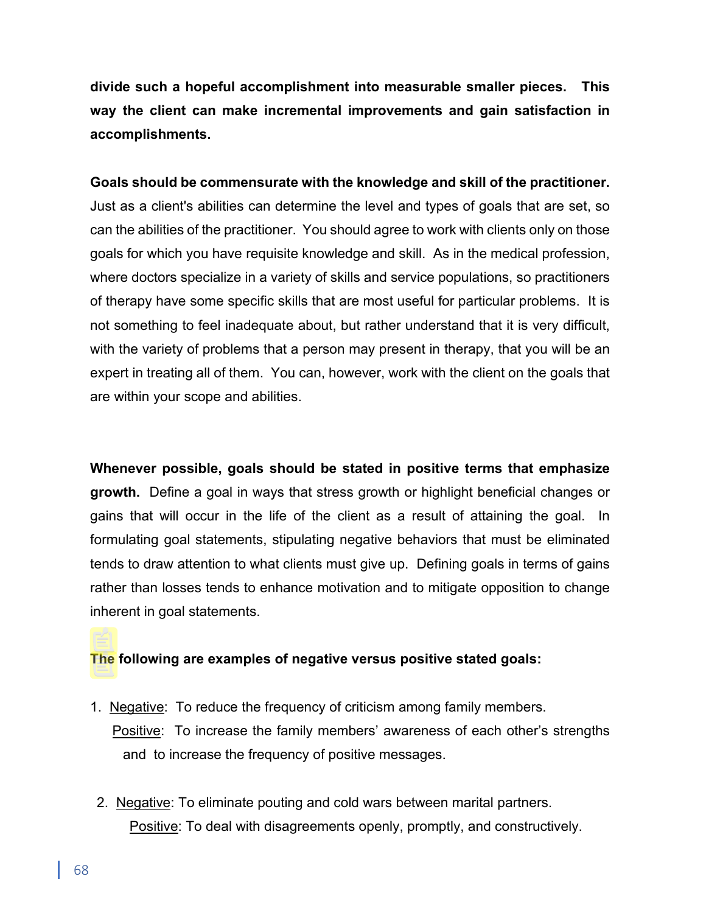**divide such a hopeful accomplishment into measurable smaller pieces. This way the client can make incremental improvements and gain satisfaction in accomplishments.**

### **Goals should be commensurate with the knowledge and skill of the practitioner.**

Just as a client's abilities can determine the level and types of goals that are set, so can the abilities of the practitioner. You should agree to work with clients only on those goals for which you have requisite knowledge and skill. As in the medical profession, where doctors specialize in a variety of skills and service populations, so practitioners of therapy have some specific skills that are most useful for particular problems. It is not something to feel inadequate about, but rather understand that it is very difficult, with the variety of problems that a person may present in therapy, that you will be an expert in treating all of them. You can, however, work with the client on the goals that are within your scope and abilities.

**Whenever possible, goals should be stated in positive terms that emphasize growth.** Define a goal in ways that stress growth or highlight beneficial changes or gains that will occur in the life of the client as a result of attaining the goal. In formulating goal statements, stipulating negative behaviors that must be eliminated tends to draw attention to what clients must give up. Defining goals in terms of gains rather than losses tends to enhance motivation and to mitigate opposition to change inherent in goal statements.

#### **The following are examples of negative versus positive stated goals:**

- 1. Negative: To reduce the frequency of criticism among family members. Positive: To increase the family members' awareness of each other's strengths and to increase the frequency of positive messages.
- 2. Negative: To eliminate pouting and cold wars between marital partners. Positive: To deal with disagreements openly, promptly, and constructively.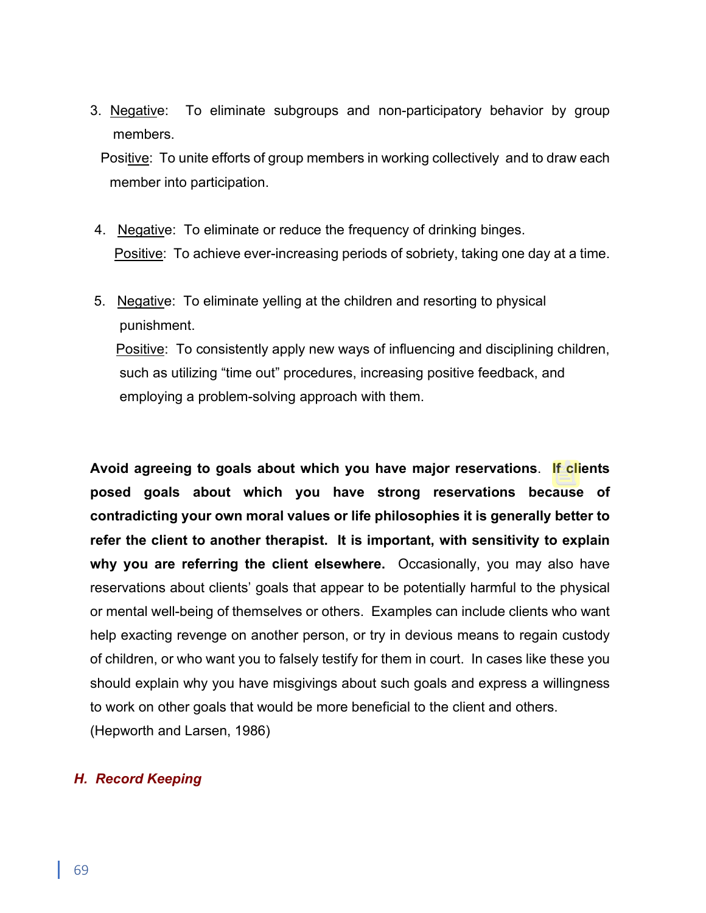3. Negative: To eliminate subgroups and non-participatory behavior by group members.

 Positive: To unite efforts of group members in working collectively and to draw each member into participation.

- 4. Negative: To eliminate or reduce the frequency of drinking binges. Positive: To achieve ever-increasing periods of sobriety, taking one day at a time.
- 5. Negative: To eliminate yelling at the children and resorting to physical punishment.

 Positive: To consistently apply new ways of influencing and disciplining children, such as utilizing "time out" procedures, increasing positive feedback, and employing a problem-solving approach with them.

**Avoid agreeing to goals about which you have major reservations**. **If clients posed goals about which you have strong reservations because of contradicting your own moral values or life philosophies it is generally better to refer the client to another therapist. It is important, with sensitivity to explain why you are referring the client elsewhere.** Occasionally, you may also have reservations about clients' goals that appear to be potentially harmful to the physical or mental well-being of themselves or others. Examples can include clients who want help exacting revenge on another person, or try in devious means to regain custody of children, or who want you to falsely testify for them in court. In cases like these you should explain why you have misgivings about such goals and express a willingness to work on other goals that would be more beneficial to the client and others. (Hepworth and Larsen, 1986)

### *H. Record Keeping*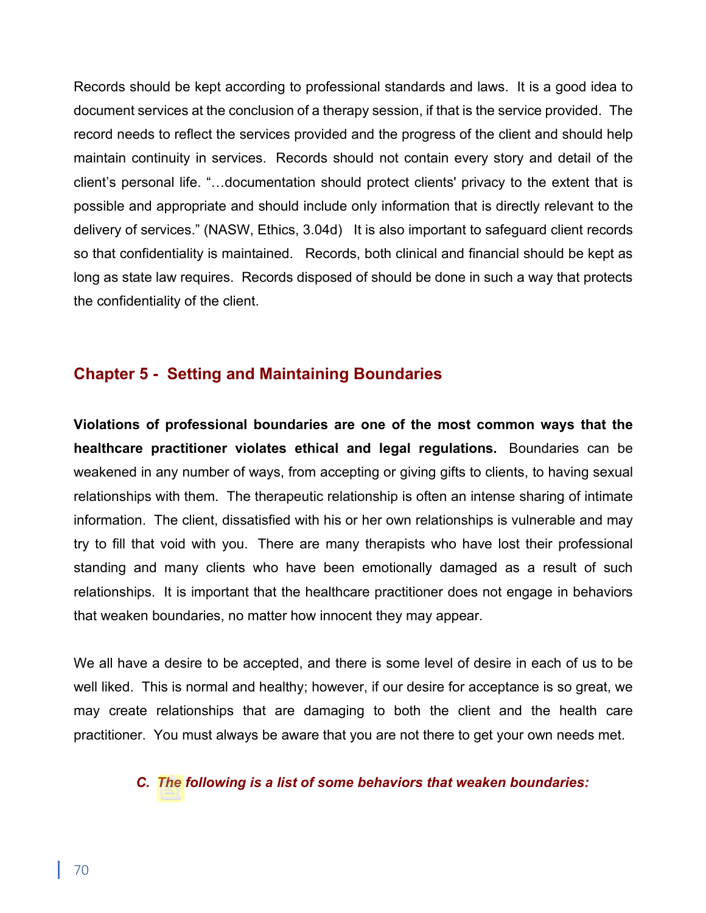Records should be kept according to professional standards and laws. It is a good idea to document services at the conclusion of a therapy session, if that is the service provided. The record needs to reflect the services provided and the progress of the client and should help maintain continuity in services. Records should not contain every story and detail of the client's personal life. "…documentation should protect clients' privacy to the extent that is possible and appropriate and should include only information that is directly relevant to the delivery of services." (NASW, Ethics, 3.04d) It is also important to safeguard client records so that confidentiality is maintained. Records, both clinical and financial should be kept as long as state law requires. Records disposed of should be done in such a way that protects the confidentiality of the client.

# **Chapter 5 - Setting and Maintaining Boundaries**

**Violations of professional boundaries are one of the most common ways that the healthcare practitioner violates ethical and legal regulations.** Boundaries can be weakened in any number of ways, from accepting or giving gifts to clients, to having sexual relationships with them. The therapeutic relationship is often an intense sharing of intimate information. The client, dissatisfied with his or her own relationships is vulnerable and may try to fill that void with you. There are many therapists who have lost their professional standing and many clients who have been emotionally damaged as a result of such relationships. It is important that the healthcare practitioner does not engage in behaviors that weaken boundaries, no matter how innocent they may appear.

We all have a desire to be accepted, and there is some level of desire in each of us to be well liked. This is normal and healthy; however, if our desire for acceptance is so great, we may create relationships that are damaging to both the client and the health care practitioner. You must always be aware that you are not there to get your own needs met.

### *C. The following is a list of some behaviors that weaken boundaries:*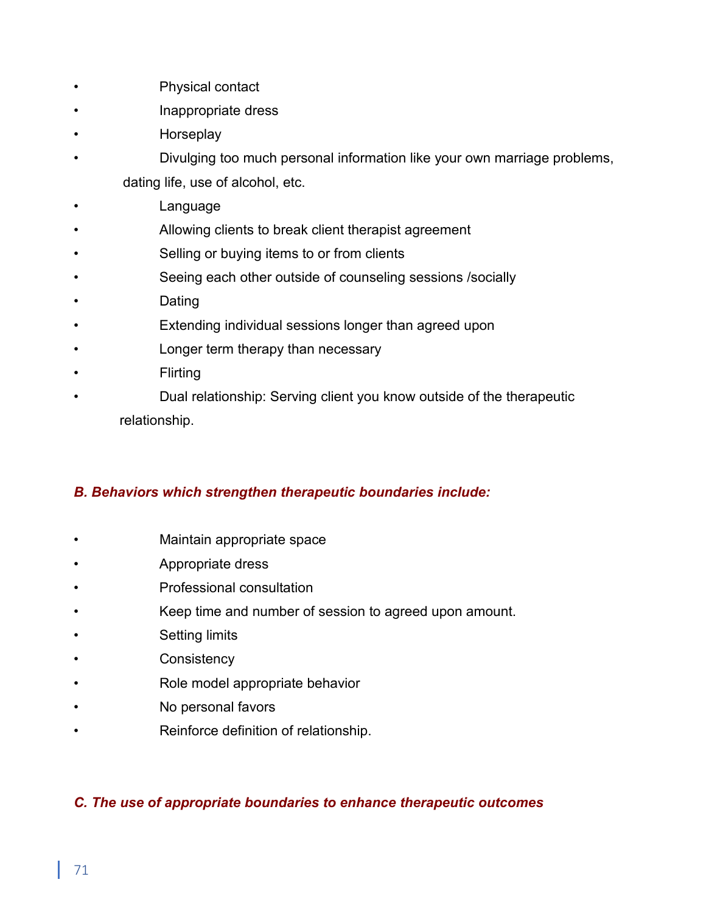- Physical contact
- Inappropriate dress
- Horseplay
- Divulging too much personal information like your own marriage problems, dating life, use of alcohol, etc.
- Language
- Allowing clients to break client therapist agreement
- Selling or buying items to or from clients
- Seeing each other outside of counseling sessions /socially
- Dating
- Extending individual sessions longer than agreed upon
- Longer term therapy than necessary
- Flirting
- Dual relationship: Serving client you know outside of the therapeutic relationship.

## *B. Behaviors which strengthen therapeutic boundaries include:*

- Maintain appropriate space
- Appropriate dress
- Professional consultation
- Keep time and number of session to agreed upon amount.
- Setting limits
- **Consistency**
- Role model appropriate behavior
- No personal favors
- Reinforce definition of relationship.

#### *C. The use of appropriate boundaries to enhance therapeutic outcomes*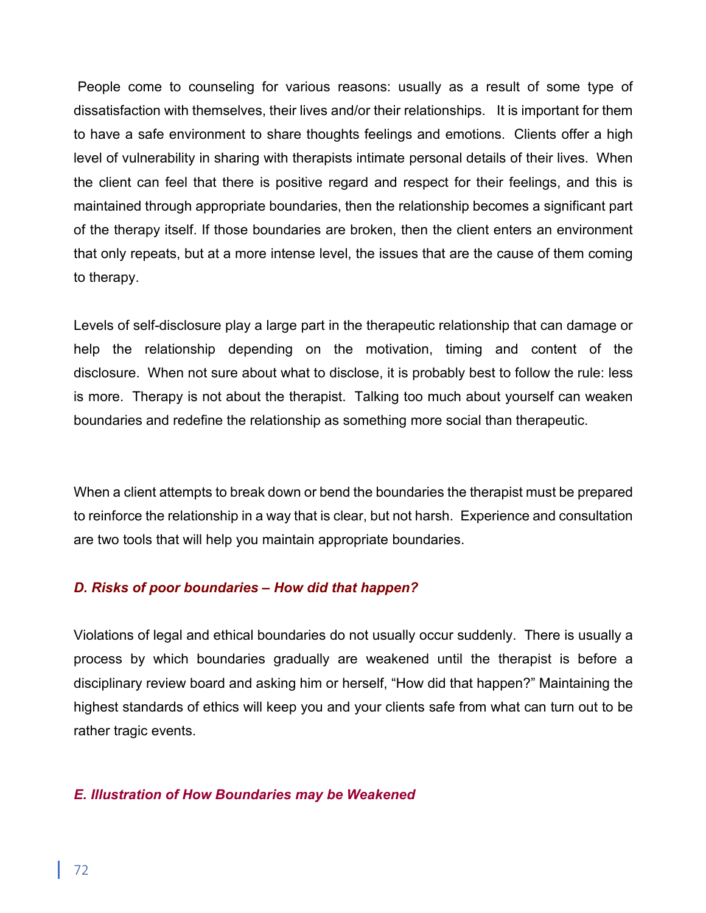People come to counseling for various reasons: usually as a result of some type of dissatisfaction with themselves, their lives and/or their relationships. It is important for them to have a safe environment to share thoughts feelings and emotions. Clients offer a high level of vulnerability in sharing with therapists intimate personal details of their lives. When the client can feel that there is positive regard and respect for their feelings, and this is maintained through appropriate boundaries, then the relationship becomes a significant part of the therapy itself. If those boundaries are broken, then the client enters an environment that only repeats, but at a more intense level, the issues that are the cause of them coming to therapy.

Levels of self-disclosure play a large part in the therapeutic relationship that can damage or help the relationship depending on the motivation, timing and content of the disclosure. When not sure about what to disclose, it is probably best to follow the rule: less is more. Therapy is not about the therapist. Talking too much about yourself can weaken boundaries and redefine the relationship as something more social than therapeutic.

When a client attempts to break down or bend the boundaries the therapist must be prepared to reinforce the relationship in a way that is clear, but not harsh. Experience and consultation are two tools that will help you maintain appropriate boundaries.

### *D. Risks of poor boundaries – How did that happen?*

Violations of legal and ethical boundaries do not usually occur suddenly. There is usually a process by which boundaries gradually are weakened until the therapist is before a disciplinary review board and asking him or herself, "How did that happen?" Maintaining the highest standards of ethics will keep you and your clients safe from what can turn out to be rather tragic events.

## *E. Illustration of How Boundaries may be Weakened*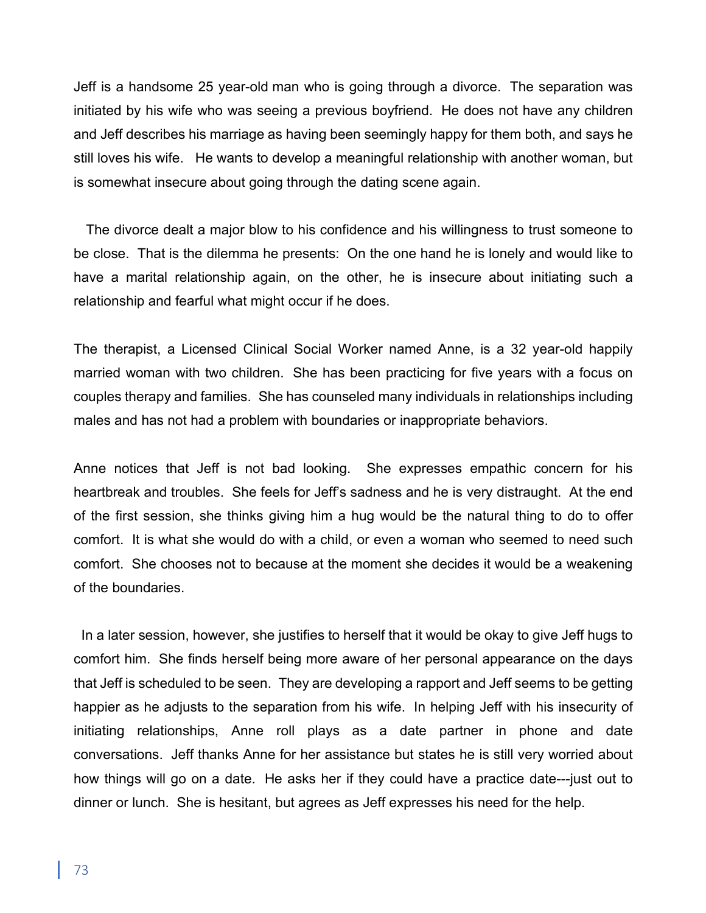Jeff is a handsome 25 year-old man who is going through a divorce. The separation was initiated by his wife who was seeing a previous boyfriend. He does not have any children and Jeff describes his marriage as having been seemingly happy for them both, and says he still loves his wife. He wants to develop a meaningful relationship with another woman, but is somewhat insecure about going through the dating scene again.

 The divorce dealt a major blow to his confidence and his willingness to trust someone to be close. That is the dilemma he presents: On the one hand he is lonely and would like to have a marital relationship again, on the other, he is insecure about initiating such a relationship and fearful what might occur if he does.

The therapist, a Licensed Clinical Social Worker named Anne, is a 32 year-old happily married woman with two children. She has been practicing for five years with a focus on couples therapy and families. She has counseled many individuals in relationships including males and has not had a problem with boundaries or inappropriate behaviors.

Anne notices that Jeff is not bad looking. She expresses empathic concern for his heartbreak and troubles. She feels for Jeff's sadness and he is very distraught. At the end of the first session, she thinks giving him a hug would be the natural thing to do to offer comfort. It is what she would do with a child, or even a woman who seemed to need such comfort. She chooses not to because at the moment she decides it would be a weakening of the boundaries.

In a later session, however, she justifies to herself that it would be okay to give Jeff hugs to comfort him. She finds herself being more aware of her personal appearance on the days that Jeff is scheduled to be seen. They are developing a rapport and Jeff seems to be getting happier as he adjusts to the separation from his wife. In helping Jeff with his insecurity of initiating relationships, Anne roll plays as a date partner in phone and date conversations. Jeff thanks Anne for her assistance but states he is still very worried about how things will go on a date. He asks her if they could have a practice date---just out to dinner or lunch. She is hesitant, but agrees as Jeff expresses his need for the help.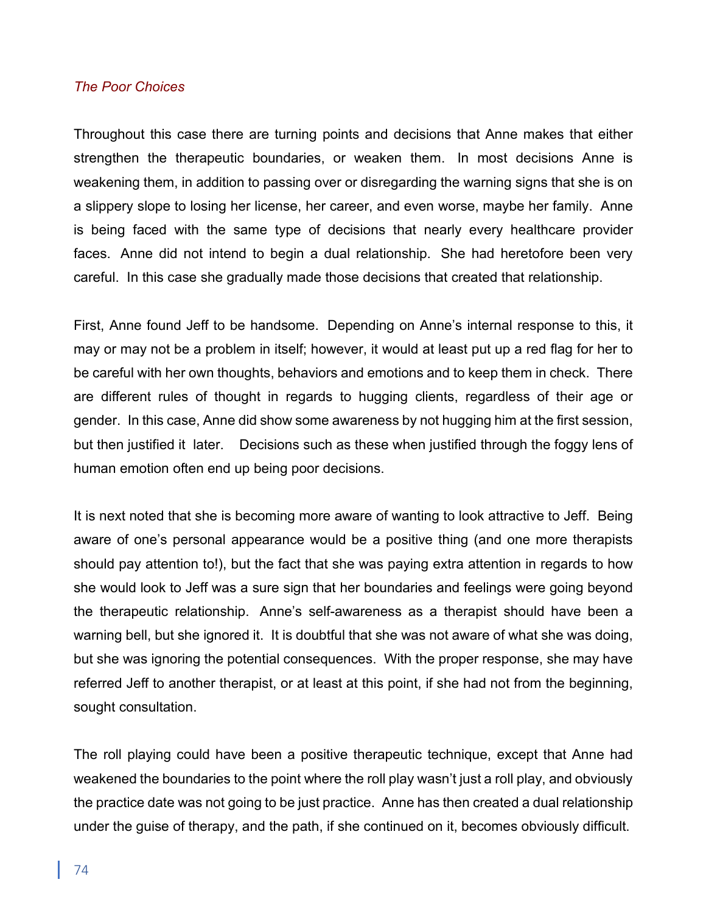#### *The Poor Choices*

Throughout this case there are turning points and decisions that Anne makes that either strengthen the therapeutic boundaries, or weaken them. In most decisions Anne is weakening them, in addition to passing over or disregarding the warning signs that she is on a slippery slope to losing her license, her career, and even worse, maybe her family. Anne is being faced with the same type of decisions that nearly every healthcare provider faces. Anne did not intend to begin a dual relationship. She had heretofore been very careful. In this case she gradually made those decisions that created that relationship.

First, Anne found Jeff to be handsome. Depending on Anne's internal response to this, it may or may not be a problem in itself; however, it would at least put up a red flag for her to be careful with her own thoughts, behaviors and emotions and to keep them in check. There are different rules of thought in regards to hugging clients, regardless of their age or gender. In this case, Anne did show some awareness by not hugging him at the first session, but then justified it later. Decisions such as these when justified through the foggy lens of human emotion often end up being poor decisions.

It is next noted that she is becoming more aware of wanting to look attractive to Jeff. Being aware of one's personal appearance would be a positive thing (and one more therapists should pay attention to!), but the fact that she was paying extra attention in regards to how she would look to Jeff was a sure sign that her boundaries and feelings were going beyond the therapeutic relationship. Anne's self-awareness as a therapist should have been a warning bell, but she ignored it. It is doubtful that she was not aware of what she was doing, but she was ignoring the potential consequences. With the proper response, she may have referred Jeff to another therapist, or at least at this point, if she had not from the beginning, sought consultation.

The roll playing could have been a positive therapeutic technique, except that Anne had weakened the boundaries to the point where the roll play wasn't just a roll play, and obviously the practice date was not going to be just practice. Anne has then created a dual relationship under the guise of therapy, and the path, if she continued on it, becomes obviously difficult.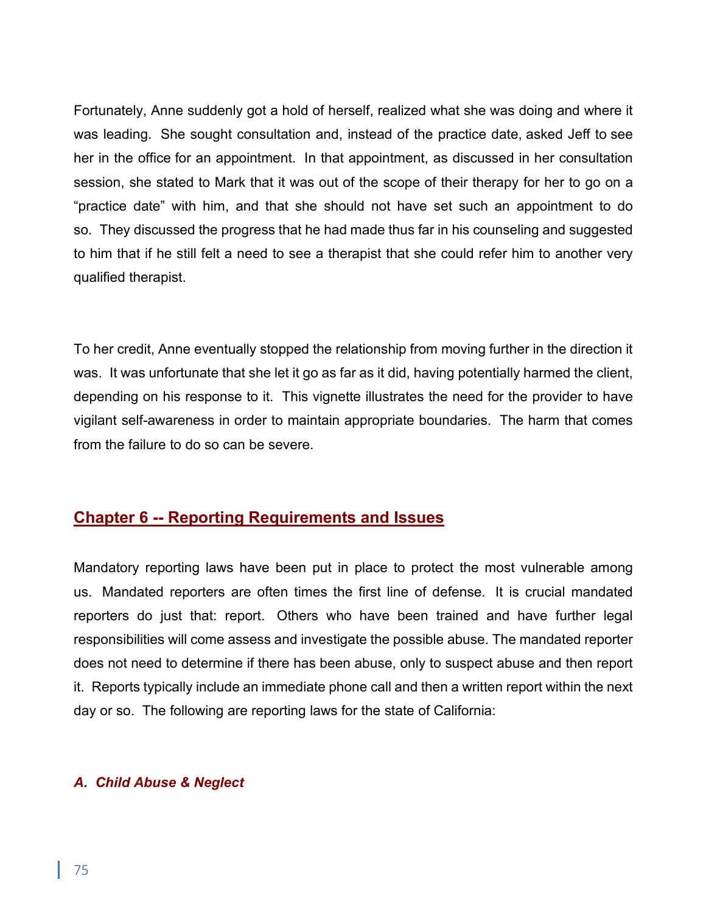Fortunately, Anne suddenly got a hold of herself, realized what she was doing and where it was leading. She sought consultation and, instead of the practice date, asked Jeff to see her in the office for an appointment. In that appointment, as discussed in her consultation session, she stated to Mark that it was out of the scope of their therapy for her to go on a "practice date" with him, and that she should not have set such an appointment to do so. They discussed the progress that he had made thus far in his counseling and suggested to him that if he still felt a need to see a therapist that she could refer him to another very qualified therapist.

To her credit, Anne eventually stopped the relationship from moving further in the direction it was. It was unfortunate that she let it go as far as it did, having potentially harmed the client, depending on his response to it. This vignette illustrates the need for the provider to have vigilant self-awareness in order to maintain appropriate boundaries. The harm that comes from the failure to do so can be severe.

## **Chapter 6 -- Reporting Requirements and Issues**

Mandatory reporting laws have been put in place to protect the most vulnerable among us. Mandated reporters are often times the first line of defense. It is crucial mandated reporters do just that: report. Others who have been trained and have further legal responsibilities will come assess and investigate the possible abuse. The mandated reporter does not need to determine if there has been abuse, only to suspect abuse and then report it. Reports typically include an immediate phone call and then a written report within the next day or so. The following are reporting laws for the state of California:

#### *A. Child Abuse & Neglect*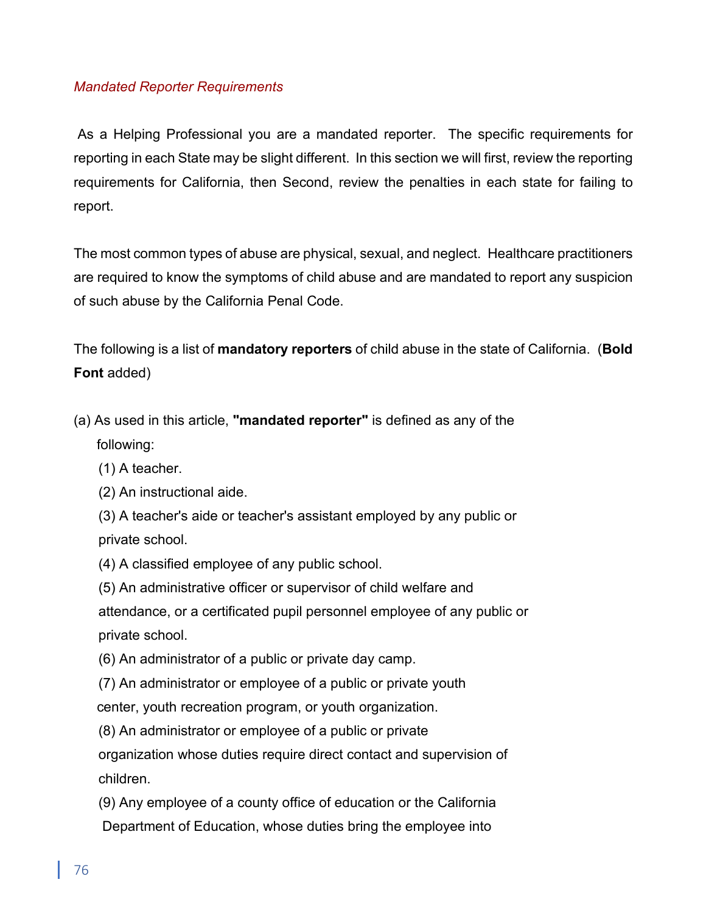#### *Mandated Reporter Requirements*

As a Helping Professional you are a mandated reporter. The specific requirements for reporting in each State may be slight different. In this section we will first, review the reporting requirements for California, then Second, review the penalties in each state for failing to report.

The most common types of abuse are physical, sexual, and neglect. Healthcare practitioners are required to know the symptoms of child abuse and are mandated to report any suspicion of such abuse by the California Penal Code.

The following is a list of **mandatory reporters** of child abuse in the state of California. (**Bold Font** added)

- (a) As used in this article, **"mandated reporter"** is defined as any of the following:
	- (1) A teacher.
	- (2) An instructional aide.
	- (3) A teacher's aide or teacher's assistant employed by any public or private school.
	- (4) A classified employee of any public school.
	- (5) An administrative officer or supervisor of child welfare and

 attendance, or a certificated pupil personnel employee of any public or private school.

- (6) An administrator of a public or private day camp.
- (7) An administrator or employee of a public or private youth

center, youth recreation program, or youth organization.

(8) An administrator or employee of a public or private

 organization whose duties require direct contact and supervision of children.

 (9) Any employee of a county office of education or the California Department of Education, whose duties bring the employee into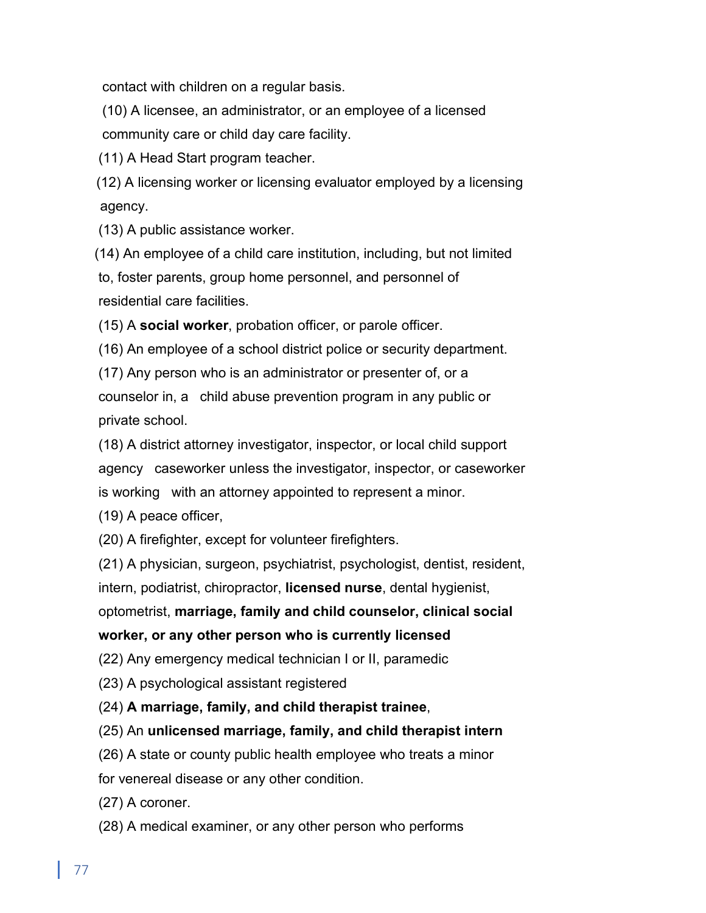contact with children on a regular basis.

 (10) A licensee, an administrator, or an employee of a licensed community care or child day care facility.

(11) A Head Start program teacher.

 (12) A licensing worker or licensing evaluator employed by a licensing agency.

(13) A public assistance worker.

(14) An employee of a child care institution, including, but not limited to, foster parents, group home personnel, and personnel of residential care facilities.

(15) A **social worker**, probation officer, or parole officer.

(16) An employee of a school district police or security department.

 (17) Any person who is an administrator or presenter of, or a counselor in, a child abuse prevention program in any public or private school.

 (18) A district attorney investigator, inspector, or local child support agency caseworker unless the investigator, inspector, or caseworker is working with an attorney appointed to represent a minor.

(19) A peace officer,

(20) A firefighter, except for volunteer firefighters.

 (21) A physician, surgeon, psychiatrist, psychologist, dentist, resident, intern, podiatrist, chiropractor, **licensed nurse**, dental hygienist,

optometrist, **marriage, family and child counselor, clinical social** 

 **worker, or any other person who is currently licensed**

(22) Any emergency medical technician I or II, paramedic

(23) A psychological assistant registered

(24) **A marriage, family, and child therapist trainee**,

## (25) An **unlicensed marriage, family, and child therapist intern**

(26) A state or county public health employee who treats a minor

for venereal disease or any other condition.

(27) A coroner.

(28) A medical examiner, or any other person who performs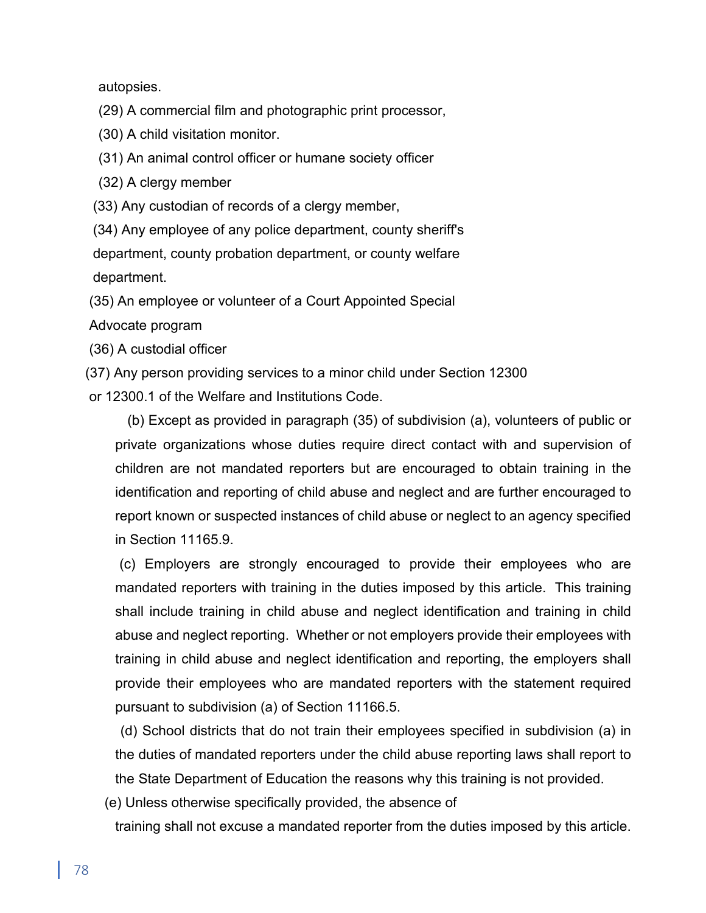autopsies.

(29) A commercial film and photographic print processor,

(30) A child visitation monitor.

(31) An animal control officer or humane society officer

(32) A clergy member

(33) Any custodian of records of a clergy member,

 (34) Any employee of any police department, county sheriff's department, county probation department, or county welfare department.

(35) An employee or volunteer of a Court Appointed Special

Advocate program

(36) A custodial officer

 (37) Any person providing services to a minor child under Section 12300 or 12300.1 of the Welfare and Institutions Code.

(b) Except as provided in paragraph (35) of subdivision (a), volunteers of public or private organizations whose duties require direct contact with and supervision of children are not mandated reporters but are encouraged to obtain training in the identification and reporting of child abuse and neglect and are further encouraged to report known or suspected instances of child abuse or neglect to an agency specified in Section 11165.9.

(c) Employers are strongly encouraged to provide their employees who are mandated reporters with training in the duties imposed by this article. This training shall include training in child abuse and neglect identification and training in child abuse and neglect reporting. Whether or not employers provide their employees with training in child abuse and neglect identification and reporting, the employers shall provide their employees who are mandated reporters with the statement required pursuant to subdivision (a) of Section 11166.5.

(d) School districts that do not train their employees specified in subdivision (a) in the duties of mandated reporters under the child abuse reporting laws shall report to the State Department of Education the reasons why this training is not provided.

(e) Unless otherwise specifically provided, the absence of

training shall not excuse a mandated reporter from the duties imposed by this article.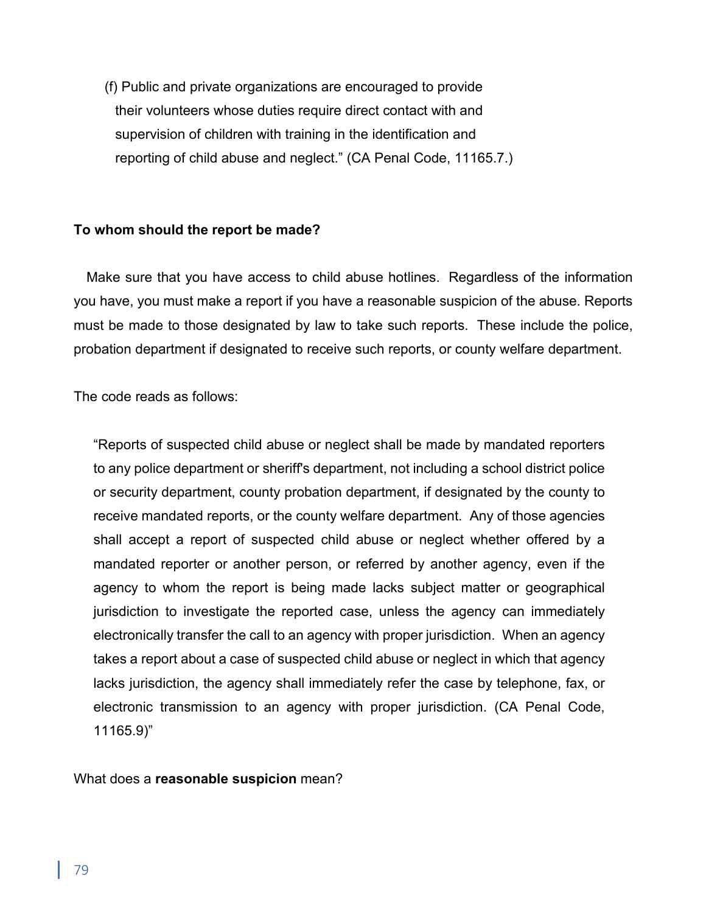(f) Public and private organizations are encouraged to provide their volunteers whose duties require direct contact with and supervision of children with training in the identification and reporting of child abuse and neglect." (CA Penal Code, 11165.7.)

#### **To whom should the report be made?**

 Make sure that you have access to child abuse hotlines. Regardless of the information you have, you must make a report if you have a reasonable suspicion of the abuse. Reports must be made to those designated by law to take such reports. These include the police, probation department if designated to receive such reports, or county welfare department.

The code reads as follows:

"Reports of suspected child abuse or neglect shall be made by mandated reporters to any police department or sheriff's department, not including a school district police or security department, county probation department, if designated by the county to receive mandated reports, or the county welfare department. Any of those agencies shall accept a report of suspected child abuse or neglect whether offered by a mandated reporter or another person, or referred by another agency, even if the agency to whom the report is being made lacks subject matter or geographical jurisdiction to investigate the reported case, unless the agency can immediately electronically transfer the call to an agency with proper jurisdiction. When an agency takes a report about a case of suspected child abuse or neglect in which that agency lacks jurisdiction, the agency shall immediately refer the case by telephone, fax, or electronic transmission to an agency with proper jurisdiction. (CA Penal Code, 11165.9)"

#### What does a **reasonable suspicion** mean?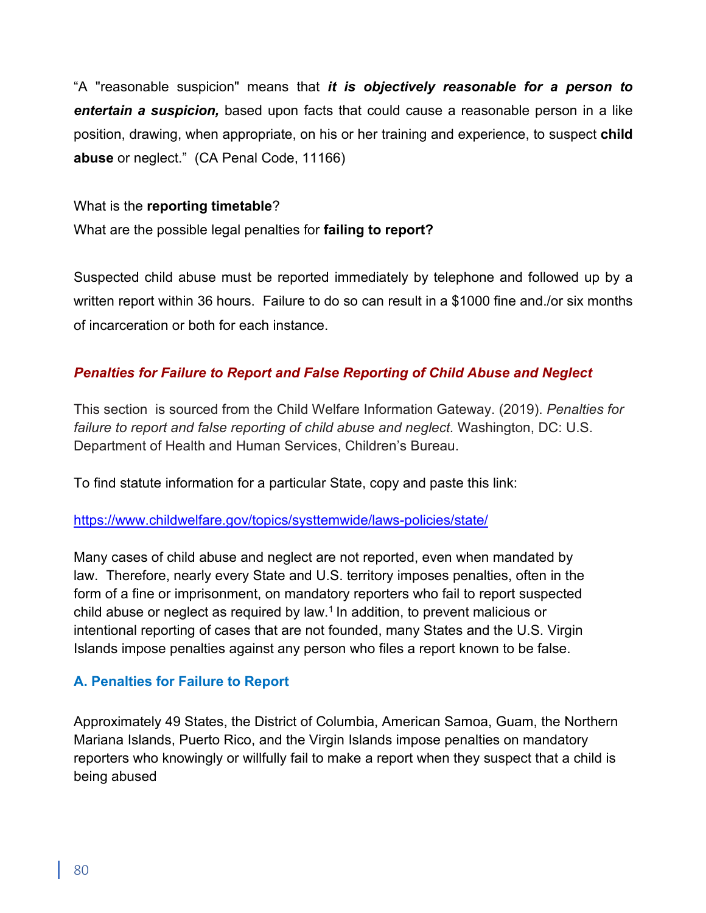"A "reasonable suspicion" means that *it is objectively reasonable for a person to entertain a suspicion,* based upon facts that could cause a reasonable person in a like position, drawing, when appropriate, on his or her training and experience, to suspect **child abuse** or neglect." (CA Penal Code, 11166)

#### What is the **reporting timetable**?

What are the possible legal penalties for **failing to report?**

Suspected child abuse must be reported immediately by telephone and followed up by a written report within 36 hours. Failure to do so can result in a \$1000 fine and./or six months of incarceration or both for each instance.

## *Penalties for Failure to Report and False Reporting of Child Abuse and Neglect*

This section is sourced from the Child Welfare Information Gateway. (2019). *Penalties for failure to report and false reporting of child abuse and neglect.* Washington, DC: U.S. Department of Health and Human Services, Children's Bureau.

To find statute information for a particular State, copy and paste this link:

#### <https://www.childwelfare.gov/topics/systtemwide/laws-policies/state/>

Many cases of child abuse and neglect are not reported, even when mandated by law. Therefore, nearly every State and U.S. territory imposes penalties, often in the form of a fine or imprisonment, on mandatory reporters who fail to report suspected child abuse or neglect as required by law.1 In addition, to prevent malicious or intentional reporting of cases that are not founded, many States and the U.S. Virgin Islands impose penalties against any person who files a report known to be false.

### **A. Penalties for Failure to Report**

Approximately 49 States, the District of Columbia, American Samoa, Guam, the Northern Mariana Islands, Puerto Rico, and the Virgin Islands impose penalties on mandatory reporters who knowingly or willfully fail to make a report when they suspect that a child is being abused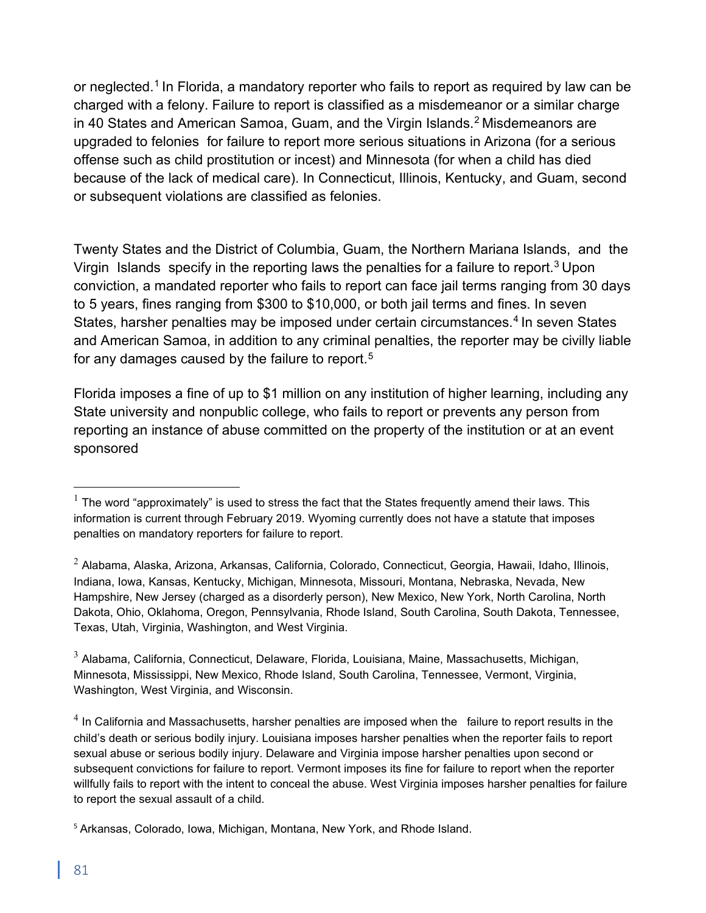or neglected.<sup>[1](#page-80-0)</sup> In Florida, a mandatory reporter who fails to report as required by law can be charged with a felony. Failure to report is classified as a misdemeanor or a similar charge in 40 States and American Samoa, Guam, and the Virgin Islands.<sup>[2](#page-80-1)</sup> Misdemeanors are upgraded to felonies for failure to report more serious situations in Arizona (for a serious offense such as child prostitution or incest) and Minnesota (for when a child has died because of the lack of medical care). In Connecticut, Illinois, Kentucky, and Guam, second or subsequent violations are classified as felonies.

Twenty States and the District of Columbia, Guam, the Northern Mariana Islands, and the Virgin Islands specify in the reporting laws the penalties for a failure to report.[3](#page-80-2) Upon conviction, a mandated reporter who fails to report can face jail terms ranging from 30 days to 5 years, fines ranging from \$300 to \$10,000, or both jail terms and fines. In seven States, harsher penalties may be imposed under certain circumstances.<sup>[4](#page-80-3)</sup> In seven States and American Samoa, in addition to any criminal penalties, the reporter may be civilly liable for any damages caused by the failure to report.[5](#page-80-4)

Florida imposes a fine of up to \$1 million on any institution of higher learning, including any State university and nonpublic college, who fails to report or prevents any person from reporting an instance of abuse committed on the property of the institution or at an event sponsored

<span id="page-80-0"></span> $1$  The word "approximately" is used to stress the fact that the States frequently amend their laws. This information is current through February 2019. Wyoming currently does not have a statute that imposes penalties on mandatory reporters for failure to report.

<span id="page-80-1"></span> $2$  Alabama, Alaska, Arizona, Arkansas, California, Colorado, Connecticut, Georgia, Hawaii, Idaho, Illinois, Indiana, Iowa, Kansas, Kentucky, Michigan, Minnesota, Missouri, Montana, Nebraska, Nevada, New Hampshire, New Jersey (charged as a disorderly person), New Mexico, New York, North Carolina, North Dakota, Ohio, Oklahoma, Oregon, Pennsylvania, Rhode Island, South Carolina, South Dakota, Tennessee, Texas, Utah, Virginia, Washington, and West Virginia.

<span id="page-80-2"></span> $3$  Alabama, California, Connecticut, Delaware, Florida, Louisiana, Maine, Massachusetts, Michigan, Minnesota, Mississippi, New Mexico, Rhode Island, South Carolina, Tennessee, Vermont, Virginia, Washington, West Virginia, and Wisconsin.

<span id="page-80-3"></span> $4$  In California and Massachusetts, harsher penalties are imposed when the failure to report results in the child's death or serious bodily injury. Louisiana imposes harsher penalties when the reporter fails to report sexual abuse or serious bodily injury. Delaware and Virginia impose harsher penalties upon second or subsequent convictions for failure to report. Vermont imposes its fine for failure to report when the reporter willfully fails to report with the intent to conceal the abuse. West Virginia imposes harsher penalties for failure to report the sexual assault of a child.

<span id="page-80-4"></span><sup>5</sup> Arkansas, Colorado, Iowa, Michigan, Montana, New York, and Rhode Island.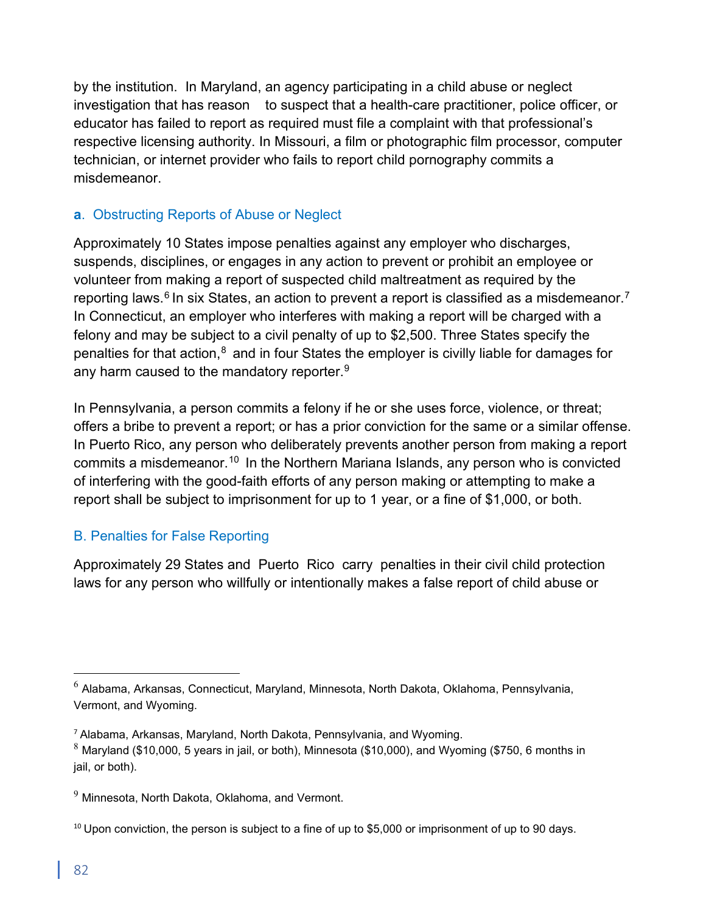by the institution. In Maryland, an agency participating in a child abuse or neglect investigation that has reason to suspect that a health-care practitioner, police officer, or educator has failed to report as required must file a complaint with that professional's respective licensing authority. In Missouri, a film or photographic film processor, computer technician, or internet provider who fails to report child pornography commits a misdemeanor.

### **a**. Obstructing Reports of Abuse or Neglect

Approximately 10 States impose penalties against any employer who discharges, suspends, disciplines, or engages in any action to prevent or prohibit an employee or volunteer from making a report of suspected child maltreatment as required by the reporting laws.<sup>[6](#page-81-0)</sup> In six States, an action to prevent a report is classified as a misdemeanor.<sup>[7](#page-81-1)</sup> In Connecticut, an employer who interferes with making a report will be charged with a felony and may be subject to a civil penalty of up to \$2,500. Three States specify the penalties for that action,<sup>[8](#page-81-2)</sup> and in four States the employer is civilly liable for damages for any harm caused to the mandatory reporter.<sup>[9](#page-81-3)</sup>

In Pennsylvania, a person commits a felony if he or she uses force, violence, or threat; offers a bribe to prevent a report; or has a prior conviction for the same or a similar offense. In Puerto Rico, any person who deliberately prevents another person from making a report commits a misdemeanor.<sup>[10](#page-81-4)</sup> In the Northern Mariana Islands, any person who is convicted of interfering with the good-faith efforts of any person making or attempting to make a report shall be subject to imprisonment for up to 1 year, or a fine of \$1,000, or both.

## B. Penalties for False Reporting

Approximately 29 States and Puerto Rico carry penalties in their civil child protection laws for any person who willfully or intentionally makes a false report of child abuse or

<span id="page-81-0"></span> $^6$  Alabama, Arkansas, Connecticut, Maryland, Minnesota, North Dakota, Oklahoma, Pennsylvania, Vermont, and Wyoming.

<span id="page-81-1"></span><sup>7</sup> Alabama, Arkansas, Maryland, North Dakota, Pennsylvania, and Wyoming.

<span id="page-81-2"></span> $8$  Maryland (\$10,000, 5 years in jail, or both), Minnesota (\$10,000), and Wyoming (\$750, 6 months in jail, or both).

<span id="page-81-3"></span> $9$  Minnesota, North Dakota, Oklahoma, and Vermont.

<span id="page-81-4"></span> $10$  Upon conviction, the person is subject to a fine of up to \$5,000 or imprisonment of up to 90 days.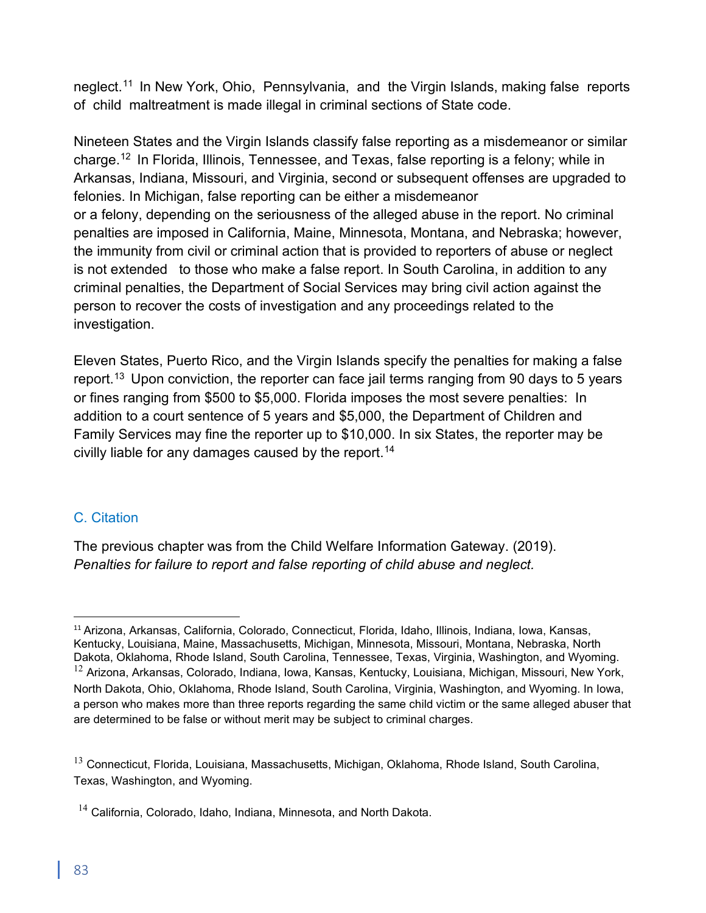neglect.[11](#page-82-0) In New York, Ohio, Pennsylvania, and the Virgin Islands, making false reports of child maltreatment is made illegal in criminal sections of State code.

Nineteen States and the Virgin Islands classify false reporting as a misdemeanor or similar charge.[12](#page-82-1) In Florida, Illinois, Tennessee, and Texas, false reporting is a felony; while in Arkansas, Indiana, Missouri, and Virginia, second or subsequent offenses are upgraded to felonies. In Michigan, false reporting can be either a misdemeanor or a felony, depending on the seriousness of the alleged abuse in the report. No criminal penalties are imposed in California, Maine, Minnesota, Montana, and Nebraska; however, the immunity from civil or criminal action that is provided to reporters of abuse or neglect is not extended to those who make a false report. In South Carolina, in addition to any criminal penalties, the Department of Social Services may bring civil action against the person to recover the costs of investigation and any proceedings related to the investigation.

Eleven States, Puerto Rico, and the Virgin Islands specify the penalties for making a false report.<sup>[13](#page-82-2)</sup> Upon conviction, the reporter can face jail terms ranging from 90 days to 5 years or fines ranging from \$500 to \$5,000. Florida imposes the most severe penalties: In addition to a court sentence of 5 years and \$5,000, the Department of Children and Family Services may fine the reporter up to \$10,000. In six States, the reporter may be civilly liable for any damages caused by the report.<sup>[14](#page-82-3)</sup>

### C. Citation

The previous chapter was from the Child Welfare Information Gateway. (2019). *Penalties for failure to report and false reporting of child abuse and neglect.* 

<span id="page-82-1"></span><span id="page-82-0"></span><sup>11</sup> Arizona, Arkansas, California, Colorado, Connecticut, Florida, Idaho, Illinois, Indiana, Iowa, Kansas, Kentucky, Louisiana, Maine, Massachusetts, Michigan, Minnesota, Missouri, Montana, Nebraska, North Dakota, Oklahoma, Rhode Island, South Carolina, Tennessee, Texas, Virginia, Washington, and Wyoming. <sup>12</sup> Arizona, Arkansas, Colorado, Indiana, Iowa, Kansas, Kentucky, Louisiana, Michigan, Missouri, New York, North Dakota, Ohio, Oklahoma, Rhode Island, South Carolina, Virginia, Washington, and Wyoming. In Iowa, a person who makes more than three reports regarding the same child victim or the same alleged abuser that are determined to be false or without merit may be subject to criminal charges.

<span id="page-82-2"></span><sup>&</sup>lt;sup>13</sup> Connecticut, Florida, Louisiana, Massachusetts, Michigan, Oklahoma, Rhode Island, South Carolina, Texas, Washington, and Wyoming.

<span id="page-82-3"></span><sup>&</sup>lt;sup>14</sup> California, Colorado, Idaho, Indiana, Minnesota, and North Dakota.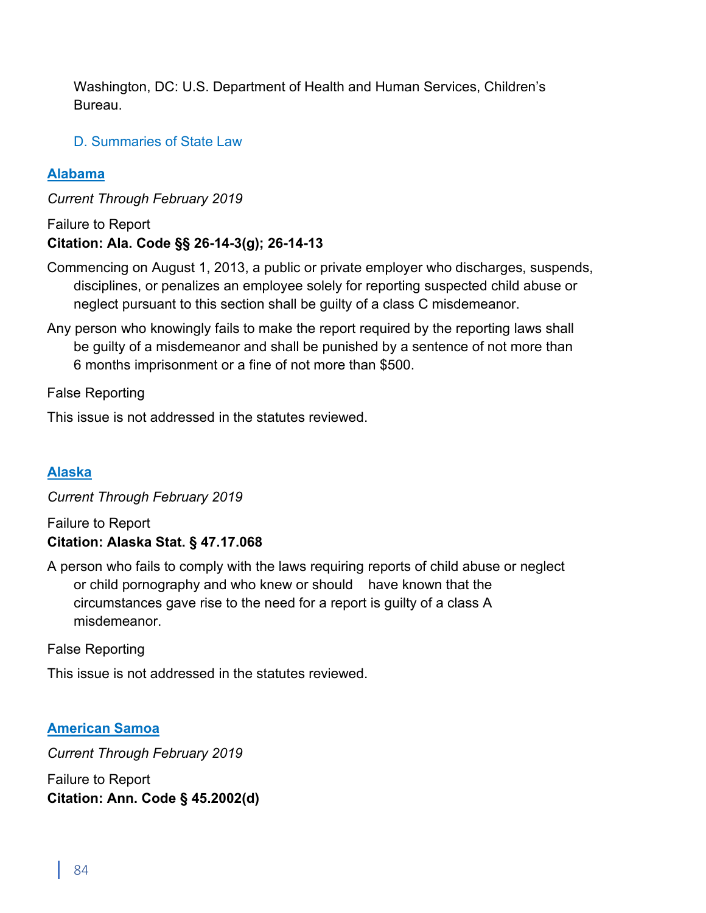Washington, DC: U.S. Department of Health and Human Services, Children's Bureau.

### D. Summaries of State Law

### **Alabama**

*Current Through February 2019*

Failure to Report

## **Citation: Ala. Code §§ 26-14-3(g); 26-14-13**

- Commencing on August 1, 2013, a public or private employer who discharges, suspends, disciplines, or penalizes an employee solely for reporting suspected child abuse or neglect pursuant to this section shall be guilty of a class C misdemeanor.
- Any person who knowingly fails to make the report required by the reporting laws shall be guilty of a misdemeanor and shall be punished by a sentence of not more than 6 months imprisonment or a fine of not more than \$500.

False Reporting

This issue is not addressed in the statutes reviewed.

## **Alaska**

*Current Through February 2019*

Failure to Report **Citation: Alaska Stat. § 47.17.068**

A person who fails to comply with the laws requiring reports of child abuse or neglect or child pornography and who knew or should have known that the circumstances gave rise to the need for a report is guilty of a class A misdemeanor.

False Reporting

This issue is not addressed in the statutes reviewed.

**American Samoa**

*Current Through February 2019*

Failure to Report **Citation: Ann. Code § 45.2002(d)**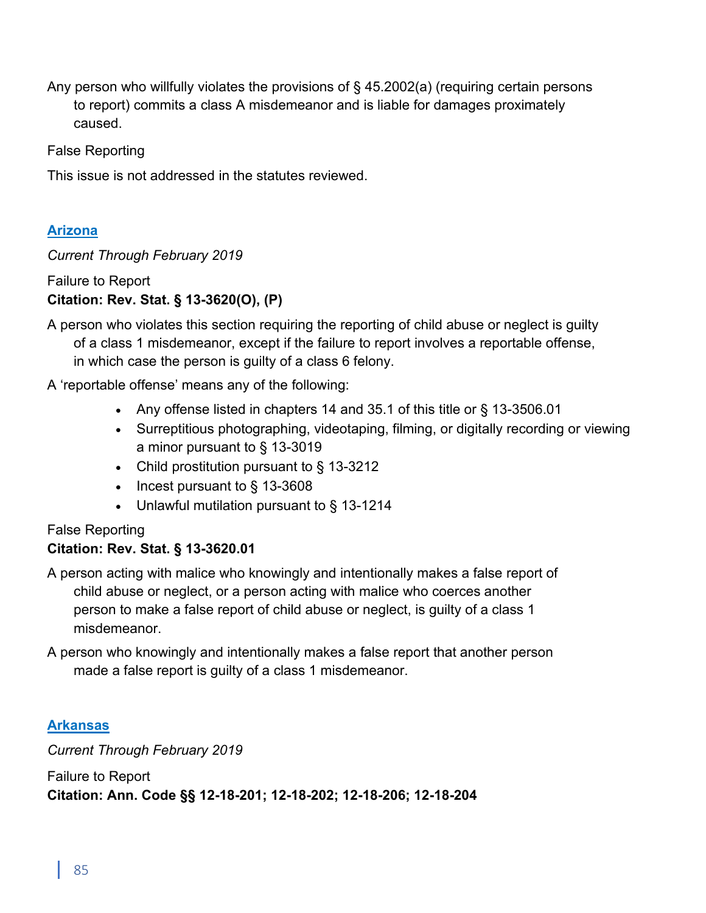Any person who willfully violates the provisions of § 45.2002(a) (requiring certain persons to report) commits a class A misdemeanor and is liable for damages proximately caused.

False Reporting

This issue is not addressed in the statutes reviewed.

## **Arizona**

*Current Through February 2019*

Failure to Report

### **Citation: Rev. Stat. § 13-3620(O), (P)**

A person who violates this section requiring the reporting of child abuse or neglect is guilty of a class 1 misdemeanor, except if the failure to report involves a reportable offense, in which case the person is guilty of a class 6 felony.

A 'reportable offense' means any of the following:

- Any offense listed in chapters 14 and 35.1 of this title or § 13-3506.01
- Surreptitious photographing, videotaping, filming, or digitally recording or viewing a minor pursuant to § 13-3019
- Child prostitution pursuant to § 13-3212
- Incest pursuant to § 13-3608
- Unlawful mutilation pursuant to § 13-1214

### False Reporting

### **Citation: Rev. Stat. § 13-3620.01**

A person acting with malice who knowingly and intentionally makes a false report of child abuse or neglect, or a person acting with malice who coerces another person to make a false report of child abuse or neglect, is guilty of a class 1 misdemeanor.

A person who knowingly and intentionally makes a false report that another person made a false report is guilty of a class 1 misdemeanor.

### **Arkansas**

*Current Through February 2019*

Failure to Report **Citation: Ann. Code §§ 12-18-201; 12-18-202; 12-18-206; 12-18-204**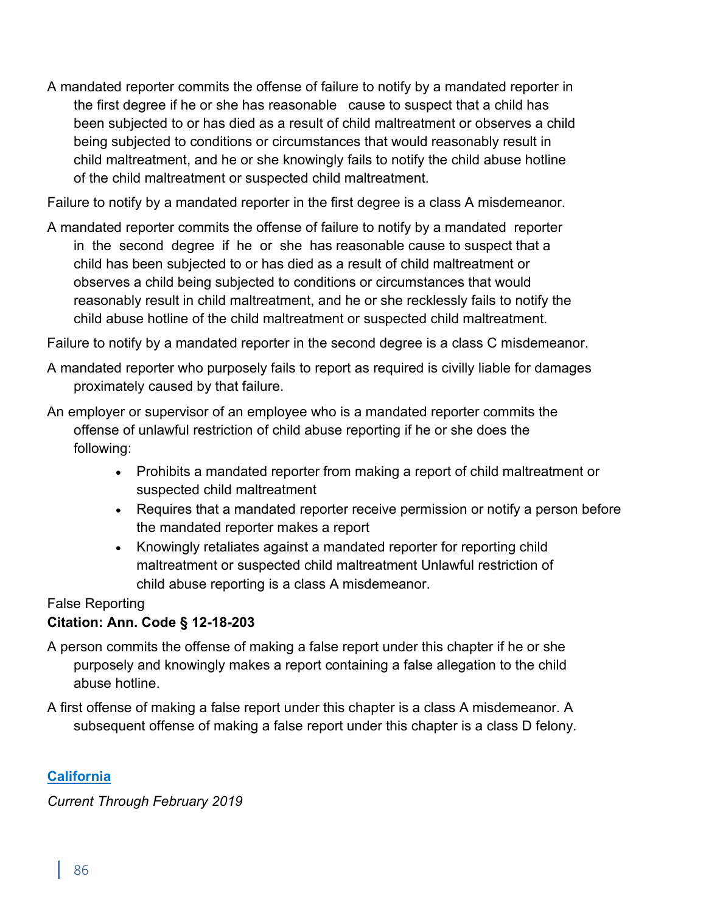A mandated reporter commits the offense of failure to notify by a mandated reporter in the first degree if he or she has reasonable cause to suspect that a child has been subjected to or has died as a result of child maltreatment or observes a child being subjected to conditions or circumstances that would reasonably result in child maltreatment, and he or she knowingly fails to notify the child abuse hotline of the child maltreatment or suspected child maltreatment.

Failure to notify by a mandated reporter in the first degree is a class A misdemeanor.

A mandated reporter commits the offense of failure to notify by a mandated reporter in the second degree if he or she has reasonable cause to suspect that a child has been subjected to or has died as a result of child maltreatment or observes a child being subjected to conditions or circumstances that would reasonably result in child maltreatment, and he or she recklessly fails to notify the child abuse hotline of the child maltreatment or suspected child maltreatment.

Failure to notify by a mandated reporter in the second degree is a class C misdemeanor.

- A mandated reporter who purposely fails to report as required is civilly liable for damages proximately caused by that failure.
- An employer or supervisor of an employee who is a mandated reporter commits the offense of unlawful restriction of child abuse reporting if he or she does the following:
	- Prohibits a mandated reporter from making a report of child maltreatment or suspected child maltreatment
	- Requires that a mandated reporter receive permission or notify a person before the mandated reporter makes a report
	- Knowingly retaliates against a mandated reporter for reporting child maltreatment or suspected child maltreatment Unlawful restriction of child abuse reporting is a class A misdemeanor.

# False Reporting

### **Citation: Ann. Code § 12-18-203**

- A person commits the offense of making a false report under this chapter if he or she purposely and knowingly makes a report containing a false allegation to the child abuse hotline.
- A first offense of making a false report under this chapter is a class A misdemeanor. A subsequent offense of making a false report under this chapter is a class D felony.

### **California**

*Current Through February 2019*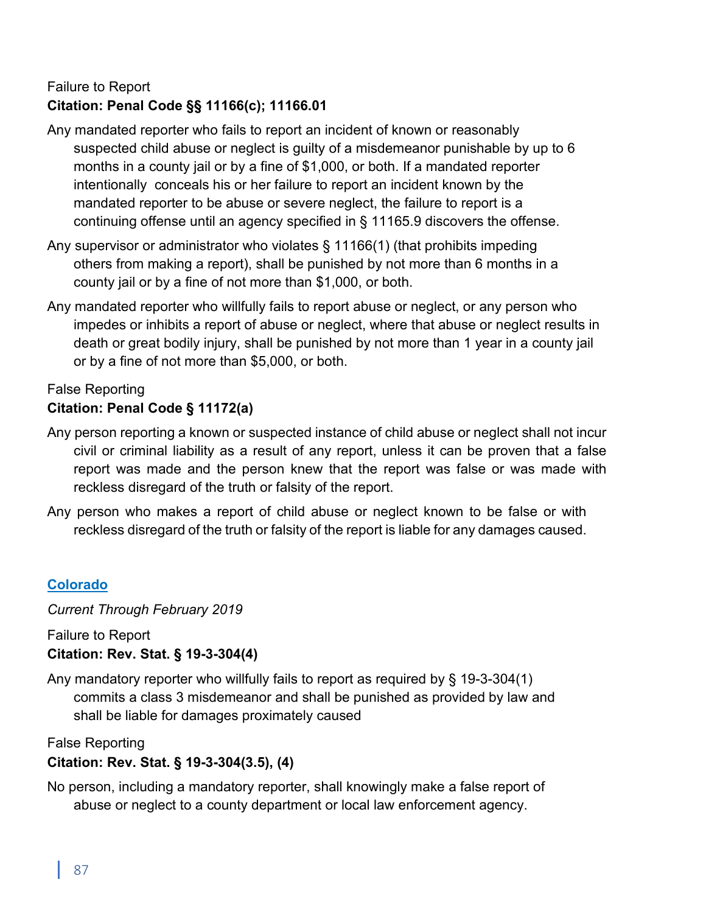# Failure to Report **Citation: Penal Code §§ 11166(c); 11166.01**

- Any mandated reporter who fails to report an incident of known or reasonably suspected child abuse or neglect is guilty of a misdemeanor punishable by up to 6 months in a county jail or by a fine of \$1,000, or both. If a mandated reporter intentionally conceals his or her failure to report an incident known by the mandated reporter to be abuse or severe neglect, the failure to report is a continuing offense until an agency specified in § 11165.9 discovers the offense.
- Any supervisor or administrator who violates § 11166(1) (that prohibits impeding others from making a report), shall be punished by not more than 6 months in a county jail or by a fine of not more than \$1,000, or both.
- Any mandated reporter who willfully fails to report abuse or neglect, or any person who impedes or inhibits a report of abuse or neglect, where that abuse or neglect results in death or great bodily injury, shall be punished by not more than 1 year in a county jail or by a fine of not more than \$5,000, or both.

# False Reporting **Citation: Penal Code § 11172(a)**

- Any person reporting a known or suspected instance of child abuse or neglect shall not incur civil or criminal liability as a result of any report, unless it can be proven that a false report was made and the person knew that the report was false or was made with reckless disregard of the truth or falsity of the report.
- Any person who makes a report of child abuse or neglect known to be false or with reckless disregard of the truth or falsity of the report is liable for any damages caused.

## **Colorado**

*Current Through February 2019*

Failure to Report

# **Citation: Rev. Stat. § 19-3-304(4)**

Any mandatory reporter who willfully fails to report as required by § 19-3-304(1) commits a class 3 misdemeanor and shall be punished as provided by law and shall be liable for damages proximately caused

False Reporting

## **Citation: Rev. Stat. § 19-3-304(3.5), (4)**

No person, including a mandatory reporter, shall knowingly make a false report of abuse or neglect to a county department or local law enforcement agency.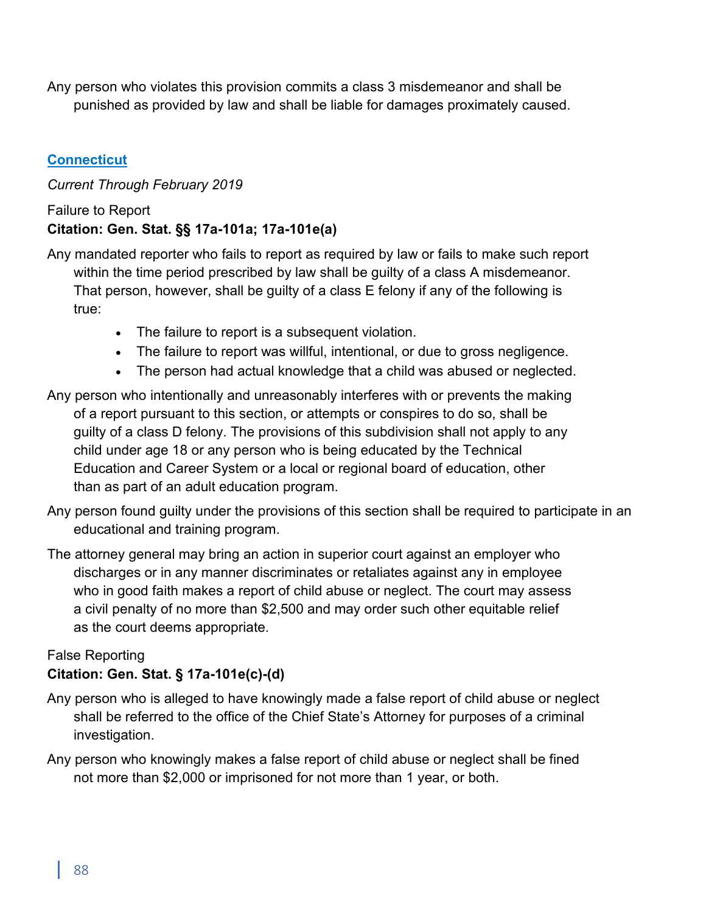Any person who violates this provision commits a class 3 misdemeanor and shall be punished as provided by law and shall be liable for damages proximately caused.

## **Connecticut**

### *Current Through February 2019*

Failure to Report

## **Citation: Gen. Stat. §§ 17a-101a; 17a-101e(a)**

Any mandated reporter who fails to report as required by law or fails to make such report within the time period prescribed by law shall be guilty of a class A misdemeanor. That person, however, shall be guilty of a class E felony if any of the following is true:

- The failure to report is a subsequent violation.
- The failure to report was willful, intentional, or due to gross negligence.
- The person had actual knowledge that a child was abused or neglected.
- Any person who intentionally and unreasonably interferes with or prevents the making of a report pursuant to this section, or attempts or conspires to do so, shall be guilty of a class D felony. The provisions of this subdivision shall not apply to any child under age 18 or any person who is being educated by the Technical Education and Career System or a local or regional board of education, other than as part of an adult education program.
- Any person found guilty under the provisions of this section shall be required to participate in an educational and training program.
- The attorney general may bring an action in superior court against an employer who discharges or in any manner discriminates or retaliates against any in employee who in good faith makes a report of child abuse or neglect. The court may assess a civil penalty of no more than \$2,500 and may order such other equitable relief as the court deems appropriate.

### False Reporting

# **Citation: Gen. Stat. § 17a-101e(c)-(d)**

- Any person who is alleged to have knowingly made a false report of child abuse or neglect shall be referred to the office of the Chief State's Attorney for purposes of a criminal investigation.
- Any person who knowingly makes a false report of child abuse or neglect shall be fined not more than \$2,000 or imprisoned for not more than 1 year, or both.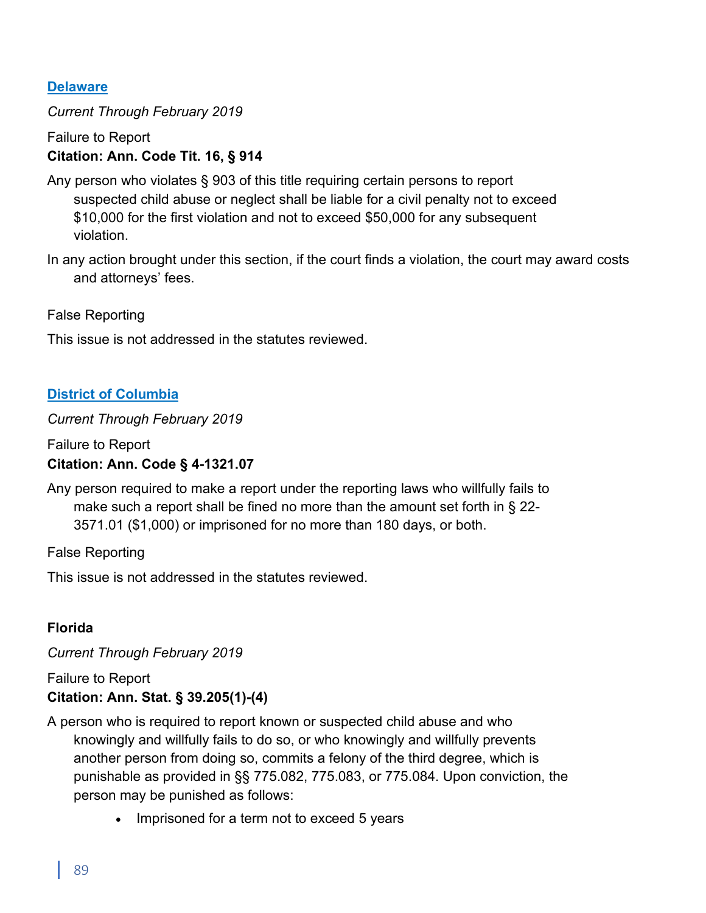#### **Delaware**

*Current Through February 2019*

Failure to Report **Citation: Ann. Code Tit. 16, § 914**

Any person who violates § 903 of this title requiring certain persons to report suspected child abuse or neglect shall be liable for a civil penalty not to exceed \$10,000 for the first violation and not to exceed \$50,000 for any subsequent violation.

In any action brought under this section, if the court finds a violation, the court may award costs and attorneys' fees.

False Reporting

This issue is not addressed in the statutes reviewed.

### **District of Columbia**

*Current Through February 2019*

Failure to Report **Citation: Ann. Code § 4-1321.07**

Any person required to make a report under the reporting laws who willfully fails to make such a report shall be fined no more than the amount set forth in § 22- 3571.01 (\$1,000) or imprisoned for no more than 180 days, or both.

False Reporting

This issue is not addressed in the statutes reviewed.

### **Florida**

*Current Through February 2019*

Failure to Report **Citation: Ann. Stat. § 39.205(1)-(4)**

A person who is required to report known or suspected child abuse and who knowingly and willfully fails to do so, or who knowingly and willfully prevents another person from doing so, commits a felony of the third degree, which is punishable as provided in §§ 775.082, 775.083, or 775.084. Upon conviction, the person may be punished as follows:

• Imprisoned for a term not to exceed 5 years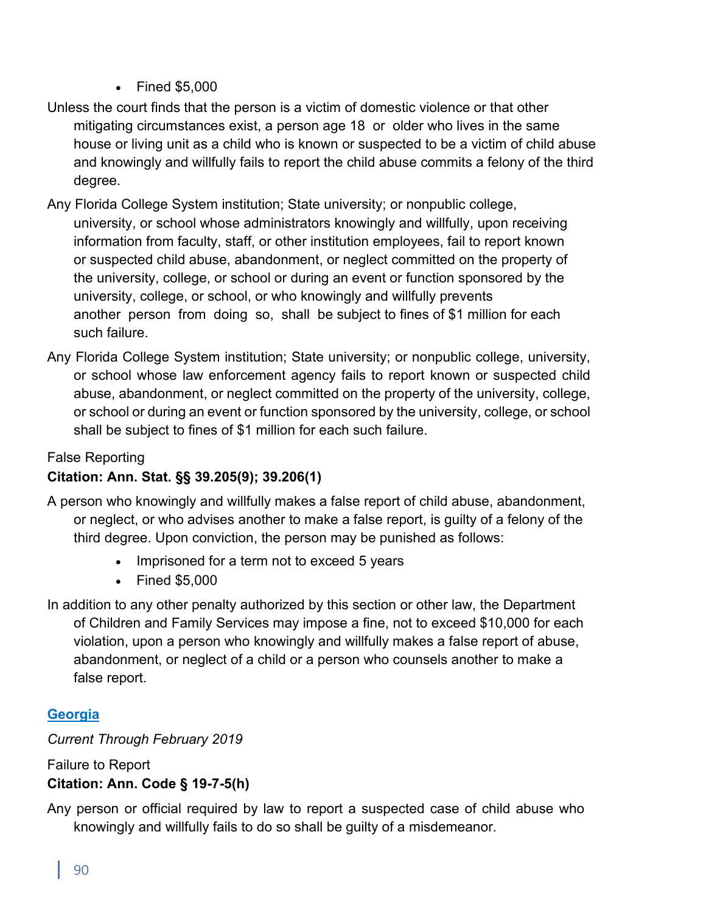- Fined \$5,000
- Unless the court finds that the person is a victim of domestic violence or that other mitigating circumstances exist, a person age 18 or older who lives in the same house or living unit as a child who is known or suspected to be a victim of child abuse and knowingly and willfully fails to report the child abuse commits a felony of the third degree.
- Any Florida College System institution; State university; or nonpublic college, university, or school whose administrators knowingly and willfully, upon receiving information from faculty, staff, or other institution employees, fail to report known or suspected child abuse, abandonment, or neglect committed on the property of the university, college, or school or during an event or function sponsored by the university, college, or school, or who knowingly and willfully prevents another person from doing so, shall be subject to fines of \$1 million for each such failure.
- Any Florida College System institution; State university; or nonpublic college, university, or school whose law enforcement agency fails to report known or suspected child abuse, abandonment, or neglect committed on the property of the university, college, or school or during an event or function sponsored by the university, college, or school shall be subject to fines of \$1 million for each such failure.

False Reporting

# **Citation: Ann. Stat. §§ 39.205(9); 39.206(1)**

- A person who knowingly and willfully makes a false report of child abuse, abandonment, or neglect, or who advises another to make a false report, is guilty of a felony of the third degree. Upon conviction, the person may be punished as follows:
	- Imprisoned for a term not to exceed 5 years
	- Fined \$5,000
- In addition to any other penalty authorized by this section or other law, the Department of Children and Family Services may impose a fine, not to exceed \$10,000 for each violation, upon a person who knowingly and willfully makes a false report of abuse, abandonment, or neglect of a child or a person who counsels another to make a false report.

## **Georgia**

*Current Through February 2019*

Failure to Report

## **Citation: Ann. Code § 19-7-5(h)**

Any person or official required by law to report a suspected case of child abuse who knowingly and willfully fails to do so shall be guilty of a misdemeanor.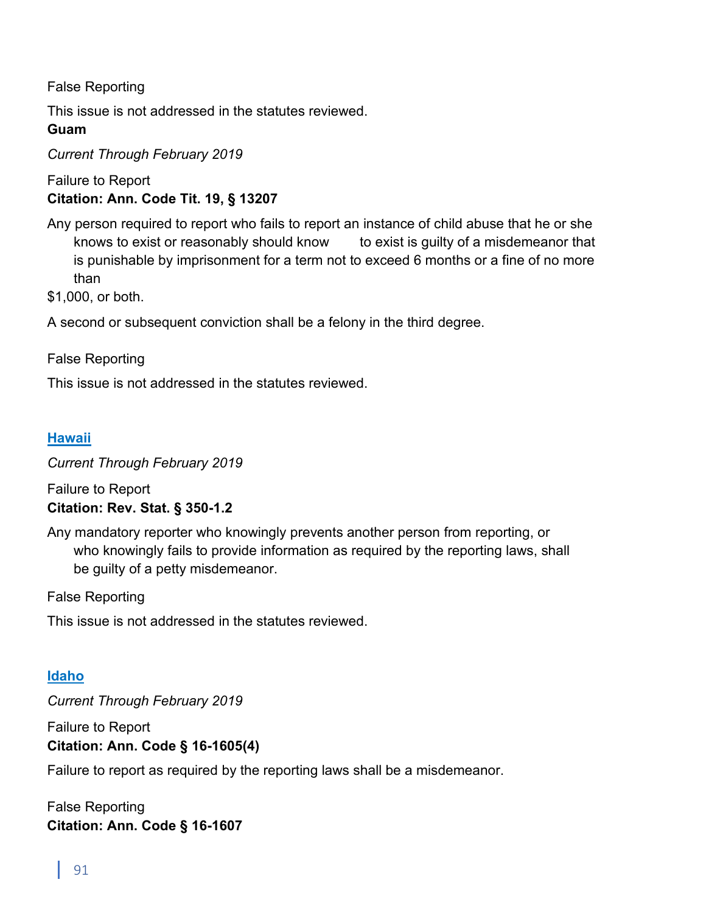### False Reporting

This issue is not addressed in the statutes reviewed.

### **Guam**

*Current Through February 2019*

Failure to Report

## **Citation: Ann. Code Tit. 19, § 13207**

Any person required to report who fails to report an instance of child abuse that he or she knows to exist or reasonably should know to exist is guilty of a misdemeanor that is punishable by imprisonment for a term not to exceed 6 months or a fine of no more than

\$1,000, or both.

A second or subsequent conviction shall be a felony in the third degree.

### False Reporting

This issue is not addressed in the statutes reviewed.

### **Hawaii**

*Current Through February 2019*

Failure to Report **Citation: Rev. Stat. § 350-1.2**

Any mandatory reporter who knowingly prevents another person from reporting, or who knowingly fails to provide information as required by the reporting laws, shall be guilty of a petty misdemeanor.

False Reporting

This issue is not addressed in the statutes reviewed.

## **Idaho**

*Current Through February 2019*

Failure to Report **Citation: Ann. Code § 16-1605(4)**

Failure to report as required by the reporting laws shall be a misdemeanor.

False Reporting **Citation: Ann. Code § 16-1607**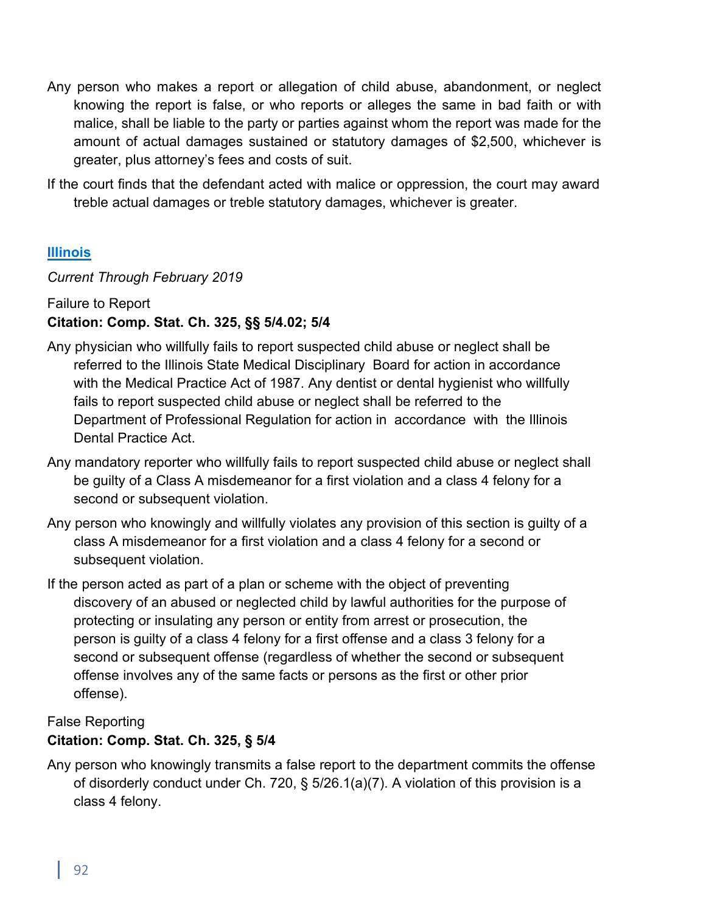- Any person who makes a report or allegation of child abuse, abandonment, or neglect knowing the report is false, or who reports or alleges the same in bad faith or with malice, shall be liable to the party or parties against whom the report was made for the amount of actual damages sustained or statutory damages of \$2,500, whichever is greater, plus attorney's fees and costs of suit.
- If the court finds that the defendant acted with malice or oppression, the court may award treble actual damages or treble statutory damages, whichever is greater.

### **Illinois**

#### *Current Through February 2019*

#### Failure to Report

### **Citation: Comp. Stat. Ch. 325, §§ 5/4.02; 5/4**

- Any physician who willfully fails to report suspected child abuse or neglect shall be referred to the Illinois State Medical Disciplinary Board for action in accordance with the Medical Practice Act of 1987. Any dentist or dental hygienist who willfully fails to report suspected child abuse or neglect shall be referred to the Department of Professional Regulation for action in accordance with the Illinois Dental Practice Act.
- Any mandatory reporter who willfully fails to report suspected child abuse or neglect shall be guilty of a Class A misdemeanor for a first violation and a class 4 felony for a second or subsequent violation.
- Any person who knowingly and willfully violates any provision of this section is guilty of a class A misdemeanor for a first violation and a class 4 felony for a second or subsequent violation.
- If the person acted as part of a plan or scheme with the object of preventing discovery of an abused or neglected child by lawful authorities for the purpose of protecting or insulating any person or entity from arrest or prosecution, the person is guilty of a class 4 felony for a first offense and a class 3 felony for a second or subsequent offense (regardless of whether the second or subsequent offense involves any of the same facts or persons as the first or other prior offense).

#### False Reporting

### **Citation: Comp. Stat. Ch. 325, § 5/4**

Any person who knowingly transmits a false report to the department commits the offense of disorderly conduct under Ch. 720, § 5/26.1(a)(7). A violation of this provision is a class 4 felony.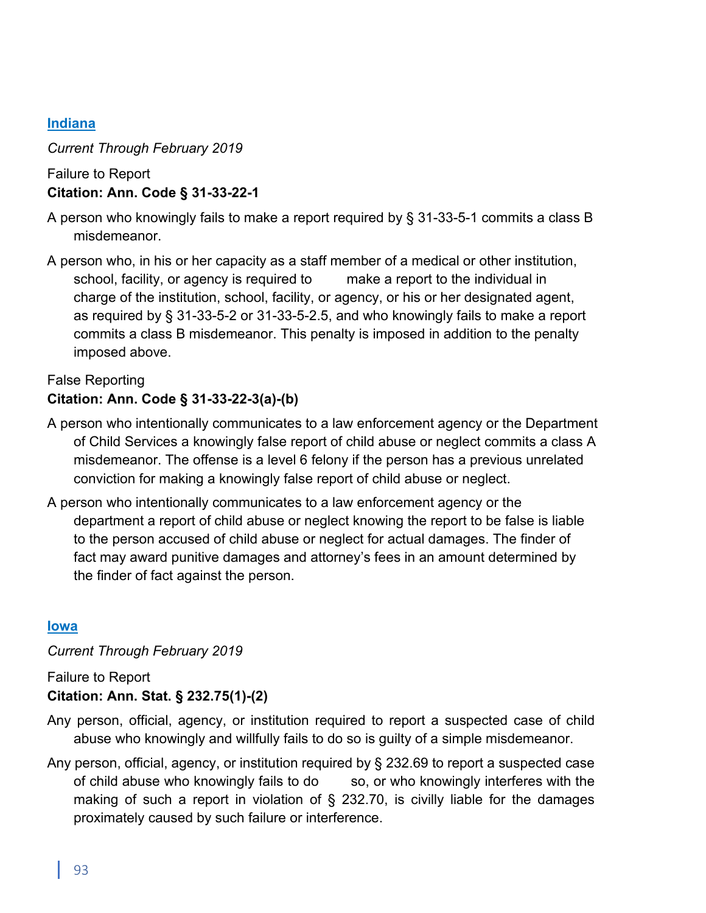### **Indiana**

### *Current Through February 2019*

## Failure to Report **Citation: Ann. Code § 31-33-22-1**

- A person who knowingly fails to make a report required by § 31-33-5-1 commits a class B misdemeanor.
- A person who, in his or her capacity as a staff member of a medical or other institution, school, facility, or agency is required to make a report to the individual in charge of the institution, school, facility, or agency, or his or her designated agent, as required by § 31-33-5-2 or 31-33-5-2.5, and who knowingly fails to make a report commits a class B misdemeanor. This penalty is imposed in addition to the penalty imposed above.

# False Reporting **Citation: Ann. Code § 31-33-22-3(a)-(b)**

- A person who intentionally communicates to a law enforcement agency or the Department of Child Services a knowingly false report of child abuse or neglect commits a class A misdemeanor. The offense is a level 6 felony if the person has a previous unrelated conviction for making a knowingly false report of child abuse or neglect.
- A person who intentionally communicates to a law enforcement agency or the department a report of child abuse or neglect knowing the report to be false is liable to the person accused of child abuse or neglect for actual damages. The finder of fact may award punitive damages and attorney's fees in an amount determined by the finder of fact against the person.

### **Iowa**

*Current Through February 2019*

Failure to Report **Citation: Ann. Stat. § 232.75(1)-(2)**

- Any person, official, agency, or institution required to report a suspected case of child abuse who knowingly and willfully fails to do so is guilty of a simple misdemeanor.
- Any person, official, agency, or institution required by § 232.69 to report a suspected case of child abuse who knowingly fails to do so, or who knowingly interferes with the making of such a report in violation of § 232.70, is civilly liable for the damages proximately caused by such failure or interference.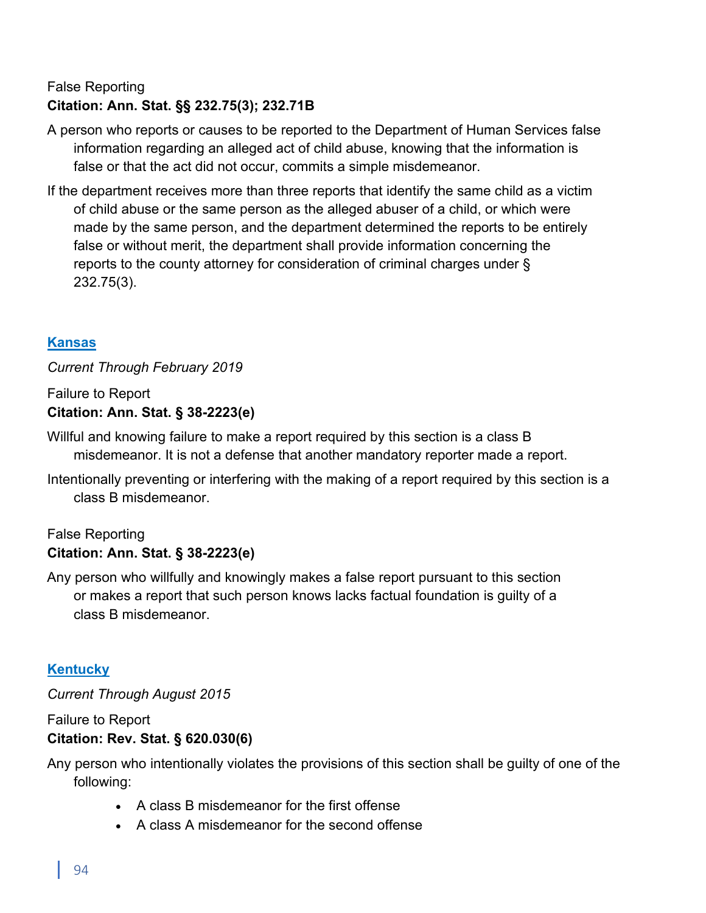## False Reporting **Citation: Ann. Stat. §§ 232.75(3); 232.71B**

- A person who reports or causes to be reported to the Department of Human Services false information regarding an alleged act of child abuse, knowing that the information is false or that the act did not occur, commits a simple misdemeanor.
- If the department receives more than three reports that identify the same child as a victim of child abuse or the same person as the alleged abuser of a child, or which were made by the same person, and the department determined the reports to be entirely false or without merit, the department shall provide information concerning the reports to the county attorney for consideration of criminal charges under § 232.75(3).

# **Kansas**

*Current Through February 2019*

Failure to Report **Citation: Ann. Stat. § 38-2223(e)**

- Willful and knowing failure to make a report required by this section is a class B misdemeanor. It is not a defense that another mandatory reporter made a report.
- Intentionally preventing or interfering with the making of a report required by this section is a class B misdemeanor.

## False Reporting **Citation: Ann. Stat. § 38-2223(e)**

Any person who willfully and knowingly makes a false report pursuant to this section or makes a report that such person knows lacks factual foundation is guilty of a class B misdemeanor.

# **Kentucky**

*Current Through August 2015*

## Failure to Report

## **Citation: Rev. Stat. § 620.030(6)**

Any person who intentionally violates the provisions of this section shall be guilty of one of the following:

- A class B misdemeanor for the first offense
- A class A misdemeanor for the second offense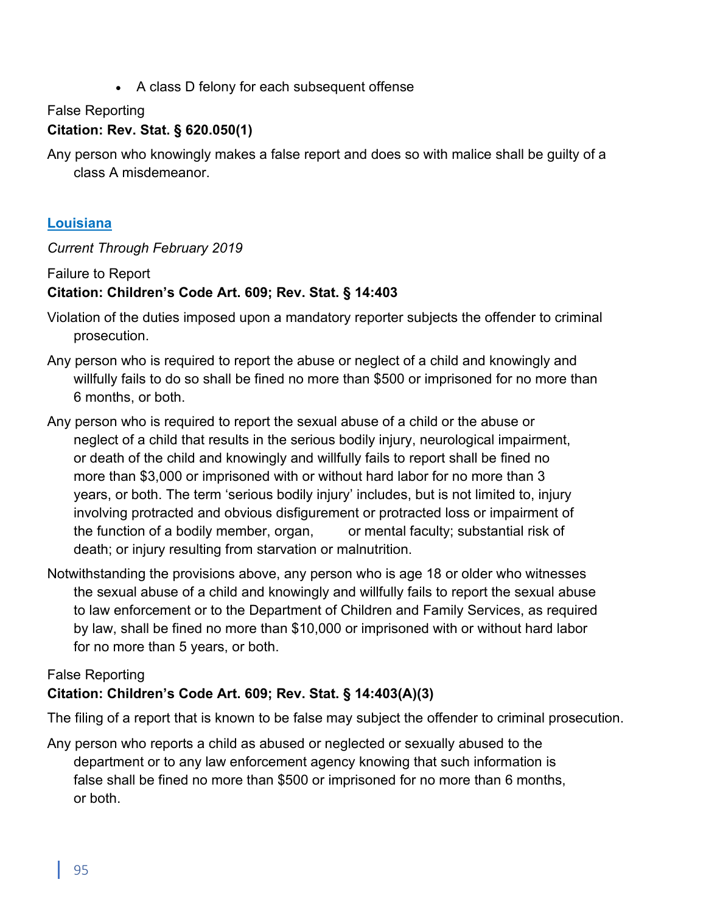• A class D felony for each subsequent offense

False Reporting

### **Citation: Rev. Stat. § 620.050(1)**

Any person who knowingly makes a false report and does so with malice shall be guilty of a class A misdemeanor.

## **Louisiana**

*Current Through February 2019*

Failure to Report

### **Citation: Children's Code Art. 609; Rev. Stat. § 14:403**

- Violation of the duties imposed upon a mandatory reporter subjects the offender to criminal prosecution.
- Any person who is required to report the abuse or neglect of a child and knowingly and willfully fails to do so shall be fined no more than \$500 or imprisoned for no more than 6 months, or both.
- Any person who is required to report the sexual abuse of a child or the abuse or neglect of a child that results in the serious bodily injury, neurological impairment, or death of the child and knowingly and willfully fails to report shall be fined no more than \$3,000 or imprisoned with or without hard labor for no more than 3 years, or both. The term 'serious bodily injury' includes, but is not limited to, injury involving protracted and obvious disfigurement or protracted loss or impairment of the function of a bodily member, organ, or mental faculty; substantial risk of death; or injury resulting from starvation or malnutrition.
- Notwithstanding the provisions above, any person who is age 18 or older who witnesses the sexual abuse of a child and knowingly and willfully fails to report the sexual abuse to law enforcement or to the Department of Children and Family Services, as required by law, shall be fined no more than \$10,000 or imprisoned with or without hard labor for no more than 5 years, or both.

## False Reporting

# **Citation: Children's Code Art. 609; Rev. Stat. § 14:403(A)(3)**

The filing of a report that is known to be false may subject the offender to criminal prosecution.

Any person who reports a child as abused or neglected or sexually abused to the department or to any law enforcement agency knowing that such information is false shall be fined no more than \$500 or imprisoned for no more than 6 months, or both.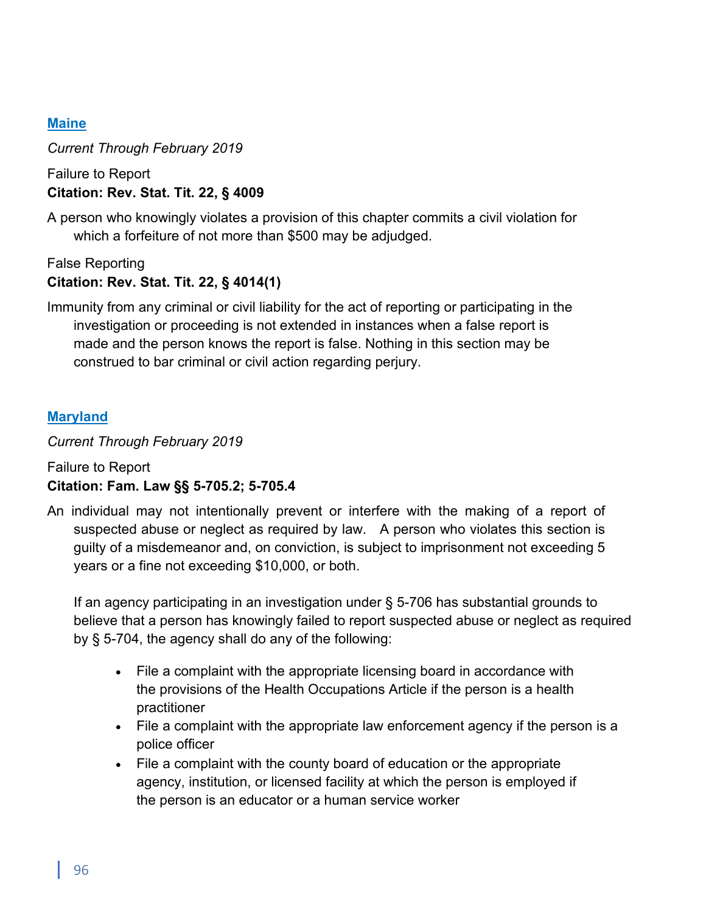### **Maine**

*Current Through February 2019*

Failure to Report **Citation: Rev. Stat. Tit. 22, § 4009**

A person who knowingly violates a provision of this chapter commits a civil violation for which a forfeiture of not more than \$500 may be adjudged.

False Reporting

### **Citation: Rev. Stat. Tit. 22, § 4014(1)**

Immunity from any criminal or civil liability for the act of reporting or participating in the investigation or proceeding is not extended in instances when a false report is made and the person knows the report is false. Nothing in this section may be construed to bar criminal or civil action regarding perjury.

### **Maryland**

*Current Through February 2019*

Failure to Report

### **Citation: Fam. Law §§ 5-705.2; 5-705.4**

An individual may not intentionally prevent or interfere with the making of a report of suspected abuse or neglect as required by law. A person who violates this section is guilty of a misdemeanor and, on conviction, is subject to imprisonment not exceeding 5 years or a fine not exceeding \$10,000, or both.

If an agency participating in an investigation under § 5-706 has substantial grounds to believe that a person has knowingly failed to report suspected abuse or neglect as required by § 5-704, the agency shall do any of the following:

- File a complaint with the appropriate licensing board in accordance with the provisions of the Health Occupations Article if the person is a health practitioner
- File a complaint with the appropriate law enforcement agency if the person is a police officer
- File a complaint with the county board of education or the appropriate agency, institution, or licensed facility at which the person is employed if the person is an educator or a human service worker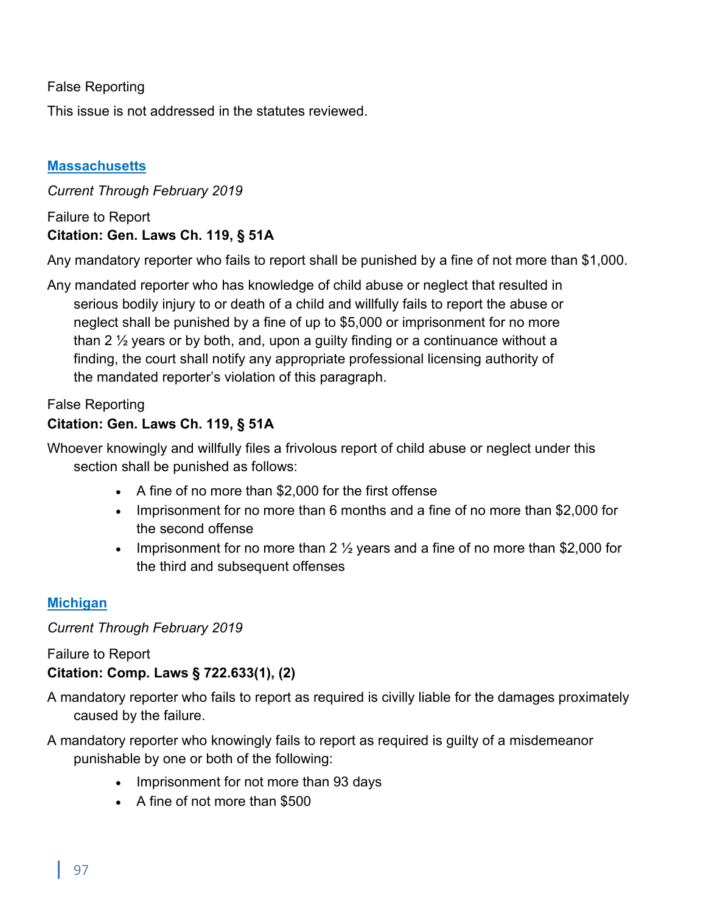False Reporting

This issue is not addressed in the statutes reviewed.

### **Massachusetts**

*Current Through February 2019*

## Failure to Report **Citation: Gen. Laws Ch. 119, § 51A**

Any mandatory reporter who fails to report shall be punished by a fine of not more than \$1,000.

Any mandated reporter who has knowledge of child abuse or neglect that resulted in serious bodily injury to or death of a child and willfully fails to report the abuse or neglect shall be punished by a fine of up to \$5,000 or imprisonment for no more than 2 ½ years or by both, and, upon a guilty finding or a continuance without a finding, the court shall notify any appropriate professional licensing authority of the mandated reporter's violation of this paragraph.

#### False Reporting **Citation: Gen. Laws Ch. 119, § 51A**

Whoever knowingly and willfully files a frivolous report of child abuse or neglect under this section shall be punished as follows:

- A fine of no more than \$2,000 for the first offense
- Imprisonment for no more than 6 months and a fine of no more than \$2,000 for the second offense
- Imprisonment for no more than 2  $\frac{1}{2}$  years and a fine of no more than \$2,000 for the third and subsequent offenses

# **Michigan**

*Current Through February 2019*

Failure to Report

# **Citation: Comp. Laws § 722.633(1), (2)**

- A mandatory reporter who fails to report as required is civilly liable for the damages proximately caused by the failure.
- A mandatory reporter who knowingly fails to report as required is guilty of a misdemeanor punishable by one or both of the following:
	- Imprisonment for not more than 93 days
	- A fine of not more than \$500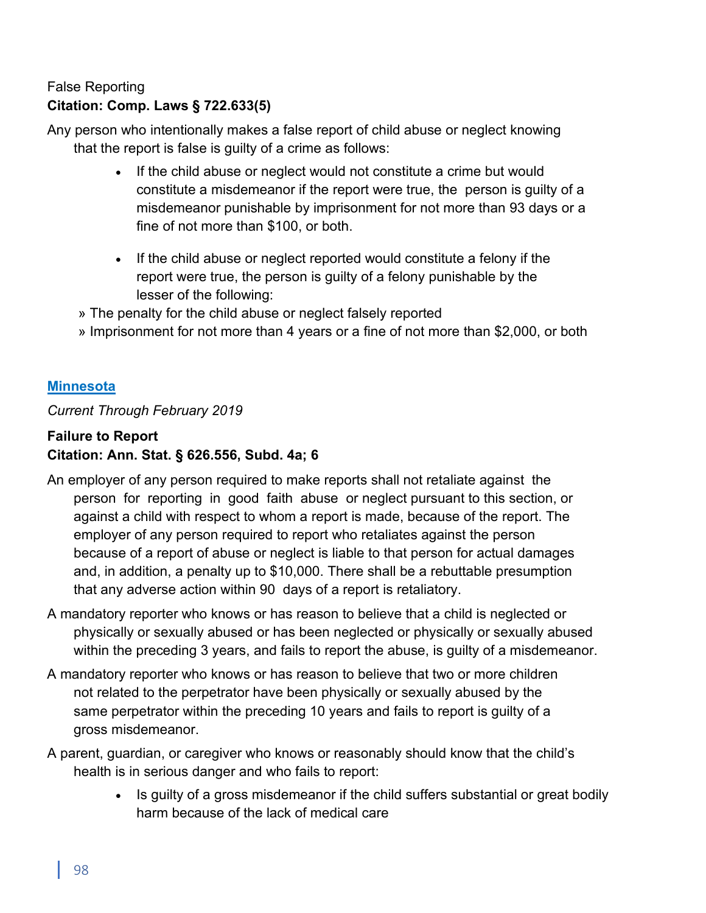### False Reporting **Citation: Comp. Laws § 722.633(5)**

Any person who intentionally makes a false report of child abuse or neglect knowing that the report is false is guilty of a crime as follows:

- If the child abuse or neglect would not constitute a crime but would constitute a misdemeanor if the report were true, the person is guilty of a misdemeanor punishable by imprisonment for not more than 93 days or a fine of not more than \$100, or both.
- If the child abuse or neglect reported would constitute a felony if the report were true, the person is guilty of a felony punishable by the lesser of the following:
- » The penalty for the child abuse or neglect falsely reported
- » Imprisonment for not more than 4 years or a fine of not more than \$2,000, or both

## **Minnesota**

*Current Through February 2019*

### **Failure to Report**

## **Citation: Ann. Stat. § 626.556, Subd. 4a; 6**

- An employer of any person required to make reports shall not retaliate against the person for reporting in good faith abuse or neglect pursuant to this section, or against a child with respect to whom a report is made, because of the report. The employer of any person required to report who retaliates against the person because of a report of abuse or neglect is liable to that person for actual damages and, in addition, a penalty up to \$10,000. There shall be a rebuttable presumption that any adverse action within 90 days of a report is retaliatory.
- A mandatory reporter who knows or has reason to believe that a child is neglected or physically or sexually abused or has been neglected or physically or sexually abused within the preceding 3 years, and fails to report the abuse, is guilty of a misdemeanor.
- A mandatory reporter who knows or has reason to believe that two or more children not related to the perpetrator have been physically or sexually abused by the same perpetrator within the preceding 10 years and fails to report is guilty of a gross misdemeanor.
- A parent, guardian, or caregiver who knows or reasonably should know that the child's health is in serious danger and who fails to report:
	- Is guilty of a gross misdemeanor if the child suffers substantial or great bodily harm because of the lack of medical care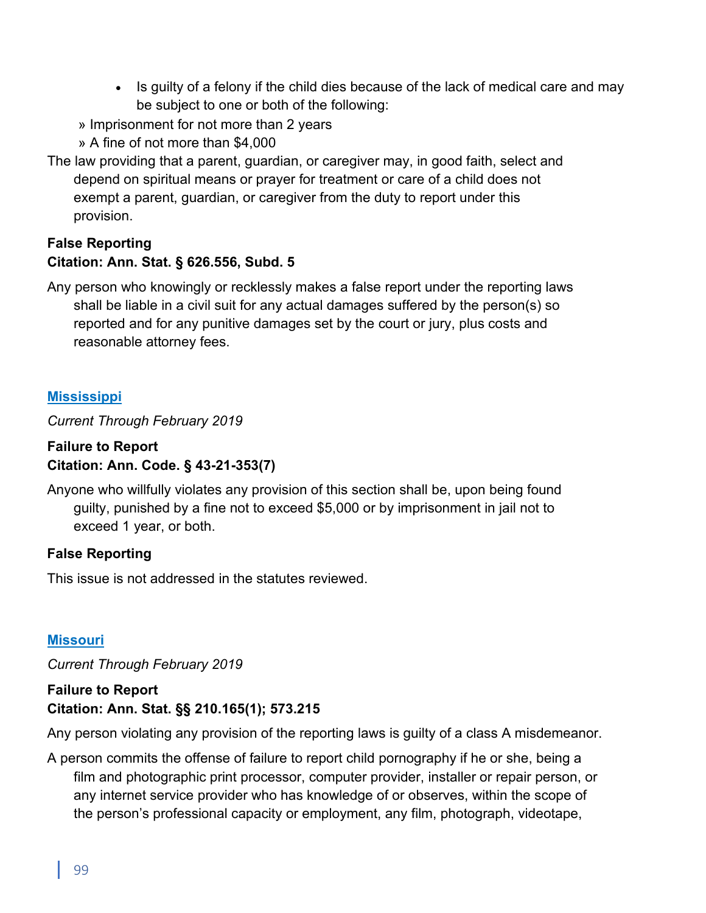- Is guilty of a felony if the child dies because of the lack of medical care and may be subject to one or both of the following:
- » Imprisonment for not more than 2 years
- » A fine of not more than \$4,000
- The law providing that a parent, guardian, or caregiver may, in good faith, select and depend on spiritual means or prayer for treatment or care of a child does not exempt a parent, guardian, or caregiver from the duty to report under this provision.

### **False Reporting Citation: Ann. Stat. § 626.556, Subd. 5**

Any person who knowingly or recklessly makes a false report under the reporting laws shall be liable in a civil suit for any actual damages suffered by the person(s) so reported and for any punitive damages set by the court or jury, plus costs and reasonable attorney fees.

## **Mississippi**

*Current Through February 2019*

## **Failure to Report Citation: Ann. Code. § 43-21-353(7)**

Anyone who willfully violates any provision of this section shall be, upon being found guilty, punished by a fine not to exceed \$5,000 or by imprisonment in jail not to exceed 1 year, or both.

## **False Reporting**

This issue is not addressed in the statutes reviewed.

## **Missouri**

*Current Through February 2019*

# **Failure to Report Citation: Ann. Stat. §§ 210.165(1); 573.215**

Any person violating any provision of the reporting laws is guilty of a class A misdemeanor.

A person commits the offense of failure to report child pornography if he or she, being a film and photographic print processor, computer provider, installer or repair person, or any internet service provider who has knowledge of or observes, within the scope of the person's professional capacity or employment, any film, photograph, videotape,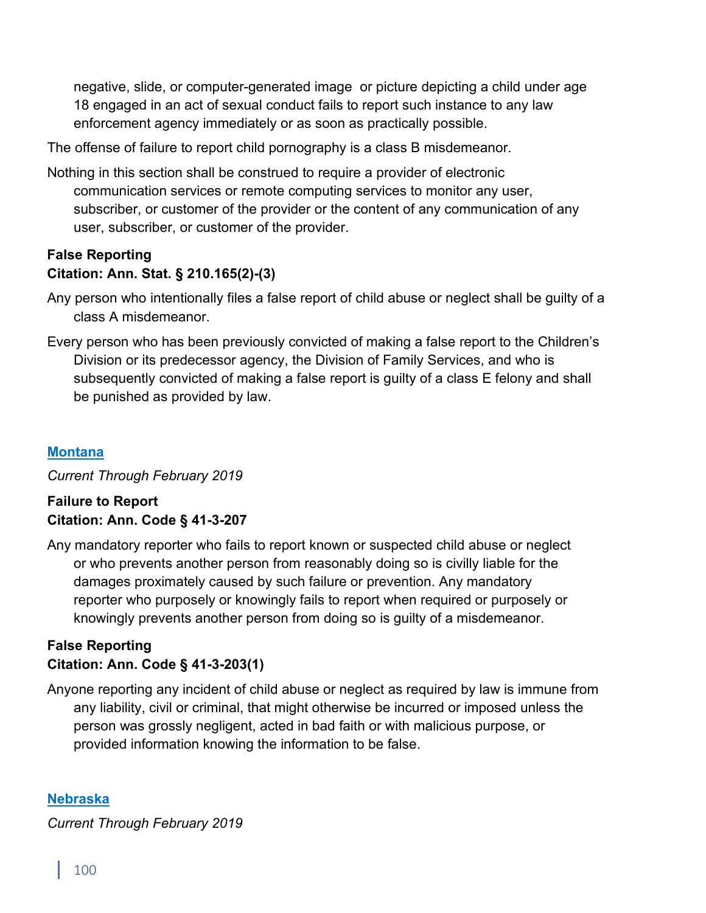negative, slide, or computer-generated image or picture depicting a child under age 18 engaged in an act of sexual conduct fails to report such instance to any law enforcement agency immediately or as soon as practically possible.

The offense of failure to report child pornography is a class B misdemeanor.

Nothing in this section shall be construed to require a provider of electronic communication services or remote computing services to monitor any user, subscriber, or customer of the provider or the content of any communication of any user, subscriber, or customer of the provider.

### **False Reporting Citation: Ann. Stat. § 210.165(2)-(3)**

Any person who intentionally files a false report of child abuse or neglect shall be guilty of a class A misdemeanor.

Every person who has been previously convicted of making a false report to the Children's Division or its predecessor agency, the Division of Family Services, and who is subsequently convicted of making a false report is guilty of a class E felony and shall be punished as provided by law.

### **Montana**

*Current Through February 2019*

### **Failure to Report Citation: Ann. Code § 41-3-207**

Any mandatory reporter who fails to report known or suspected child abuse or neglect or who prevents another person from reasonably doing so is civilly liable for the damages proximately caused by such failure or prevention. Any mandatory reporter who purposely or knowingly fails to report when required or purposely or knowingly prevents another person from doing so is guilty of a misdemeanor.

## **False Reporting Citation: Ann. Code § 41-3-203(1)**

Anyone reporting any incident of child abuse or neglect as required by law is immune from any liability, civil or criminal, that might otherwise be incurred or imposed unless the person was grossly negligent, acted in bad faith or with malicious purpose, or provided information knowing the information to be false.

### **Nebraska**

*Current Through February 2019*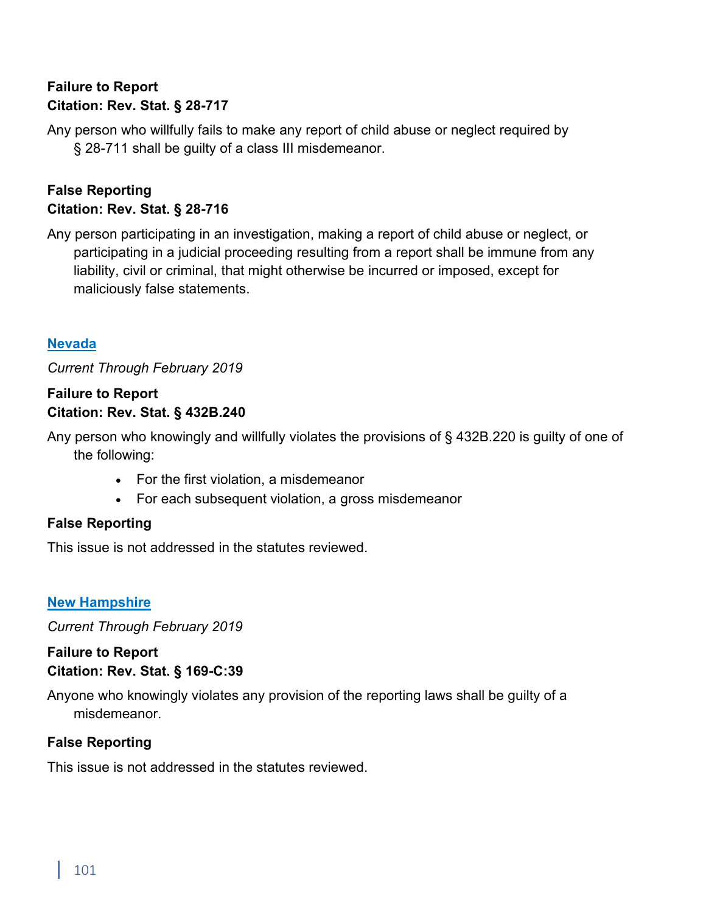## **Failure to Report Citation: Rev. Stat. § 28-717**

Any person who willfully fails to make any report of child abuse or neglect required by § 28-711 shall be guilty of a class III misdemeanor.

## **False Reporting Citation: Rev. Stat. § 28-716**

Any person participating in an investigation, making a report of child abuse or neglect, or participating in a judicial proceeding resulting from a report shall be immune from any liability, civil or criminal, that might otherwise be incurred or imposed, except for maliciously false statements.

### **Nevada**

*Current Through February 2019*

### **Failure to Report Citation: Rev. Stat. § 432B.240**

Any person who knowingly and willfully violates the provisions of § 432B.220 is guilty of one of the following:

- For the first violation, a misdemeanor
- For each subsequent violation, a gross misdemeanor

## **False Reporting**

This issue is not addressed in the statutes reviewed.

### **New Hampshire**

*Current Through February 2019*

## **Failure to Report Citation: Rev. Stat. § 169-C:39**

Anyone who knowingly violates any provision of the reporting laws shall be guilty of a misdemeanor.

### **False Reporting**

This issue is not addressed in the statutes reviewed.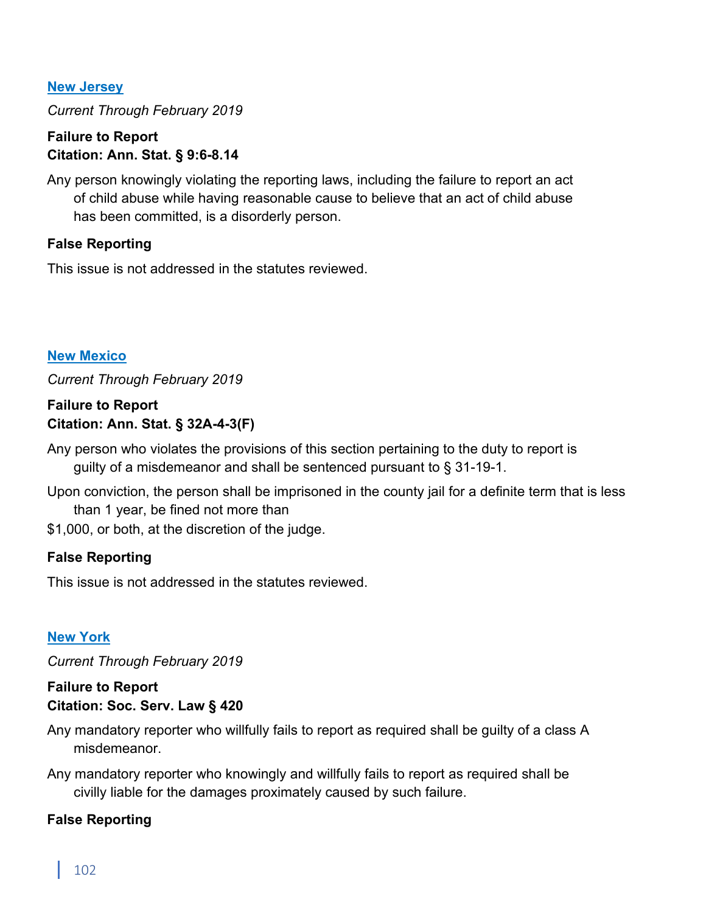#### **New Jersey**

*Current Through February 2019*

## **Failure to Report Citation: Ann. Stat. § 9:6-8.14**

Any person knowingly violating the reporting laws, including the failure to report an act of child abuse while having reasonable cause to believe that an act of child abuse has been committed, is a disorderly person.

### **False Reporting**

This issue is not addressed in the statutes reviewed.

### **New Mexico**

*Current Through February 2019*

## **Failure to Report Citation: Ann. Stat. § 32A-4-3(F)**

Any person who violates the provisions of this section pertaining to the duty to report is guilty of a misdemeanor and shall be sentenced pursuant to § 31-19-1.

Upon conviction, the person shall be imprisoned in the county jail for a definite term that is less than 1 year, be fined not more than

\$1,000, or both, at the discretion of the judge.

## **False Reporting**

This issue is not addressed in the statutes reviewed.

## **New York**

*Current Through February 2019*

### **Failure to Report Citation: Soc. Serv. Law § 420**

Any mandatory reporter who willfully fails to report as required shall be guilty of a class A misdemeanor.

Any mandatory reporter who knowingly and willfully fails to report as required shall be civilly liable for the damages proximately caused by such failure.

## **False Reporting**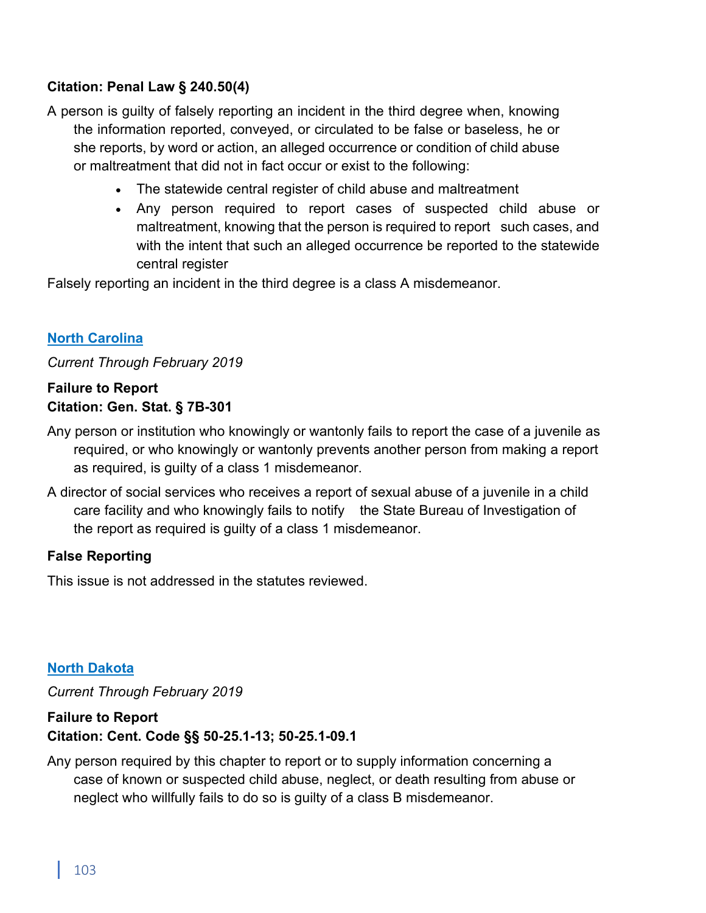### **Citation: Penal Law § 240.50(4)**

A person is guilty of falsely reporting an incident in the third degree when, knowing the information reported, conveyed, or circulated to be false or baseless, he or she reports, by word or action, an alleged occurrence or condition of child abuse or maltreatment that did not in fact occur or exist to the following:

- The statewide central register of child abuse and maltreatment
- Any person required to report cases of suspected child abuse or maltreatment, knowing that the person is required to report such cases, and with the intent that such an alleged occurrence be reported to the statewide central register

Falsely reporting an incident in the third degree is a class A misdemeanor.

#### **North Carolina**

*Current Through February 2019*

### **Failure to Report Citation: Gen. Stat. § 7B-301**

Any person or institution who knowingly or wantonly fails to report the case of a juvenile as required, or who knowingly or wantonly prevents another person from making a report as required, is guilty of a class 1 misdemeanor.

A director of social services who receives a report of sexual abuse of a juvenile in a child care facility and who knowingly fails to notify the State Bureau of Investigation of the report as required is guilty of a class 1 misdemeanor.

#### **False Reporting**

This issue is not addressed in the statutes reviewed.

#### **North Dakota**

*Current Through February 2019*

### **Failure to Report Citation: Cent. Code §§ 50-25.1-13; 50-25.1-09.1**

Any person required by this chapter to report or to supply information concerning a case of known or suspected child abuse, neglect, or death resulting from abuse or neglect who willfully fails to do so is guilty of a class B misdemeanor.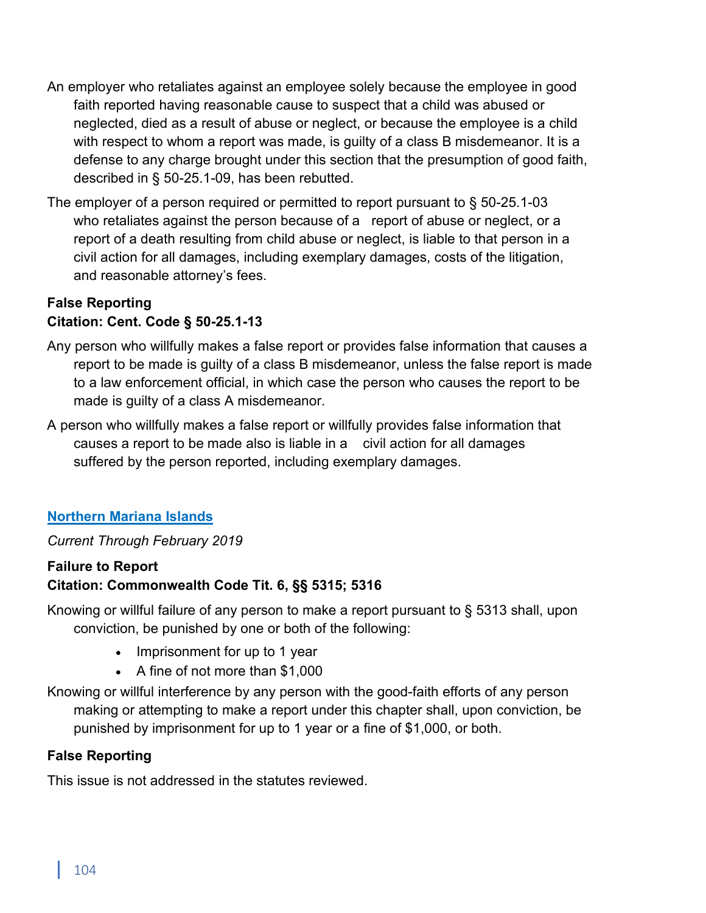- An employer who retaliates against an employee solely because the employee in good faith reported having reasonable cause to suspect that a child was abused or neglected, died as a result of abuse or neglect, or because the employee is a child with respect to whom a report was made, is guilty of a class B misdemeanor. It is a defense to any charge brought under this section that the presumption of good faith, described in § 50-25.1-09, has been rebutted.
- The employer of a person required or permitted to report pursuant to § 50-25.1-03 who retaliates against the person because of a report of abuse or neglect, or a report of a death resulting from child abuse or neglect, is liable to that person in a civil action for all damages, including exemplary damages, costs of the litigation, and reasonable attorney's fees.

## **False Reporting Citation: Cent. Code § 50-25.1-13**

- Any person who willfully makes a false report or provides false information that causes a report to be made is guilty of a class B misdemeanor, unless the false report is made to a law enforcement official, in which case the person who causes the report to be made is quilty of a class A misdemeanor.
- A person who willfully makes a false report or willfully provides false information that causes a report to be made also is liable in a civil action for all damages suffered by the person reported, including exemplary damages.

## **Northern Mariana Islands**

## *Current Through February 2019*

## **Failure to Report**

## **Citation: Commonwealth Code Tit. 6, §§ 5315; 5316**

- Knowing or willful failure of any person to make a report pursuant to § 5313 shall, upon conviction, be punished by one or both of the following:
	- Imprisonment for up to 1 year
	- A fine of not more than \$1,000
- Knowing or willful interference by any person with the good-faith efforts of any person making or attempting to make a report under this chapter shall, upon conviction, be punished by imprisonment for up to 1 year or a fine of \$1,000, or both.

# **False Reporting**

This issue is not addressed in the statutes reviewed.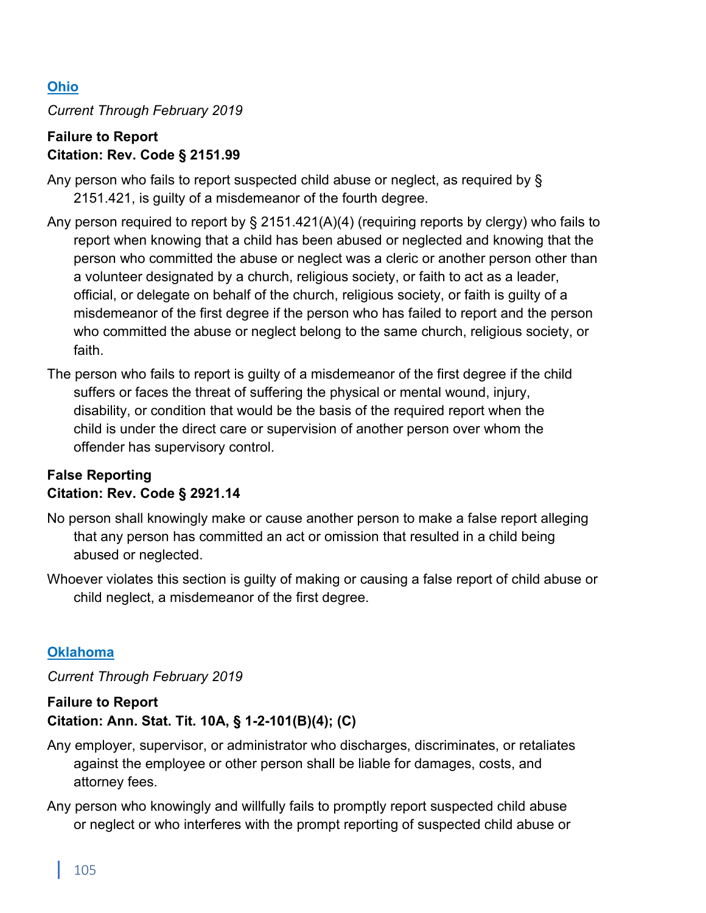## **Ohio**

### *Current Through February 2019*

## **Failure to Report Citation: Rev. Code § 2151.99**

- Any person who fails to report suspected child abuse or neglect, as required by § 2151.421, is guilty of a misdemeanor of the fourth degree.
- Any person required to report by § 2151.421(A)(4) (requiring reports by clergy) who fails to report when knowing that a child has been abused or neglected and knowing that the person who committed the abuse or neglect was a cleric or another person other than a volunteer designated by a church, religious society, or faith to act as a leader, official, or delegate on behalf of the church, religious society, or faith is guilty of a misdemeanor of the first degree if the person who has failed to report and the person who committed the abuse or neglect belong to the same church, religious society, or faith.
- The person who fails to report is guilty of a misdemeanor of the first degree if the child suffers or faces the threat of suffering the physical or mental wound, injury, disability, or condition that would be the basis of the required report when the child is under the direct care or supervision of another person over whom the offender has supervisory control.

## **False Reporting Citation: Rev. Code § 2921.14**

- No person shall knowingly make or cause another person to make a false report alleging that any person has committed an act or omission that resulted in a child being abused or neglected.
- Whoever violates this section is guilty of making or causing a false report of child abuse or child neglect, a misdemeanor of the first degree.

## **Oklahoma**

*Current Through February 2019*

# **Failure to Report Citation: Ann. Stat. Tit. 10A, § 1-2-101(B)(4); (C)**

- Any employer, supervisor, or administrator who discharges, discriminates, or retaliates against the employee or other person shall be liable for damages, costs, and attorney fees.
- Any person who knowingly and willfully fails to promptly report suspected child abuse or neglect or who interferes with the prompt reporting of suspected child abuse or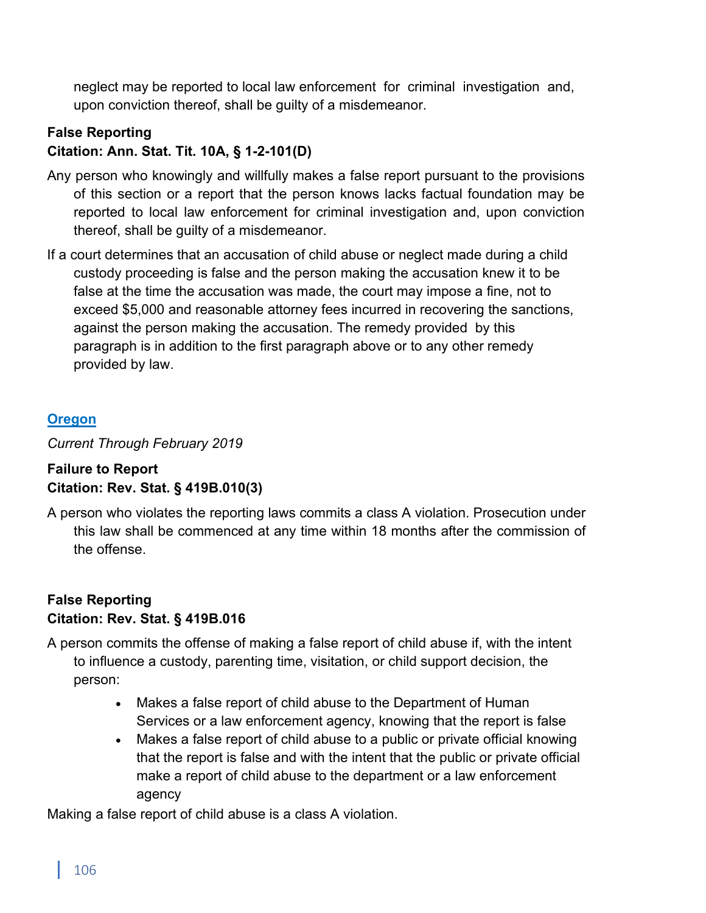neglect may be reported to local law enforcement for criminal investigation and, upon conviction thereof, shall be guilty of a misdemeanor.

## **False Reporting Citation: Ann. Stat. Tit. 10A, § 1-2-101(D)**

- Any person who knowingly and willfully makes a false report pursuant to the provisions of this section or a report that the person knows lacks factual foundation may be reported to local law enforcement for criminal investigation and, upon conviction thereof, shall be guilty of a misdemeanor.
- If a court determines that an accusation of child abuse or neglect made during a child custody proceeding is false and the person making the accusation knew it to be false at the time the accusation was made, the court may impose a fine, not to exceed \$5,000 and reasonable attorney fees incurred in recovering the sanctions, against the person making the accusation. The remedy provided by this paragraph is in addition to the first paragraph above or to any other remedy provided by law.

### **Oregon**

*Current Through February 2019*

### **Failure to Report Citation: Rev. Stat. § 419B.010(3)**

A person who violates the reporting laws commits a class A violation. Prosecution under this law shall be commenced at any time within 18 months after the commission of the offense.

### **False Reporting Citation: Rev. Stat. § 419B.016**

- A person commits the offense of making a false report of child abuse if, with the intent to influence a custody, parenting time, visitation, or child support decision, the person:
	- Makes a false report of child abuse to the Department of Human Services or a law enforcement agency, knowing that the report is false
	- Makes a false report of child abuse to a public or private official knowing that the report is false and with the intent that the public or private official make a report of child abuse to the department or a law enforcement agency

Making a false report of child abuse is a class A violation.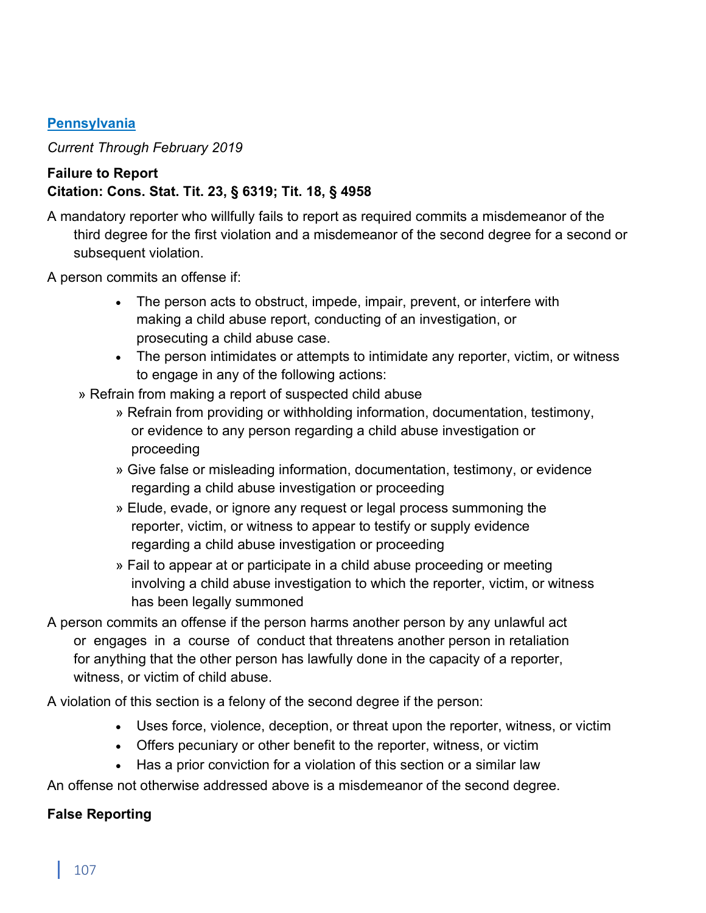### **Pennsylvania**

*Current Through February 2019*

## **Failure to Report Citation: Cons. Stat. Tit. 23, § 6319; Tit. 18, § 4958**

A mandatory reporter who willfully fails to report as required commits a misdemeanor of the third degree for the first violation and a misdemeanor of the second degree for a second or subsequent violation.

A person commits an offense if:

- The person acts to obstruct, impede, impair, prevent, or interfere with making a child abuse report, conducting of an investigation, or prosecuting a child abuse case.
- The person intimidates or attempts to intimidate any reporter, victim, or witness to engage in any of the following actions:
- » Refrain from making a report of suspected child abuse
	- » Refrain from providing or withholding information, documentation, testimony, or evidence to any person regarding a child abuse investigation or proceeding
	- » Give false or misleading information, documentation, testimony, or evidence regarding a child abuse investigation or proceeding
	- » Elude, evade, or ignore any request or legal process summoning the reporter, victim, or witness to appear to testify or supply evidence regarding a child abuse investigation or proceeding
	- » Fail to appear at or participate in a child abuse proceeding or meeting involving a child abuse investigation to which the reporter, victim, or witness has been legally summoned
- A person commits an offense if the person harms another person by any unlawful act or engages in a course of conduct that threatens another person in retaliation for anything that the other person has lawfully done in the capacity of a reporter, witness, or victim of child abuse.

A violation of this section is a felony of the second degree if the person:

- Uses force, violence, deception, or threat upon the reporter, witness, or victim
- Offers pecuniary or other benefit to the reporter, witness, or victim
- Has a prior conviction for a violation of this section or a similar law

An offense not otherwise addressed above is a misdemeanor of the second degree.

### **False Reporting**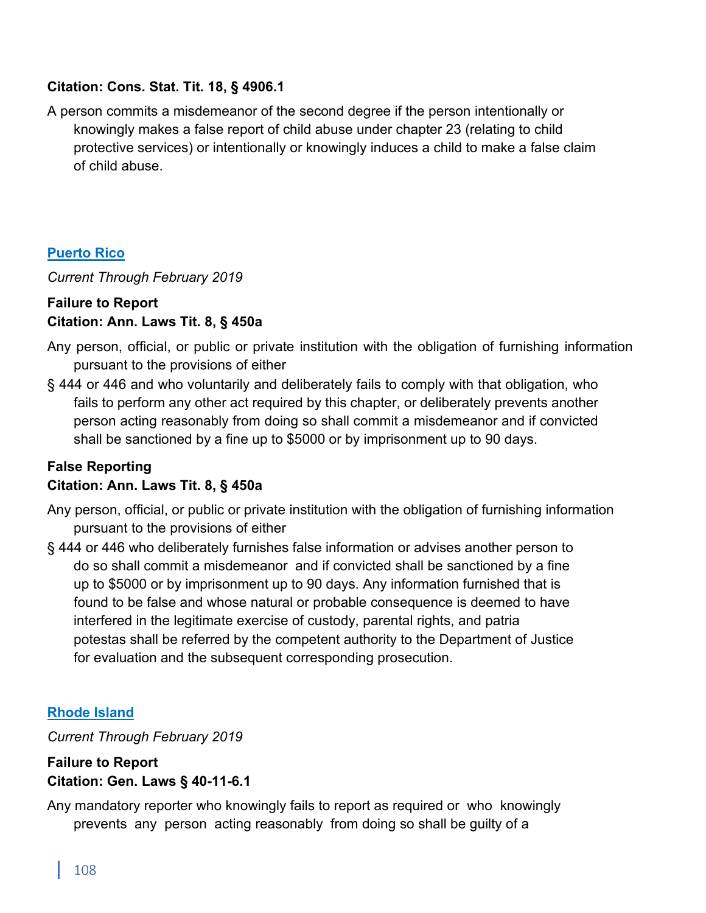#### **Citation: Cons. Stat. Tit. 18, § 4906.1**

A person commits a misdemeanor of the second degree if the person intentionally or knowingly makes a false report of child abuse under chapter 23 (relating to child protective services) or intentionally or knowingly induces a child to make a false claim of child abuse.

#### **Puerto Rico**

*Current Through February 2019*

#### **Failure to Report Citation: Ann. Laws Tit. 8, § 450a**

- Any person, official, or public or private institution with the obligation of furnishing information pursuant to the provisions of either
- § 444 or 446 and who voluntarily and deliberately fails to comply with that obligation, who fails to perform any other act required by this chapter, or deliberately prevents another person acting reasonably from doing so shall commit a misdemeanor and if convicted shall be sanctioned by a fine up to \$5000 or by imprisonment up to 90 days.

#### **False Reporting Citation: Ann. Laws Tit. 8, § 450a**

- Any person, official, or public or private institution with the obligation of furnishing information pursuant to the provisions of either
- § 444 or 446 who deliberately furnishes false information or advises another person to do so shall commit a misdemeanor and if convicted shall be sanctioned by a fine up to \$5000 or by imprisonment up to 90 days. Any information furnished that is found to be false and whose natural or probable consequence is deemed to have interfered in the legitimate exercise of custody, parental rights, and patria potestas shall be referred by the competent authority to the Department of Justice for evaluation and the subsequent corresponding prosecution.

#### **Rhode Island**

*Current Through February 2019*

### **Failure to Report Citation: Gen. Laws § 40-11-6.1**

Any mandatory reporter who knowingly fails to report as required or who knowingly prevents any person acting reasonably from doing so shall be guilty of a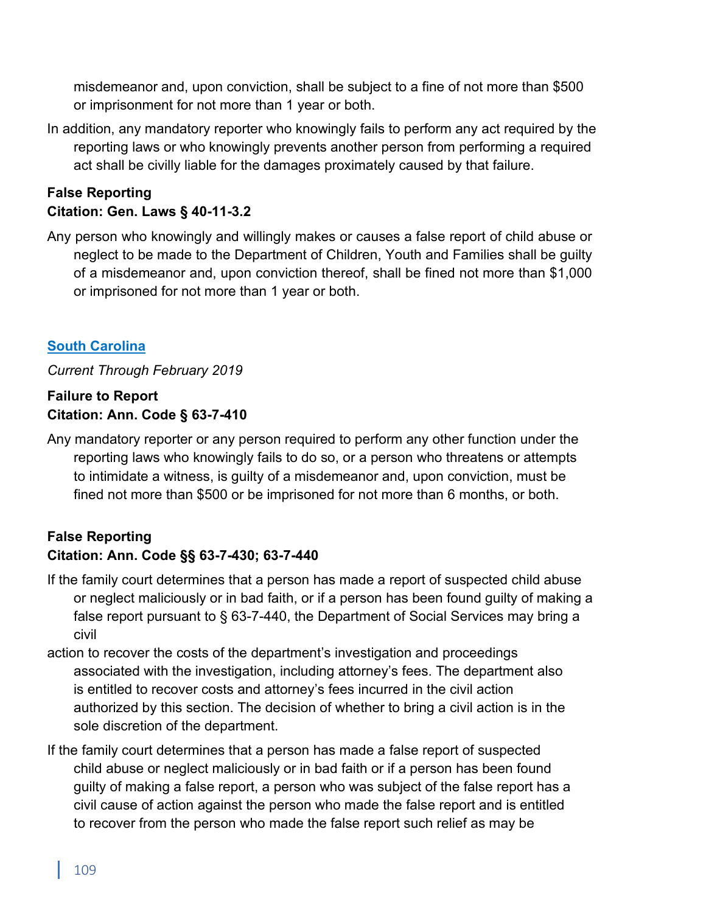misdemeanor and, upon conviction, shall be subject to a fine of not more than \$500 or imprisonment for not more than 1 year or both.

In addition, any mandatory reporter who knowingly fails to perform any act required by the reporting laws or who knowingly prevents another person from performing a required act shall be civilly liable for the damages proximately caused by that failure.

# **False Reporting Citation: Gen. Laws § 40-11-3.2**

Any person who knowingly and willingly makes or causes a false report of child abuse or neglect to be made to the Department of Children, Youth and Families shall be guilty of a misdemeanor and, upon conviction thereof, shall be fined not more than \$1,000 or imprisoned for not more than 1 year or both.

## **South Carolina**

*Current Through February 2019*

## **Failure to Report Citation: Ann. Code § 63-7-410**

Any mandatory reporter or any person required to perform any other function under the reporting laws who knowingly fails to do so, or a person who threatens or attempts to intimidate a witness, is guilty of a misdemeanor and, upon conviction, must be fined not more than \$500 or be imprisoned for not more than 6 months, or both.

## **False Reporting Citation: Ann. Code §§ 63-7-430; 63-7-440**

- If the family court determines that a person has made a report of suspected child abuse or neglect maliciously or in bad faith, or if a person has been found guilty of making a false report pursuant to § 63-7-440, the Department of Social Services may bring a civil
- action to recover the costs of the department's investigation and proceedings associated with the investigation, including attorney's fees. The department also is entitled to recover costs and attorney's fees incurred in the civil action authorized by this section. The decision of whether to bring a civil action is in the sole discretion of the department.
- If the family court determines that a person has made a false report of suspected child abuse or neglect maliciously or in bad faith or if a person has been found guilty of making a false report, a person who was subject of the false report has a civil cause of action against the person who made the false report and is entitled to recover from the person who made the false report such relief as may be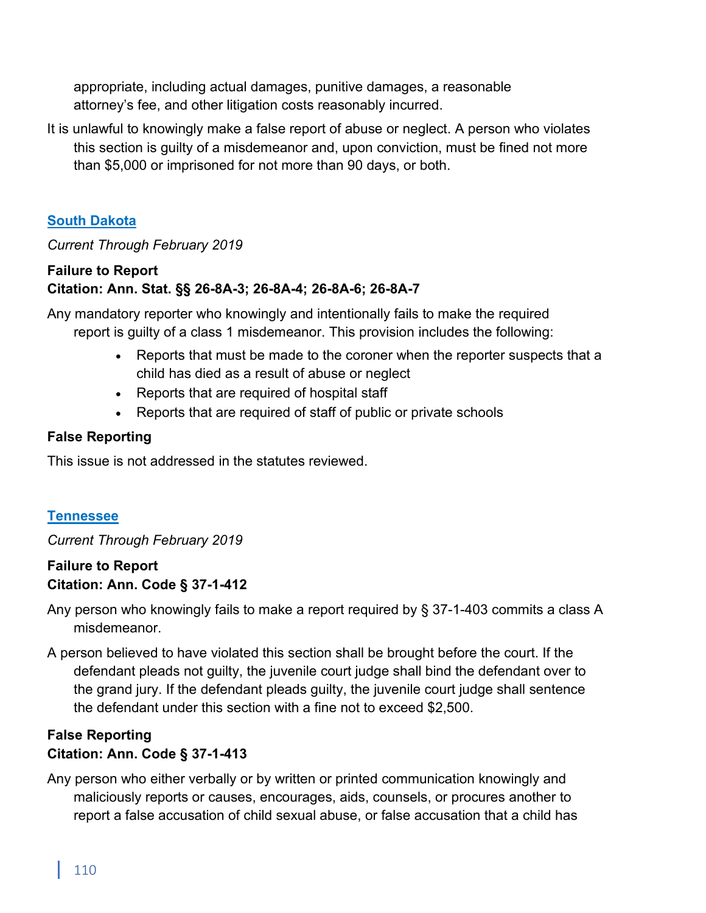appropriate, including actual damages, punitive damages, a reasonable attorney's fee, and other litigation costs reasonably incurred.

It is unlawful to knowingly make a false report of abuse or neglect. A person who violates this section is guilty of a misdemeanor and, upon conviction, must be fined not more than \$5,000 or imprisoned for not more than 90 days, or both.

### **South Dakota**

### *Current Through February 2019*

# **Failure to Report Citation: Ann. Stat. §§ 26-8A-3; 26-8A-4; 26-8A-6; 26-8A-7**

Any mandatory reporter who knowingly and intentionally fails to make the required report is guilty of a class 1 misdemeanor. This provision includes the following:

- Reports that must be made to the coroner when the reporter suspects that a child has died as a result of abuse or neglect
- Reports that are required of hospital staff
- Reports that are required of staff of public or private schools

### **False Reporting**

This issue is not addressed in the statutes reviewed.

### **Tennessee**

*Current Through February 2019*

## **Failure to Report Citation: Ann. Code § 37-1-412**

Any person who knowingly fails to make a report required by § 37-1-403 commits a class A misdemeanor.

A person believed to have violated this section shall be brought before the court. If the defendant pleads not guilty, the juvenile court judge shall bind the defendant over to the grand jury. If the defendant pleads guilty, the juvenile court judge shall sentence the defendant under this section with a fine not to exceed \$2,500.

## **False Reporting**

## **Citation: Ann. Code § 37-1-413**

Any person who either verbally or by written or printed communication knowingly and maliciously reports or causes, encourages, aids, counsels, or procures another to report a false accusation of child sexual abuse, or false accusation that a child has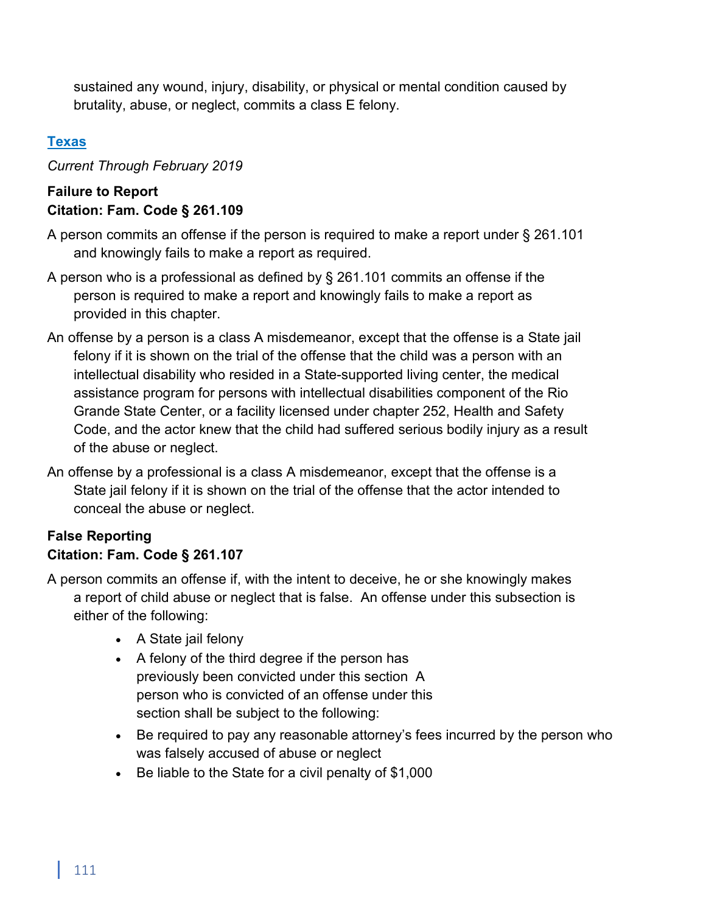sustained any wound, injury, disability, or physical or mental condition caused by brutality, abuse, or neglect, commits a class E felony.

# **Texas**

*Current Through February 2019*

## **Failure to Report Citation: Fam. Code § 261.109**

- A person commits an offense if the person is required to make a report under § 261.101 and knowingly fails to make a report as required.
- A person who is a professional as defined by § 261.101 commits an offense if the person is required to make a report and knowingly fails to make a report as provided in this chapter.
- An offense by a person is a class A misdemeanor, except that the offense is a State jail felony if it is shown on the trial of the offense that the child was a person with an intellectual disability who resided in a State-supported living center, the medical assistance program for persons with intellectual disabilities component of the Rio Grande State Center, or a facility licensed under chapter 252, Health and Safety Code, and the actor knew that the child had suffered serious bodily injury as a result of the abuse or neglect.
- An offense by a professional is a class A misdemeanor, except that the offense is a State jail felony if it is shown on the trial of the offense that the actor intended to conceal the abuse or neglect.

# **False Reporting Citation: Fam. Code § 261.107**

A person commits an offense if, with the intent to deceive, he or she knowingly makes a report of child abuse or neglect that is false. An offense under this subsection is either of the following:

- A State jail felony
- A felony of the third degree if the person has previously been convicted under this section A person who is convicted of an offense under this section shall be subject to the following:
- Be required to pay any reasonable attorney's fees incurred by the person who was falsely accused of abuse or neglect
- Be liable to the State for a civil penalty of \$1,000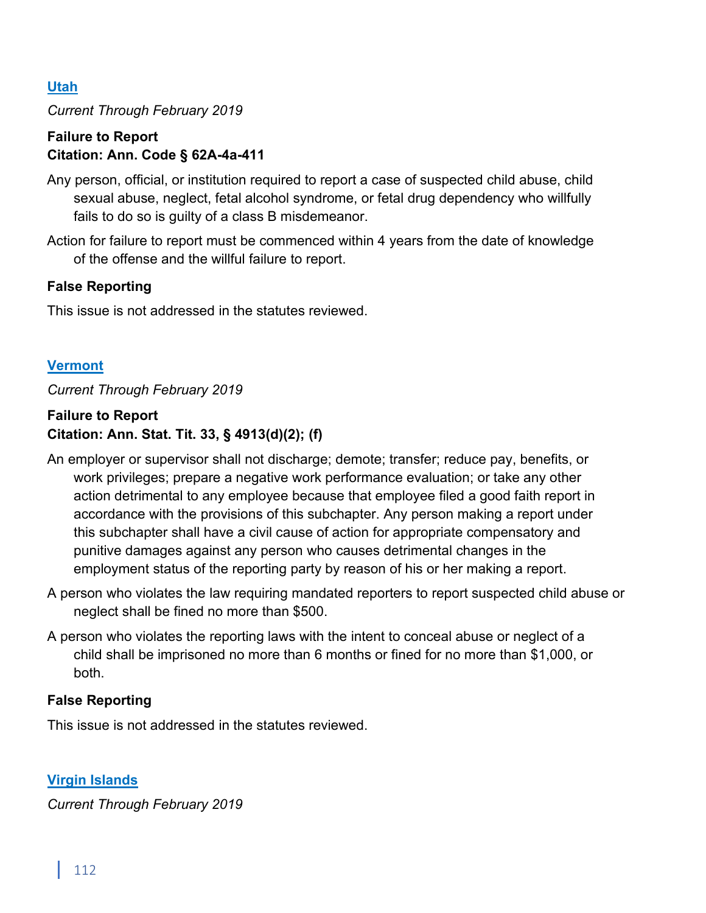### **Utah**

### *Current Through February 2019*

## **Failure to Report Citation: Ann. Code § 62A-4a-411**

- Any person, official, or institution required to report a case of suspected child abuse, child sexual abuse, neglect, fetal alcohol syndrome, or fetal drug dependency who willfully fails to do so is guilty of a class B misdemeanor.
- Action for failure to report must be commenced within 4 years from the date of knowledge of the offense and the willful failure to report.

### **False Reporting**

This issue is not addressed in the statutes reviewed.

### **Vermont**

### *Current Through February 2019*

# **Failure to Report Citation: Ann. Stat. Tit. 33, § 4913(d)(2); (f)**

- An employer or supervisor shall not discharge; demote; transfer; reduce pay, benefits, or work privileges; prepare a negative work performance evaluation; or take any other action detrimental to any employee because that employee filed a good faith report in accordance with the provisions of this subchapter. Any person making a report under this subchapter shall have a civil cause of action for appropriate compensatory and punitive damages against any person who causes detrimental changes in the employment status of the reporting party by reason of his or her making a report.
- A person who violates the law requiring mandated reporters to report suspected child abuse or neglect shall be fined no more than \$500.
- A person who violates the reporting laws with the intent to conceal abuse or neglect of a child shall be imprisoned no more than 6 months or fined for no more than \$1,000, or both.

## **False Reporting**

This issue is not addressed in the statutes reviewed.

## **Virgin Islands**

*Current Through February 2019*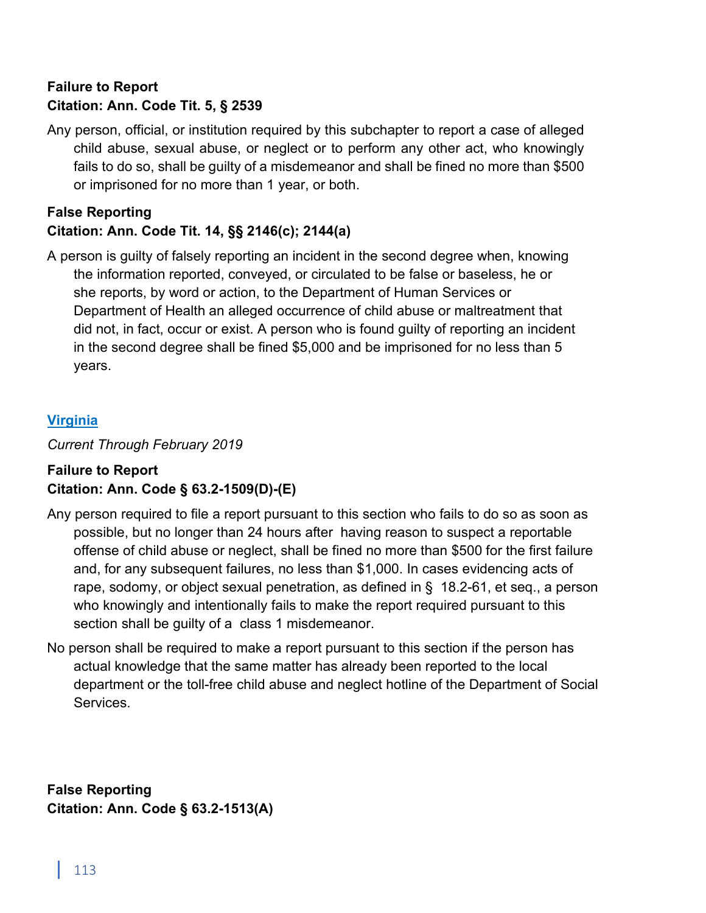## **Failure to Report Citation: Ann. Code Tit. 5, § 2539**

Any person, official, or institution required by this subchapter to report a case of alleged child abuse, sexual abuse, or neglect or to perform any other act, who knowingly fails to do so, shall be guilty of a misdemeanor and shall be fined no more than \$500 or imprisoned for no more than 1 year, or both.

# **False Reporting Citation: Ann. Code Tit. 14, §§ 2146(c); 2144(a)**

A person is guilty of falsely reporting an incident in the second degree when, knowing the information reported, conveyed, or circulated to be false or baseless, he or she reports, by word or action, to the Department of Human Services or Department of Health an alleged occurrence of child abuse or maltreatment that did not, in fact, occur or exist. A person who is found guilty of reporting an incident in the second degree shall be fined \$5,000 and be imprisoned for no less than 5 years.

## **Virginia**

*Current Through February 2019*

### **Failure to Report Citation: Ann. Code § 63.2-1509(D)-(E)**

- Any person required to file a report pursuant to this section who fails to do so as soon as possible, but no longer than 24 hours after having reason to suspect a reportable offense of child abuse or neglect, shall be fined no more than \$500 for the first failure and, for any subsequent failures, no less than \$1,000. In cases evidencing acts of rape, sodomy, or object sexual penetration, as defined in § 18.2-61, et seq., a person who knowingly and intentionally fails to make the report required pursuant to this section shall be guilty of a class 1 misdemeanor.
- No person shall be required to make a report pursuant to this section if the person has actual knowledge that the same matter has already been reported to the local department or the toll-free child abuse and neglect hotline of the Department of Social Services.

**False Reporting Citation: Ann. Code § 63.2-1513(A)**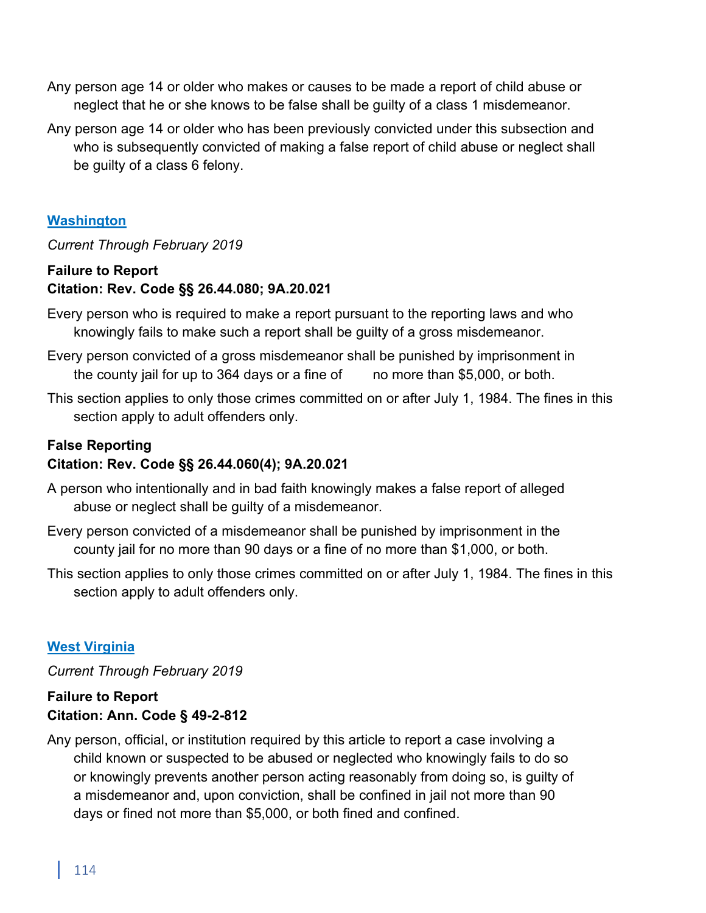- Any person age 14 or older who makes or causes to be made a report of child abuse or neglect that he or she knows to be false shall be guilty of a class 1 misdemeanor.
- Any person age 14 or older who has been previously convicted under this subsection and who is subsequently convicted of making a false report of child abuse or neglect shall be guilty of a class 6 felony.

### **Washington**

*Current Through February 2019*

# **Failure to Report Citation: Rev. Code §§ 26.44.080; 9A.20.021**

- Every person who is required to make a report pursuant to the reporting laws and who knowingly fails to make such a report shall be guilty of a gross misdemeanor.
- Every person convicted of a gross misdemeanor shall be punished by imprisonment in the county jail for up to 364 days or a fine of no more than  $$5,000$ , or both.
- This section applies to only those crimes committed on or after July 1, 1984. The fines in this section apply to adult offenders only.

## **False Reporting Citation: Rev. Code §§ 26.44.060(4); 9A.20.021**

- A person who intentionally and in bad faith knowingly makes a false report of alleged abuse or neglect shall be guilty of a misdemeanor.
- Every person convicted of a misdemeanor shall be punished by imprisonment in the county jail for no more than 90 days or a fine of no more than \$1,000, or both.
- This section applies to only those crimes committed on or after July 1, 1984. The fines in this section apply to adult offenders only.

## **West Virginia**

*Current Through February 2019*

## **Failure to Report Citation: Ann. Code § 49-2-812**

Any person, official, or institution required by this article to report a case involving a child known or suspected to be abused or neglected who knowingly fails to do so or knowingly prevents another person acting reasonably from doing so, is guilty of a misdemeanor and, upon conviction, shall be confined in jail not more than 90 days or fined not more than \$5,000, or both fined and confined.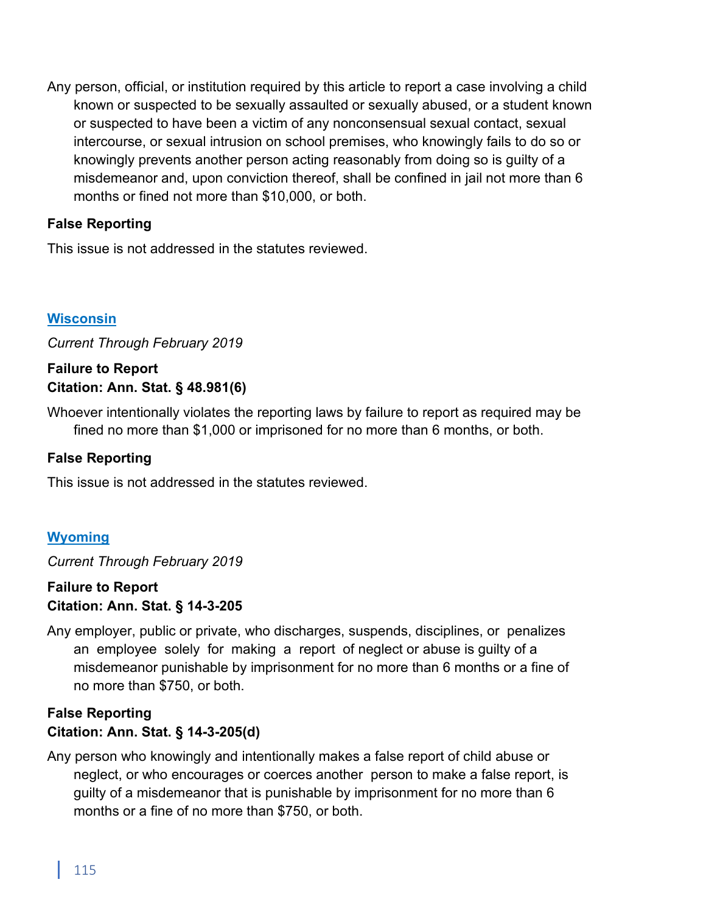Any person, official, or institution required by this article to report a case involving a child known or suspected to be sexually assaulted or sexually abused, or a student known or suspected to have been a victim of any nonconsensual sexual contact, sexual intercourse, or sexual intrusion on school premises, who knowingly fails to do so or knowingly prevents another person acting reasonably from doing so is guilty of a misdemeanor and, upon conviction thereof, shall be confined in jail not more than 6 months or fined not more than \$10,000, or both.

### **False Reporting**

This issue is not addressed in the statutes reviewed.

### **Wisconsin**

*Current Through February 2019*

### **Failure to Report Citation: Ann. Stat. § 48.981(6)**

Whoever intentionally violates the reporting laws by failure to report as required may be fined no more than \$1,000 or imprisoned for no more than 6 months, or both.

### **False Reporting**

This issue is not addressed in the statutes reviewed.

## **Wyoming**

*Current Through February 2019*

## **Failure to Report Citation: Ann. Stat. § 14-3-205**

Any employer, public or private, who discharges, suspends, disciplines, or penalizes an employee solely for making a report of neglect or abuse is guilty of a misdemeanor punishable by imprisonment for no more than 6 months or a fine of no more than \$750, or both.

#### **False Reporting Citation: Ann. Stat. § 14-3-205(d)**

Any person who knowingly and intentionally makes a false report of child abuse or neglect, or who encourages or coerces another person to make a false report, is guilty of a misdemeanor that is punishable by imprisonment for no more than 6 months or a fine of no more than \$750, or both.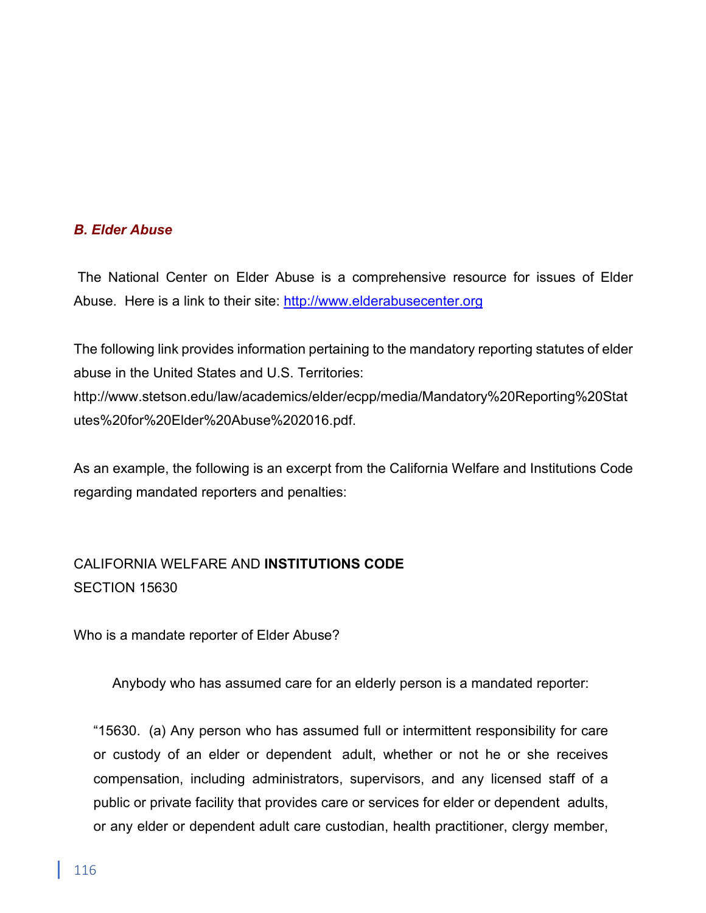#### *B. Elder Abuse*

The National Center on Elder Abuse is a comprehensive resource for issues of Elder Abuse. Here is a link to their site: [http://www.elderabusecenter.org](http://www.elderabusecenter.org/)

The following link provides information pertaining to the mandatory reporting statutes of elder abuse in the United States and U.S. Territories:

http://www.stetson.edu/law/academics/elder/ecpp/media/Mandatory%20Reporting%20Stat utes%20for%20Elder%20Abuse%202016.pdf.

As an example, the following is an excerpt from the California Welfare and Institutions Code regarding mandated reporters and penalties:

# CALIFORNIA WELFARE AND **INSTITUTIONS CODE** SECTION 15630

Who is a mandate reporter of Elder Abuse?

Anybody who has assumed care for an elderly person is a mandated reporter:

"15630. (a) Any person who has assumed full or intermittent responsibility for care or custody of an elder or dependent adult, whether or not he or she receives compensation, including administrators, supervisors, and any licensed staff of a public or private facility that provides care or services for elder or dependent adults, or any elder or dependent adult care custodian, health practitioner, clergy member,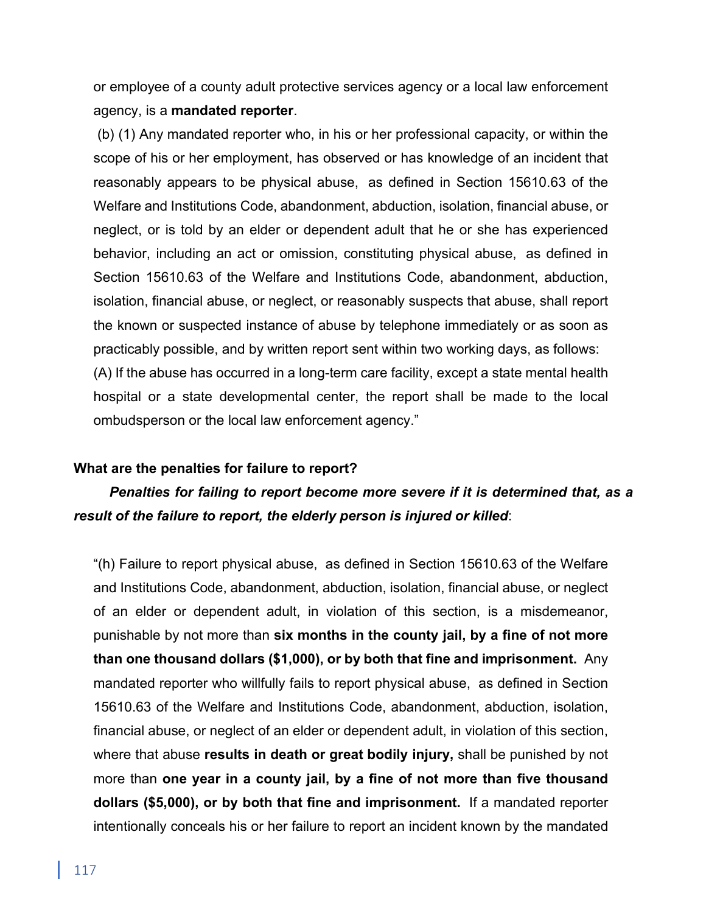or employee of a county adult protective services agency or a local law enforcement agency, is a **mandated reporter**.

(b) (1) Any mandated reporter who, in his or her professional capacity, or within the scope of his or her employment, has observed or has knowledge of an incident that reasonably appears to be physical abuse, as defined in Section 15610.63 of the Welfare and Institutions Code, abandonment, abduction, isolation, financial abuse, or neglect, or is told by an elder or dependent adult that he or she has experienced behavior, including an act or omission, constituting physical abuse, as defined in Section 15610.63 of the Welfare and Institutions Code, abandonment, abduction, isolation, financial abuse, or neglect, or reasonably suspects that abuse, shall report the known or suspected instance of abuse by telephone immediately or as soon as practicably possible, and by written report sent within two working days, as follows: (A) If the abuse has occurred in a long-term care facility, except a state mental health hospital or a state developmental center, the report shall be made to the local ombudsperson or the local law enforcement agency."

#### **What are the penalties for failure to report?**

# *Penalties for failing to report become more severe if it is determined that, as a result of the failure to report, the elderly person is injured or killed*:

"(h) Failure to report physical abuse, as defined in Section 15610.63 of the Welfare and Institutions Code, abandonment, abduction, isolation, financial abuse, or neglect of an elder or dependent adult, in violation of this section, is a misdemeanor, punishable by not more than **six months in the county jail, by a fine of not more than one thousand dollars (\$1,000), or by both that fine and imprisonment.** Any mandated reporter who willfully fails to report physical abuse, as defined in Section 15610.63 of the Welfare and Institutions Code, abandonment, abduction, isolation, financial abuse, or neglect of an elder or dependent adult, in violation of this section, where that abuse **results in death or great bodily injury,** shall be punished by not more than **one year in a county jail, by a fine of not more than five thousand dollars (\$5,000), or by both that fine and imprisonment.** If a mandated reporter intentionally conceals his or her failure to report an incident known by the mandated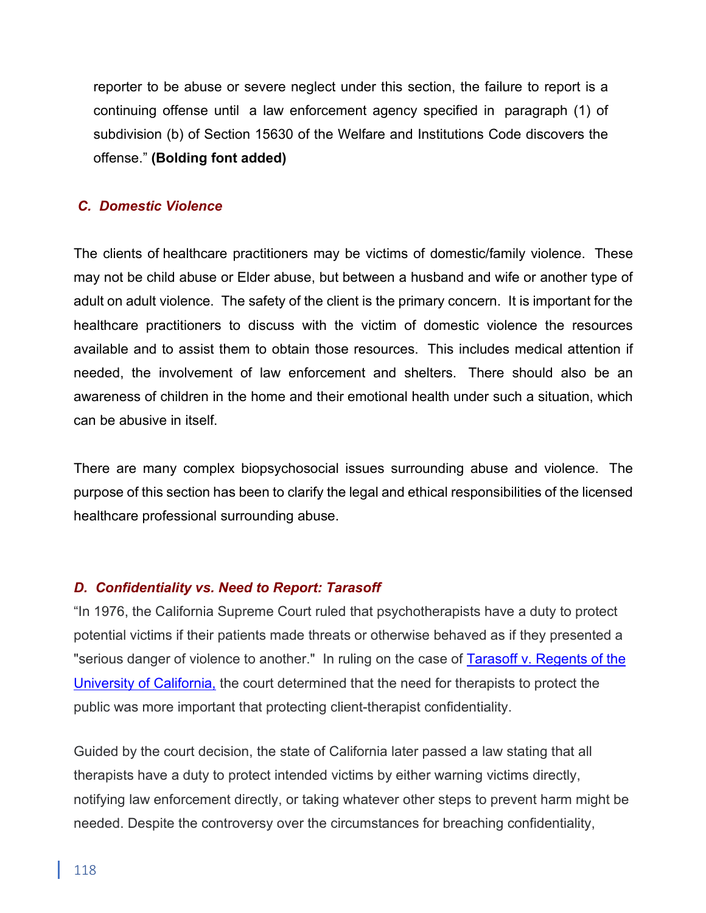reporter to be abuse or severe neglect under this section, the failure to report is a continuing offense until a law enforcement agency specified in paragraph (1) of subdivision (b) of Section 15630 of the Welfare and Institutions Code discovers the offense." **(Bolding font added)**

#### *C. Domestic Violence*

The clients of healthcare practitioners may be victims of domestic/family violence. These may not be child abuse or Elder abuse, but between a husband and wife or another type of adult on adult violence. The safety of the client is the primary concern. It is important for the healthcare practitioners to discuss with the victim of domestic violence the resources available and to assist them to obtain those resources. This includes medical attention if needed, the involvement of law enforcement and shelters. There should also be an awareness of children in the home and their emotional health under such a situation, which can be abusive in itself.

There are many complex biopsychosocial issues surrounding abuse and violence. The purpose of this section has been to clarify the legal and ethical responsibilities of the licensed healthcare professional surrounding abuse.

#### *D. Confidentiality vs. Need to Report: Tarasoff*

"In 1976, the California Supreme Court ruled that psychotherapists have a duty to protect potential victims if their patients made threats or otherwise behaved as if they presented a "serious danger of violence to another." In ruling on the case of Tarasoff v. Regents of the [University of California,](http://en.wikipedia.org/wiki/Tarasoff_v._Regents_of_the_University_of_California) the court determined that the need for therapists to protect the public was more important that protecting client-therapist confidentiality.

Guided by the court decision, the state of California later passed a law stating that all therapists have a duty to protect intended victims by either warning victims directly, notifying law enforcement directly, or taking whatever other steps to prevent harm might be needed. Despite the controversy over the circumstances for breaching confidentiality,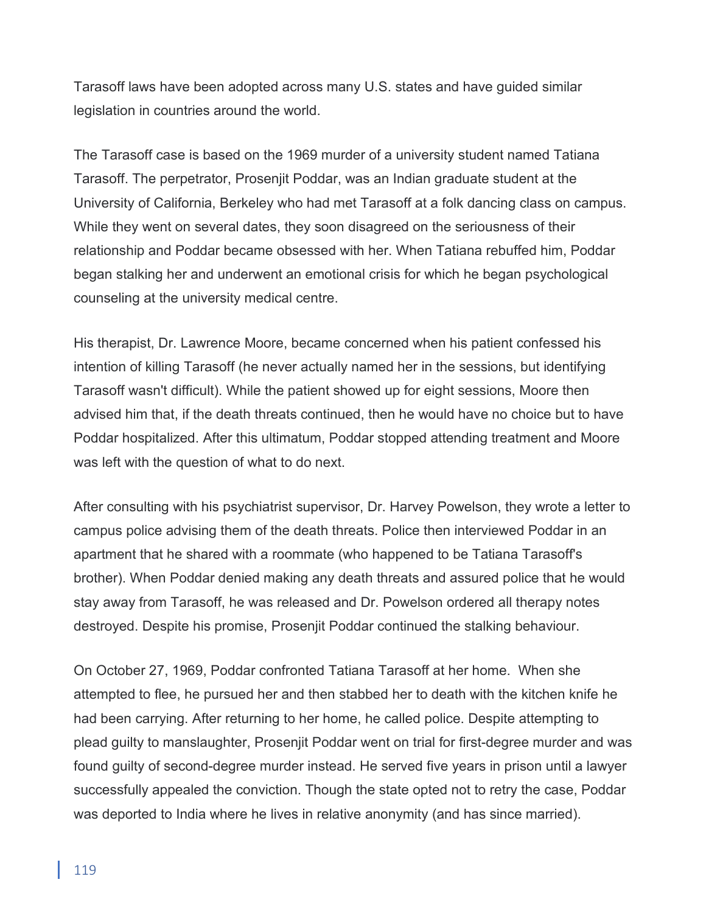Tarasoff laws have been adopted across many U.S. states and have guided similar legislation in countries around the world.

The Tarasoff case is based on the 1969 murder of a university student named Tatiana Tarasoff. The perpetrator, Prosenjit Poddar, was an Indian graduate student at the University of California, Berkeley who had met Tarasoff at a folk dancing class on campus. While they went on several dates, they soon disagreed on the seriousness of their relationship and Poddar became obsessed with her. When Tatiana rebuffed him, Poddar began stalking her and underwent an emotional crisis for which he began psychological counseling at the university medical centre.

His therapist, Dr. Lawrence Moore, became concerned when his patient confessed his intention of killing Tarasoff (he never actually named her in the sessions, but identifying Tarasoff wasn't difficult). While the patient showed up for eight sessions, Moore then advised him that, if the death threats continued, then he would have no choice but to have Poddar hospitalized. After this ultimatum, Poddar stopped attending treatment and Moore was left with the question of what to do next.

After consulting with his psychiatrist supervisor, Dr. Harvey Powelson, they wrote a letter to campus police advising them of the death threats. Police then interviewed Poddar in an apartment that he shared with a roommate (who happened to be Tatiana Tarasoff's brother). When Poddar denied making any death threats and assured police that he would stay away from Tarasoff, he was released and Dr. Powelson ordered all therapy notes destroyed. Despite his promise, Prosenjit Poddar continued the stalking behaviour.

On October 27, 1969, Poddar confronted Tatiana Tarasoff at her home. When she attempted to flee, he pursued her and then stabbed her to death with the kitchen knife he had been carrying. After returning to her home, he called police. Despite attempting to plead guilty to manslaughter, Prosenjit Poddar went on trial for first-degree murder and was found guilty of second-degree murder instead. He served five years in prison until a lawyer successfully appealed the conviction. Though the state opted not to retry the case, Poddar was deported to India where he lives in relative anonymity (and has since married).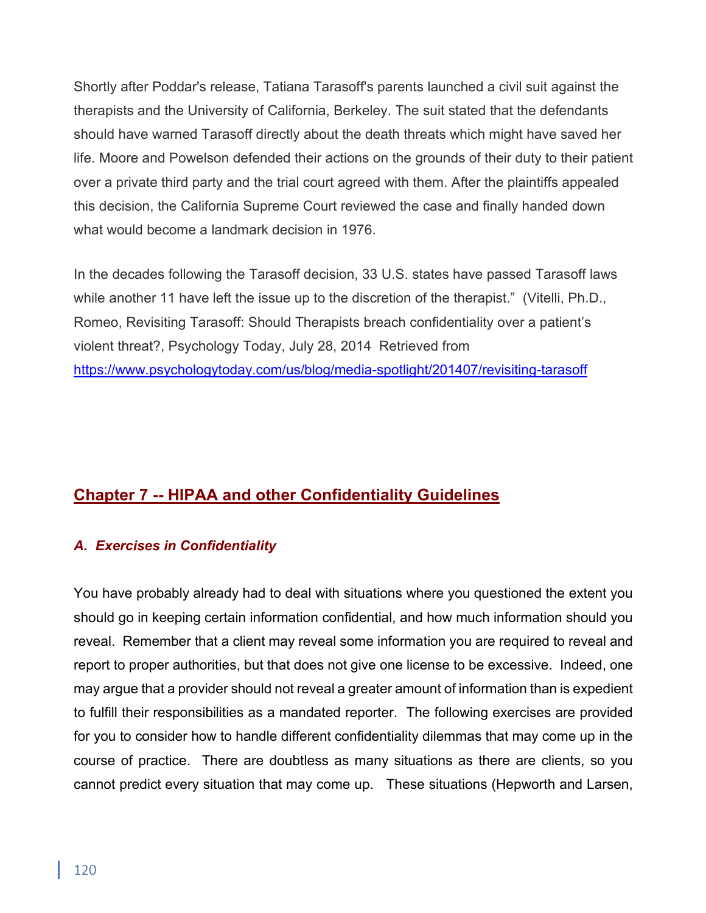Shortly after Poddar's release, Tatiana Tarasoff's parents launched a civil suit against the therapists and the University of California, Berkeley. The suit stated that the defendants should have warned Tarasoff directly about the death threats which might have saved her life. Moore and Powelson defended their actions on the grounds of their duty to their patient over a private third party and the trial court agreed with them. After the plaintiffs appealed this decision, the California Supreme Court reviewed the case and finally handed down what would become a landmark decision in 1976.

In the decades following the Tarasoff decision, 33 U.S. states have passed Tarasoff laws while another 11 have left the issue up to the discretion of the therapist." (Vitelli, Ph.D., Romeo, Revisiting Tarasoff: Should Therapists breach confidentiality over a patient's violent threat?, Psychology Today, July 28, 2014 Retrieved from <https://www.psychologytoday.com/us/blog/media-spotlight/201407/revisiting-tarasoff>

# **Chapter 7 -- HIPAA and other Confidentiality Guidelines**

## *A. Exercises in Confidentiality*

You have probably already had to deal with situations where you questioned the extent you should go in keeping certain information confidential, and how much information should you reveal. Remember that a client may reveal some information you are required to reveal and report to proper authorities, but that does not give one license to be excessive. Indeed, one may argue that a provider should not reveal a greater amount of information than is expedient to fulfill their responsibilities as a mandated reporter. The following exercises are provided for you to consider how to handle different confidentiality dilemmas that may come up in the course of practice. There are doubtless as many situations as there are clients, so you cannot predict every situation that may come up. These situations (Hepworth and Larsen,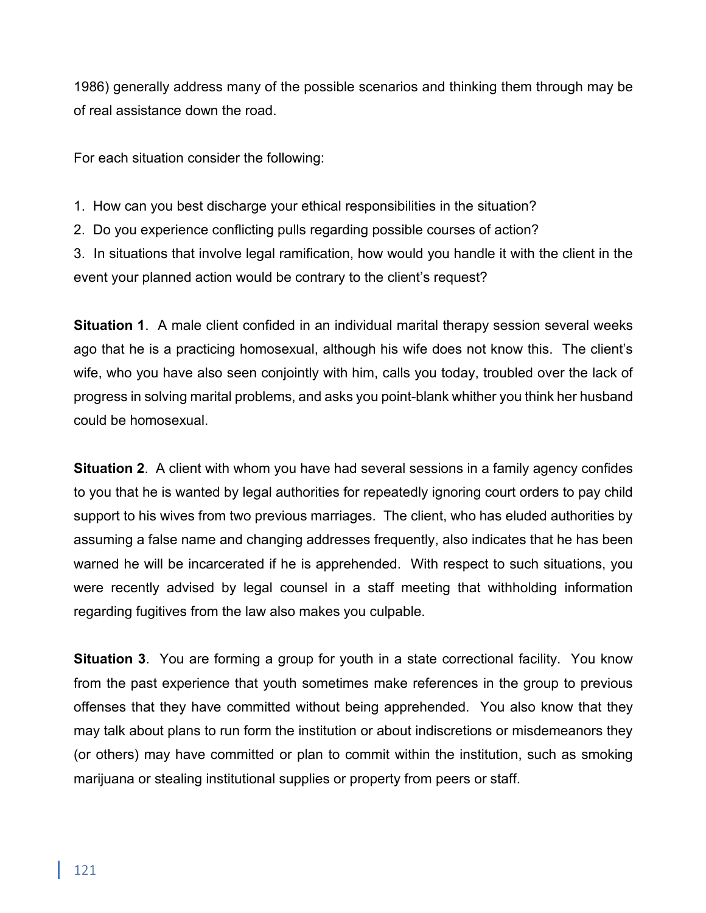1986) generally address many of the possible scenarios and thinking them through may be of real assistance down the road.

For each situation consider the following:

- 1. How can you best discharge your ethical responsibilities in the situation?
- 2. Do you experience conflicting pulls regarding possible courses of action?

3. In situations that involve legal ramification, how would you handle it with the client in the event your planned action would be contrary to the client's request?

**Situation 1**. A male client confided in an individual marital therapy session several weeks ago that he is a practicing homosexual, although his wife does not know this. The client's wife, who you have also seen conjointly with him, calls you today, troubled over the lack of progress in solving marital problems, and asks you point-blank whither you think her husband could be homosexual.

**Situation 2**. A client with whom you have had several sessions in a family agency confides to you that he is wanted by legal authorities for repeatedly ignoring court orders to pay child support to his wives from two previous marriages. The client, who has eluded authorities by assuming a false name and changing addresses frequently, also indicates that he has been warned he will be incarcerated if he is apprehended. With respect to such situations, you were recently advised by legal counsel in a staff meeting that withholding information regarding fugitives from the law also makes you culpable.

**Situation 3**. You are forming a group for youth in a state correctional facility. You know from the past experience that youth sometimes make references in the group to previous offenses that they have committed without being apprehended. You also know that they may talk about plans to run form the institution or about indiscretions or misdemeanors they (or others) may have committed or plan to commit within the institution, such as smoking marijuana or stealing institutional supplies or property from peers or staff.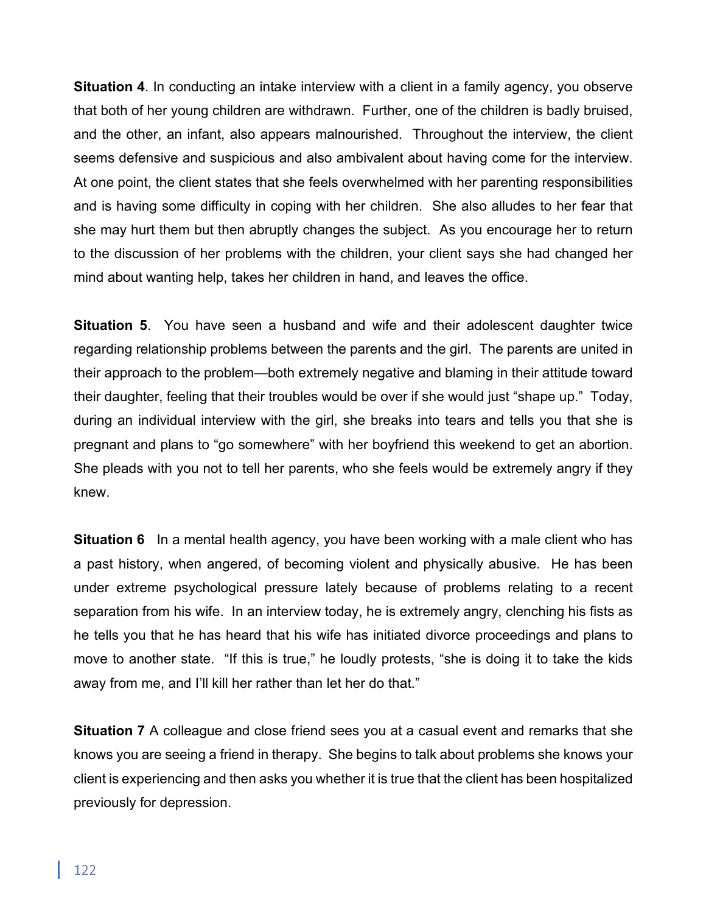**Situation 4.** In conducting an intake interview with a client in a family agency, you observe that both of her young children are withdrawn. Further, one of the children is badly bruised, and the other, an infant, also appears malnourished. Throughout the interview, the client seems defensive and suspicious and also ambivalent about having come for the interview. At one point, the client states that she feels overwhelmed with her parenting responsibilities and is having some difficulty in coping with her children. She also alludes to her fear that she may hurt them but then abruptly changes the subject. As you encourage her to return to the discussion of her problems with the children, your client says she had changed her mind about wanting help, takes her children in hand, and leaves the office.

**Situation 5**. You have seen a husband and wife and their adolescent daughter twice regarding relationship problems between the parents and the girl. The parents are united in their approach to the problem—both extremely negative and blaming in their attitude toward their daughter, feeling that their troubles would be over if she would just "shape up." Today, during an individual interview with the girl, she breaks into tears and tells you that she is pregnant and plans to "go somewhere" with her boyfriend this weekend to get an abortion. She pleads with you not to tell her parents, who she feels would be extremely angry if they knew.

**Situation 6** In a mental health agency, you have been working with a male client who has a past history, when angered, of becoming violent and physically abusive. He has been under extreme psychological pressure lately because of problems relating to a recent separation from his wife. In an interview today, he is extremely angry, clenching his fists as he tells you that he has heard that his wife has initiated divorce proceedings and plans to move to another state. "If this is true," he loudly protests, "she is doing it to take the kids away from me, and I'll kill her rather than let her do that."

**Situation 7** A colleague and close friend sees you at a casual event and remarks that she knows you are seeing a friend in therapy. She begins to talk about problems she knows your client is experiencing and then asks you whether it is true that the client has been hospitalized previously for depression.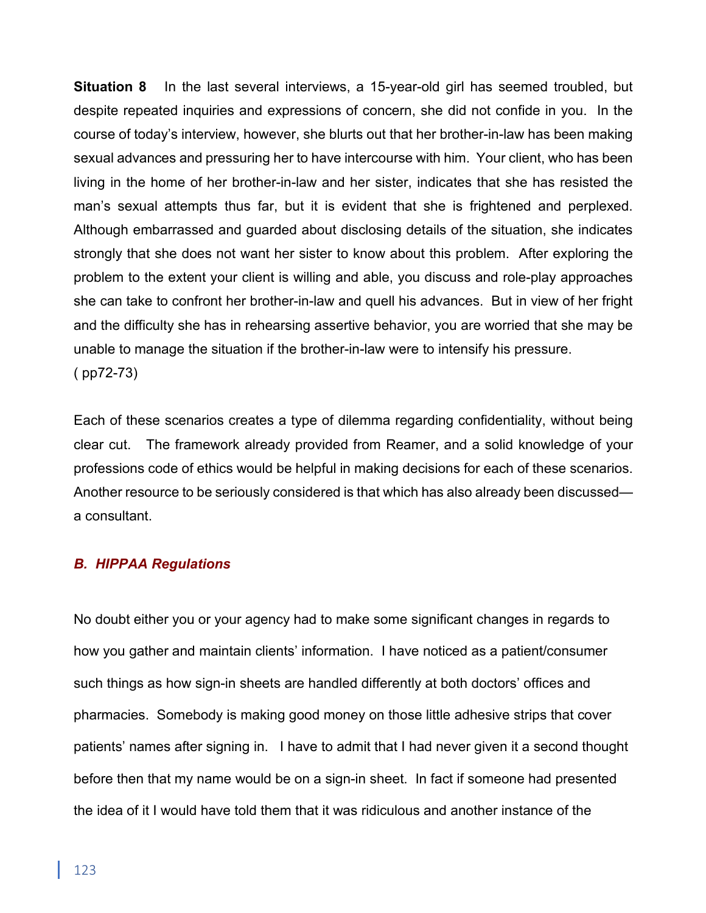**Situation 8** In the last several interviews, a 15-year-old girl has seemed troubled, but despite repeated inquiries and expressions of concern, she did not confide in you. In the course of today's interview, however, she blurts out that her brother-in-law has been making sexual advances and pressuring her to have intercourse with him. Your client, who has been living in the home of her brother-in-law and her sister, indicates that she has resisted the man's sexual attempts thus far, but it is evident that she is frightened and perplexed. Although embarrassed and guarded about disclosing details of the situation, she indicates strongly that she does not want her sister to know about this problem. After exploring the problem to the extent your client is willing and able, you discuss and role-play approaches she can take to confront her brother-in-law and quell his advances. But in view of her fright and the difficulty she has in rehearsing assertive behavior, you are worried that she may be unable to manage the situation if the brother-in-law were to intensify his pressure. ( pp72-73)

Each of these scenarios creates a type of dilemma regarding confidentiality, without being clear cut. The framework already provided from Reamer, and a solid knowledge of your professions code of ethics would be helpful in making decisions for each of these scenarios. Another resource to be seriously considered is that which has also already been discussed a consultant.

#### *B. HIPPAA Regulations*

No doubt either you or your agency had to make some significant changes in regards to how you gather and maintain clients' information. I have noticed as a patient/consumer such things as how sign-in sheets are handled differently at both doctors' offices and pharmacies. Somebody is making good money on those little adhesive strips that cover patients' names after signing in. I have to admit that I had never given it a second thought before then that my name would be on a sign-in sheet. In fact if someone had presented the idea of it I would have told them that it was ridiculous and another instance of the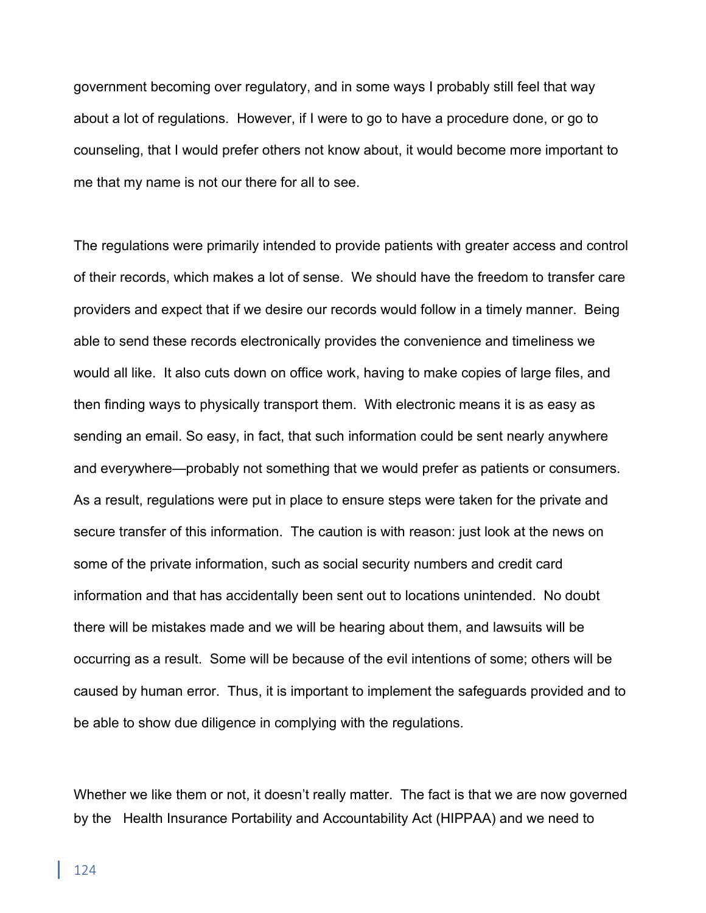government becoming over regulatory, and in some ways I probably still feel that way about a lot of regulations. However, if I were to go to have a procedure done, or go to counseling, that I would prefer others not know about, it would become more important to me that my name is not our there for all to see.

The regulations were primarily intended to provide patients with greater access and control of their records, which makes a lot of sense. We should have the freedom to transfer care providers and expect that if we desire our records would follow in a timely manner. Being able to send these records electronically provides the convenience and timeliness we would all like. It also cuts down on office work, having to make copies of large files, and then finding ways to physically transport them. With electronic means it is as easy as sending an email. So easy, in fact, that such information could be sent nearly anywhere and everywhere—probably not something that we would prefer as patients or consumers. As a result, regulations were put in place to ensure steps were taken for the private and secure transfer of this information. The caution is with reason: just look at the news on some of the private information, such as social security numbers and credit card information and that has accidentally been sent out to locations unintended. No doubt there will be mistakes made and we will be hearing about them, and lawsuits will be occurring as a result. Some will be because of the evil intentions of some; others will be caused by human error. Thus, it is important to implement the safeguards provided and to be able to show due diligence in complying with the regulations.

Whether we like them or not, it doesn't really matter. The fact is that we are now governed by the Health Insurance Portability and Accountability Act (HIPPAA) and we need to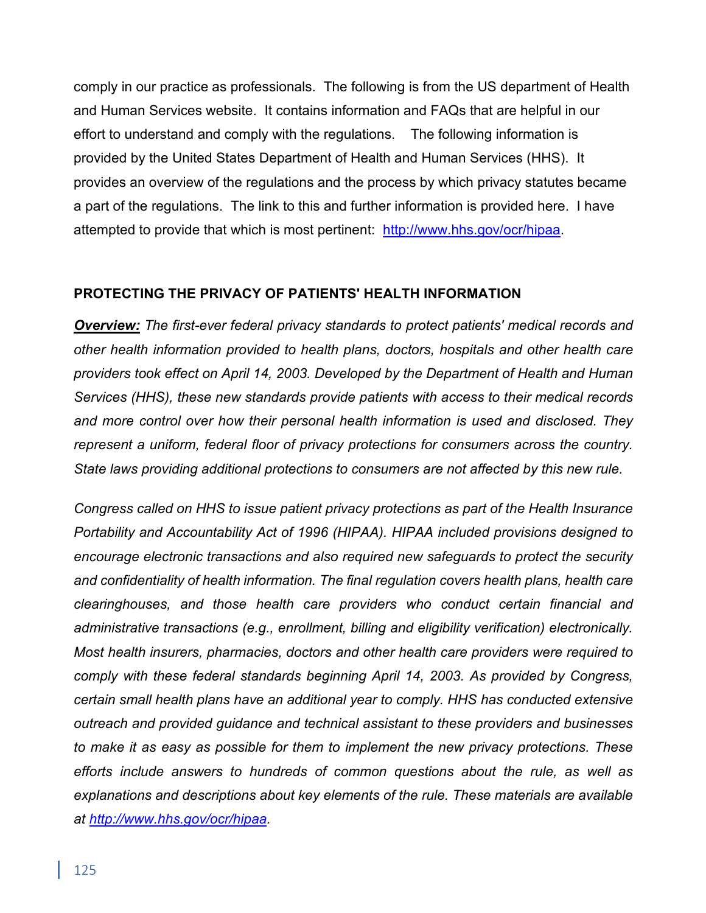comply in our practice as professionals. The following is from the US department of Health and Human Services website. It contains information and FAQs that are helpful in our effort to understand and comply with the regulations. The following information is provided by the United States Department of Health and Human Services (HHS). It provides an overview of the regulations and the process by which privacy statutes became a part of the regulations. The link to this and further information is provided here. I have attempted to provide that which is most pertinent: [http://www.hhs.gov/ocr/hipaa.](http://www.hhs.gov/ocr/hipaa/)

#### **PROTECTING THE PRIVACY OF PATIENTS' HEALTH INFORMATION**

*Overview: The first-ever federal privacy standards to protect patients' medical records and other health information provided to health plans, doctors, hospitals and other health care providers took effect on April 14, 2003. Developed by the Department of Health and Human Services (HHS), these new standards provide patients with access to their medical records and more control over how their personal health information is used and disclosed. They represent a uniform, federal floor of privacy protections for consumers across the country. State laws providing additional protections to consumers are not affected by this new rule.*

*Congress called on HHS to issue patient privacy protections as part of the Health Insurance Portability and Accountability Act of 1996 (HIPAA). HIPAA included provisions designed to encourage electronic transactions and also required new safeguards to protect the security and confidentiality of health information. The final regulation covers health plans, health care clearinghouses, and those health care providers who conduct certain financial and administrative transactions (e.g., enrollment, billing and eligibility verification) electronically. Most health insurers, pharmacies, doctors and other health care providers were required to comply with these federal standards beginning April 14, 2003. As provided by Congress, certain small health plans have an additional year to comply. HHS has conducted extensive outreach and provided guidance and technical assistant to these providers and businesses to make it as easy as possible for them to implement the new privacy protections. These efforts include answers to hundreds of common questions about the rule, as well as explanations and descriptions about key elements of the rule. These materials are available at [http://www.hhs.gov/ocr/hipaa.](http://www.hhs.gov/ocr/hipaa/)*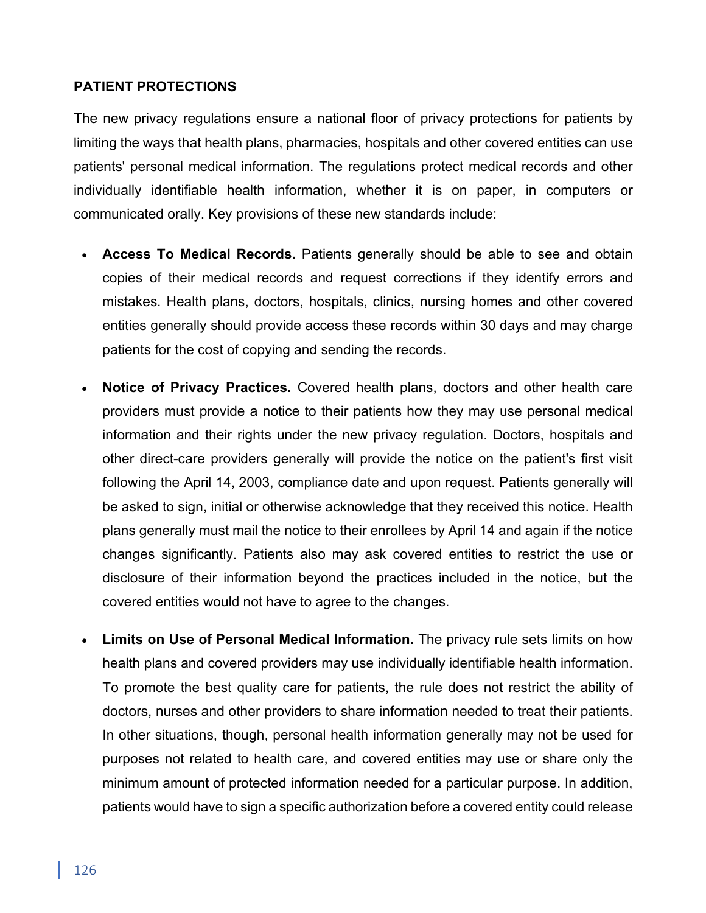### **PATIENT PROTECTIONS**

The new privacy regulations ensure a national floor of privacy protections for patients by limiting the ways that health plans, pharmacies, hospitals and other covered entities can use patients' personal medical information. The regulations protect medical records and other individually identifiable health information, whether it is on paper, in computers or communicated orally. Key provisions of these new standards include:

- **Access To Medical Records.** Patients generally should be able to see and obtain copies of their medical records and request corrections if they identify errors and mistakes. Health plans, doctors, hospitals, clinics, nursing homes and other covered entities generally should provide access these records within 30 days and may charge patients for the cost of copying and sending the records.
- **Notice of Privacy Practices.** Covered health plans, doctors and other health care providers must provide a notice to their patients how they may use personal medical information and their rights under the new privacy regulation. Doctors, hospitals and other direct-care providers generally will provide the notice on the patient's first visit following the April 14, 2003, compliance date and upon request. Patients generally will be asked to sign, initial or otherwise acknowledge that they received this notice. Health plans generally must mail the notice to their enrollees by April 14 and again if the notice changes significantly. Patients also may ask covered entities to restrict the use or disclosure of their information beyond the practices included in the notice, but the covered entities would not have to agree to the changes.
- **Limits on Use of Personal Medical Information.** The privacy rule sets limits on how health plans and covered providers may use individually identifiable health information. To promote the best quality care for patients, the rule does not restrict the ability of doctors, nurses and other providers to share information needed to treat their patients. In other situations, though, personal health information generally may not be used for purposes not related to health care, and covered entities may use or share only the minimum amount of protected information needed for a particular purpose. In addition, patients would have to sign a specific authorization before a covered entity could release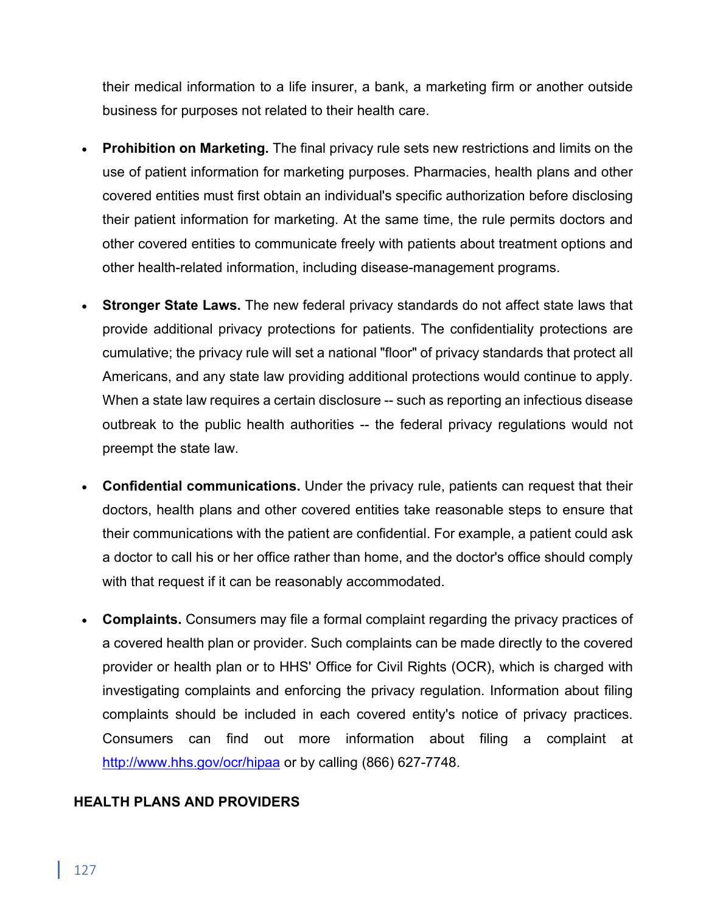their medical information to a life insurer, a bank, a marketing firm or another outside business for purposes not related to their health care.

- **Prohibition on Marketing.** The final privacy rule sets new restrictions and limits on the use of patient information for marketing purposes. Pharmacies, health plans and other covered entities must first obtain an individual's specific authorization before disclosing their patient information for marketing. At the same time, the rule permits doctors and other covered entities to communicate freely with patients about treatment options and other health-related information, including disease-management programs.
- **Stronger State Laws.** The new federal privacy standards do not affect state laws that provide additional privacy protections for patients. The confidentiality protections are cumulative; the privacy rule will set a national "floor" of privacy standards that protect all Americans, and any state law providing additional protections would continue to apply. When a state law requires a certain disclosure -- such as reporting an infectious disease outbreak to the public health authorities -- the federal privacy regulations would not preempt the state law.
- **Confidential communications.** Under the privacy rule, patients can request that their doctors, health plans and other covered entities take reasonable steps to ensure that their communications with the patient are confidential. For example, a patient could ask a doctor to call his or her office rather than home, and the doctor's office should comply with that request if it can be reasonably accommodated.
- **Complaints.** Consumers may file a formal complaint regarding the privacy practices of a covered health plan or provider. Such complaints can be made directly to the covered provider or health plan or to HHS' Office for Civil Rights (OCR), which is charged with investigating complaints and enforcing the privacy regulation. Information about filing complaints should be included in each covered entity's notice of privacy practices. Consumers can find out more information about filing a complaint at [http://www.hhs.gov/ocr/hipaa](http://www.hhs.gov/ocr/hipaa/) or by calling (866) 627-7748.

### **HEALTH PLANS AND PROVIDERS**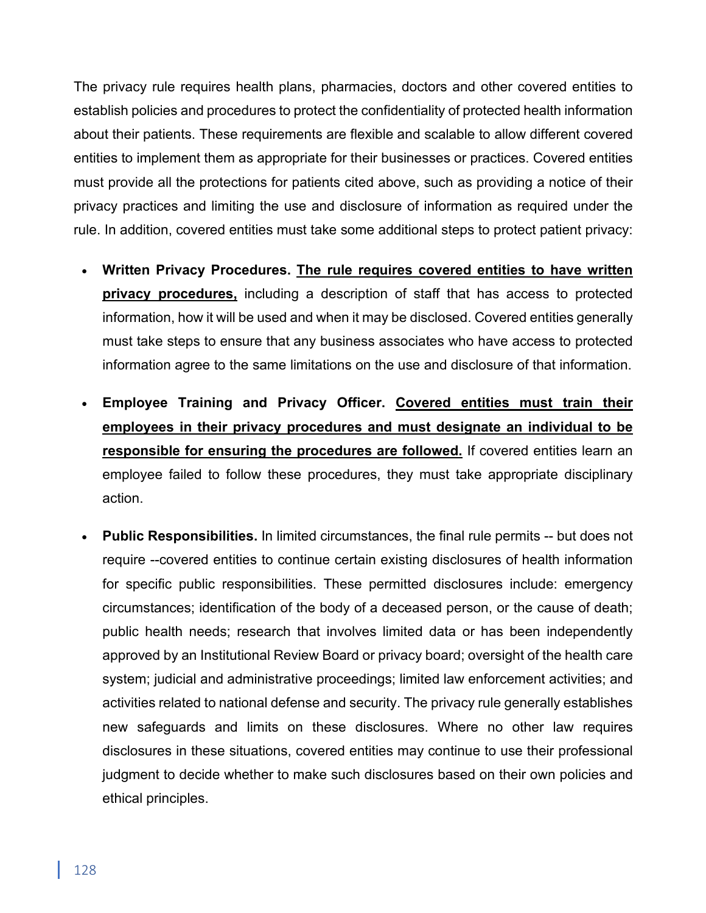The privacy rule requires health plans, pharmacies, doctors and other covered entities to establish policies and procedures to protect the confidentiality of protected health information about their patients. These requirements are flexible and scalable to allow different covered entities to implement them as appropriate for their businesses or practices. Covered entities must provide all the protections for patients cited above, such as providing a notice of their privacy practices and limiting the use and disclosure of information as required under the rule. In addition, covered entities must take some additional steps to protect patient privacy:

- **Written Privacy Procedures. The rule requires covered entities to have written privacy procedures,** including a description of staff that has access to protected information, how it will be used and when it may be disclosed. Covered entities generally must take steps to ensure that any business associates who have access to protected information agree to the same limitations on the use and disclosure of that information.
- **Employee Training and Privacy Officer. Covered entities must train their employees in their privacy procedures and must designate an individual to be responsible for ensuring the procedures are followed.** If covered entities learn an employee failed to follow these procedures, they must take appropriate disciplinary action.
- **Public Responsibilities.** In limited circumstances, the final rule permits -- but does not require --covered entities to continue certain existing disclosures of health information for specific public responsibilities. These permitted disclosures include: emergency circumstances; identification of the body of a deceased person, or the cause of death; public health needs; research that involves limited data or has been independently approved by an Institutional Review Board or privacy board; oversight of the health care system; judicial and administrative proceedings; limited law enforcement activities; and activities related to national defense and security. The privacy rule generally establishes new safeguards and limits on these disclosures. Where no other law requires disclosures in these situations, covered entities may continue to use their professional judgment to decide whether to make such disclosures based on their own policies and ethical principles.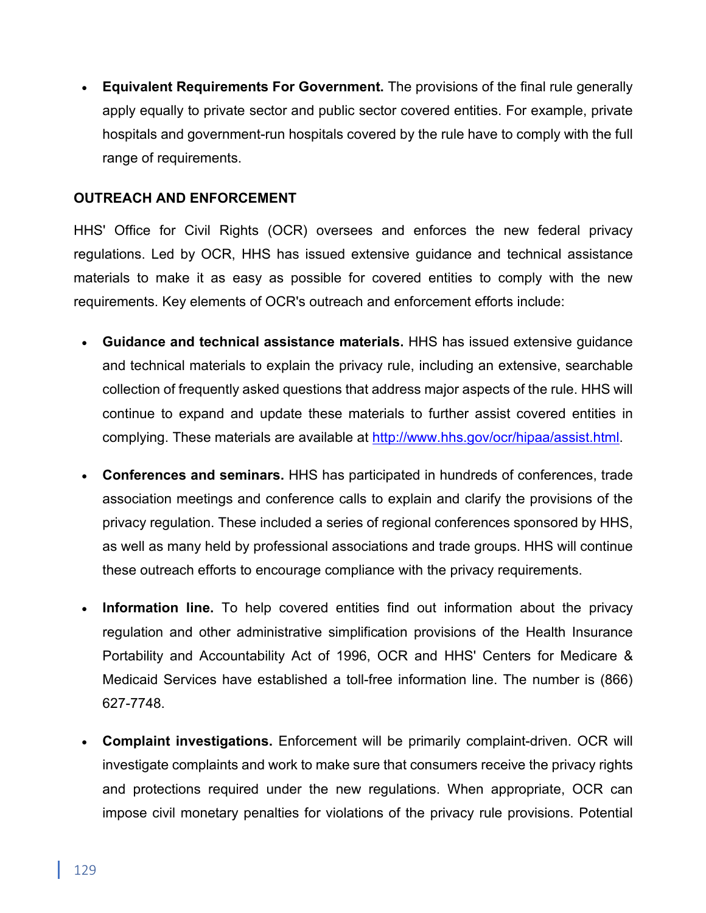• **Equivalent Requirements For Government.** The provisions of the final rule generally apply equally to private sector and public sector covered entities. For example, private hospitals and government-run hospitals covered by the rule have to comply with the full range of requirements.

#### **OUTREACH AND ENFORCEMENT**

HHS' Office for Civil Rights (OCR) oversees and enforces the new federal privacy regulations. Led by OCR, HHS has issued extensive guidance and technical assistance materials to make it as easy as possible for covered entities to comply with the new requirements. Key elements of OCR's outreach and enforcement efforts include:

- **Guidance and technical assistance materials.** HHS has issued extensive guidance and technical materials to explain the privacy rule, including an extensive, searchable collection of frequently asked questions that address major aspects of the rule. HHS will continue to expand and update these materials to further assist covered entities in complying. These materials are available at [http://www.hhs.gov/ocr/hipaa/assist.html.](http://www.hhs.gov/ocr/hipaa/assist.html)
- **Conferences and seminars.** HHS has participated in hundreds of conferences, trade association meetings and conference calls to explain and clarify the provisions of the privacy regulation. These included a series of regional conferences sponsored by HHS, as well as many held by professional associations and trade groups. HHS will continue these outreach efforts to encourage compliance with the privacy requirements.
- **Information line.** To help covered entities find out information about the privacy regulation and other administrative simplification provisions of the Health Insurance Portability and Accountability Act of 1996, OCR and HHS' Centers for Medicare & Medicaid Services have established a toll-free information line. The number is (866) 627-7748.
- **Complaint investigations.** Enforcement will be primarily complaint-driven. OCR will investigate complaints and work to make sure that consumers receive the privacy rights and protections required under the new regulations. When appropriate, OCR can impose civil monetary penalties for violations of the privacy rule provisions. Potential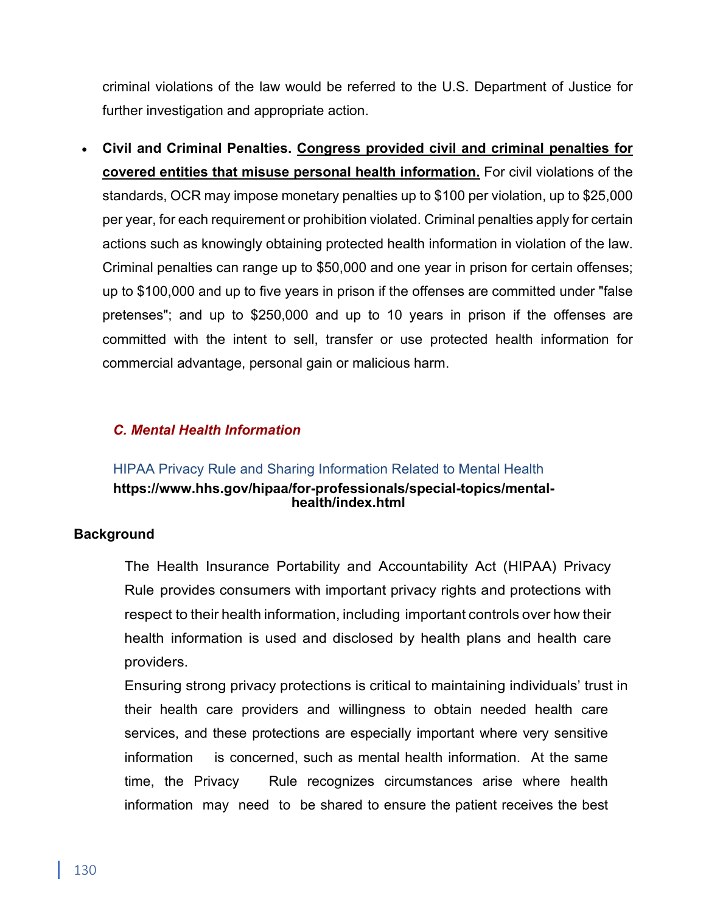criminal violations of the law would be referred to the U.S. Department of Justice for further investigation and appropriate action.

• **Civil and Criminal Penalties. Congress provided civil and criminal penalties for covered entities that misuse personal health information.** For civil violations of the standards, OCR may impose monetary penalties up to \$100 per violation, up to \$25,000 per year, for each requirement or prohibition violated. Criminal penalties apply for certain actions such as knowingly obtaining protected health information in violation of the law. Criminal penalties can range up to \$50,000 and one year in prison for certain offenses; up to \$100,000 and up to five years in prison if the offenses are committed under "false pretenses"; and up to \$250,000 and up to 10 years in prison if the offenses are committed with the intent to sell, transfer or use protected health information for commercial advantage, personal gain or malicious harm.

### *C. Mental Health Information*

### HIPAA Privacy Rule and Sharing Information Related to Mental Health **https://www.hhs.gov/hipaa/for-professionals/special-topics/mentalhealth/index.html**

#### **Background**

The Health Insurance Portability and Accountability Act (HIPAA) Privacy Rule provides consumers with important privacy rights and protections with respect to their health information, including important controls over how their health information is used and disclosed by health plans and health care providers.

Ensuring strong privacy protections is critical to maintaining individuals' trust in their health care providers and willingness to obtain needed health care services, and these protections are especially important where very sensitive information is concerned, such as mental health information. At the same time, the Privacy Rule recognizes circumstances arise where health information may need to be shared to ensure the patient receives the best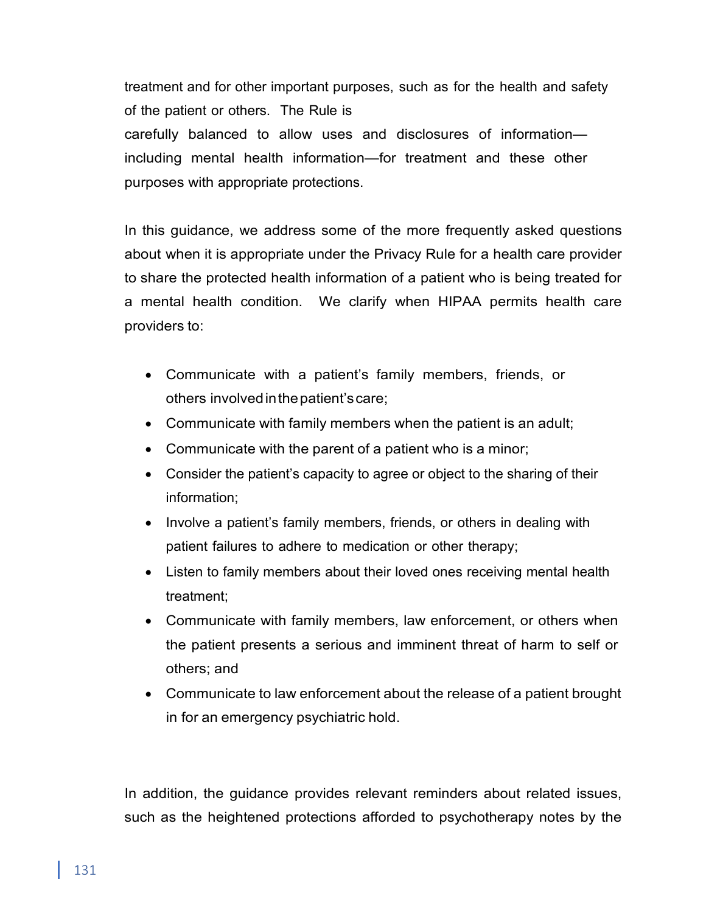treatment and for other important purposes, such as for the health and safety of the patient or others. The Rule is carefully balanced to allow uses and disclosures of information including mental health information—for treatment and these other purposes with appropriate protections.

In this guidance, we address some of the more frequently asked questions about when it is appropriate under the Privacy Rule for a health care provider to share the protected health information of a patient who is being treated for a mental health condition. We clarify when HIPAA permits health care providers to:

- Communicate with a patient's family members, friends, or others involvedinthepatient'scare;
- Communicate with family members when the patient is an adult;
- Communicate with the parent of a patient who is a minor;
- Consider the patient's capacity to agree or object to the sharing of their information;
- Involve a patient's family members, friends, or others in dealing with patient failures to adhere to medication or other therapy;
- Listen to family members about their loved ones receiving mental health treatment;
- Communicate with family members, law enforcement, or others when the patient presents a serious and imminent threat of harm to self or others; and
- Communicate to law enforcement about the release of a patient brought in for an emergency psychiatric hold.

In addition, the guidance provides relevant reminders about related issues, such as the heightened protections afforded to psychotherapy notes by the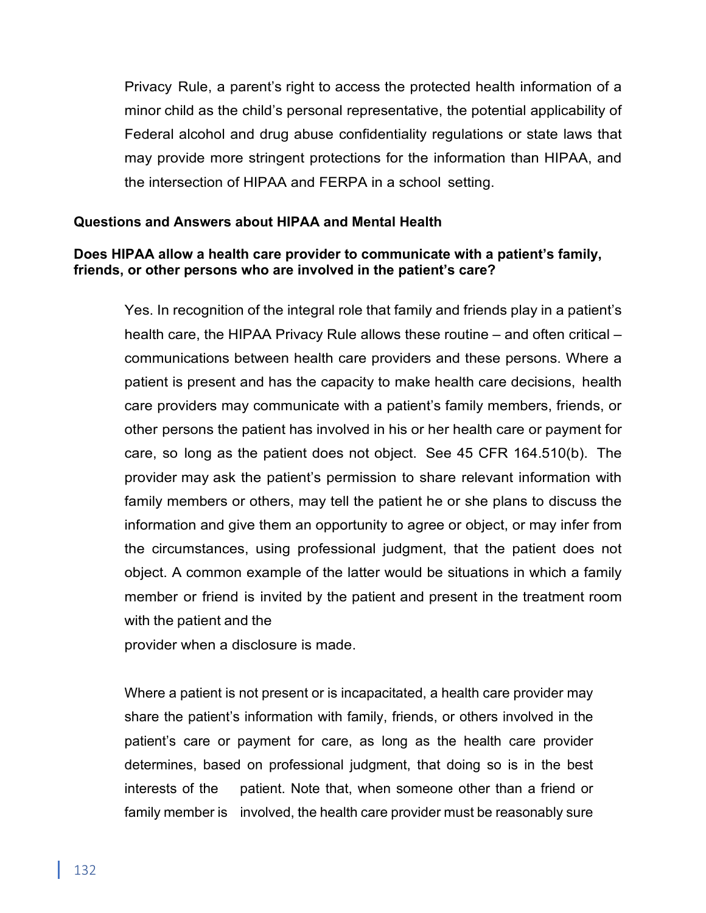Privacy Rule, a parent's right to access the protected health information of a minor child as the child's personal representative, the potential applicability of Federal alcohol and drug abuse confidentiality regulations or state laws that may provide more stringent protections for the information than HIPAA, and the intersection of HIPAA and FERPA in a school setting.

#### **Questions and Answers about HIPAA and Mental Health**

#### **Does HIPAA allow a health care provider to communicate with a patient's family, friends, or other persons who are involved in the patient's care?**

Yes. In recognition of the integral role that family and friends play in a patient's health care, the HIPAA Privacy Rule allows these routine – and often critical – communications between health care providers and these persons. Where a patient is present and has the capacity to make health care decisions, health care providers may communicate with a patient's family members, friends, or other persons the patient has involved in his or her health care or payment for care, so long as the patient does not object. See 45 CFR 164.510(b). The provider may ask the patient's permission to share relevant information with family members or others, may tell the patient he or she plans to discuss the information and give them an opportunity to agree or object, or may infer from the circumstances, using professional judgment, that the patient does not object. A common example of the latter would be situations in which a family member or friend is invited by the patient and present in the treatment room with the patient and the

provider when a disclosure is made.

Where a patient is not present or is incapacitated, a health care provider may share the patient's information with family, friends, or others involved in the patient's care or payment for care, as long as the health care provider determines, based on professional judgment, that doing so is in the best interests of the patient. Note that, when someone other than a friend or family member is involved, the health care provider must be reasonably sure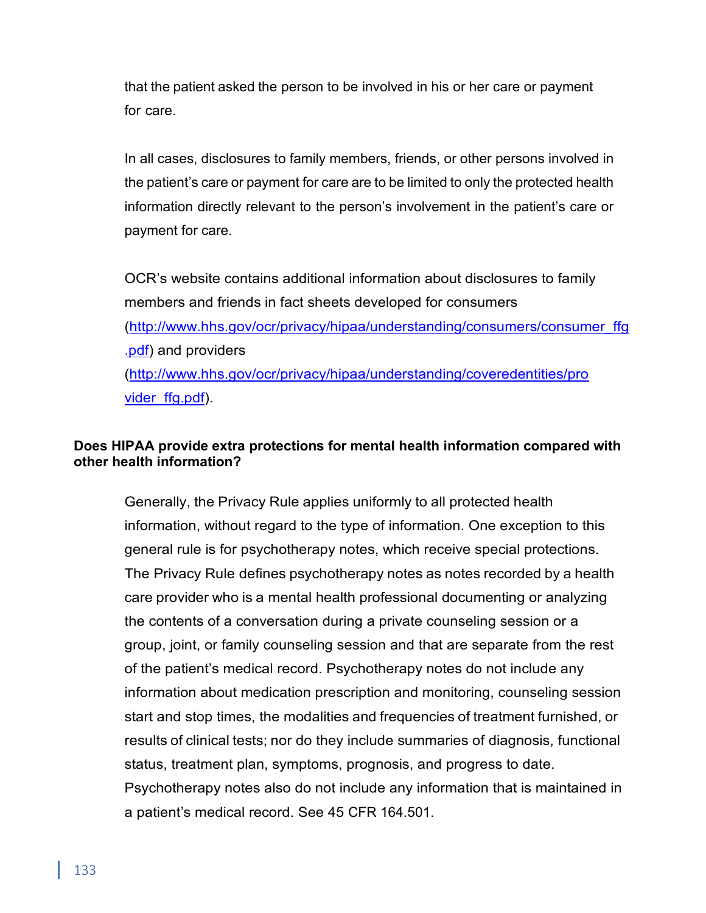that the patient asked the person to be involved in his or her care or payment for care.

In all cases, disclosures to family members, friends, or other persons involved in the patient's care or payment for care are to be limited to only the protected health information directly relevant to the person's involvement in the patient's care or payment for care.

OCR's website contains additional information about disclosures to family members and friends in fact sheets developed for consumers (http://www.hhs.gov/ocr/privacy/hipaa/understanding/consumers/consu[mer\\_ffg](http://www.hhs.gov/ocr/privacy/hipaa/understanding/consumers/consumer_ffg.pdf) [.pdf\)](http://www.hhs.gov/ocr/privacy/hipaa/understanding/consumers/consumer_ffg.pdf) and providers [\(http://www.hhs.gov/ocr/privacy/hipaa/understanding/coveredentities/pro](http://www.hhs.gov/ocr/privacy/hipaa/understanding/coveredentities/provider_ffg.pdf) vider ffg.pdf).

### **Does HIPAA provide extra protections for mental health information compared with other health information?**

Generally, the Privacy Rule applies uniformly to all protected health information, without regard to the type of information. One exception to this general rule is for psychotherapy notes, which receive special protections. The Privacy Rule defines psychotherapy notes as notes recorded by a health care provider who is a mental health professional documenting or analyzing the contents of a conversation during a private counseling session or a group, joint, or family counseling session and that are separate from the rest of the patient's medical record. Psychotherapy notes do not include any information about medication prescription and monitoring, counseling session start and stop times, the modalities and frequencies of treatment furnished, or results of clinical tests; nor do they include summaries of diagnosis, functional status, treatment plan, symptoms, prognosis, and progress to date. Psychotherapy notes also do not include any information that is maintained in a patient's medical record. See 45 CFR 164.501.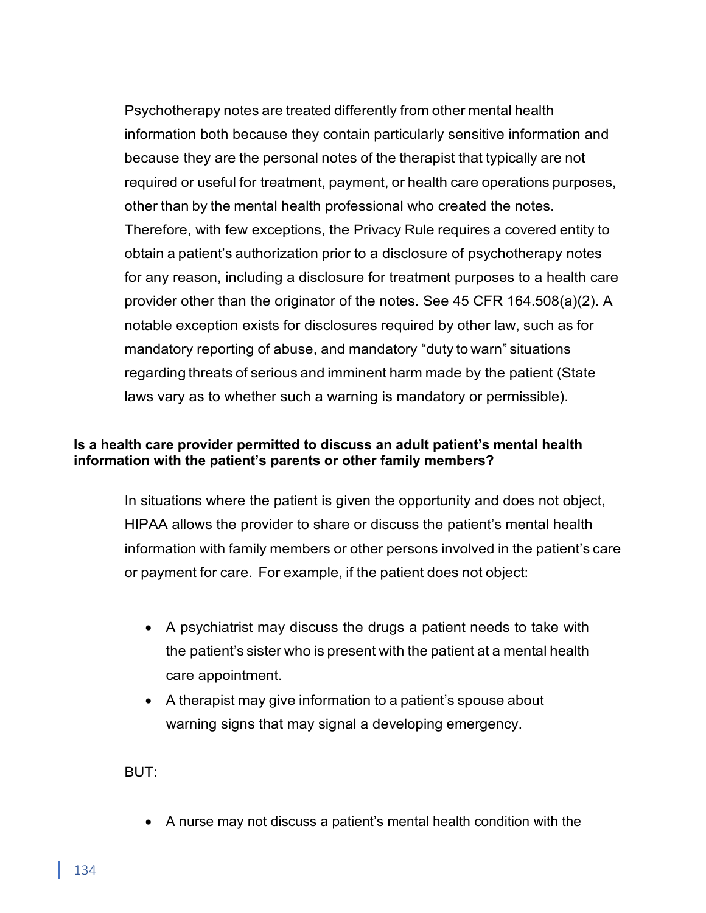Psychotherapy notes are treated differently from other mental health information both because they contain particularly sensitive information and because they are the personal notes of the therapist that typically are not required or useful for treatment, payment, or health care operations purposes, other than by the mental health professional who created the notes. Therefore, with few exceptions, the Privacy Rule requires a covered entity to obtain a patient's authorization prior to a disclosure of psychotherapy notes for any reason, including a disclosure for treatment purposes to a health care provider other than the originator of the notes. See 45 CFR 164.508(a)(2). A notable exception exists for disclosures required by other law, such as for mandatory reporting of abuse, and mandatory "duty to warn" situations regarding threats of serious and imminent harm made by the patient (State laws vary as to whether such a warning is mandatory or permissible).

#### **Is a health care provider permitted to discuss an adult patient's mental health information with the patient's parents or other family members?**

In situations where the patient is given the opportunity and does not object, HIPAA allows the provider to share or discuss the patient's mental health information with family members or other persons involved in the patient's care or payment for care. For example, if the patient does not object:

- A psychiatrist may discuss the drugs a patient needs to take with the patient's sister who is present with the patient at a mental health care appointment.
- A therapist may give information to a patient's spouse about warning signs that may signal a developing emergency.

BUT:

• A nurse may not discuss a patient's mental health condition with the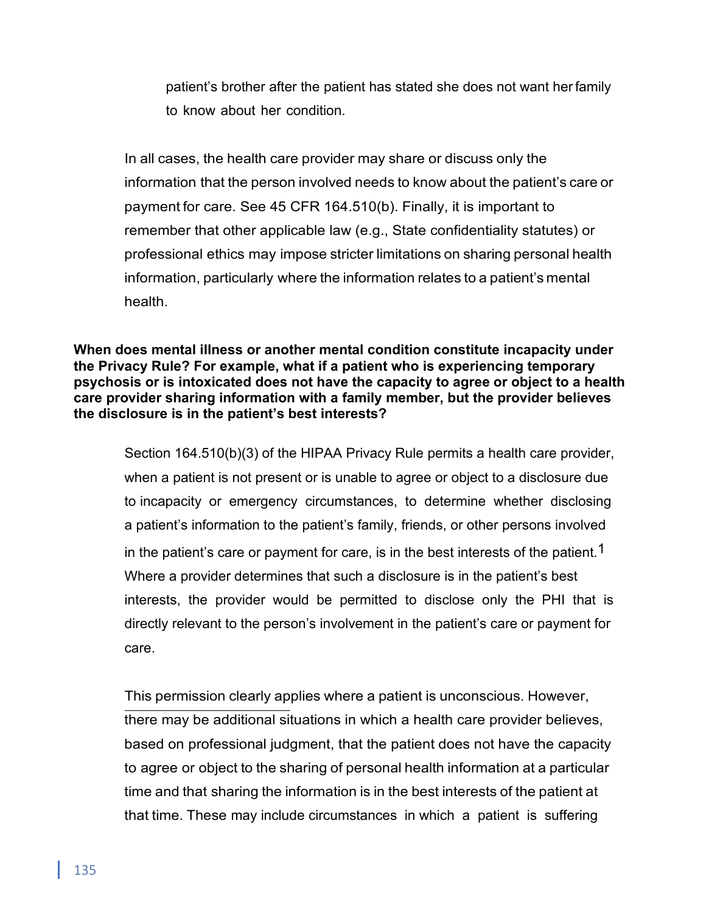patient's brother after the patient has stated she does not want herfamily to know about her condition.

In all cases, the health care provider may share or discuss only the information that the person involved needs to know about the patient's care or payment for care. See 45 CFR 164.510(b). Finally, it is important to remember that other applicable law (e.g., State confidentiality statutes) or professional ethics may impose stricter limitations on sharing personal health information, particularly where the information relates to a patient's mental health.

**When does mental illness or another mental condition constitute incapacity under the Privacy Rule? For example, what if a patient who is experiencing temporary psychosis or is intoxicated does not have the capacity to agree or object to a health care provider sharing information with a family member, but the provider believes the disclosure is in the patient's best interests?**

Section 164.510(b)(3) of the HIPAA Privacy Rule permits a health care provider, when a patient is not present or is unable to agree or object to a disclosure due to incapacity or emergency circumstances, to determine whether disclosing a patient's information to the patient's family, friends, or other persons involved in the patient's care or payment for care, is in the best interests of the patient.<sup>1</sup> Where a provider determines that such a disclosure is in the patient's best interests, the provider would be permitted to disclose only the PHI that is directly relevant to the person's involvement in the patient's care or payment for care.

This permission clearly applies where a patient is unconscious. However, there may be additional situations in which a health care provider believes, based on professional judgment, that the patient does not have the capacity to agree or object to the sharing of personal health information at a particular time and that sharing the information is in the best interests of the patient at that time. These may include circumstances in which a patient is suffering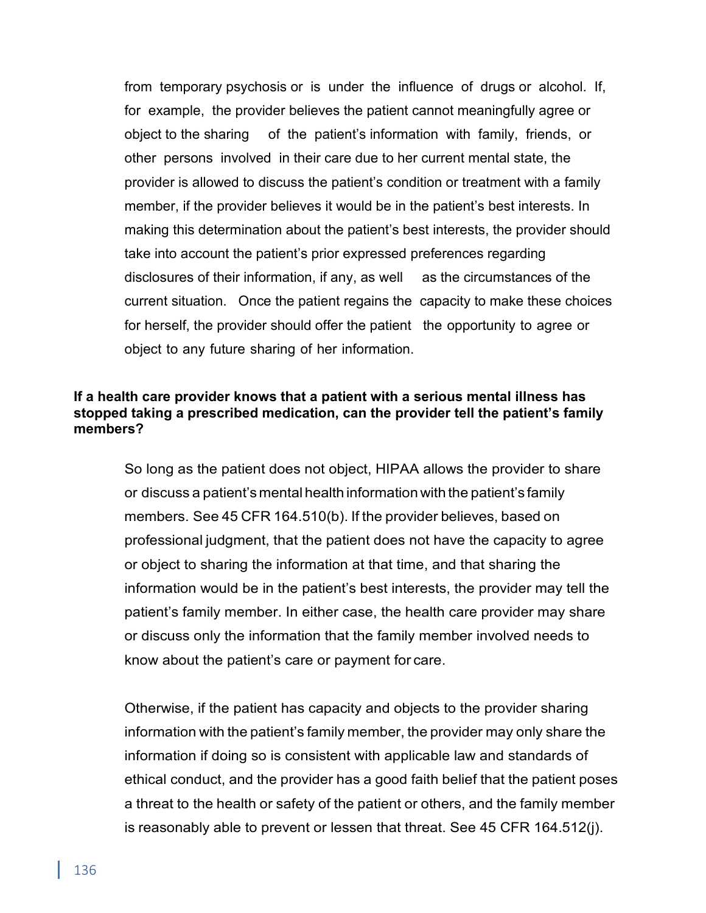from temporary psychosis or is under the influence of drugs or alcohol. If, for example, the provider believes the patient cannot meaningfully agree or object to the sharing of the patient's information with family, friends, or other persons involved in their care due to her current mental state, the provider is allowed to discuss the patient's condition or treatment with a family member, if the provider believes it would be in the patient's best interests. In making this determination about the patient's best interests, the provider should take into account the patient's prior expressed preferences regarding disclosures of their information, if any, as well as the circumstances of the current situation. Once the patient regains the capacity to make these choices for herself, the provider should offer the patient the opportunity to agree or object to any future sharing of her information.

#### **If a health care provider knows that a patient with a serious mental illness has stopped taking a prescribed medication, can the provider tell the patient's family members?**

So long as the patient does not object, HIPAA allows the provider to share or discuss a patient's mental health information with the patient's family members. See 45 CFR 164.510(b). If the provider believes, based on professional judgment, that the patient does not have the capacity to agree or object to sharing the information at that time, and that sharing the information would be in the patient's best interests, the provider may tell the patient's family member. In either case, the health care provider may share or discuss only the information that the family member involved needs to know about the patient's care or payment for care.

Otherwise, if the patient has capacity and objects to the provider sharing information with the patient's family member, the provider may only share the information if doing so is consistent with applicable law and standards of ethical conduct, and the provider has a good faith belief that the patient poses a threat to the health or safety of the patient or others, and the family member is reasonably able to prevent or lessen that threat. See 45 CFR 164.512(j).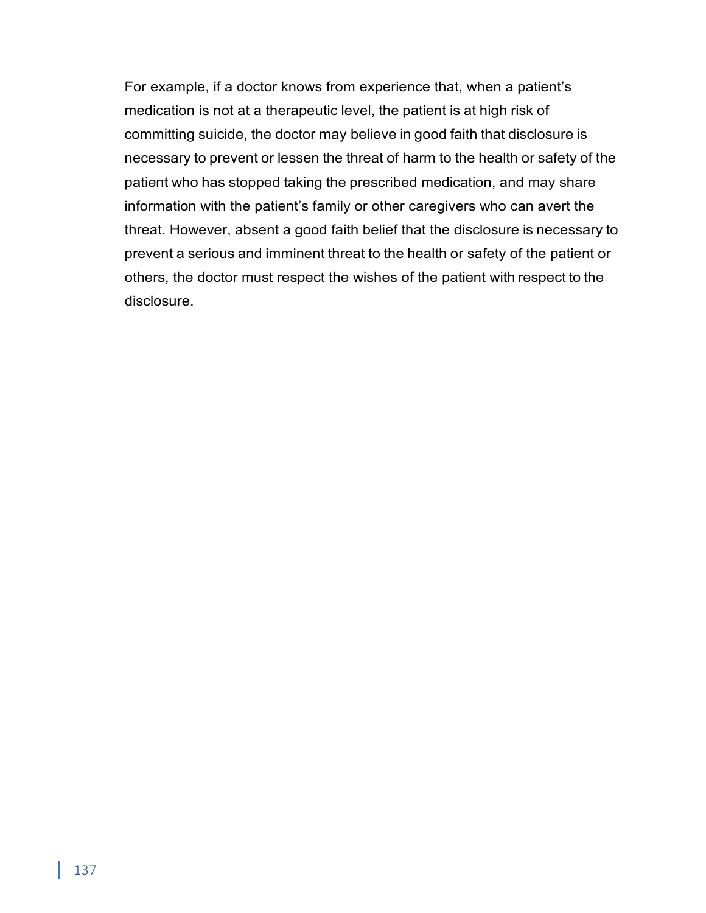For example, if a doctor knows from experience that, when a patient's medication is not at a therapeutic level, the patient is at high risk of committing suicide, the doctor may believe in good faith that disclosure is necessary to prevent or lessen the threat of harm to the health or safety of the patient who has stopped taking the prescribed medication, and may share information with the patient's family or other caregivers who can avert the threat. However, absent a good faith belief that the disclosure is necessary to prevent a serious and imminent threat to the health or safety of the patient or others, the doctor must respect the wishes of the patient with respect to the disclosure.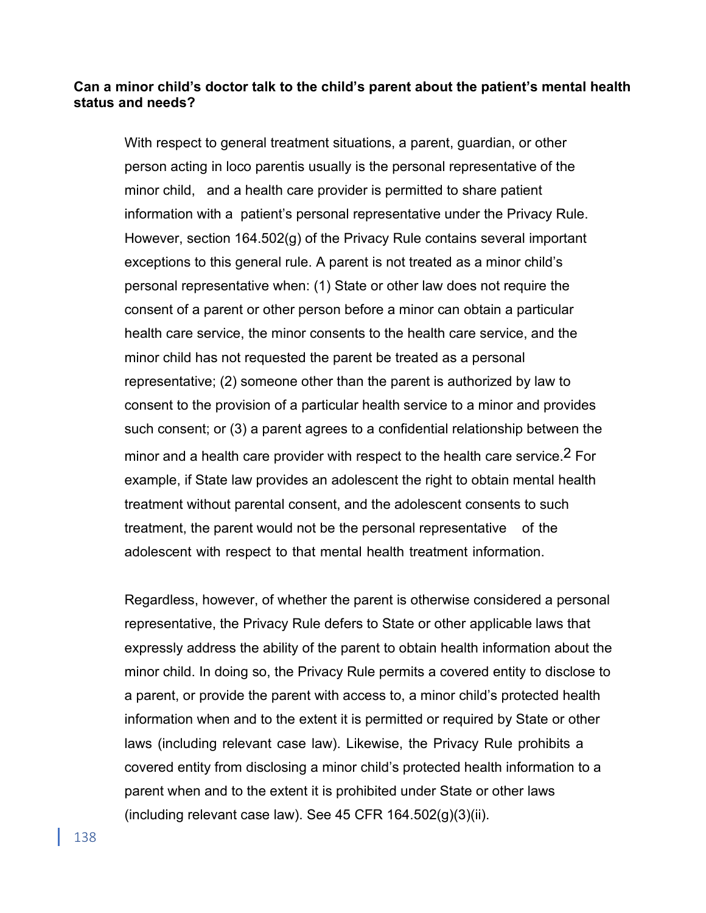#### **Can a minor child's doctor talk to the child's parent about the patient's mental health status and needs?**

With respect to general treatment situations, a parent, guardian, or other person acting in loco parentis usually is the personal representative of the minor child, and a health care provider is permitted to share patient information with a patient's personal representative under the Privacy Rule. However, section 164.502(g) of the Privacy Rule contains several important exceptions to this general rule. A parent is not treated as a minor child's personal representative when: (1) State or other law does not require the consent of a parent or other person before a minor can obtain a particular health care service, the minor consents to the health care service, and the minor child has not requested the parent be treated as a personal representative; (2) someone other than the parent is authorized by law to consent to the provision of a particular health service to a minor and provides such consent; or (3) a parent agrees to a confidential relationship between the minor and a health care provider with respect to the health care service.2 For example, if State law provides an adolescent the right to obtain mental health treatment without parental consent, and the adolescent consents to such treatment, the parent would not be the personal representative of the adolescent with respect to that mental health treatment information.

Regardless, however, of whether the parent is otherwise considered a personal representative, the Privacy Rule defers to State or other applicable laws that expressly address the ability of the parent to obtain health information about the minor child. In doing so, the Privacy Rule permits a covered entity to disclose to a parent, or provide the parent with access to, a minor child's protected health information when and to the extent it is permitted or required by State or other laws (including relevant case law). Likewise, the Privacy Rule prohibits a covered entity from disclosing a minor child's protected health information to a parent when and to the extent it is prohibited under State or other laws (including relevant case law). See 45 CFR  $164.502(g)(3)(ii)$ .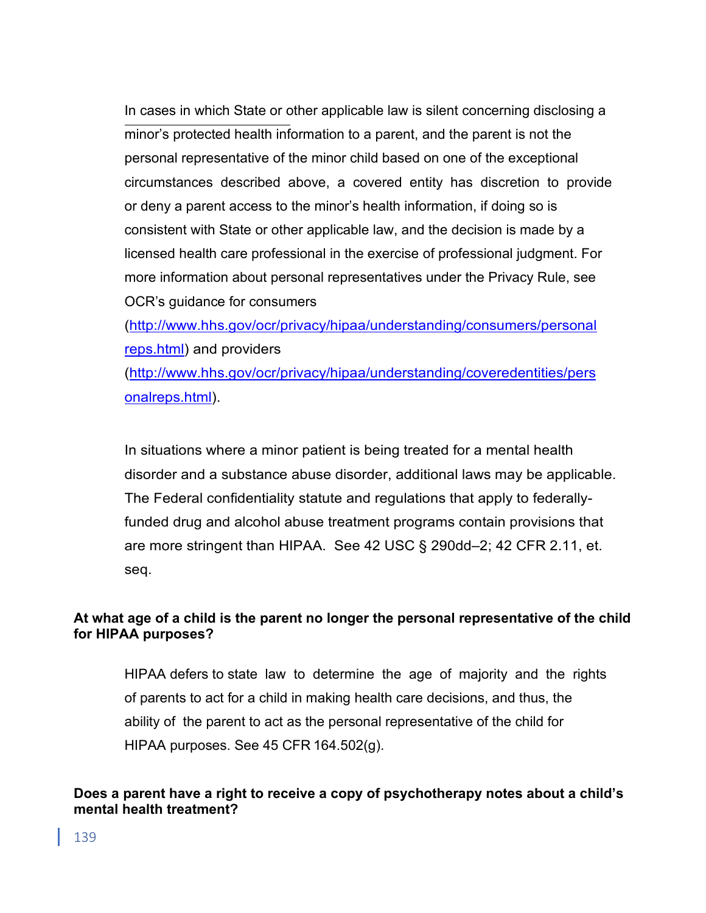In cases in which State or other applicable law is silent concerning disclosing a minor's protected health information to a parent, and the parent is not the personal representative of the minor child based on one of the exceptional circumstances described above, a covered entity has discretion to provide or deny a parent access to the minor's health information, if doing so is consistent with State or other applicable law, and the decision is made by a licensed health care professional in the exercise of professional judgment. For more information about personal representatives under the Privacy Rule, see OCR's guidance for consumers

[\(http://www.hhs.gov/ocr/privacy/hipaa/understanding/consumers/personal](http://www.hhs.gov/ocr/privacy/hipaa/understanding/consumers/personalreps.html) [reps.html\)](http://www.hhs.gov/ocr/privacy/hipaa/understanding/consumers/personalreps.html) and providers

[\(http://www.hhs.gov/ocr/privacy/hipaa/understanding/coveredentities/pers](http://www.hhs.gov/ocr/privacy/hipaa/understanding/coveredentities/personalreps.html) [onalreps.html\)](http://www.hhs.gov/ocr/privacy/hipaa/understanding/coveredentities/personalreps.html).

In situations where a minor patient is being treated for a mental health disorder and a substance abuse disorder, additional laws may be applicable. The Federal confidentiality statute and regulations that apply to federallyfunded drug and alcohol abuse treatment programs contain provisions that are more stringent than HIPAA. See 42 USC § 290dd–2; 42 CFR 2.11, et. seq.

### **At what age of a child is the parent no longer the personal representative of the child for HIPAA purposes?**

HIPAA defers to state law to determine the age of majority and the rights of parents to act for a child in making health care decisions, and thus, the ability of the parent to act as the personal representative of the child for HIPAA purposes. See 45 CFR 164.502(g).

#### **Does a parent have a right to receive a copy of psychotherapy notes about a child's mental health treatment?**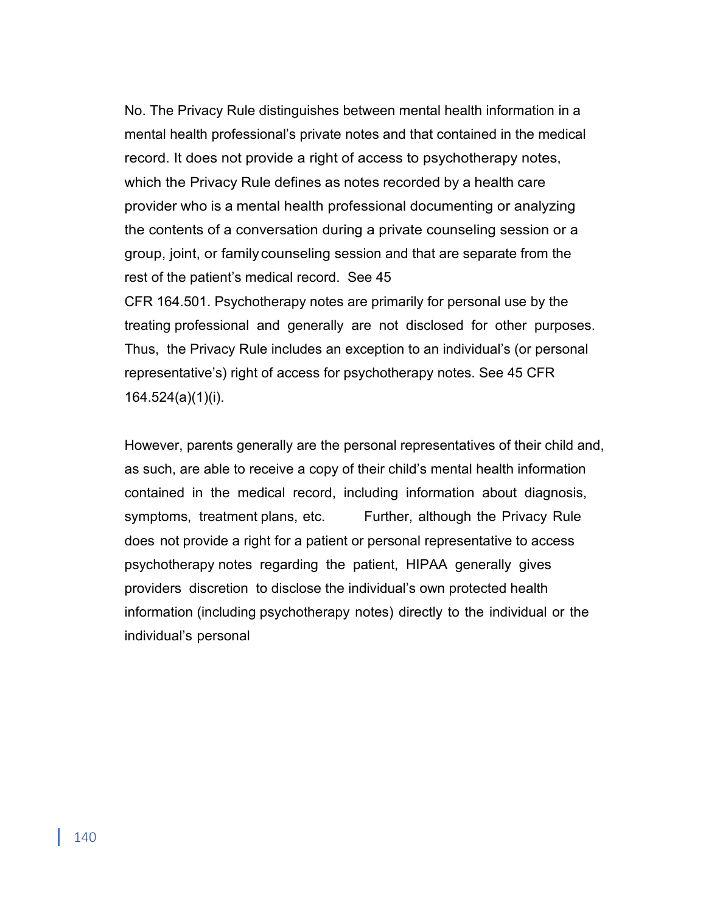No. The Privacy Rule distinguishes between mental health information in a mental health professional's private notes and that contained in the medical record. It does not provide a right of access to psychotherapy notes, which the Privacy Rule defines as notes recorded by a health care provider who is a mental health professional documenting or analyzing the contents of a conversation during a private counseling session or a group, joint, or familycounseling session and that are separate from the rest of the patient's medical record. See 45 CFR 164.501. Psychotherapy notes are primarily for personal use by the treating professional and generally are not disclosed for other purposes. Thus, the Privacy Rule includes an exception to an individual's (or personal

representative's) right of access for psychotherapy notes. See 45 CFR 164.524(a)(1)(i).

However, parents generally are the personal representatives of their child and, as such, are able to receive a copy of their child's mental health information contained in the medical record, including information about diagnosis, symptoms, treatment plans, etc. Further, although the Privacy Rule does not provide a right for a patient or personal representative to access psychotherapy notes regarding the patient, HIPAA generally gives providers discretion to disclose the individual's own protected health information (including psychotherapy notes) directly to the individual or the individual's personal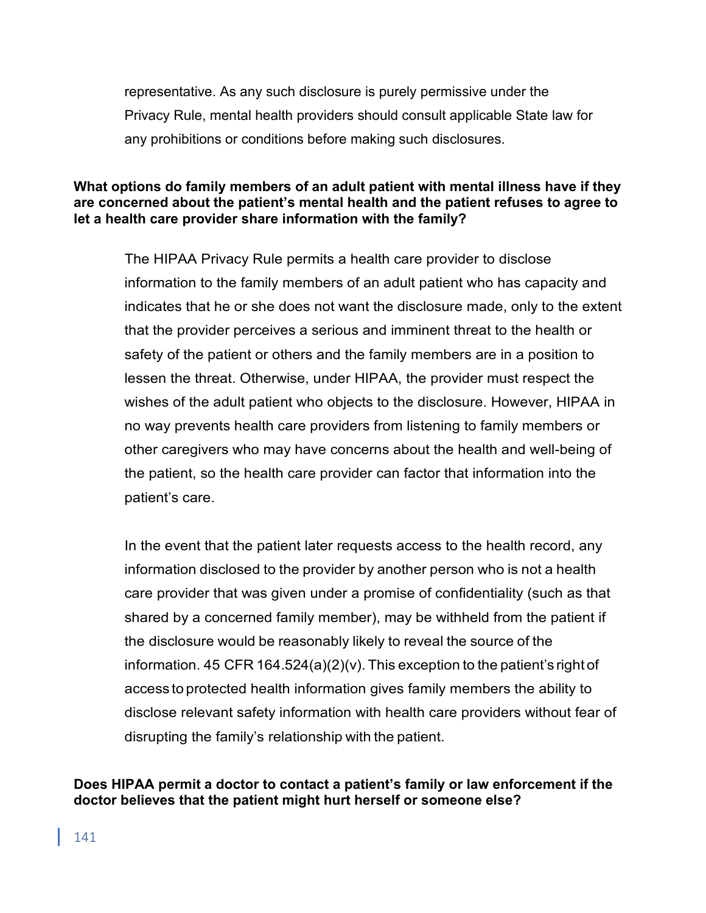representative. As any such disclosure is purely permissive under the Privacy Rule, mental health providers should consult applicable State law for any prohibitions or conditions before making such disclosures.

#### **What options do family members of an adult patient with mental illness have if they are concerned about the patient's mental health and the patient refuses to agree to let a health care provider share information with the family?**

The HIPAA Privacy Rule permits a health care provider to disclose information to the family members of an adult patient who has capacity and indicates that he or she does not want the disclosure made, only to the extent that the provider perceives a serious and imminent threat to the health or safety of the patient or others and the family members are in a position to lessen the threat. Otherwise, under HIPAA, the provider must respect the wishes of the adult patient who objects to the disclosure. However, HIPAA in no way prevents health care providers from listening to family members or other caregivers who may have concerns about the health and well-being of the patient, so the health care provider can factor that information into the patient's care.

In the event that the patient later requests access to the health record, any information disclosed to the provider by another person who is not a health care provider that was given under a promise of confidentiality (such as that shared by a concerned family member), may be withheld from the patient if the disclosure would be reasonably likely to reveal the source of the information. 45 CFR 164.524(a)(2)(v). This exception to the patient's right of access to protected health information gives family members the ability to disclose relevant safety information with health care providers without fear of disrupting the family's relationship with the patient.

#### **Does HIPAA permit a doctor to contact a patient's family or law enforcement if the doctor believes that the patient might hurt herself or someone else?**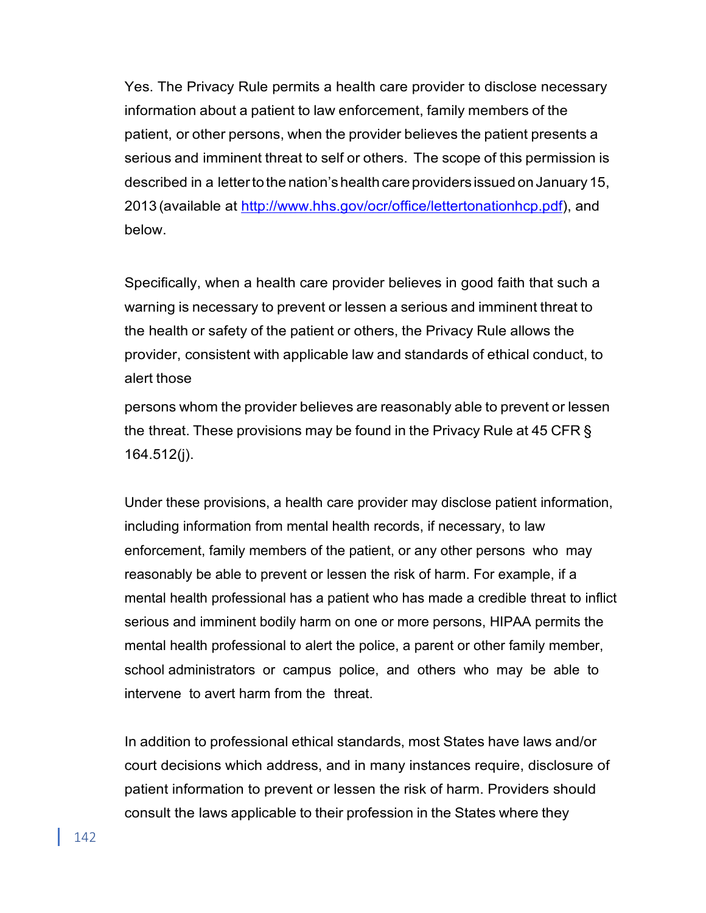Yes. The Privacy Rule permits a health care provider to disclose necessary information about a patient to law enforcement, family members of the patient, or other persons, when the provider believes the patient presents a serious and imminent threat to self or others. The scope of this permission is described in a letter to the nation's health care providers issued on January 15, 2013 (available at [http://www.hhs.gov/ocr/office/lettertonationhcp.pdf\)](http://www.hhs.gov/ocr/office/lettertonationhcp.pdf), and below.

Specifically, when a health care provider believes in good faith that such a warning is necessary to prevent or lessen a serious and imminent threat to the health or safety of the patient or others, the Privacy Rule allows the provider, consistent with applicable law and standards of ethical conduct, to alert those

persons whom the provider believes are reasonably able to prevent or lessen the threat. These provisions may be found in the Privacy Rule at 45 CFR § 164.512(j).

Under these provisions, a health care provider may disclose patient information, including information from mental health records, if necessary, to law enforcement, family members of the patient, or any other persons who may reasonably be able to prevent or lessen the risk of harm. For example, if a mental health professional has a patient who has made a credible threat to inflict serious and imminent bodily harm on one or more persons, HIPAA permits the mental health professional to alert the police, a parent or other family member, school administrators or campus police, and others who may be able to intervene to avert harm from the threat.

In addition to professional ethical standards, most States have laws and/or court decisions which address, and in many instances require, disclosure of patient information to prevent or lessen the risk of harm. Providers should consult the laws applicable to their profession in the States where they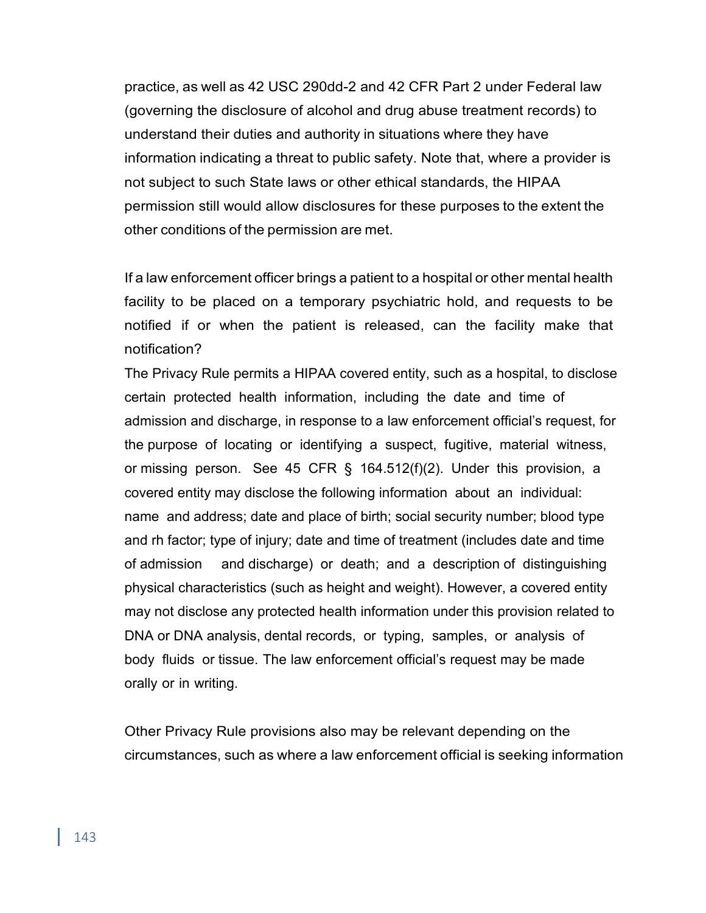practice, as well as 42 USC 290dd-2 and 42 CFR Part 2 under Federal law (governing the disclosure of alcohol and drug abuse treatment records) to understand their duties and authority in situations where they have information indicating a threat to public safety. Note that, where a provider is not subject to such State laws or other ethical standards, the HIPAA permission still would allow disclosures for these purposes to the extent the other conditions of the permission are met.

If a law enforcement officer brings a patient to a hospital or other mental health facility to be placed on a temporary psychiatric hold, and requests to be notified if or when the patient is released, can the facility make that notification?

The Privacy Rule permits a HIPAA covered entity, such as a hospital, to disclose certain protected health information, including the date and time of admission and discharge, in response to a law enforcement official's request, for the purpose of locating or identifying a suspect, fugitive, material witness, or missing person. See 45 CFR § 164.512(f)(2). Under this provision, a covered entity may disclose the following information about an individual: name and address; date and place of birth; social security number; blood type and rh factor; type of injury; date and time of treatment (includes date and time of admission and discharge) or death; and a description of distinguishing physical characteristics (such as height and weight). However, a covered entity may not disclose any protected health information under this provision related to DNA or DNA analysis, dental records, or typing, samples, or analysis of body fluids or tissue. The law enforcement official's request may be made orally or in writing.

Other Privacy Rule provisions also may be relevant depending on the circumstances, such as where a law enforcement official is seeking information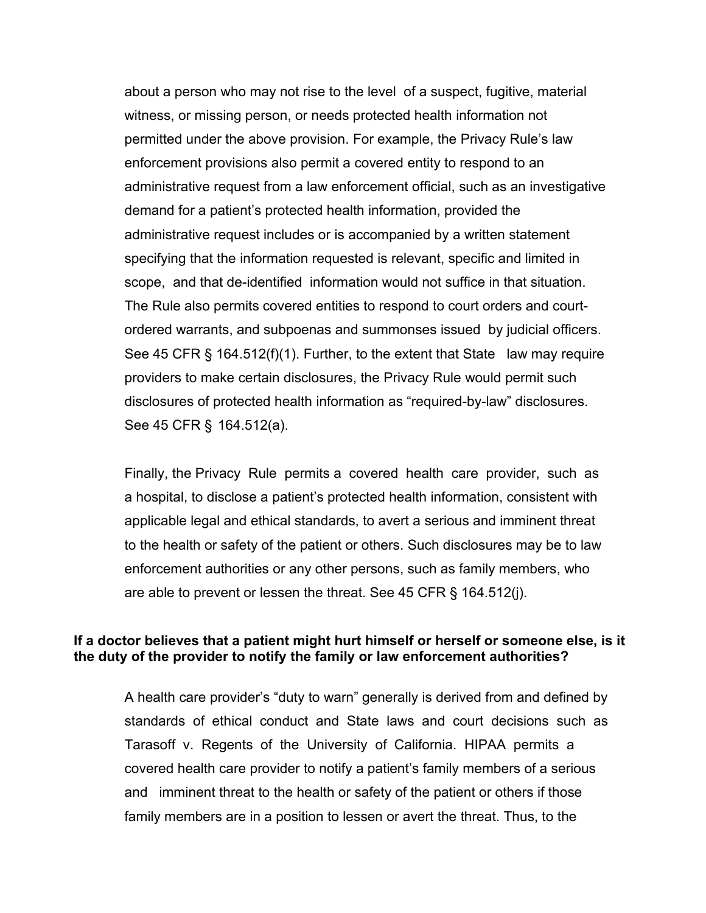about a person who may not rise to the level of a suspect, fugitive, material witness, or missing person, or needs protected health information not permitted under the above provision. For example, the Privacy Rule's law enforcement provisions also permit a covered entity to respond to an administrative request from a law enforcement official, such as an investigative demand for a patient's protected health information, provided the administrative request includes or is accompanied by a written statement specifying that the information requested is relevant, specific and limited in scope, and that de-identified information would not suffice in that situation. The Rule also permits covered entities to respond to court orders and courtordered warrants, and subpoenas and summonses issued by judicial officers. See 45 CFR § 164.512(f)(1). Further, to the extent that State law may require providers to make certain disclosures, the Privacy Rule would permit such disclosures of protected health information as "required-by-law" disclosures. See 45 CFR § 164.512(a).

Finally, the Privacy Rule permits a covered health care provider, such as a hospital, to disclose a patient's protected health information, consistent with applicable legal and ethical standards, to avert a serious and imminent threat to the health or safety of the patient or others. Such disclosures may be to law enforcement authorities or any other persons, such as family members, who are able to prevent or lessen the threat. See 45 CFR § 164.512(j).

#### **If a doctor believes that a patient might hurt himself or herself or someone else, is it the duty of the provider to notify the family or law enforcement authorities?**

A health care provider's "duty to warn" generally is derived from and defined by standards of ethical conduct and State laws and court decisions such as Tarasoff v. Regents of the University of California. HIPAA permits a covered health care provider to notify a patient's family members of a serious and imminent threat to the health or safety of the patient or others if those family members are in a position to lessen or avert the threat. Thus, to the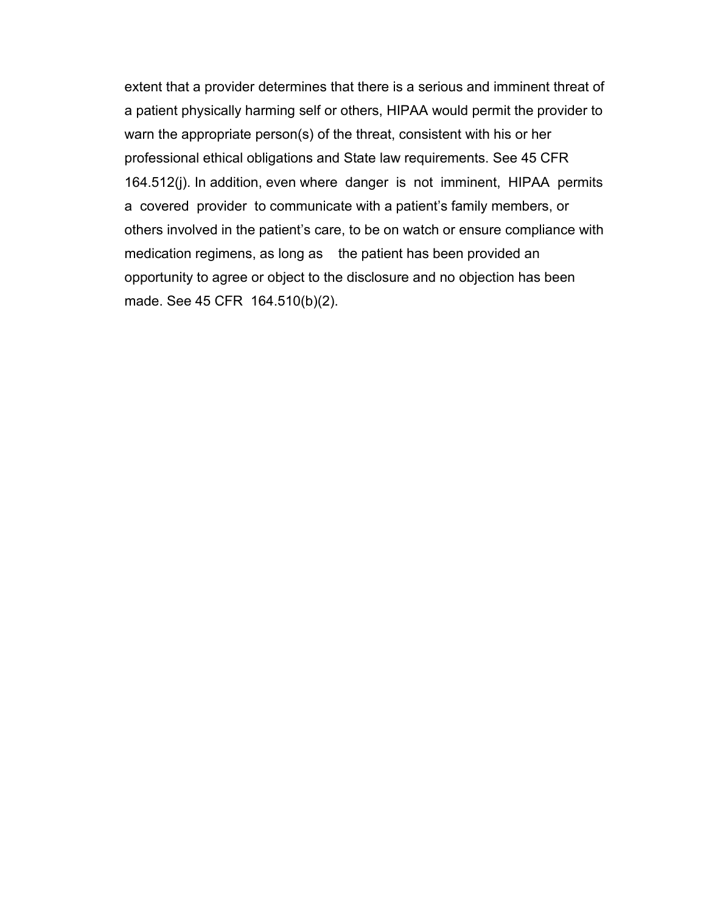extent that a provider determines that there is a serious and imminent threat of a patient physically harming self or others, HIPAA would permit the provider to warn the appropriate person(s) of the threat, consistent with his or her professional ethical obligations and State law requirements. See 45 CFR 164.512(j). In addition, even where danger is not imminent, HIPAA permits a covered provider to communicate with a patient's family members, or others involved in the patient's care, to be on watch or ensure compliance with medication regimens, as long as the patient has been provided an opportunity to agree or object to the disclosure and no objection has been made. See 45 CFR 164.510(b)(2).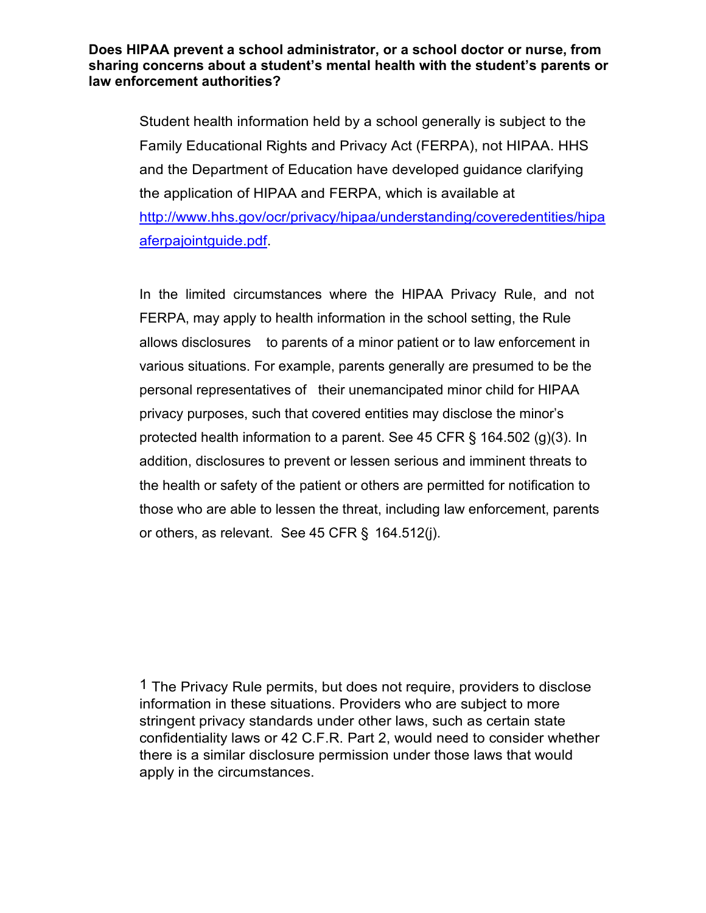**Does HIPAA prevent a school administrator, or a school doctor or nurse, from sharing concerns about a student's mental health with the student's parents or law enforcement authorities?**

Student health information held by a school generally is subject to the Family Educational Rights and Privacy Act (FERPA), not HIPAA. HHS and the Department of Education have developed guidance clarifying the application of HIPAA and FERPA, which is available at [http://www.hhs.gov/ocr/privacy/hipaa/understanding/coveredentities/hipa](http://www.hhs.gov/ocr/privacy/hipaa/understanding/coveredentities/hipaaferpajointguide.pdf) [aferpajointguide.pdf.](http://www.hhs.gov/ocr/privacy/hipaa/understanding/coveredentities/hipaaferpajointguide.pdf)

In the limited circumstances where the HIPAA Privacy Rule, and not FERPA, may apply to health information in the school setting, the Rule allows disclosures to parents of a minor patient or to law enforcement in various situations. For example, parents generally are presumed to be the personal representatives of their unemancipated minor child for HIPAA privacy purposes, such that covered entities may disclose the minor's protected health information to a parent. See 45 CFR § 164.502 (g)(3). In addition, disclosures to prevent or lessen serious and imminent threats to the health or safety of the patient or others are permitted for notification to those who are able to lessen the threat, including law enforcement, parents or others, as relevant. See 45 CFR § 164.512(j).

1 The Privacy Rule permits, but does not require, providers to disclose information in these situations. Providers who are subject to more stringent privacy standards under other laws, such as certain state confidentiality laws or 42 C.F.R. Part 2, would need to consider whether there is a similar disclosure permission under those laws that would apply in the circumstances.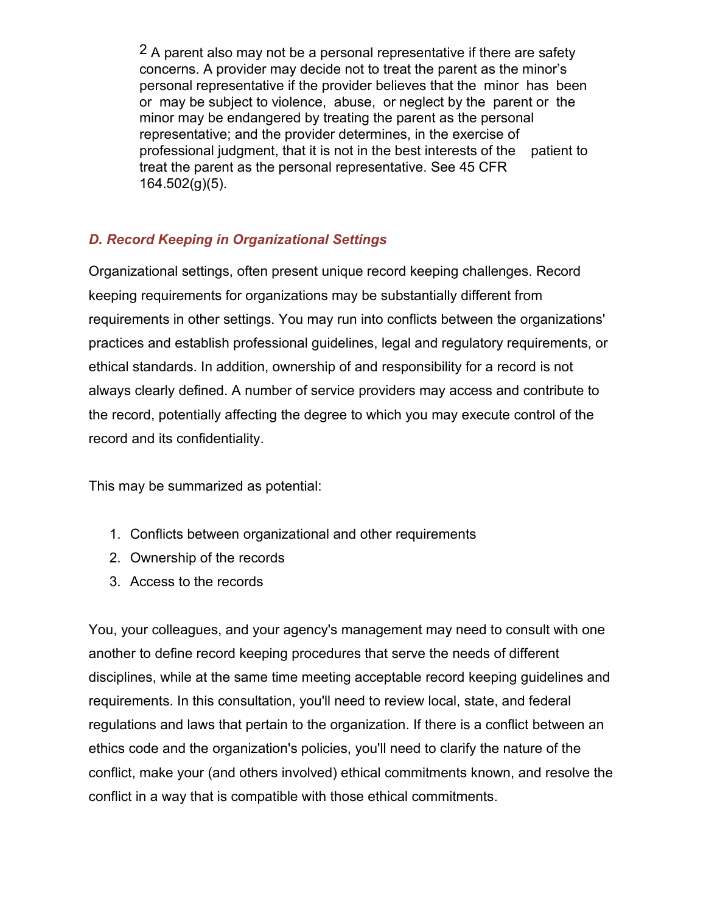<sup>2</sup> A parent also may not be a personal representative if there are safety concerns. A provider may decide not to treat the parent as the minor's personal representative if the provider believes that the minor has been or may be subject to violence, abuse, or neglect by the parent or the minor may be endangered by treating the parent as the personal representative; and the provider determines, in the exercise of professional judgment, that it is not in the best interests of the patient to treat the parent as the personal representative. See 45 CFR 164.502(g)(5).

## *D. Record Keeping in Organizational Settings*

Organizational settings, often present unique record keeping challenges. Record keeping requirements for organizations may be substantially different from requirements in other settings. You may run into conflicts between the organizations' practices and establish professional guidelines, legal and regulatory requirements, or ethical standards. In addition, ownership of and responsibility for a record is not always clearly defined. A number of service providers may access and contribute to the record, potentially affecting the degree to which you may execute control of the record and its confidentiality.

This may be summarized as potential:

- 1. Conflicts between organizational and other requirements
- 2. Ownership of the records
- 3. Access to the records

You, your colleagues, and your agency's management may need to consult with one another to define record keeping procedures that serve the needs of different disciplines, while at the same time meeting acceptable record keeping guidelines and requirements. In this consultation, you'll need to review local, state, and federal regulations and laws that pertain to the organization. If there is a conflict between an ethics code and the organization's policies, you'll need to clarify the nature of the conflict, make your (and others involved) ethical commitments known, and resolve the conflict in a way that is compatible with those ethical commitments.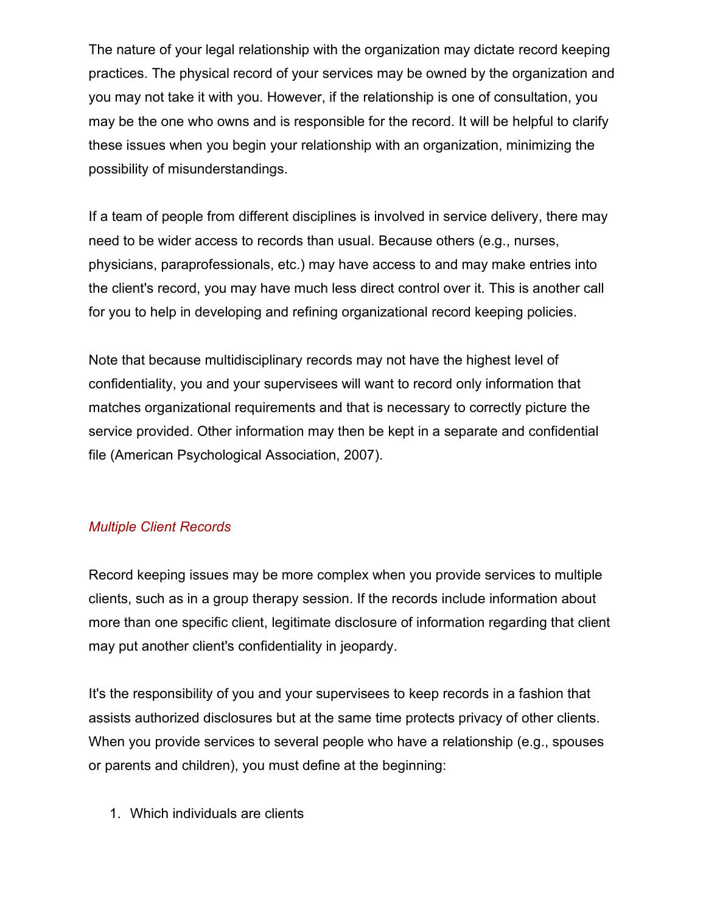The nature of your legal relationship with the organization may dictate record keeping practices. The physical record of your services may be owned by the organization and you may not take it with you. However, if the relationship is one of consultation, you may be the one who owns and is responsible for the record. It will be helpful to clarify these issues when you begin your relationship with an organization, minimizing the possibility of misunderstandings.

If a team of people from different disciplines is involved in service delivery, there may need to be wider access to records than usual. Because others (e.g., nurses, physicians, paraprofessionals, etc.) may have access to and may make entries into the client's record, you may have much less direct control over it. This is another call for you to help in developing and refining organizational record keeping policies.

Note that because multidisciplinary records may not have the highest level of confidentiality, you and your supervisees will want to record only information that matches organizational requirements and that is necessary to correctly picture the service provided. Other information may then be kept in a separate and confidential file (American Psychological Association, 2007).

#### *Multiple Client Records*

Record keeping issues may be more complex when you provide services to multiple clients, such as in a group therapy session. If the records include information about more than one specific client, legitimate disclosure of information regarding that client may put another client's confidentiality in jeopardy.

It's the responsibility of you and your supervisees to keep records in a fashion that assists authorized disclosures but at the same time protects privacy of other clients. When you provide services to several people who have a relationship (e.g., spouses or parents and children), you must define at the beginning:

1. Which individuals are clients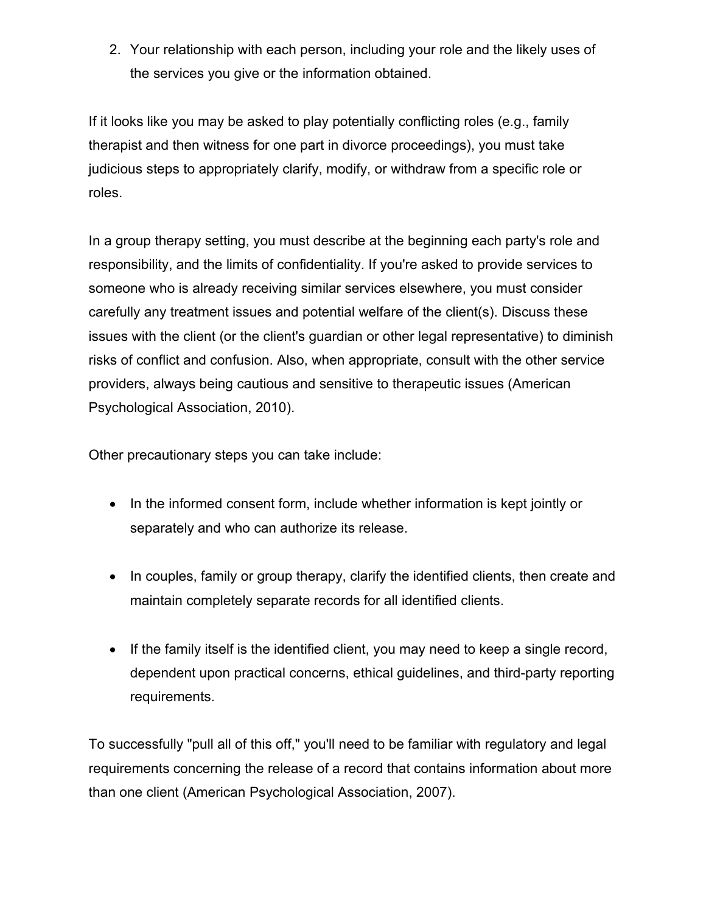2. Your relationship with each person, including your role and the likely uses of the services you give or the information obtained.

If it looks like you may be asked to play potentially conflicting roles (e.g., family therapist and then witness for one part in divorce proceedings), you must take judicious steps to appropriately clarify, modify, or withdraw from a specific role or roles.

In a group therapy setting, you must describe at the beginning each party's role and responsibility, and the limits of confidentiality. If you're asked to provide services to someone who is already receiving similar services elsewhere, you must consider carefully any treatment issues and potential welfare of the client(s). Discuss these issues with the client (or the client's guardian or other legal representative) to diminish risks of conflict and confusion. Also, when appropriate, consult with the other service providers, always being cautious and sensitive to therapeutic issues (American Psychological Association, 2010).

Other precautionary steps you can take include:

- In the informed consent form, include whether information is kept jointly or separately and who can authorize its release.
- In couples, family or group therapy, clarify the identified clients, then create and maintain completely separate records for all identified clients.
- If the family itself is the identified client, you may need to keep a single record, dependent upon practical concerns, ethical guidelines, and third-party reporting requirements.

To successfully "pull all of this off," you'll need to be familiar with regulatory and legal requirements concerning the release of a record that contains information about more than one client (American Psychological Association, 2007).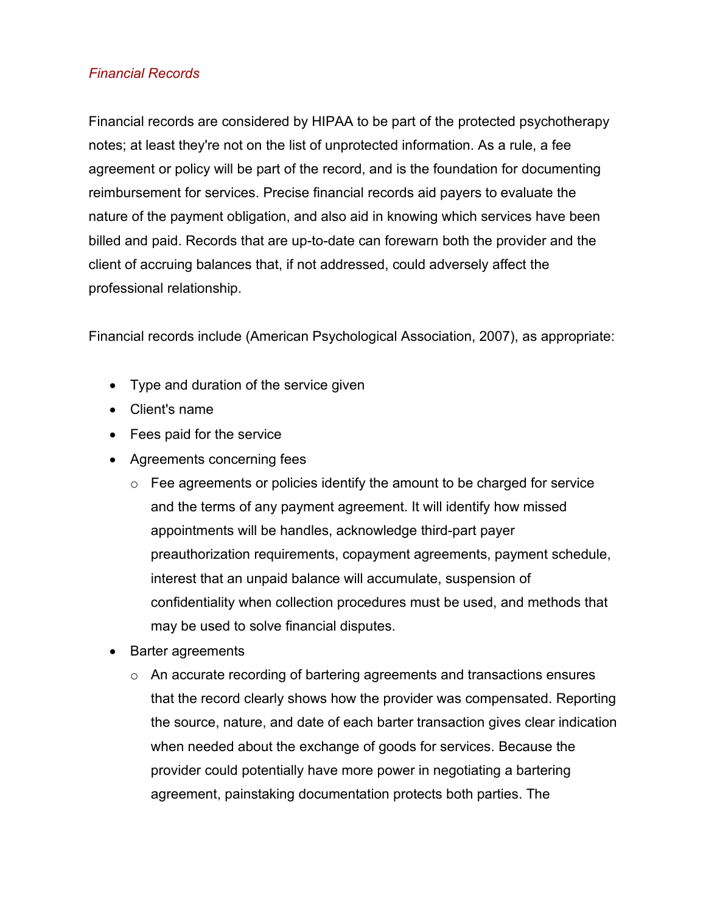#### *Financial Records*

Financial records are considered by HIPAA to be part of the protected psychotherapy notes; at least they're not on the list of unprotected information. As a rule, a fee agreement or policy will be part of the record, and is the foundation for documenting reimbursement for services. Precise financial records aid payers to evaluate the nature of the payment obligation, and also aid in knowing which services have been billed and paid. Records that are up-to-date can forewarn both the provider and the client of accruing balances that, if not addressed, could adversely affect the professional relationship.

Financial records include (American Psychological Association, 2007), as appropriate:

- Type and duration of the service given
- Client's name
- Fees paid for the service
- Agreements concerning fees
	- $\circ$  Fee agreements or policies identify the amount to be charged for service and the terms of any payment agreement. It will identify how missed appointments will be handles, acknowledge third-part payer preauthorization requirements, copayment agreements, payment schedule, interest that an unpaid balance will accumulate, suspension of confidentiality when collection procedures must be used, and methods that may be used to solve financial disputes.
- Barter agreements
	- o An accurate recording of bartering agreements and transactions ensures that the record clearly shows how the provider was compensated. Reporting the source, nature, and date of each barter transaction gives clear indication when needed about the exchange of goods for services. Because the provider could potentially have more power in negotiating a bartering agreement, painstaking documentation protects both parties. The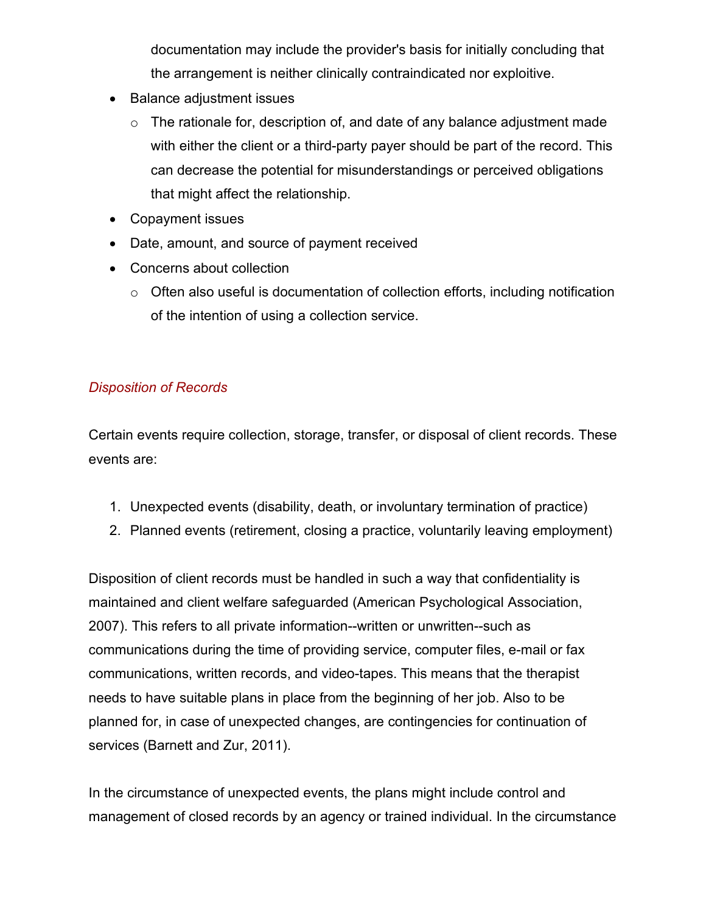documentation may include the provider's basis for initially concluding that the arrangement is neither clinically contraindicated nor exploitive.

- Balance adjustment issues
	- o The rationale for, description of, and date of any balance adjustment made with either the client or a third-party payer should be part of the record. This can decrease the potential for misunderstandings or perceived obligations that might affect the relationship.
- Copayment issues
- Date, amount, and source of payment received
- Concerns about collection
	- o Often also useful is documentation of collection efforts, including notification of the intention of using a collection service.

## *Disposition of Records*

Certain events require collection, storage, transfer, or disposal of client records. These events are:

- 1. Unexpected events (disability, death, or involuntary termination of practice)
- 2. Planned events (retirement, closing a practice, voluntarily leaving employment)

Disposition of client records must be handled in such a way that confidentiality is maintained and client welfare safeguarded (American Psychological Association, 2007). This refers to all private information--written or unwritten--such as communications during the time of providing service, computer files, e-mail or fax communications, written records, and video-tapes. This means that the therapist needs to have suitable plans in place from the beginning of her job. Also to be planned for, in case of unexpected changes, are contingencies for continuation of services (Barnett and Zur, 2011).

In the circumstance of unexpected events, the plans might include control and management of closed records by an agency or trained individual. In the circumstance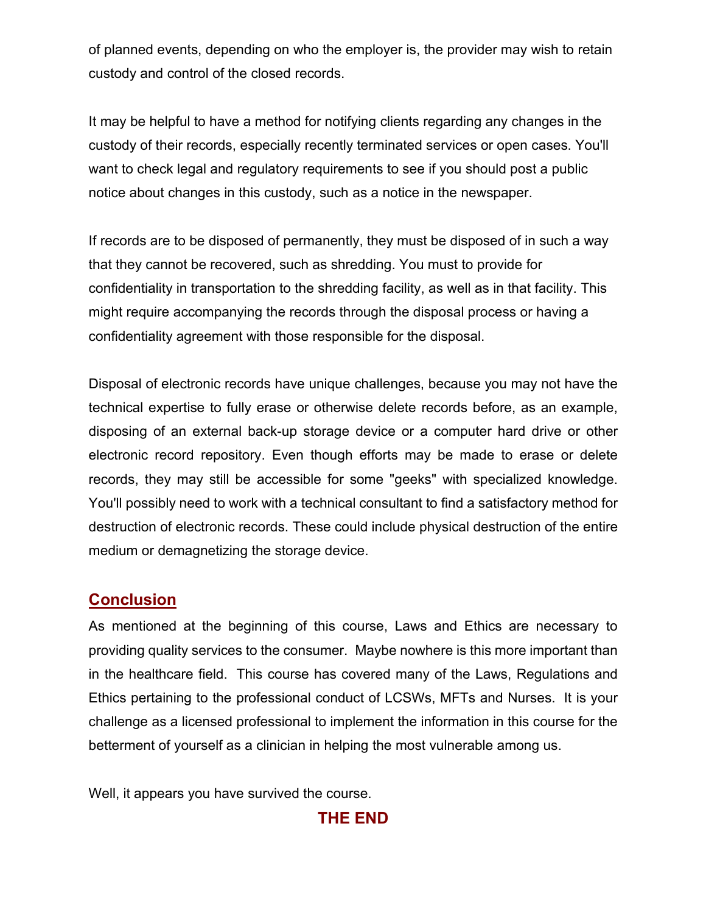of planned events, depending on who the employer is, the provider may wish to retain custody and control of the closed records.

It may be helpful to have a method for notifying clients regarding any changes in the custody of their records, especially recently terminated services or open cases. You'll want to check legal and regulatory requirements to see if you should post a public notice about changes in this custody, such as a notice in the newspaper.

If records are to be disposed of permanently, they must be disposed of in such a way that they cannot be recovered, such as shredding. You must to provide for confidentiality in transportation to the shredding facility, as well as in that facility. This might require accompanying the records through the disposal process or having a confidentiality agreement with those responsible for the disposal.

Disposal of electronic records have unique challenges, because you may not have the technical expertise to fully erase or otherwise delete records before, as an example, disposing of an external back-up storage device or a computer hard drive or other electronic record repository. Even though efforts may be made to erase or delete records, they may still be accessible for some "geeks" with specialized knowledge. You'll possibly need to work with a technical consultant to find a satisfactory method for destruction of electronic records. These could include physical destruction of the entire medium or demagnetizing the storage device.

## **Conclusion**

As mentioned at the beginning of this course, Laws and Ethics are necessary to providing quality services to the consumer. Maybe nowhere is this more important than in the healthcare field. This course has covered many of the Laws, Regulations and Ethics pertaining to the professional conduct of LCSWs, MFTs and Nurses. It is your challenge as a licensed professional to implement the information in this course for the betterment of yourself as a clinician in helping the most vulnerable among us.

Well, it appears you have survived the course.

# **THE END**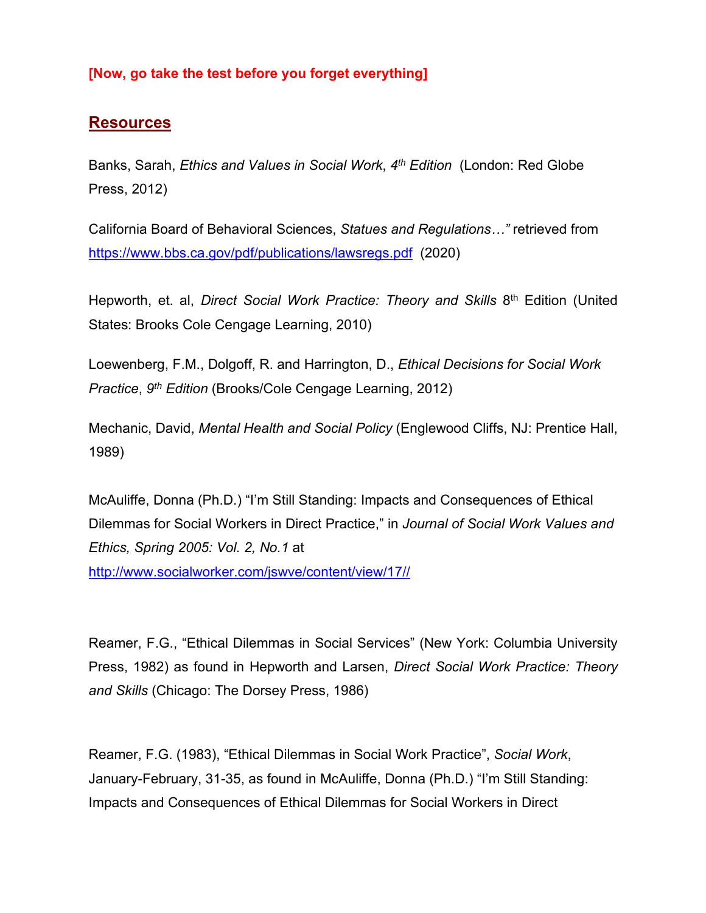#### **[Now, go take the test before you forget everything]**

## **Resources**

Banks, Sarah, *Ethics and Values in Social Work*, *4th Edition* (London: Red Globe Press, 2012)

California Board of Behavioral Sciences, *Statues and Regulations…"* retrieved from <https://www.bbs.ca.gov/pdf/publications/lawsregs.pdf> (2020)

Hepworth, et. al, *Direct Social Work Practice: Theory and Skills* 8<sup>th</sup> Edition (United States: Brooks Cole Cengage Learning, 2010)

Loewenberg, F.M., Dolgoff, R. and Harrington, D., *Ethical Decisions for Social Work Practice*, *9th Edition* (Brooks/Cole Cengage Learning, 2012)

Mechanic, David, *Mental Health and Social Policy* (Englewood Cliffs, NJ: Prentice Hall, 1989)

McAuliffe, Donna (Ph.D.) "I'm Still Standing: Impacts and Consequences of Ethical Dilemmas for Social Workers in Direct Practice," in *Journal of Social Work Values and Ethics, Spring 2005: Vol. 2, No.1* at

[http://www.socialworker.com/jswve/content/view/17//](http://www.socialworker.com/jswve/content/view/17/) 

Reamer, F.G., "Ethical Dilemmas in Social Services" (New York: Columbia University Press, 1982) as found in Hepworth and Larsen, *Direct Social Work Practice: Theory and Skills* (Chicago: The Dorsey Press, 1986)

Reamer, F.G. (1983), "Ethical Dilemmas in Social Work Practice", *Social Work*, January-February, 31-35, as found in McAuliffe, Donna (Ph.D.) "I'm Still Standing: Impacts and Consequences of Ethical Dilemmas for Social Workers in Direct